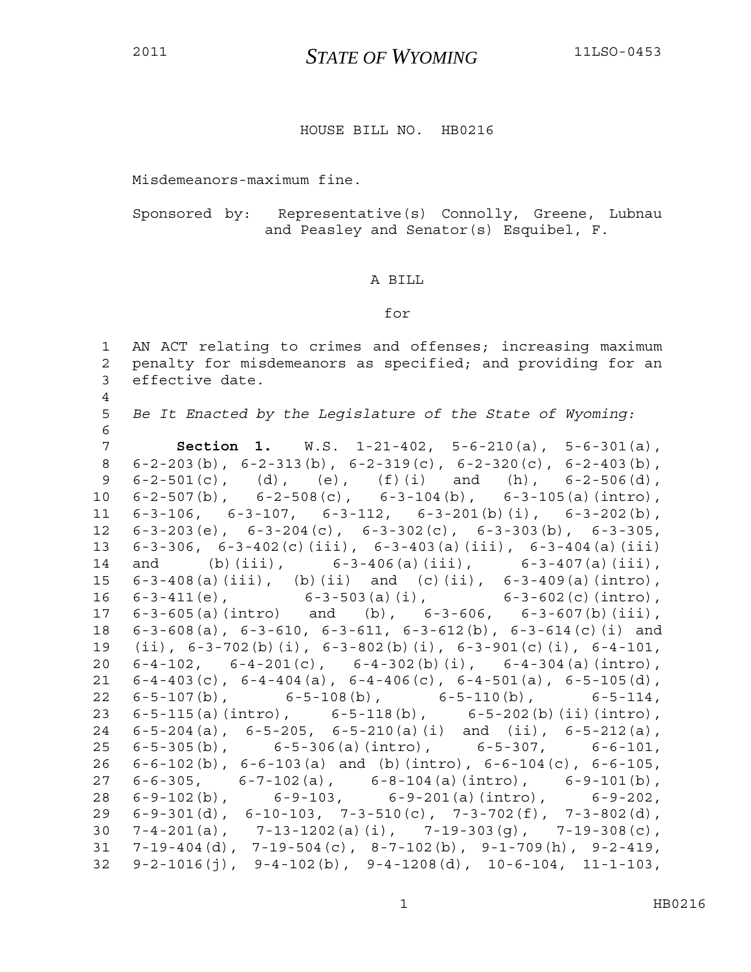4

## <sup>2011</sup>*STATE OF WYOMING* 11LSO-0453

## HOUSE BILL NO. HB0216

Misdemeanors-maximum fine.

Sponsored by: Representative(s) Connolly, Greene, Lubnau and Peasley and Senator(s) Esquibel, F.

## A BILL

## for

1 AN ACT relating to crimes and offenses; increasing maximum 2 penalty for misdemeanors as specified; and providing for an 3 effective date.

5 *Be It Enacted by the Legislature of the State of Wyoming:* 6

7 **Section 1.** W.S. 1-21-402, 5-6-210(a), 5-6-301(a), 8 6-2-203(b), 6-2-313(b), 6-2-319(c), 6-2-320(c), 6-2-403(b), 9  $6-2-501(c)$ , (d), (e), (f)(i) and (h),  $6-2-506(d)$ , 10 6-2-507(b), 6-2-508(c), 6-3-104(b), 6-3-105(a)(intro), 11 6-3-106, 6-3-107, 6-3-112, 6-3-201(b)(i), 6-3-202(b), 12 6-3-203(e), 6-3-204(c), 6-3-302(c), 6-3-303(b), 6-3-305, 13 6-3-306, 6-3-402(c)(iii), 6-3-403(a)(iii), 6-3-404(a)(iii) 14 and (b)(iii), 6-3-406(a)(iii), 6-3-407(a)(iii), 15 6-3-408(a)(iii), (b)(ii) and (c)(ii), 6-3-409(a)(intro), 16 6-3-411(e), 6-3-503(a)(i), 6-3-602(c)(intro), 17 6-3-605(a)(intro) and (b), 6-3-606, 6-3-607(b)(iii), 18 6-3-608(a), 6-3-610, 6-3-611, 6-3-612(b), 6-3-614(c)(i) and 19 (ii), 6-3-702(b)(i), 6-3-802(b)(i), 6-3-901(c)(i), 6-4-101, 20 6-4-102, 6-4-201(c), 6-4-302(b)(i), 6-4-304(a)(intro), 21  $6-4-403(c)$ ,  $6-4-404(a)$ ,  $6-4-406(c)$ ,  $6-4-501(a)$ ,  $6-5-105(d)$ , 22 6-5-107(b), 6-5-108(b), 6-5-110(b), 6-5-114, 23 6-5-115(a)(intro), 6-5-118(b), 6-5-202(b)(ii)(intro), 24 6-5-204(a), 6-5-205, 6-5-210(a)(i) and (ii), 6-5-212(a), 25 6-5-305(b), 6-5-306(a)(intro), 6-5-307, 6-6-101, 26 6-6-102(b), 6-6-103(a) and (b)(intro), 6-6-104(c), 6-6-105, 27 6-6-305, 6-7-102(a), 6-8-104(a)(intro), 6-9-101(b), 28 6-9-102(b), 6-9-103, 6-9-201(a)(intro), 6-9-202, 29 6-9-301(d), 6-10-103, 7-3-510(c), 7-3-702(f), 7-3-802(d), 30 7-4-201(a), 7-13-1202(a)(i), 7-19-303(g), 7-19-308(c), 31 7-19-404(d), 7-19-504(c), 8-7-102(b), 9-1-709(h), 9-2-419,  $32 \quad 9 - 2 - 1016 \text{ (i)}, \quad 9 - 4 - 102 \text{ (b)}, \quad 9 - 4 - 1208 \text{ (d)}, \quad 10 - 6 - 104, \quad 11 - 1 - 103,$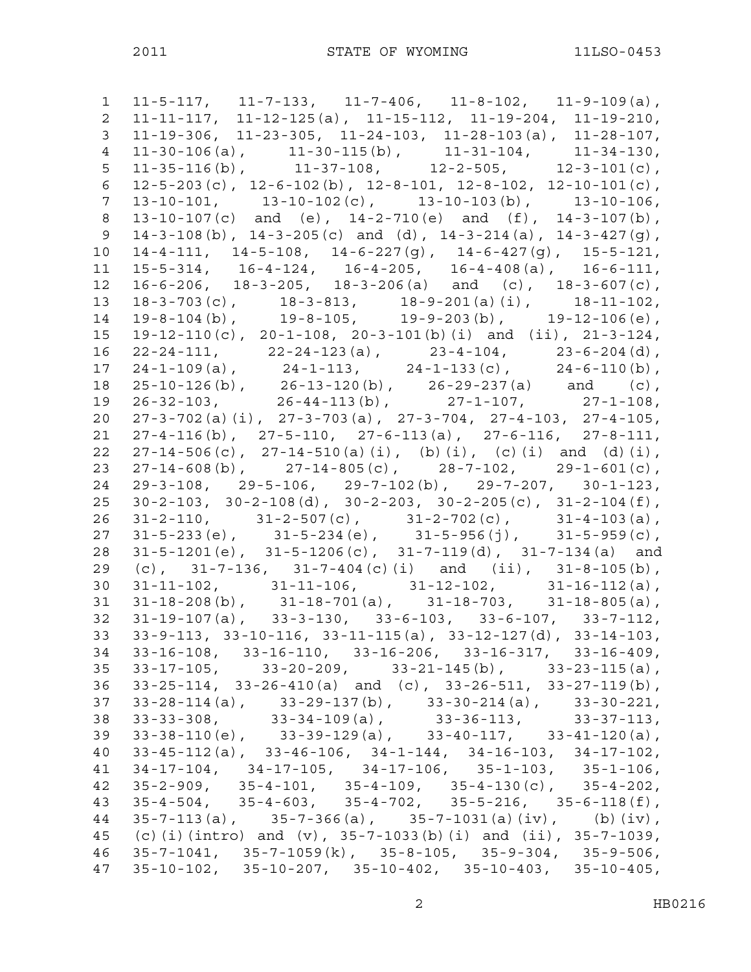1 11-5-117, 11-7-133, 11-7-406, 11-8-102, 11-9-109(a), 2 11-11-117, 11-12-125(a), 11-15-112, 11-19-204, 11-19-210, 3 11-19-306, 11-23-305, 11-24-103, 11-28-103(a), 11-28-107, 4 11-30-106(a), 11-30-115(b), 11-31-104, 11-34-130,  $11-35-116(b)$ ,  $11-37-108$ ,  $12-2-505$ ,  $12-3-101(c)$ , 6  $12-5-203(c)$ ,  $12-6-102(b)$ ,  $12-8-101$ ,  $12-8-102$ ,  $12-10-101(c)$ , 7 13-10-101, 13-10-102(c), 13-10-103(b), 13-10-106, 8 13-10-107(c) and (e), 14-2-710(e) and (f), 14-3-107(b), 9 14-3-108(b),  $14-3-205(c)$  and (d),  $14-3-214(a)$ ,  $14-3-427(q)$ , 10 14-4-111, 14-5-108, 14-6-227(g), 14-6-427(g), 15-5-121, 11 15-5-314, 16-4-124, 16-4-205, 16-4-408(a), 16-6-111, 12 16-6-206, 18-3-205, 18-3-206(a) and (c), 18-3-607(c), 13 18-3-703(c), 18-3-813, 18-9-201(a)(i), 18-11-102, 14 19-8-104(b), 19-8-105, 19-9-203(b), 19-12-106(e), 15 19-12-110(c), 20-1-108, 20-3-101(b)(i) and (ii), 21-3-124, 16 22-24-111, 22-24-123(a), 23-4-104, 23-6-204(d), 17 24-1-109(a), 24-1-113, 24-1-133(c), 24-6-110(b), 18 25-10-126(b), 26-13-120(b), 26-29-237(a) and (c), 18 25-10-126(b), 26-13-120(b), 26-29-237(a) and (c),<br>19 26-32-103, 26-44-113(b), 27-1-107, 27-1-108, 20 27-3-702(a)(i), 27-3-703(a), 27-3-704, 27-4-103, 27-4-105, 21 27-4-116(b), 27-5-110, 27-6-113(a), 27-6-116, 27-8-111, 22 27-14-506(c), 27-14-510(a)(i), (b)(i), (c)(i) and (d)(i), 23 27-14-608(b), 27-14-805(c), 28-7-102, 29-1-601(c), 24 29-3-108, 29-5-106, 29-7-102(b), 29-7-207, 30-1-123, 25 30-2-103, 30-2-108(d), 30-2-203, 30-2-205(c), 31-2-104(f), 26 31-2-110, 31-2-507(c), 31-2-702(c), 31-4-103(a), 27 31-5-233(e), 31-5-234(e), 31-5-956(j), 31-5-959(c), 28 31-5-1201(e), 31-5-1206(c), 31-7-119(d), 31-7-134(a) and 29 (c), 31-7-136, 31-7-404(c)(i) and (ii), 31-8-105(b), 30 31-11-102, 31-11-106, 31-12-102, 31-16-112(a), 31 31-18-208(b), 31-18-701(a), 31-18-703, 31-18-805(a), 31 31-18-208(b), 31-18-701(a), 31-18-703, 31-18-805(a),<br>32 31-19-107(a), 33-3-130, 33-6-103, 33-6-107, 33-7-112, 33 33-9-113, 33-10-116, 33-11-115(a), 33-12-127(d), 33-14-103, 34 33-16-108, 33-16-110, 33-16-206, 33-16-317, 33-16-409, 35 33-17-105, 33-20-209, 33-21-145(b), 33-23-115(a), 36 33-25-114, 33-26-410(a) and (c), 33-26-511, 33-27-119(b), 37 33-28-114(a), 33-29-137(b), 33-30-214(a), 33-30-221, 38 33-33-308, 33-34-109(a), 33-36-113, 33-37-113, 39 33-38-110(e), 33-39-129(a), 33-40-117, 33-41-120(a), 40 33-45-112(a), 33-46-106, 34-1-144, 34-16-103, 34-17-102, 41 34-17-104, 34-17-105, 34-17-106, 35-1-103, 35-1-106, 42 35-2-909, 35-4-101, 35-4-109, 35-4-130(c), 35-4-202, 43 35-4-504, 35-4-603, 35-4-702, 35-5-216, 35-6-118(f), 44 35-7-113(a), 35-7-366(a), 35-7-1031(a)(iv), (b)(iv), 45 (c)(i)(intro) and (v), 35-7-1033(b)(i) and (ii), 35-7-1039, 46 35-7-1041, 35-7-1059(k), 35-8-105, 35-9-304, 35-9-506, 47 35-10-102, 35-10-207, 35-10-402, 35-10-403, 35-10-405,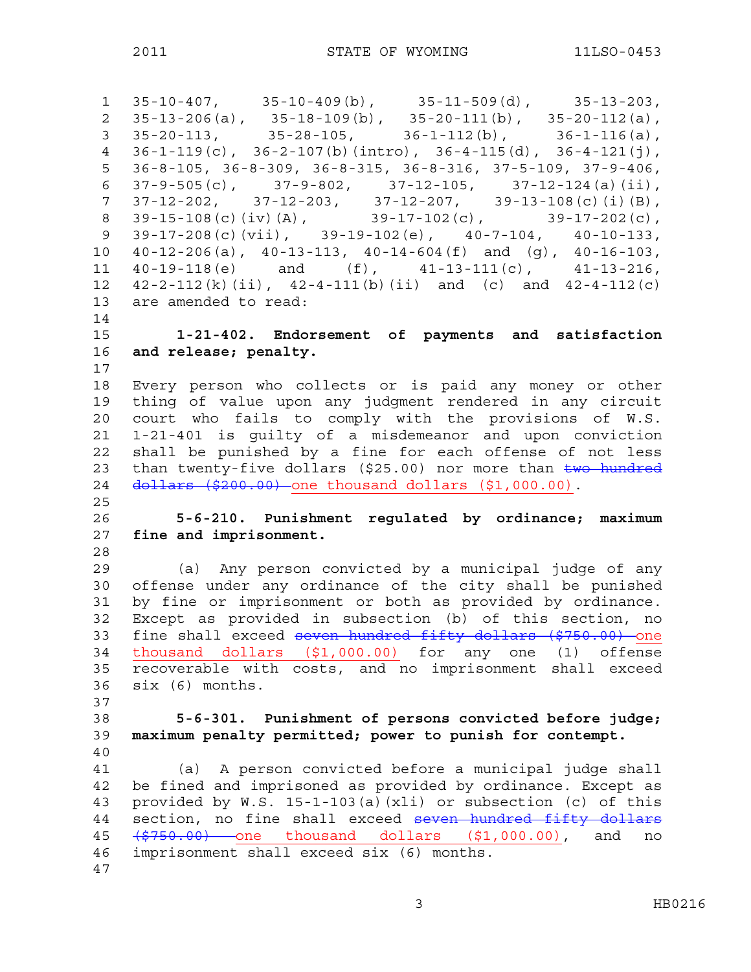1 35-10-407, 35-10-409(b), 35-11-509(d), 35-13-203, 2 35-13-206(a), 35-18-109(b), 35-20-111(b), 35-20-112(a), 3  $35-20-113$ ,  $35-28-105$ ,  $36-1-112$ (b),  $36-1-116$ (a), 4 36-1-119(c), 36-2-107(b)(intro), 36-4-115(d), 36-4-121(j), 5 36-8-105, 36-8-309, 36-8-315, 36-8-316, 37-5-109, 37-9-406, 6 37-9-505(c), 37-9-802, 37-12-105, 37-12-124(a)(ii), 7 37-12-202, 37-12-203, 37-12-207, 39-13-108(c)(i)(B), 8 39-15-108(c)(iv)(A), 39-17-102(c), 39-17-202(c), 9 39-17-208(c)(vii), 39-19-102(e), 40-7-104, 40-10-133, 10 40-12-206(a), 40-13-113, 40-14-604(f) and (g), 40-16-103, 11 40-19-118(e) and (f), 41-13-111(c), 41-13-216, 12  $42-2-112(k)(ii)$ ,  $42-4-111(b)(ii)$  and  $(c)$  and  $42-4-112(c)$ 13 are amended to read: 14 15 **1-21-402. Endorsement of payments and satisfaction**  16 **and release; penalty.**  17 18 Every person who collects or is paid any money or other 19 thing of value upon any judgment rendered in any circuit 20 court who fails to comply with the provisions of W.S. 21 1-21-401 is guilty of a misdemeanor and upon conviction 22 shall be punished by a fine for each offense of not less 23 than twenty-five dollars (\$25.00) nor more than two hundred 24 dollars (\$200.00) one thousand dollars (\$1,000.00). 25 26 **5-6-210. Punishment regulated by ordinance; maximum**  27 **fine and imprisonment.**  28 29 (a) Any person convicted by a municipal judge of any 30 offense under any ordinance of the city shall be punished 31 by fine or imprisonment or both as provided by ordinance. 32 Except as provided in subsection (b) of this section, no 33 fine shall exceed seven hundred fifty dollars (\$750.00) one 34 thousand dollars (\$1,000.00) for any one (1) offense 35 recoverable with costs, and no imprisonment shall exceed 36 six (6) months. 37 38 **5-6-301. Punishment of persons convicted before judge;**  39 **maximum penalty permitted; power to punish for contempt.**  40 41 (a) A person convicted before a municipal judge shall 42 be fined and imprisoned as provided by ordinance. Except as 43 provided by W.S. 15-1-103(a)(xli) or subsection (c) of this 44 section, no fine shall exceed seven hundred fifty dollars 45 (\$750.00) one thousand dollars (\$1,000.00), and no 46 imprisonment shall exceed six (6) months. 47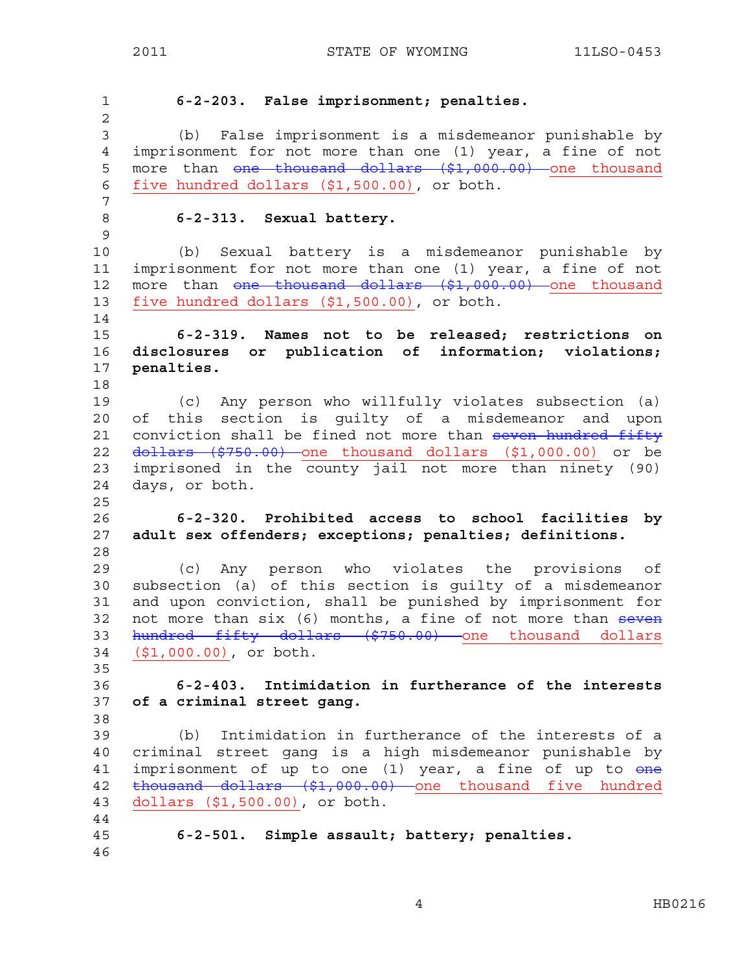1 **6-2-203. False imprisonment; penalties.**  2 3 (b) False imprisonment is a misdemeanor punishable by 4 imprisonment for not more than one (1) year, a fine of not 5 more than one thousand dollars (\$1,000.00) one thousand 6 five hundred dollars (\$1,500.00), or both. 7 8 **6-2-313. Sexual battery.**  9 10 (b) Sexual battery is a misdemeanor punishable by 11 imprisonment for not more than one (1) year, a fine of not 12 more than <del>one thousand dollars (\$1,000.00)</del> one thousand 13 five hundred dollars (\$1,500.00), or both. 14 15 **6-2-319. Names not to be released; restrictions on**  16 **disclosures or publication of information; violations;**  17 **penalties.**  18 19 (c) Any person who willfully violates subsection (a) 20 of this section is guilty of a misdemeanor and upon 21 conviction shall be fined not more than seven hundred fifty 22 <del>dollars (\$750.00)</del> one thousand dollars (\$1,000.00) or be 23 imprisoned in the county jail not more than ninety (90) 24 days, or both. 25 26 **6-2-320. Prohibited access to school facilities by**  27 **adult sex offenders; exceptions; penalties; definitions.**  28 29 (c) Any person who violates the provisions of 30 subsection (a) of this section is guilty of a misdemeanor 31 and upon conviction, shall be punished by imprisonment for 32 not more than  $six$  (6) months, a fine of not more than  $seven$ 33 hundred fifty dollars (\$750.00) one thousand dollars 34 (\$1,000.00), or both. 35 36 **6-2-403. Intimidation in furtherance of the interests**  37 **of a criminal street gang.**  38 39 (b) Intimidation in furtherance of the interests of a 40 criminal street gang is a high misdemeanor punishable by 41 imprisonment of up to one (1) year, a fine of up to one 42 thousand dollars (\$1,000.00) one thousand five hundred 43 dollars (\$1,500.00), or both. 44 45 **6-2-501. Simple assault; battery; penalties.**  46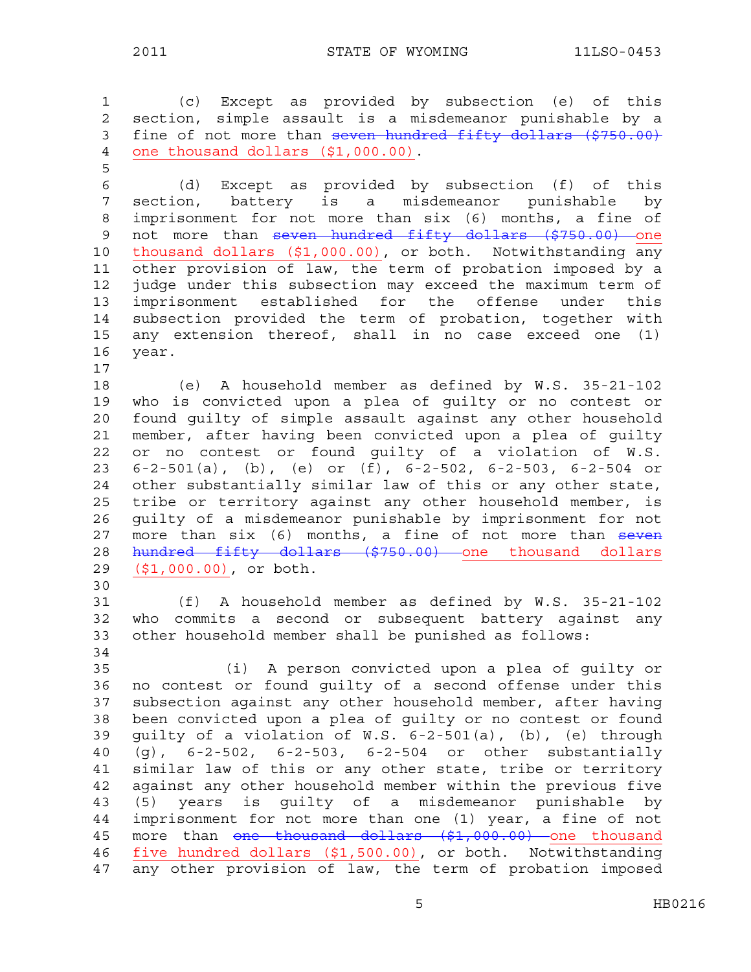1 (c) Except as provided by subsection (e) of this 2 section, simple assault is a misdemeanor punishable by a 3 fine of not more than seven hundred fifty dollars (\$750.00) 4 one thousand dollars (\$1,000.00). 5 6 (d) Except as provided by subsection (f) of this 7 section, battery is a misdemeanor punishable by 8 imprisonment for not more than six (6) months, a fine of 9 not more than seven hundred fifty dollars (\$750.00) one 10 thousand dollars (\$1,000.00), or both. Notwithstanding any 11 other provision of law, the term of probation imposed by a 12 judge under this subsection may exceed the maximum term of 13 imprisonment established for the offense under this 14 subsection provided the term of probation, together with 15 any extension thereof, shall in no case exceed one (1) 16 year. 17 18 (e) A household member as defined by W.S. 35-21-102 19 who is convicted upon a plea of guilty or no contest or 20 found guilty of simple assault against any other household 21 member, after having been convicted upon a plea of guilty 22 or no contest or found guilty of a violation of W.S. 23 6-2-501(a), (b), (e) or (f), 6-2-502, 6-2-503, 6-2-504 or 24 other substantially similar law of this or any other state, 25 tribe or territory against any other household member, is 26 guilty of a misdemeanor punishable by imprisonment for not 27 more than six (6) months, a fine of not more than seven 28 hundred fifty dollars (\$750.00) one thousand dollars 29 (\$1,000.00), or both. 30 31 (f) A household member as defined by W.S. 35-21-102 32 who commits a second or subsequent battery against any 33 other household member shall be punished as follows: 34 35 (i) A person convicted upon a plea of guilty or 36 no contest or found guilty of a second offense under this 37 subsection against any other household member, after having 38 been convicted upon a plea of guilty or no contest or found 39 guilty of a violation of W.S. 6-2-501(a), (b), (e) through 40 (g), 6-2-502, 6-2-503, 6-2-504 or other substantially 41 similar law of this or any other state, tribe or territory 42 against any other household member within the previous five 43 (5) years is guilty of a misdemeanor punishable by 44 imprisonment for not more than one (1) year, a fine of not 45 more than <del>one thousand dollars (\$1,000.00)</del> one thousand 46 five hundred dollars (\$1,500.00), or both. Notwithstanding 47 any other provision of law, the term of probation imposed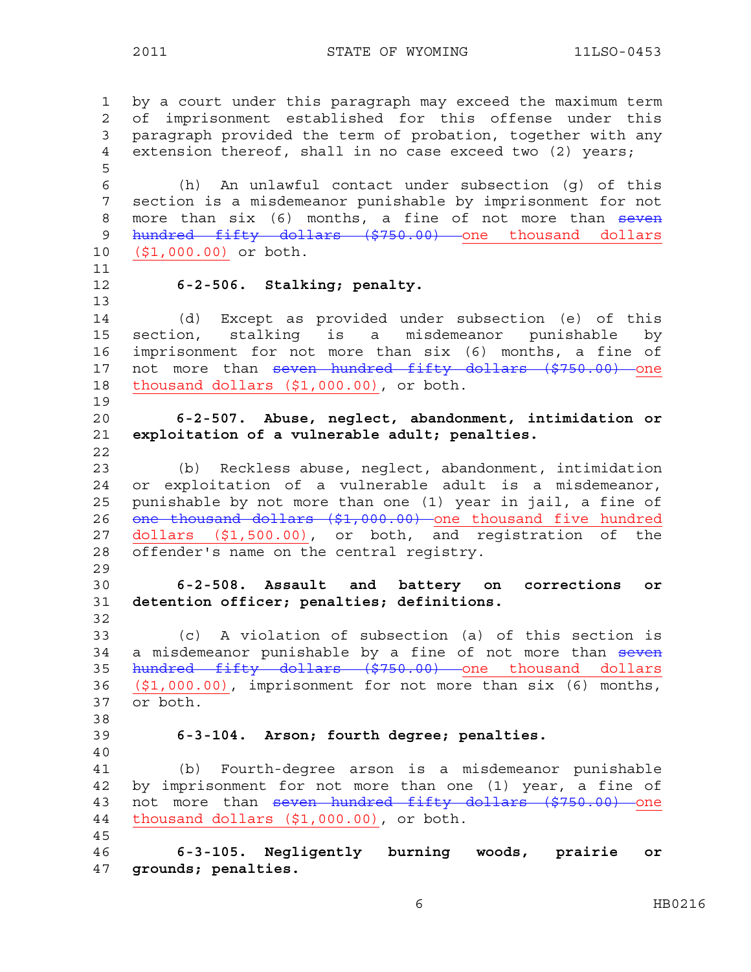1 by a court under this paragraph may exceed the maximum term 2 of imprisonment established for this offense under this 3 paragraph provided the term of probation, together with any 4 extension thereof, shall in no case exceed two (2) years; 5 6 (h) An unlawful contact under subsection (g) of this 7 section is a misdemeanor punishable by imprisonment for not 8 more than six (6) months, a fine of not more than seven 9 hundred fifty dollars (\$750.00) one thousand dollars 10 (\$1,000.00) or both. 11 12 **6-2-506. Stalking; penalty.**  13 14 (d) Except as provided under subsection (e) of this 15 section, stalking is a misdemeanor punishable by 16 imprisonment for not more than six (6) months, a fine of 17 not more than seven hundred fifty dollars (\$750.00) one 18 thousand dollars (\$1,000.00), or both. 19 20 **6-2-507. Abuse, neglect, abandonment, intimidation or**  21 **exploitation of a vulnerable adult; penalties.**  22 23 (b) Reckless abuse, neglect, abandonment, intimidation 24 or exploitation of a vulnerable adult is a misdemeanor, 25 punishable by not more than one (1) year in jail, a fine of 26 one thousand dollars (\$1,000.00) one thousand five hundred 27 dollars (\$1,500.00), or both, and registration of the 28 offender's name on the central registry. 29 30 **6-2-508. Assault and battery on corrections or**  31 **detention officer; penalties; definitions.**  32 33 (c) A violation of subsection (a) of this section is 34 a misdemeanor punishable by a fine of not more than seven 35 hundred fifty dollars (\$750.00) one thousand dollars 36 (\$1,000.00), imprisonment for not more than six (6) months, 37 or both. 38 39 **6-3-104. Arson; fourth degree; penalties.**  40 41 (b) Fourth-degree arson is a misdemeanor punishable 42 by imprisonment for not more than one (1) year, a fine of 43 not more than seven hundred fifty dollars (\$750.00) one 44 thousand dollars (\$1,000.00), or both. 45 46 **6-3-105. Negligently burning woods, prairie or**  47 **grounds; penalties.** 

6 HB0216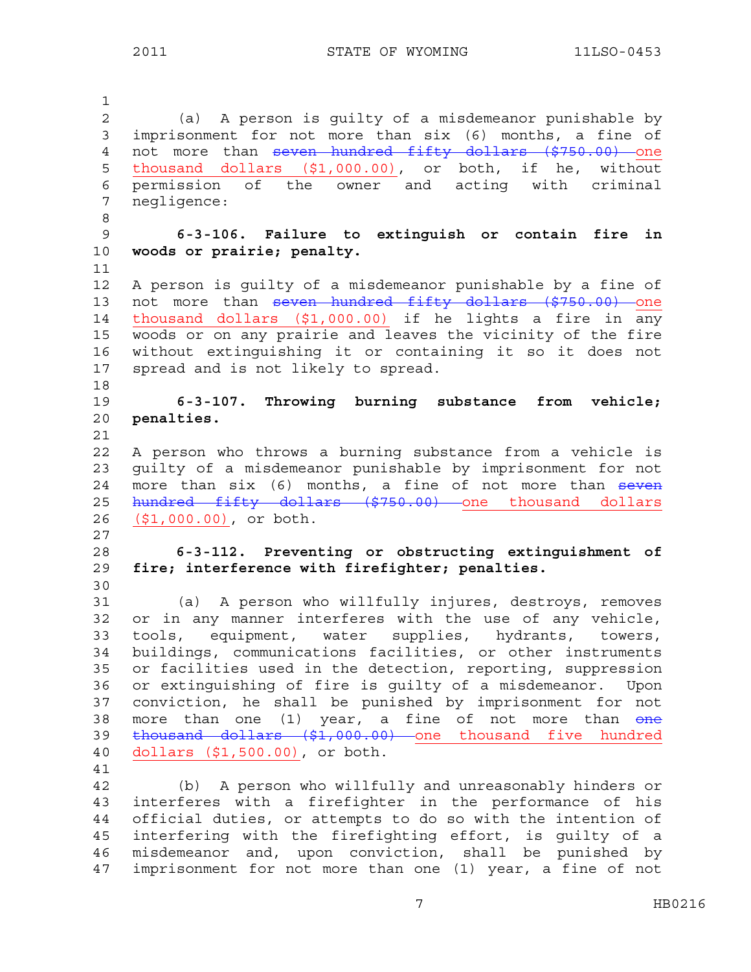1 2 (a) A person is guilty of a misdemeanor punishable by 3 imprisonment for not more than six (6) months, a fine of 4 not more than seven hundred fifty dollars (\$750.00) one 5 thousand dollars (\$1,000.00), or both, if he, without 6 permission of the owner and acting with criminal 7 negligence: 8 9 **6-3-106. Failure to extinguish or contain fire in**  10 **woods or prairie; penalty.** 11 12 A person is guilty of a misdemeanor punishable by a fine of 13 not more than seven hundred fifty dollars (\$750.00) one 14 thousand dollars (\$1,000.00) if he lights a fire in any 15 woods or on any prairie and leaves the vicinity of the fire 16 without extinguishing it or containing it so it does not 17 spread and is not likely to spread. 18 19 **6-3-107. Throwing burning substance from vehicle;**  20 **penalties.**  21 22 A person who throws a burning substance from a vehicle is 23 guilty of a misdemeanor punishable by imprisonment for not 24 more than  $six$  (6) months, a fine of not more than  $seven$ 25 hundred fifty dollars (\$750.00) one thousand dollars 26 (\$1,000.00), or both. 27 28 **6-3-112. Preventing or obstructing extinguishment of**  29 **fire; interference with firefighter; penalties.**  30 31 (a) A person who willfully injures, destroys, removes 32 or in any manner interferes with the use of any vehicle, 33 tools, equipment, water supplies, hydrants, towers, 34 buildings, communications facilities, or other instruments 35 or facilities used in the detection, reporting, suppression 36 or extinguishing of fire is guilty of a misdemeanor. Upon 37 conviction, he shall be punished by imprisonment for not 38 more than one (1) year, a fine of not more than one 39 thousand dollars (\$1,000.00) one thousand five hundred 40 dollars (\$1,500.00), or both. 41 42 (b) A person who willfully and unreasonably hinders or 43 interferes with a firefighter in the performance of his 44 official duties, or attempts to do so with the intention of 45 interfering with the firefighting effort, is guilty of a 46 misdemeanor and, upon conviction, shall be punished by

47 imprisonment for not more than one (1) year, a fine of not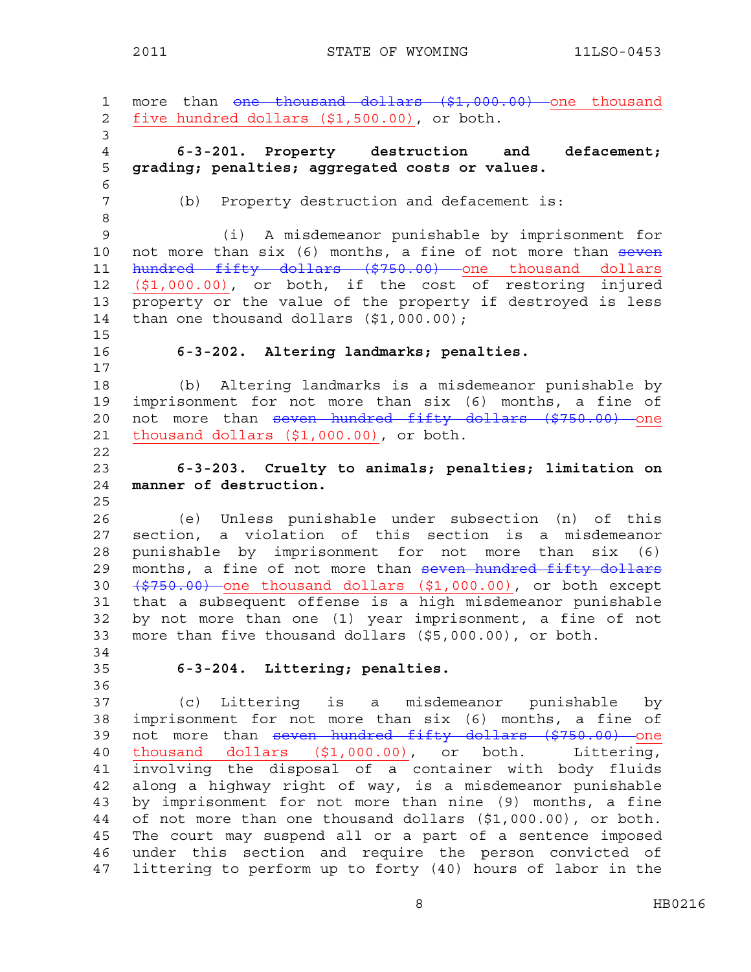1 more than <del>one thousand dollars (\$1,000.00)</del> one thousand 2 five hundred dollars (\$1,500.00), or both. 3 4 **6-3-201. Property destruction and defacement;**  5 **grading; penalties; aggregated costs or values.**  6 7 (b) Property destruction and defacement is: 8 9 (i) A misdemeanor punishable by imprisonment for 10 not more than six (6) months, a fine of not more than seven 11 hundred fifty dollars (\$750.00) one thousand dollars 12 (\$1,000.00), or both, if the cost of restoring injured 13 property or the value of the property if destroyed is less 14 than one thousand dollars (\$1,000.00); 15 16 **6-3-202. Altering landmarks; penalties.**  17 18 (b) Altering landmarks is a misdemeanor punishable by 19 imprisonment for not more than six (6) months, a fine of 20 not more than seven hundred fifty dollars (\$750.00) one 21 thousand dollars (\$1,000.00), or both. 22 23 **6-3-203. Cruelty to animals; penalties; limitation on**  24 **manner of destruction.**  25 26 (e) Unless punishable under subsection (n) of this 27 section, a violation of this section is a misdemeanor 28 punishable by imprisonment for not more than six (6) 29 months, a fine of not more than seven hundred fifty dollars 30 (\$750.00) one thousand dollars (\$1,000.00), or both except 31 that a subsequent offense is a high misdemeanor punishable 32 by not more than one (1) year imprisonment, a fine of not 33 more than five thousand dollars (\$5,000.00), or both. 34 35 **6-3-204. Littering; penalties.**  36 37 (c) Littering is a misdemeanor punishable by 38 imprisonment for not more than six (6) months, a fine of 39 not more than seven hundred fifty dollars (\$750.00) one 40 thousand dollars (\$1,000.00), or both. Littering, 41 involving the disposal of a container with body fluids 42 along a highway right of way, is a misdemeanor punishable 43 by imprisonment for not more than nine (9) months, a fine 44 of not more than one thousand dollars (\$1,000.00), or both. 45 The court may suspend all or a part of a sentence imposed 46 under this section and require the person convicted of 47 littering to perform up to forty (40) hours of labor in the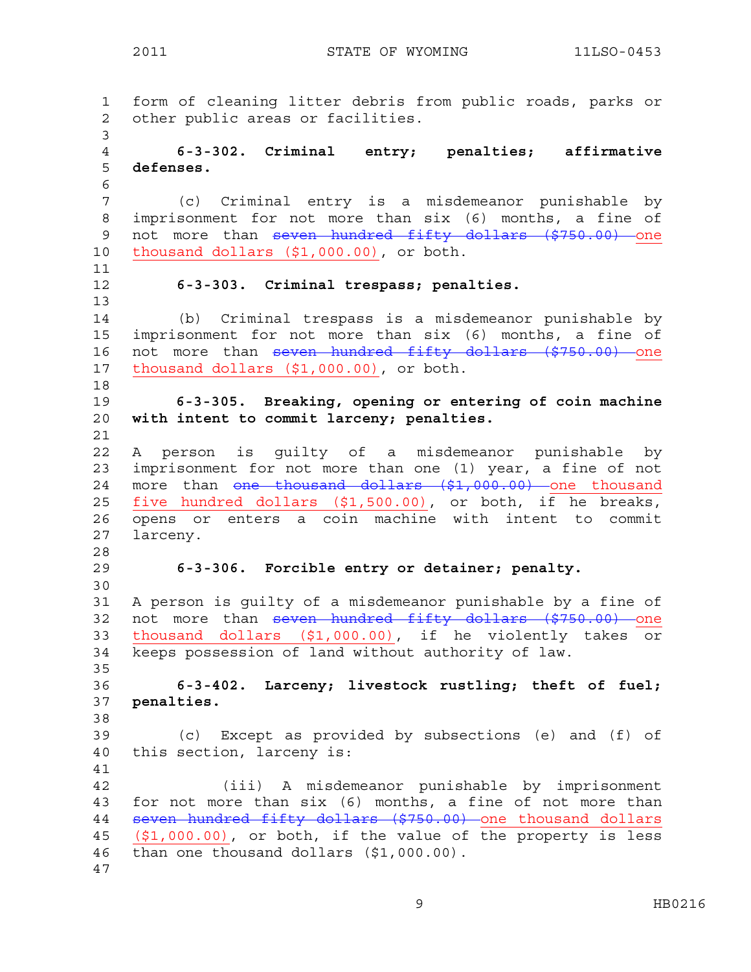1 form of cleaning litter debris from public roads, parks or 2 other public areas or facilities. 3 4 **6-3-302. Criminal entry; penalties; affirmative**  5 **defenses.**  6 7 (c) Criminal entry is a misdemeanor punishable by 8 imprisonment for not more than six (6) months, a fine of 9 not more than seven hundred fifty dollars (\$750.00) one 10 thousand dollars (\$1,000.00), or both. 11 12 **6-3-303. Criminal trespass; penalties.**  13 14 (b) Criminal trespass is a misdemeanor punishable by 15 imprisonment for not more than six (6) months, a fine of 16 not more than seven hundred fifty dollars (\$750.00) one 17 thousand dollars (\$1,000.00), or both. 18 19 **6-3-305. Breaking, opening or entering of coin machine**  20 **with intent to commit larceny; penalties.**  21 22 A person is guilty of a misdemeanor punishable by 23 imprisonment for not more than one (1) year, a fine of not 24 more than one thousand dollars (\$1,000.00) one thousand 25 five hundred dollars (\$1,500.00), or both, if he breaks, 26 opens or enters a coin machine with intent to commit 27 larceny. 28 29 **6-3-306. Forcible entry or detainer; penalty.** 30 31 A person is guilty of a misdemeanor punishable by a fine of 32 not more than seven hundred fifty dollars (\$750.00) one 33 thousand dollars (\$1,000.00), if he violently takes or 34 keeps possession of land without authority of law. 35 36 **6-3-402. Larceny; livestock rustling; theft of fuel;**  37 **penalties.**  38 39 (c) Except as provided by subsections (e) and (f) of 40 this section, larceny is: 41 42 (iii) A misdemeanor punishable by imprisonment 43 for not more than six (6) months, a fine of not more than 44 seven hundred fifty dollars (\$750.00) one thousand dollars 45 (\$1,000.00), or both, if the value of the property is less 46 than one thousand dollars (\$1,000.00). 47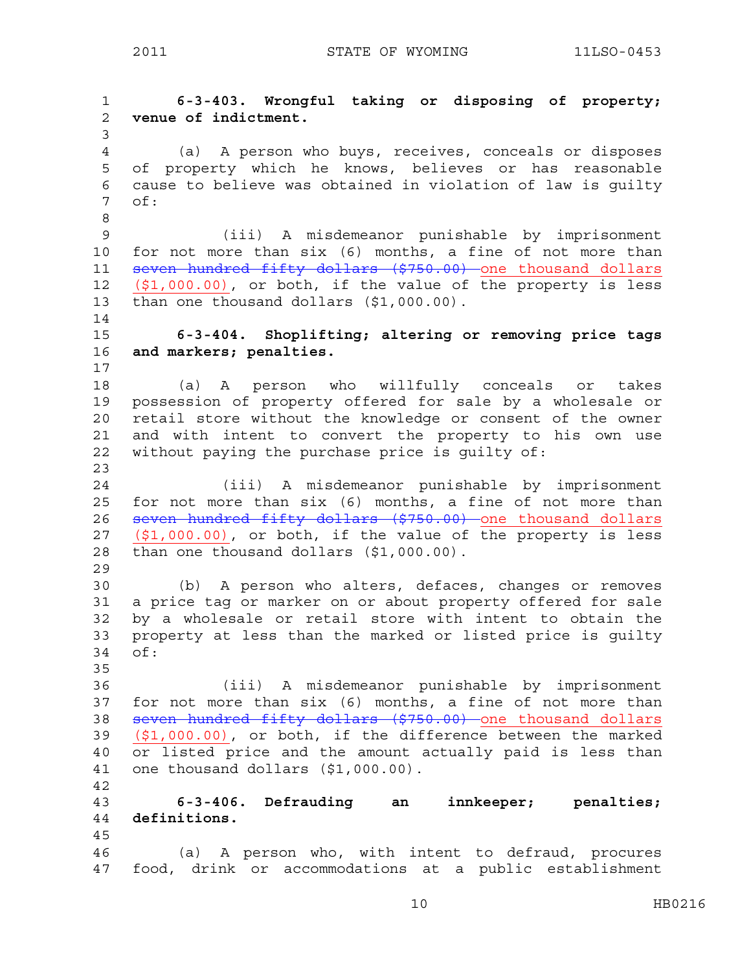1 **6-3-403. Wrongful taking or disposing of property;**  2 **venue of indictment.**  3 4 (a) A person who buys, receives, conceals or disposes 5 of property which he knows, believes or has reasonable 6 cause to believe was obtained in violation of law is guilty 7 of: 8 9 (iii) A misdemeanor punishable by imprisonment 10 for not more than six (6) months, a fine of not more than 11 seven hundred fifty dollars (\$750.00) one thousand dollars 12 (\$1,000.00), or both, if the value of the property is less 13 than one thousand dollars (\$1,000.00). 14 15 **6-3-404. Shoplifting; altering or removing price tags**  16 **and markers; penalties.**  17 18 (a) A person who willfully conceals or takes 19 possession of property offered for sale by a wholesale or 20 retail store without the knowledge or consent of the owner 21 and with intent to convert the property to his own use 22 without paying the purchase price is guilty of: 23 24 (iii) A misdemeanor punishable by imprisonment 25 for not more than six (6) months, a fine of not more than 26 seven hundred fifty dollars (\$750.00) one thousand dollars 27  $(1,000.00)$ , or both, if the value of the property is less 28 than one thousand dollars (\$1,000.00). 29 30 (b) A person who alters, defaces, changes or removes 31 a price tag or marker on or about property offered for sale 32 by a wholesale or retail store with intent to obtain the 33 property at less than the marked or listed price is guilty 34 of: 35 36 (iii) A misdemeanor punishable by imprisonment 37 for not more than six (6) months, a fine of not more than 38 seven hundred fifty dollars (\$750.00) one thousand dollars 39 (\$1,000.00), or both, if the difference between the marked 40 or listed price and the amount actually paid is less than 41 one thousand dollars (\$1,000.00). 42 43 **6-3-406. Defrauding an innkeeper; penalties;**  44 **definitions.**  45 46 (a) A person who, with intent to defraud, procures 47 food, drink or accommodations at a public establishment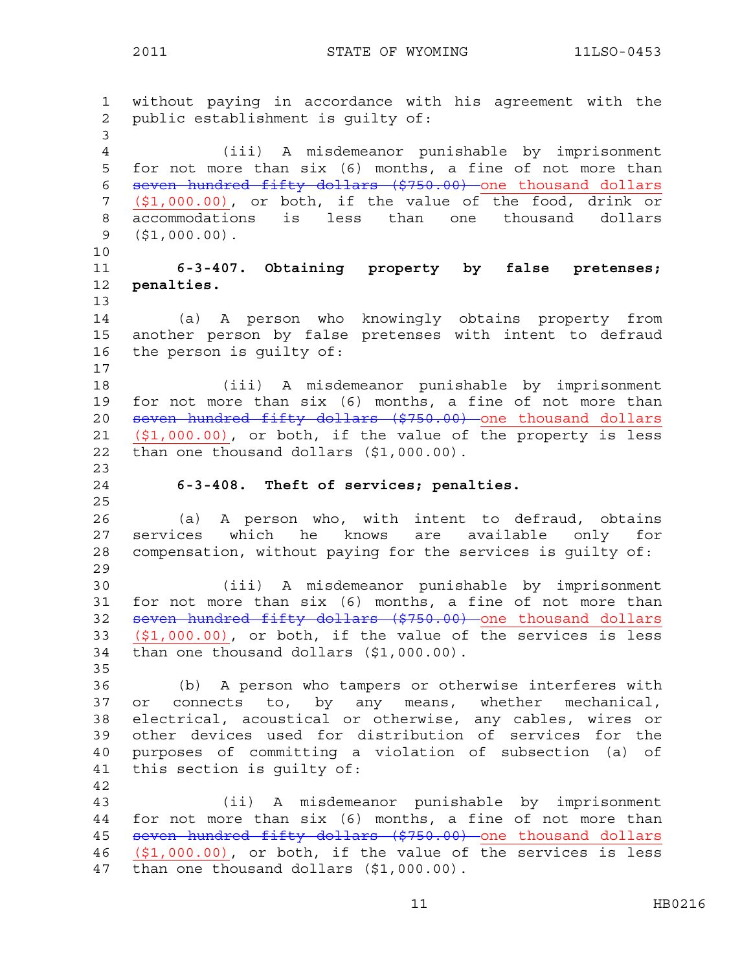1 without paying in accordance with his agreement with the 2 public establishment is guilty of: 3 4 (iii) A misdemeanor punishable by imprisonment 5 for not more than six (6) months, a fine of not more than 6 seven hundred fifty dollars (\$750.00) one thousand dollars 7 (\$1,000.00), or both, if the value of the food, drink or 8 accommodations is less than one thousand dollars 9 (\$1,000.00). 10 11 **6-3-407. Obtaining property by false pretenses;**  12 **penalties.**  13 14 (a) A person who knowingly obtains property from 15 another person by false pretenses with intent to defraud 16 the person is guilty of: 17 18 (iii) A misdemeanor punishable by imprisonment 19 for not more than six (6) months, a fine of not more than 20 seven hundred fifty dollars (\$750.00) one thousand dollars 21 (\$1,000.00), or both, if the value of the property is less 22 than one thousand dollars (\$1,000.00). 23 24 **6-3-408. Theft of services; penalties.**  25 26 (a) A person who, with intent to defraud, obtains 27 services which he knows are available only for 28 compensation, without paying for the services is guilty of: 29 30 (iii) A misdemeanor punishable by imprisonment 31 for not more than six (6) months, a fine of not more than 32 seven hundred fifty dollars (\$750.00) one thousand dollars 33 (\$1,000.00), or both, if the value of the services is less 34 than one thousand dollars (\$1,000.00). 35 36 (b) A person who tampers or otherwise interferes with 37 or connects to, by any means, whether mechanical, 38 electrical, acoustical or otherwise, any cables, wires or 39 other devices used for distribution of services for the 40 purposes of committing a violation of subsection (a) of 41 this section is guilty of: 42 43 (ii) A misdemeanor punishable by imprisonment 44 for not more than six (6) months, a fine of not more than 45 seven hundred fifty dollars (\$750.00) one thousand dollars 46 (\$1,000.00), or both, if the value of the services is less 47 than one thousand dollars (\$1,000.00).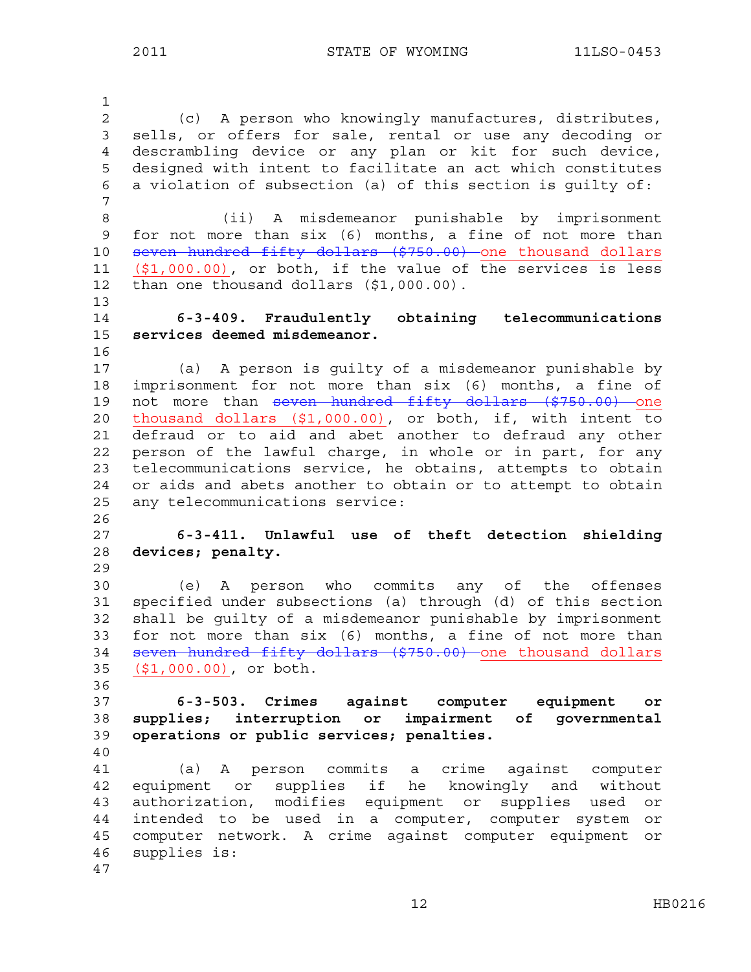1 2 (c) A person who knowingly manufactures, distributes, 3 sells, or offers for sale, rental or use any decoding or 4 descrambling device or any plan or kit for such device, 5 designed with intent to facilitate an act which constitutes 6 a violation of subsection (a) of this section is guilty of: 7 8 (ii) A misdemeanor punishable by imprisonment 9 for not more than six (6) months, a fine of not more than 10 seven hundred fifty dollars (\$750.00) one thousand dollars 11 (\$1,000.00), or both, if the value of the services is less 12 than one thousand dollars (\$1,000.00). 13 14 **6-3-409. Fraudulently obtaining telecommunications**  15 **services deemed misdemeanor.**  16 17 (a) A person is guilty of a misdemeanor punishable by 18 imprisonment for not more than six (6) months, a fine of 19 not more than seven hundred fifty dollars (\$750.00) one 20 thousand dollars (\$1,000.00), or both, if, with intent to 21 defraud or to aid and abet another to defraud any other 22 person of the lawful charge, in whole or in part, for any 23 telecommunications service, he obtains, attempts to obtain 24 or aids and abets another to obtain or to attempt to obtain 25 any telecommunications service: 26 27 **6-3-411. Unlawful use of theft detection shielding**  28 **devices; penalty.**  29 30 (e) A person who commits any of the offenses 31 specified under subsections (a) through (d) of this section 32 shall be guilty of a misdemeanor punishable by imprisonment 33 for not more than six (6) months, a fine of not more than 34 seven hundred fifty dollars (\$750.00) one thousand dollars 35 (\$1,000.00), or both. 36 37 **6-3-503. Crimes against computer equipment or**  38 **supplies; interruption or impairment of governmental**  39 **operations or public services; penalties.**  40 41 (a) A person commits a crime against computer 42 equipment or supplies if he knowingly and without 43 authorization, modifies equipment or supplies used or 44 intended to be used in a computer, computer system or 45 computer network. A crime against computer equipment or 46 supplies is: 47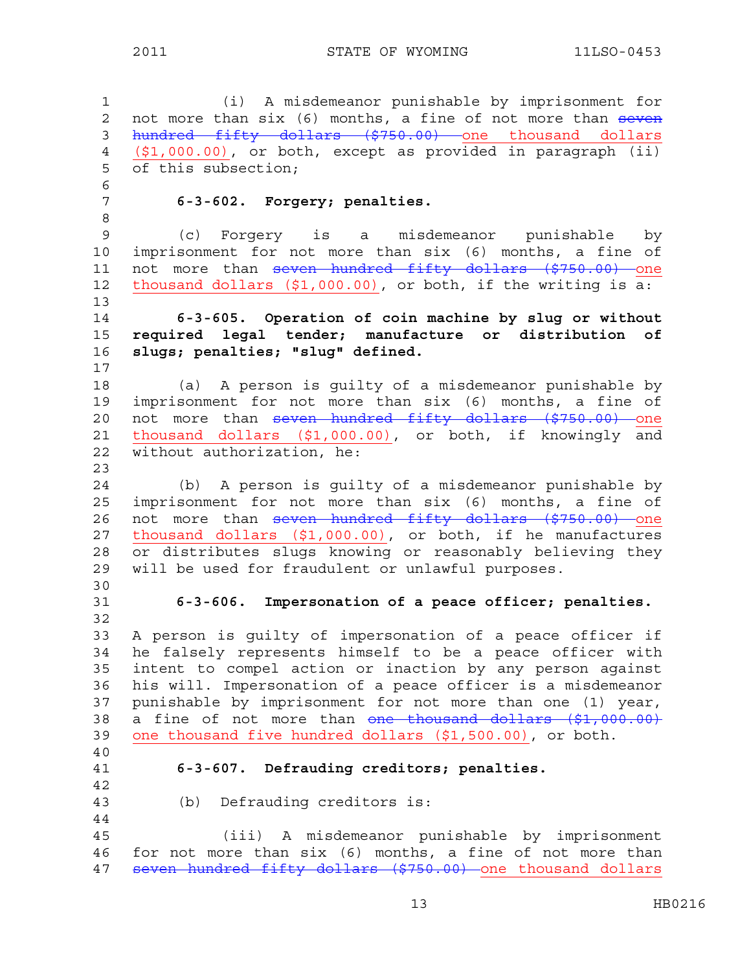1 (i) A misdemeanor punishable by imprisonment for 2 not more than six (6) months, a fine of not more than seven 3 hundred fifty dollars (\$750.00) one thousand dollars 4 (\$1,000.00), or both, except as provided in paragraph (ii) 5 of this subsection; 6 7 **6-3-602. Forgery; penalties.**  8 9 (c) Forgery is a misdemeanor punishable by 10 imprisonment for not more than six (6) months, a fine of 11 not more than seven hundred fifty dollars (\$750.00) one 12 thousand dollars  $($1,000.00)$ , or both, if the writing is  $\overline{a:}$ 13 14 **6-3-605. Operation of coin machine by slug or without**  15 **required legal tender; manufacture or distribution of**  16 **slugs; penalties; "slug" defined.**  17 18 (a) A person is guilty of a misdemeanor punishable by 19 imprisonment for not more than six (6) months, a fine of 20 not more than seven hundred fifty dollars (\$750.00) one 21 thousand dollars (\$1,000.00), or both, if knowingly and 22 without authorization, he: 23 24 (b) A person is guilty of a misdemeanor punishable by 25 imprisonment for not more than six (6) months, a fine of 26 not more than seven hundred fifty dollars (\$750.00) one 27 thousand dollars (\$1,000.00), or both, if he manufactures 28 or distributes slugs knowing or reasonably believing they 29 will be used for fraudulent or unlawful purposes. 30 31 **6-3-606. Impersonation of a peace officer; penalties.**  32 33 A person is guilty of impersonation of a peace officer if 34 he falsely represents himself to be a peace officer with 35 intent to compel action or inaction by any person against 36 his will. Impersonation of a peace officer is a misdemeanor 37 punishable by imprisonment for not more than one (1) year, 38 a fine of not more than one thousand dollars (\$1,000.00) 39 one thousand five hundred dollars (\$1,500.00), or both. 40 41 **6-3-607. Defrauding creditors; penalties.**  42 43 (b) Defrauding creditors is: 44 45 (iii) A misdemeanor punishable by imprisonment 46 for not more than six (6) months, a fine of not more than 47 seven hundred fifty dollars (\$750.00) one thousand dollars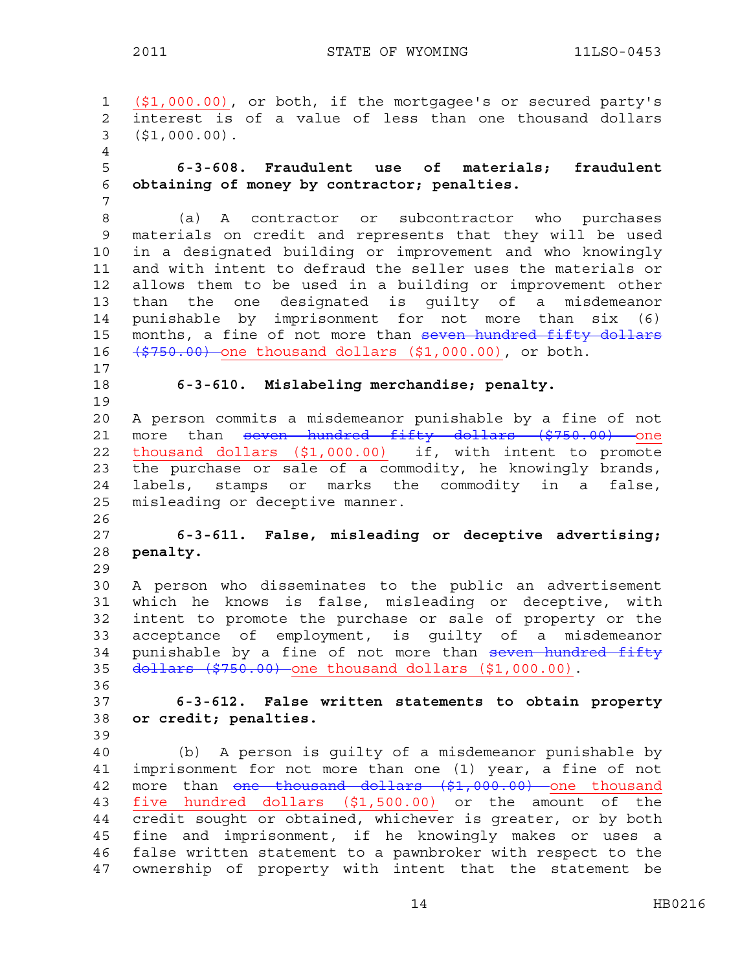1 (\$1,000.00), or both, if the mortgagee's or secured party's 2 interest is of a value of less than one thousand dollars 3 (\$1,000.00). 4 5 **6-3-608. Fraudulent use of materials; fraudulent**  6 **obtaining of money by contractor; penalties.**  7 8 (a) A contractor or subcontractor who purchases 9 materials on credit and represents that they will be used 10 in a designated building or improvement and who knowingly 11 and with intent to defraud the seller uses the materials or 12 allows them to be used in a building or improvement other 13 than the one designated is guilty of a misdemeanor 14 punishable by imprisonment for not more than six (6) 15 months, a fine of not more than seven hundred fifty dollars 16 <del>(\$750.00)</del> one thousand dollars (\$1,000.00), or both. 17 18 **6-3-610. Mislabeling merchandise; penalty.** 19 20 A person commits a misdemeanor punishable by a fine of not 21 more than seven hundred fifty dollars (\$750.00) one 22 thousand dollars (\$1,000.00) if, with intent to promote 23 the purchase or sale of a commodity, he knowingly brands, 24 labels, stamps or marks the commodity in a false, 25 misleading or deceptive manner. 26 27 **6-3-611. False, misleading or deceptive advertising;**  28 **penalty.** 29 30 A person who disseminates to the public an advertisement 31 which he knows is false, misleading or deceptive, with 32 intent to promote the purchase or sale of property or the 33 acceptance of employment, is guilty of a misdemeanor 34 punishable by a fine of not more than seven hundred fifty 35 dollars (\$750.00) one thousand dollars (\$1,000.00). 36 37 **6-3-612. False written statements to obtain property**  38 **or credit; penalties.**  39 40 (b) A person is guilty of a misdemeanor punishable by 41 imprisonment for not more than one (1) year, a fine of not 42 more than <del>one thousand dollars (\$1,000.00)</del> one thousand 43 five hundred dollars (\$1,500.00) or the amount of the 44 credit sought or obtained, whichever is greater, or by both 45 fine and imprisonment, if he knowingly makes or uses a 46 false written statement to a pawnbroker with respect to the 47 ownership of property with intent that the statement be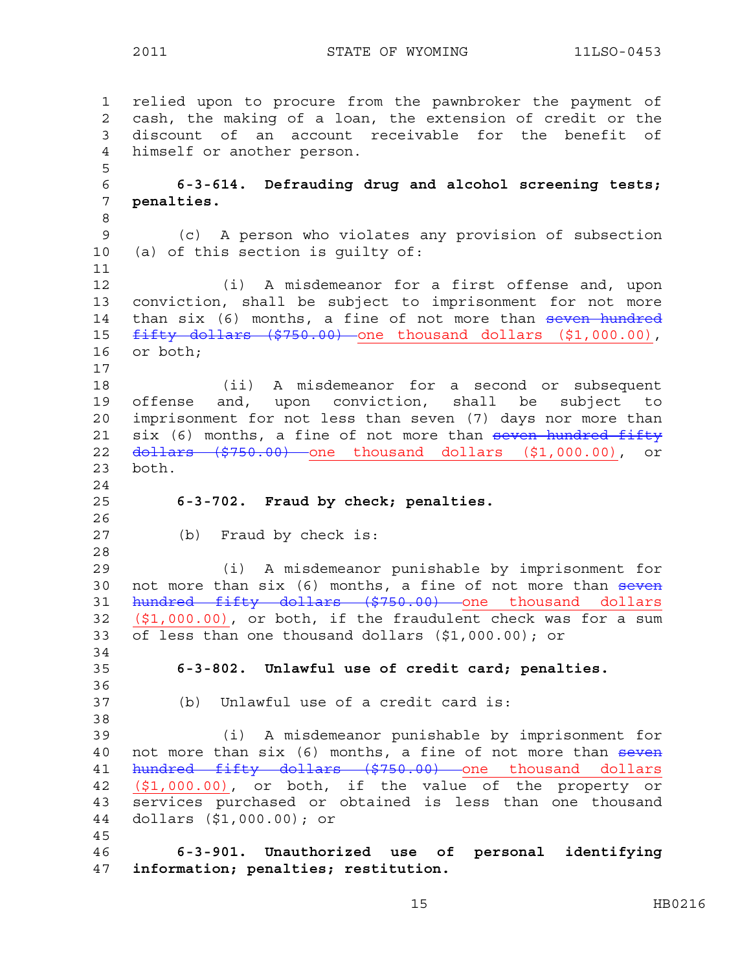1 relied upon to procure from the pawnbroker the payment of 2 cash, the making of a loan, the extension of credit or the 3 discount of an account receivable for the benefit of 4 himself or another person. 5 6 **6-3-614. Defrauding drug and alcohol screening tests;**  7 **penalties.**  8 9 (c) A person who violates any provision of subsection 10 (a) of this section is guilty of: 11 12 (i) A misdemeanor for a first offense and, upon 13 conviction, shall be subject to imprisonment for not more 14 than six (6) months, a fine of not more than seven hundred 15 fifty dollars (\$750.00) one thousand dollars (\$1,000.00), 16 or both; 17 18 (ii) A misdemeanor for a second or subsequent 19 offense and, upon conviction, shall be subject to 20 imprisonment for not less than seven (7) days nor more than 21 six (6) months, a fine of not more than seven hundred fifty 22 <del>dollars (\$750.00)</del> one thousand dollars (\$1,000.00), or 23 both. 24 25 **6-3-702. Fraud by check; penalties.**  26 27 (b) Fraud by check is: 28 29 (i) A misdemeanor punishable by imprisonment for 30 not more than six (6) months, a fine of not more than seven 31 hundred fifty dollars (\$750.00) one thousand dollars 32 (\$1,000.00), or both, if the fraudulent check was for a sum 33 of less than one thousand dollars (\$1,000.00); or 34 35 **6-3-802. Unlawful use of credit card; penalties.**  36 37 (b) Unlawful use of a credit card is: 38 39 (i) A misdemeanor punishable by imprisonment for 40 not more than six (6) months, a fine of not more than seven 41 hundred fifty dollars (\$750.00) one thousand dollars 42 (\$1,000.00), or both, if the value of the property or 43 services purchased or obtained is less than one thousand 44 dollars (\$1,000.00); or 45 46 **6-3-901. Unauthorized use of personal identifying**  47 **information; penalties; restitution.**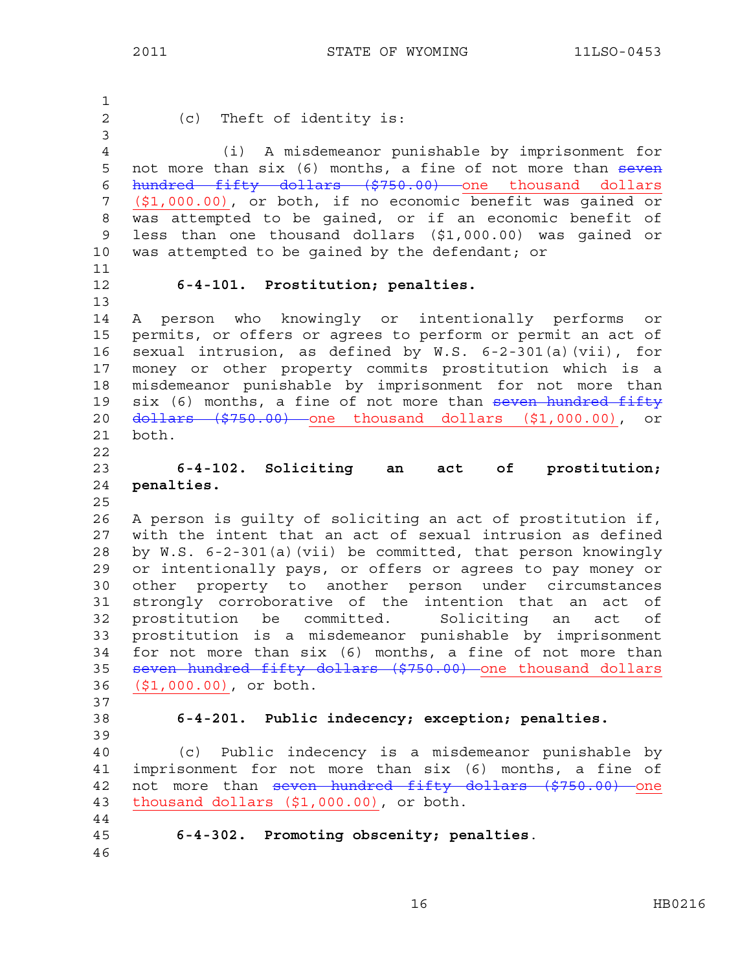1 2 (c) Theft of identity is: 3 4 (i) A misdemeanor punishable by imprisonment for 5 not more than six (6) months, a fine of not more than seven 6 hundred fifty dollars (\$750.00) one thousand dollars 7 (\$1,000.00), or both, if no economic benefit was gained or 8 was attempted to be gained, or if an economic benefit of 9 less than one thousand dollars (\$1,000.00) was gained or 10 was attempted to be gained by the defendant; or 11 12 **6-4-101. Prostitution; penalties.** 13 14 A person who knowingly or intentionally performs or 15 permits, or offers or agrees to perform or permit an act of 16 sexual intrusion, as defined by W.S. 6-2-301(a)(vii), for 17 money or other property commits prostitution which is a 18 misdemeanor punishable by imprisonment for not more than 19 six (6) months, a fine of not more than seven hundred fifty 20 dollars (\$750.00) one thousand dollars (\$1,000.00), or 21 both. 22 23 **6-4-102. Soliciting an act of prostitution;**  24 **penalties.**  25 26 A person is guilty of soliciting an act of prostitution if, 27 with the intent that an act of sexual intrusion as defined 28 by W.S. 6-2-301(a)(vii) be committed, that person knowingly 29 or intentionally pays, or offers or agrees to pay money or 30 other property to another person under circumstances 31 strongly corroborative of the intention that an act of 32 prostitution be committed. Soliciting an act of 33 prostitution is a misdemeanor punishable by imprisonment 34 for not more than six (6) months, a fine of not more than 35 seven hundred fifty dollars (\$750.00) one thousand dollars 36 (\$1,000.00), or both. 37 38 **6-4-201. Public indecency; exception; penalties.**  39 40 (c) Public indecency is a misdemeanor punishable by 41 imprisonment for not more than six (6) months, a fine of 42 not more than seven hundred fifty dollars (\$750.00) one 43 thousand dollars (\$1,000.00), or both. 44 45 **6-4-302. Promoting obscenity; penalties**. 46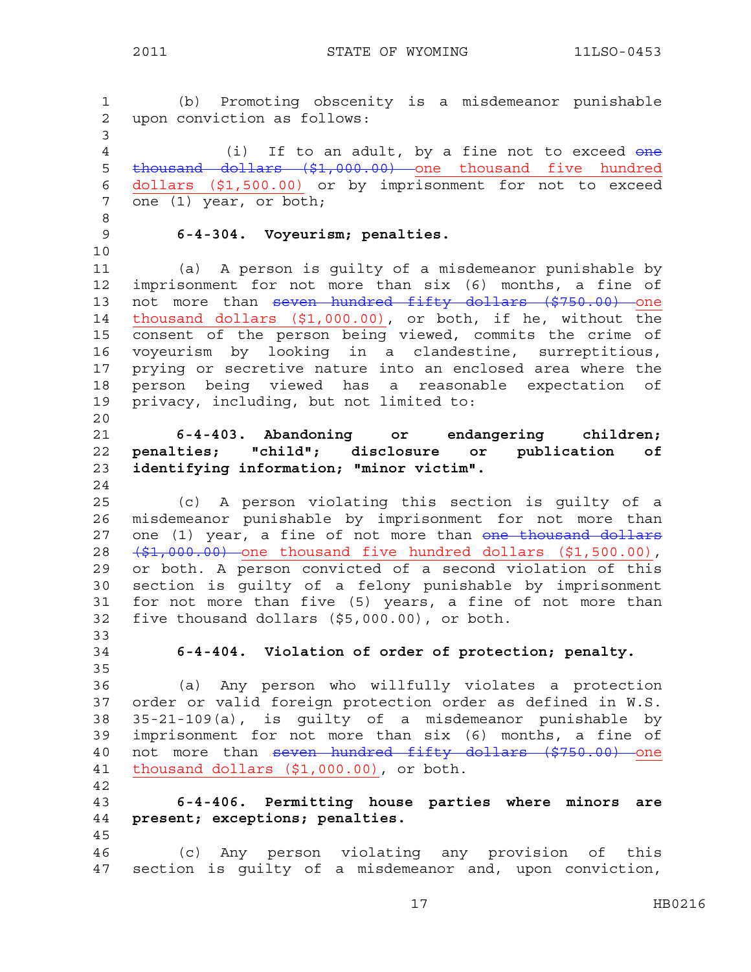1 (b) Promoting obscenity is a misdemeanor punishable 2 upon conviction as follows: 3 4 (i) If to an adult, by a fine not to exceed one 5 thousand dollars (\$1,000.00) one thousand five hundred 6 dollars (\$1,500.00) or by imprisonment for not to exceed 7 one (1) year, or both; 8 9 **6-4-304. Voyeurism; penalties.**  10 11 (a) A person is guilty of a misdemeanor punishable by 12 imprisonment for not more than six (6) months, a fine of 13 not more than seven hundred fifty dollars (\$750.00) one 14 thousand dollars (\$1,000.00), or both, if he, without the 15 consent of the person being viewed, commits the crime of 16 voyeurism by looking in a clandestine, surreptitious, 17 prying or secretive nature into an enclosed area where the 18 person being viewed has a reasonable expectation of 19 privacy, including, but not limited to: 20 21 **6-4-403. Abandoning or endangering children;**  22 **penalties; "child"; disclosure or publication of**  23 **identifying information; "minor victim".**  24 25 (c) A person violating this section is guilty of a 26 misdemeanor punishable by imprisonment for not more than 27 one (1) year, a fine of not more than one thousand dollars 28  $(\frac{1}{2}, 000.00)$  one thousand five hundred dollars  $(1, 500.00)$ , 29 or both. A person convicted of a second violation of this 30 section is guilty of a felony punishable by imprisonment 31 for not more than five (5) years, a fine of not more than 32 five thousand dollars (\$5,000.00), or both. 33 34 **6-4-404. Violation of order of protection; penalty.**  35 36 (a) Any person who willfully violates a protection 37 order or valid foreign protection order as defined in W.S. 38 35-21-109(a), is guilty of a misdemeanor punishable by 39 imprisonment for not more than six (6) months, a fine of 40 not more than seven hundred fifty dollars (\$750.00) one 41 thousand dollars (\$1,000.00), or both. 42 43 **6-4-406. Permitting house parties where minors are**  44 **present; exceptions; penalties.**  45 46 (c) Any person violating any provision of this 47 section is guilty of a misdemeanor and, upon conviction,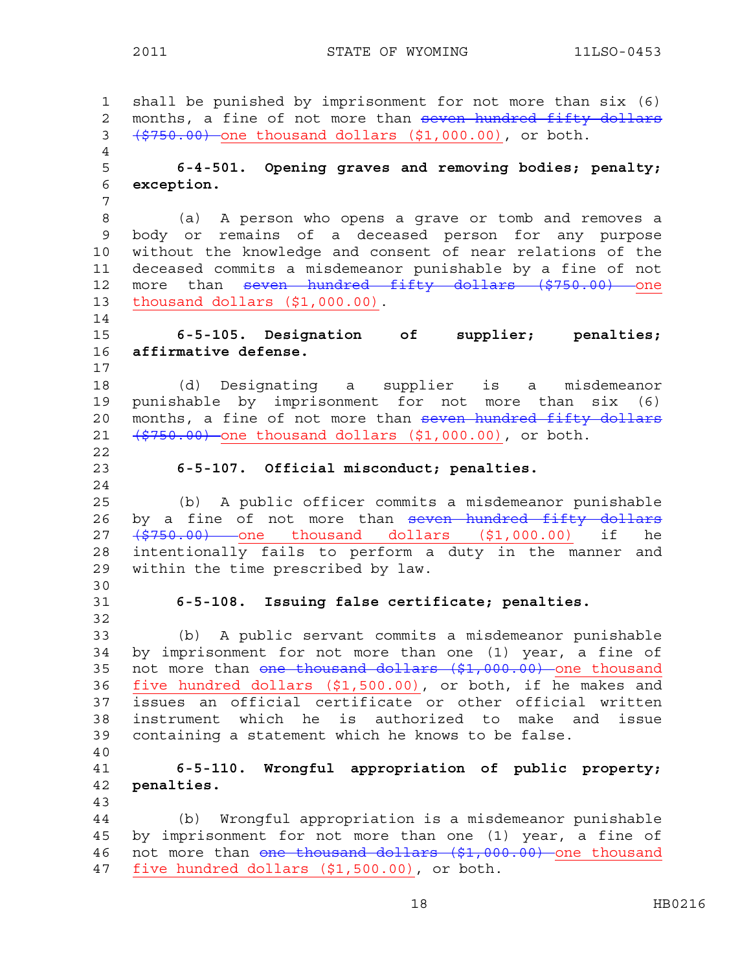1 shall be punished by imprisonment for not more than six (6) 2 months, a fine of not more than seven hundred fifty dollars 3 (\$750.00) one thousand dollars (\$1,000.00), or both. 4 5 **6-4-501. Opening graves and removing bodies; penalty;**  6 **exception.**  7 8 (a) A person who opens a grave or tomb and removes a 9 body or remains of a deceased person for any purpose 10 without the knowledge and consent of near relations of the 11 deceased commits a misdemeanor punishable by a fine of not 12 more than <del>seven hundred fifty dollars (\$750.00)</del> one 13 thousand dollars (\$1,000.00). 14 15 **6-5-105. Designation of supplier; penalties;**  16 **affirmative defense.**  17 18 (d) Designating a supplier is a misdemeanor 19 punishable by imprisonment for not more than six (6) 20 months, a fine of not more than seven hundred fifty dollars 21  $(5750.00)$  one thousand dollars  $(51,000.00)$ , or both. 22 23 **6-5-107. Official misconduct; penalties.**  24 25 (b) A public officer commits a misdemeanor punishable 26 by a fine of not more than seven hundred fifty dollars 27 (\$750.00) one thousand dollars (\$1,000.00) if he 28 intentionally fails to perform a duty in the manner and 29 within the time prescribed by law. 30 31 **6-5-108. Issuing false certificate; penalties.**  32 33 (b) A public servant commits a misdemeanor punishable 34 by imprisonment for not more than one (1) year, a fine of 35 not more than one thousand dollars (\$1,000.00) one thousand 36 five hundred dollars  $(51,500.00)$ , or both, if he makes and 37 issues an official certificate or other official written 38 instrument which he is authorized to make and issue 39 containing a statement which he knows to be false. 40 41 **6-5-110. Wrongful appropriation of public property;**  42 **penalties.**  43 44 (b) Wrongful appropriation is a misdemeanor punishable 45 by imprisonment for not more than one (1) year, a fine of 46 not more than one thousand dollars (\$1,000.00) one thousand 47 five hundred dollars (\$1,500.00), or both.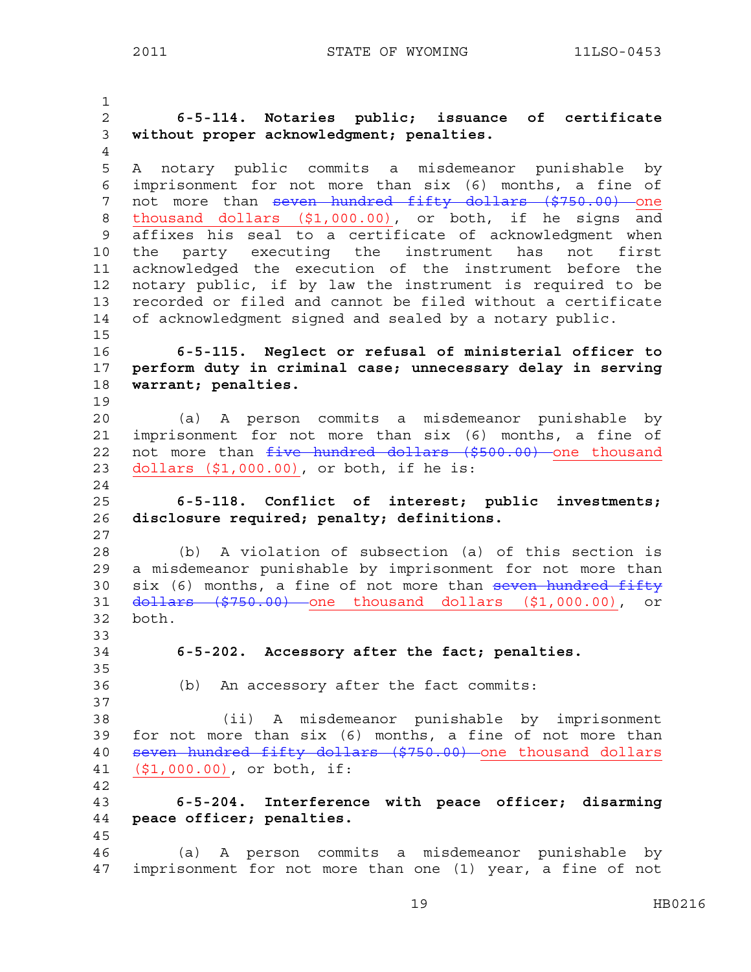1 2 **6-5-114. Notaries public; issuance of certificate**  3 **without proper acknowledgment; penalties.** 4 5 A notary public commits a misdemeanor punishable by 6 imprisonment for not more than six (6) months, a fine of 7 not more than seven hundred fifty dollars (\$750.00) one 8 thousand dollars (\$1,000.00), or both, if he signs and 9 affixes his seal to a certificate of acknowledgment when 10 the party executing the instrument has not first 11 acknowledged the execution of the instrument before the 12 notary public, if by law the instrument is required to be 13 recorded or filed and cannot be filed without a certificate 14 of acknowledgment signed and sealed by a notary public. 15 16 **6-5-115. Neglect or refusal of ministerial officer to**  17 **perform duty in criminal case; unnecessary delay in serving**  18 **warrant; penalties.**  19 20 (a) A person commits a misdemeanor punishable by 21 imprisonment for not more than six (6) months, a fine of 22 not more than five hundred dollars (\$500.00) one thousand 23 dollars (\$1,000.00), or both, if he is: 24 25 **6-5-118. Conflict of interest; public investments;**  26 **disclosure required; penalty; definitions.**  27 28 (b) A violation of subsection (a) of this section is 29 a misdemeanor punishable by imprisonment for not more than 30 six (6) months, a fine of not more than seven hundred fifty 31 dollars (\$750.00) one thousand dollars (\$1,000.00), or 32 both. 33 34 **6-5-202. Accessory after the fact; penalties.**  35 36 (b) An accessory after the fact commits: 37 38 (ii) A misdemeanor punishable by imprisonment 39 for not more than six (6) months, a fine of not more than 40 seven hundred fifty dollars (\$750.00) one thousand dollars 41 (\$1,000.00), or both, if: 42 43 **6-5-204. Interference with peace officer; disarming**  44 **peace officer; penalties.**  45 46 (a) A person commits a misdemeanor punishable by 47 imprisonment for not more than one (1) year, a fine of not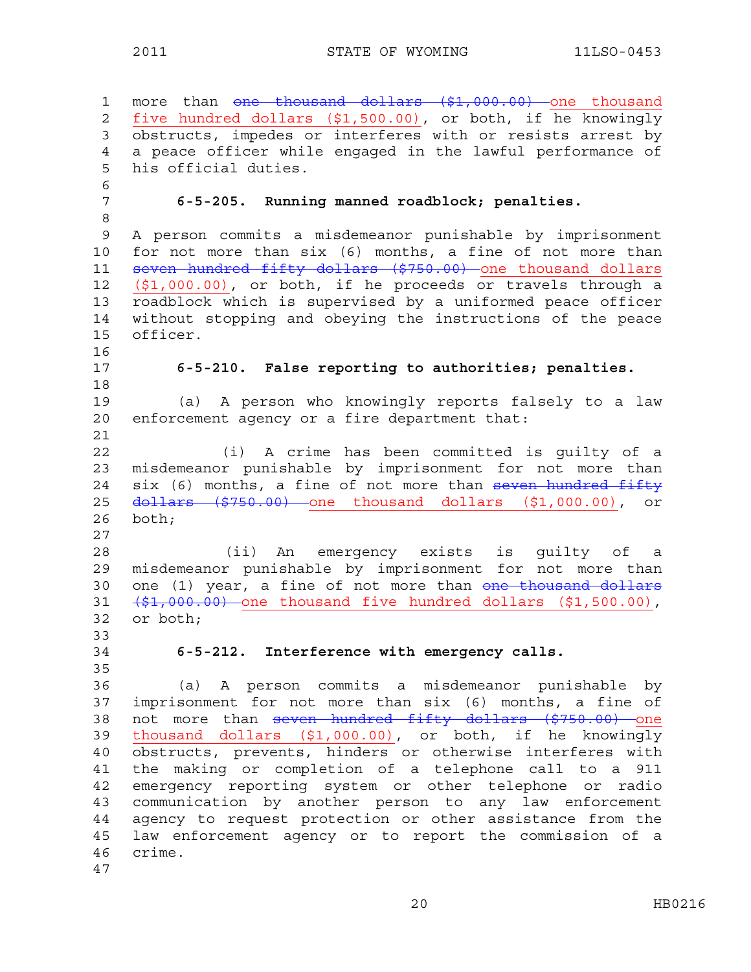1 more than <del>one thousand dollars (\$1,000.00)</del> one thousand 2 five hundred dollars (\$1,500.00), or both, if he knowingly 3 obstructs, impedes or interferes with or resists arrest by 4 a peace officer while engaged in the lawful performance of 5 his official duties. 6 7 **6-5-205. Running manned roadblock; penalties.** 8 9 A person commits a misdemeanor punishable by imprisonment 10 for not more than six (6) months, a fine of not more than 11 seven hundred fifty dollars (\$750.00) one thousand dollars 12 (\$1,000.00), or both, if he proceeds or travels through a 13 roadblock which is supervised by a uniformed peace officer 14 without stopping and obeying the instructions of the peace 15 officer. 16 17 **6-5-210. False reporting to authorities; penalties.**  18 19 (a) A person who knowingly reports falsely to a law 20 enforcement agency or a fire department that: 21 22 (i) A crime has been committed is guilty of a 23 misdemeanor punishable by imprisonment for not more than 24 six (6) months, a fine of not more than seven hundred fifty 25 <del>dollars (\$750.00)</del> one thousand dollars (\$1,000.00), or 26 both; 27 28 (ii) An emergency exists is guilty of a 29 misdemeanor punishable by imprisonment for not more than 30 one (1) year, a fine of not more than <del>one thousand dollars</del>  $31$   $(\frac{51}{1000.00})$  one thousand five hundred dollars (\$1,500.00), 32 or both; 33 34 **6-5-212. Interference with emergency calls.**  35 36 (a) A person commits a misdemeanor punishable by 37 imprisonment for not more than six (6) months, a fine of 38 not more than seven hundred fifty dollars (\$750.00) one 39 thousand dollars (\$1,000.00), or both, if he knowingly 40 obstructs, prevents, hinders or otherwise interferes with 41 the making or completion of a telephone call to a 911 42 emergency reporting system or other telephone or radio 43 communication by another person to any law enforcement 44 agency to request protection or other assistance from the 45 law enforcement agency or to report the commission of a 46 crime. 47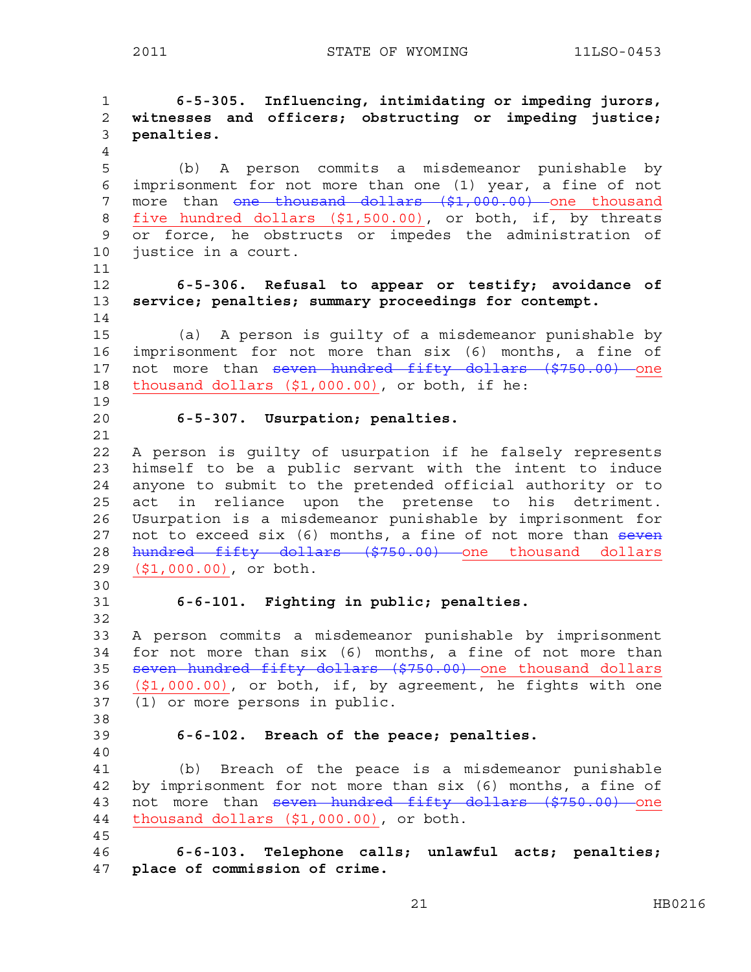1 **6-5-305. Influencing, intimidating or impeding jurors,**  2 **witnesses and officers; obstructing or impeding justice;**  3 **penalties.**  4 5 (b) A person commits a misdemeanor punishable by 6 imprisonment for not more than one (1) year, a fine of not 7 more than <del>one thousand dollars (\$1,000.00)</del> one thousand 8 five hundred dollars  $($1,500.00)$ , or both, if, by threats 9 or force, he obstructs or impedes the administration of 10 justice in a court. 11 12 **6-5-306. Refusal to appear or testify; avoidance of**  13 **service; penalties; summary proceedings for contempt.**  14 15 (a) A person is guilty of a misdemeanor punishable by 16 imprisonment for not more than six (6) months, a fine of 17 not more than seven hundred fifty dollars (\$750.00) one 18 thousand dollars (\$1,000.00), or both, if he: 19 20 **6-5-307. Usurpation; penalties.** 21 22 A person is guilty of usurpation if he falsely represents 23 himself to be a public servant with the intent to induce 24 anyone to submit to the pretended official authority or to 25 act in reliance upon the pretense to his detriment. 26 Usurpation is a misdemeanor punishable by imprisonment for 27 not to exceed six (6) months, a fine of not more than seven 28 hundred fifty dollars (\$750.00) one thousand dollars 29 (\$1,000.00), or both. 30 31 **6-6-101. Fighting in public; penalties.** 32 33 A person commits a misdemeanor punishable by imprisonment 34 for not more than six (6) months, a fine of not more than 35 seven hundred fifty dollars (\$750.00) one thousand dollars 36 (\$1,000.00), or both, if, by agreement, he fights with one 37 (1) or more persons in public. 38 39 **6-6-102. Breach of the peace; penalties.**  40 41 (b) Breach of the peace is a misdemeanor punishable 42 by imprisonment for not more than six (6) months, a fine of 43 not more than seven hundred fifty dollars (\$750.00) one 44 thousand dollars (\$1,000.00), or both. 45 46 **6-6-103. Telephone calls; unlawful acts; penalties;**  47 **place of commission of crime.**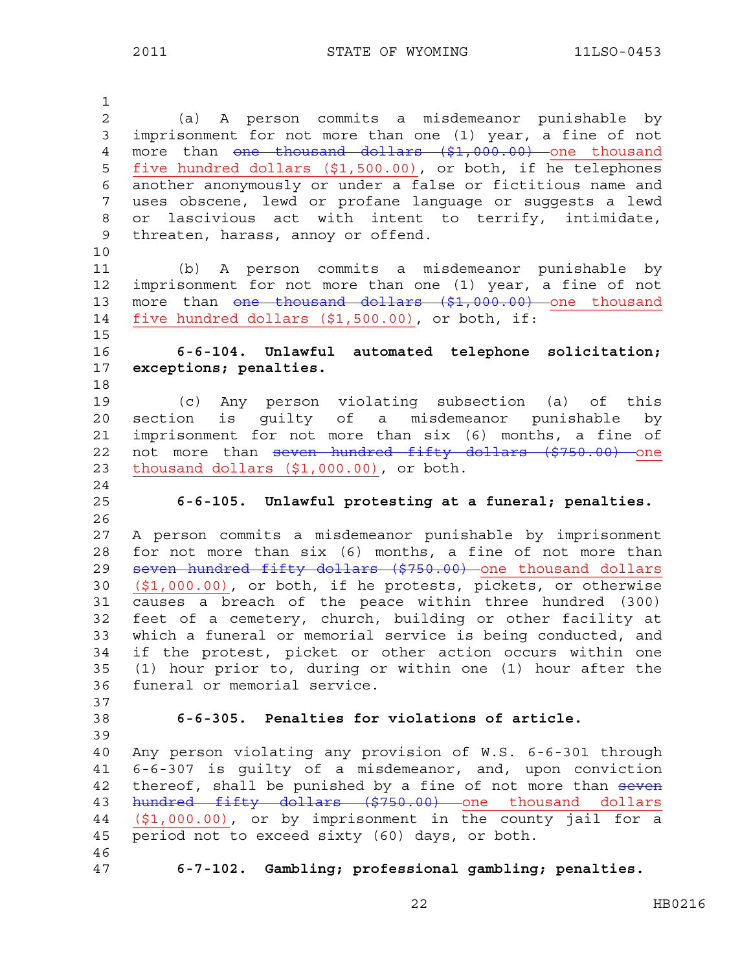1 2 (a) A person commits a misdemeanor punishable by 3 imprisonment for not more than one (1) year, a fine of not 4 more than one thousand dollars (\$1,000.00) one thousand 5 five hundred dollars (\$1,500.00), or both, if he telephones 6 another anonymously or under a false or fictitious name and 7 uses obscene, lewd or profane language or suggests a lewd 8 or lascivious act with intent to terrify, intimidate, 9 threaten, harass, annoy or offend. 10 11 (b) A person commits a misdemeanor punishable by 12 imprisonment for not more than one (1) year, a fine of not 13 more than <del>one thousand dollars (\$1,000.00)</del> one thousand 14 five hundred dollars (\$1,500.00), or both, if: 15 16 **6-6-104. Unlawful automated telephone solicitation;**  17 **exceptions; penalties.**  18 19 (c) Any person violating subsection (a) of this 20 section is guilty of a misdemeanor punishable by 21 imprisonment for not more than six (6) months, a fine of 22 not more than seven hundred fifty dollars (\$750.00) one 23 thousand dollars (\$1,000.00), or both. 24 25 **6-6-105. Unlawful protesting at a funeral; penalties.**  26 27 A person commits a misdemeanor punishable by imprisonment 28 for not more than six (6) months, a fine of not more than 29 seven hundred fifty dollars (\$750.00) one thousand dollars 30 (\$1,000.00), or both, if he protests, pickets, or otherwise 31 causes a breach of the peace within three hundred (300) 32 feet of a cemetery, church, building or other facility at 33 which a funeral or memorial service is being conducted, and 34 if the protest, picket or other action occurs within one 35 (1) hour prior to, during or within one (1) hour after the 36 funeral or memorial service. 37 38 **6-6-305. Penalties for violations of article.** 39 40 Any person violating any provision of W.S. 6-6-301 through 41 6-6-307 is guilty of a misdemeanor, and, upon conviction 42 thereof, shall be punished by a fine of not more than seven 43 hundred fifty dollars (\$750.00) one thousand dollars 44 (\$1,000.00), or by imprisonment in the county jail for a 45 period not to exceed sixty (60) days, or both. 46 47 **6-7-102. Gambling; professional gambling; penalties.** 

22 HB0216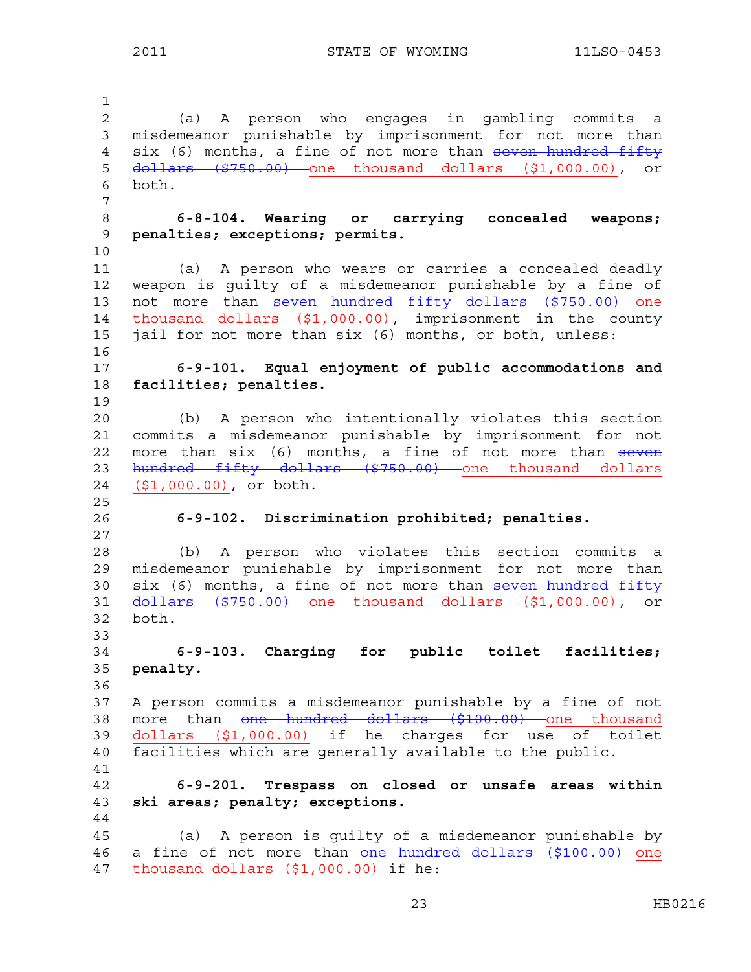1 2 (a) A person who engages in gambling commits a 3 misdemeanor punishable by imprisonment for not more than 4 six (6) months, a fine of not more than seven hundred fifty 5 dollars (\$750.00) one thousand dollars (\$1,000.00), or 6 both. 7 8 **6-8-104. Wearing or carrying concealed weapons;**  9 **penalties; exceptions; permits.**  10 11 (a) A person who wears or carries a concealed deadly 12 weapon is guilty of a misdemeanor punishable by a fine of 13 not more than seven hundred fifty dollars (\$750.00) one 14 thousand dollars (\$1,000.00), imprisonment in the county 15 jail for not more than six (6) months, or both, unless: 16 17 **6-9-101. Equal enjoyment of public accommodations and**  18 **facilities; penalties.**  19 20 (b) A person who intentionally violates this section 21 commits a misdemeanor punishable by imprisonment for not 22 more than six (6) months, a fine of not more than seven 23 hundred fifty dollars (\$750.00) one thousand dollars 24 (\$1,000.00), or both. 25 26 **6-9-102. Discrimination prohibited; penalties.**  27 28 (b) A person who violates this section commits a 29 misdemeanor punishable by imprisonment for not more than 30  $six$  (6) months, a fine of not more than  $seven$  hundred fifty 31 dollars (\$750.00) one thousand dollars (\$1,000.00), or 32 both. 33 34 **6-9-103. Charging for public toilet facilities;**  35 **penalty.** 36 37 A person commits a misdemeanor punishable by a fine of not 38 more than one hundred dollars (\$100.00) one thousand 39 dollars (\$1,000.00) if he charges for use of toilet 40 facilities which are generally available to the public. 41 42 **6-9-201. Trespass on closed or unsafe areas within**  43 **ski areas; penalty; exceptions.**  44 45 (a) A person is guilty of a misdemeanor punishable by 46 a fine of not more than one hundred dollars (\$100.00) one 47 thousand dollars (\$1,000.00) if he: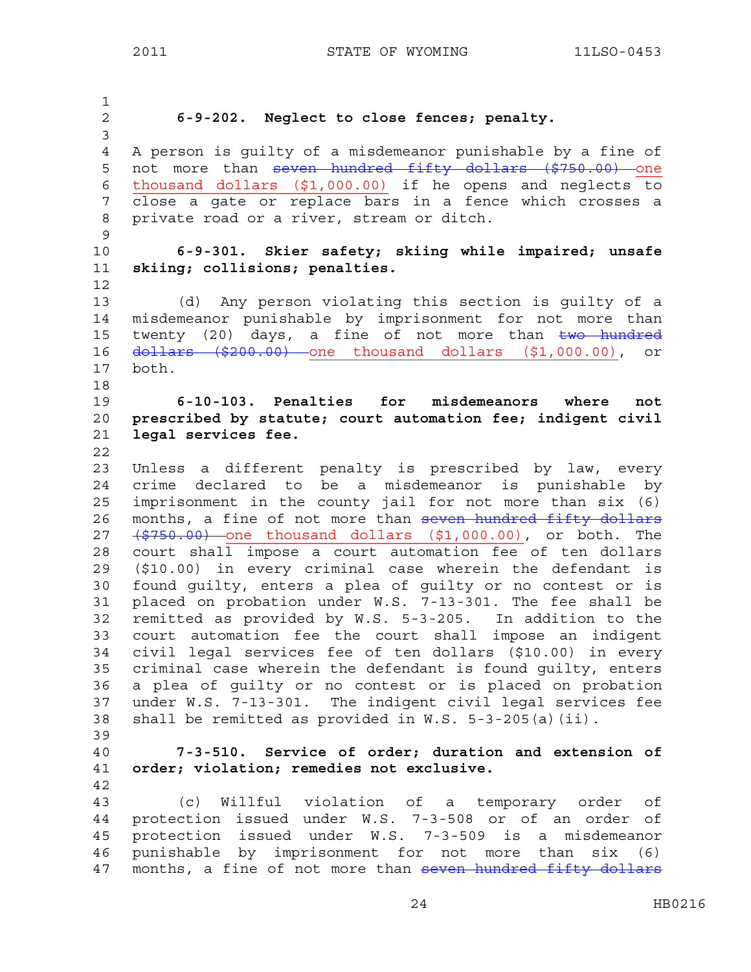1 2 **6-9-202. Neglect to close fences; penalty.** 3 4 A person is guilty of a misdemeanor punishable by a fine of 5 not more than seven hundred fifty dollars (\$750.00) one 6 thousand dollars (\$1,000.00) if he opens and neglects to 7 close a gate or replace bars in a fence which crosses a 8 private road or a river, stream or ditch. 9 10 **6-9-301. Skier safety; skiing while impaired; unsafe**  11 **skiing; collisions; penalties.**  12 13 (d) Any person violating this section is guilty of a 14 misdemeanor punishable by imprisonment for not more than 15 twenty (20) days, a fine of not more than two hundred 16 dollars (\$200.00) one thousand dollars (\$1,000.00), or 17 both. 18 19 **6-10-103. Penalties for misdemeanors where not**  20 **prescribed by statute; court automation fee; indigent civil**  21 **legal services fee.**  22 23 Unless a different penalty is prescribed by law, every 24 crime declared to be a misdemeanor is punishable by 25 imprisonment in the county jail for not more than six (6) 26 months, a fine of not more than seven hundred fifty dollars 27 (\$750.00) one thousand dollars (\$1,000.00), or both. The 28 court shall impose a court automation fee of ten dollars 29 (\$10.00) in every criminal case wherein the defendant is 30 found guilty, enters a plea of guilty or no contest or is 31 placed on probation under W.S. 7-13-301. The fee shall be 32 remitted as provided by W.S. 5-3-205. In addition to the 33 court automation fee the court shall impose an indigent 34 civil legal services fee of ten dollars (\$10.00) in every 35 criminal case wherein the defendant is found guilty, enters 36 a plea of guilty or no contest or is placed on probation 37 under W.S. 7-13-301. The indigent civil legal services fee 38 shall be remitted as provided in W.S. 5-3-205(a)(ii). 39 40 **7-3-510. Service of order; duration and extension of**  41 **order; violation; remedies not exclusive.**  42 43 (c) Willful violation of a temporary order of 44 protection issued under W.S. 7-3-508 or of an order of 45 protection issued under W.S. 7-3-509 is a misdemeanor 46 punishable by imprisonment for not more than six (6) 47 months, a fine of not more than seven hundred fifty dollars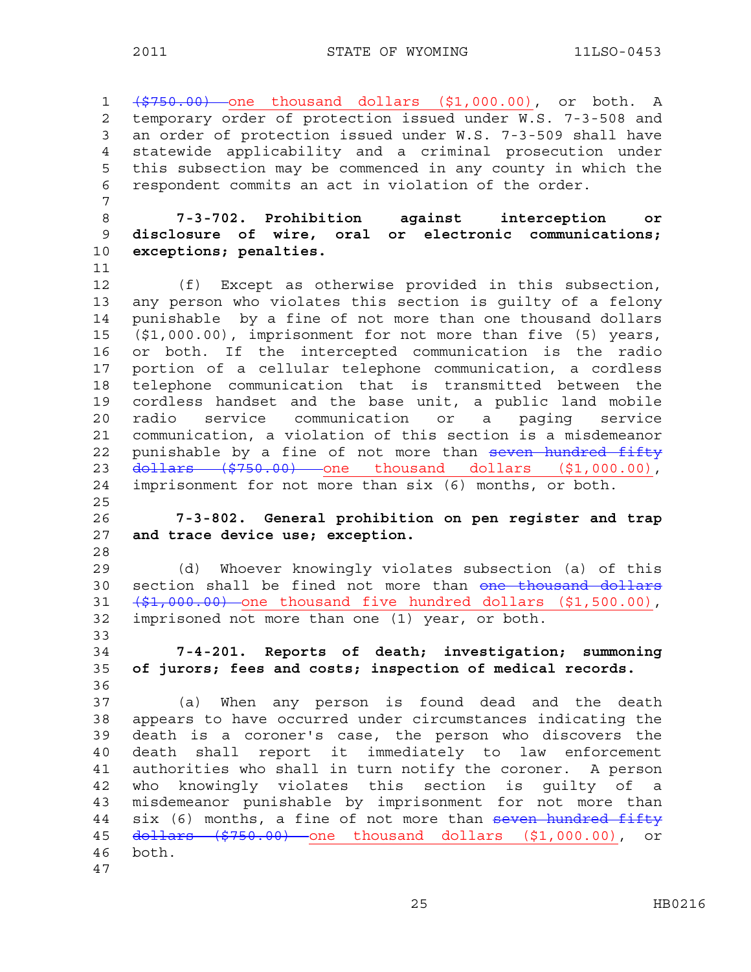1 (\$750.00) one thousand dollars (\$1,000.00), or both. A 2 temporary order of protection issued under W.S. 7-3-508 and 3 an order of protection issued under W.S. 7-3-509 shall have 4 statewide applicability and a criminal prosecution under 5 this subsection may be commenced in any county in which the 6 respondent commits an act in violation of the order.

8 **7-3-702. Prohibition against interception or**  9 **disclosure of wire, oral or electronic communications;**  10 **exceptions; penalties.** 

11 12 (f) Except as otherwise provided in this subsection, 13 any person who violates this section is guilty of a felony 14 punishable by a fine of not more than one thousand dollars 15 (\$1,000.00), imprisonment for not more than five (5) years, 16 or both. If the intercepted communication is the radio 17 portion of a cellular telephone communication, a cordless 18 telephone communication that is transmitted between the 19 cordless handset and the base unit, a public land mobile 20 radio service communication or a paging service 21 communication, a violation of this section is a misdemeanor 22 punishable by a fine of not more than seven hundred fifty 23 <del>dollars (\$750.00)</del> one thousand dollars (\$1,000.00), 24 imprisonment for not more than six (6) months, or both.

26 **7-3-802. General prohibition on pen register and trap**  27 **and trace device use; exception.** 

29 (d) Whoever knowingly violates subsection (a) of this 30 section shall be fined not more than one thousand dollars  $31 \quad {\text{\#}}1,000.00$  one thousand five hundred dollars (\$1,500.00), 32 imprisoned not more than one (1) year, or both.

34 **7-4-201. Reports of death; investigation; summoning**  35 **of jurors; fees and costs; inspection of medical records.**  36

37 (a) When any person is found dead and the death 38 appears to have occurred under circumstances indicating the 39 death is a coroner's case, the person who discovers the 40 death shall report it immediately to law enforcement 41 authorities who shall in turn notify the coroner. A person 42 who knowingly violates this section is guilty of a 43 misdemeanor punishable by imprisonment for not more than 44 six (6) months, a fine of not more than seven hundred fifty 45 dollars (\$750.00) one thousand dollars (\$1,000.00), or 46 both. 47

7

25

28

33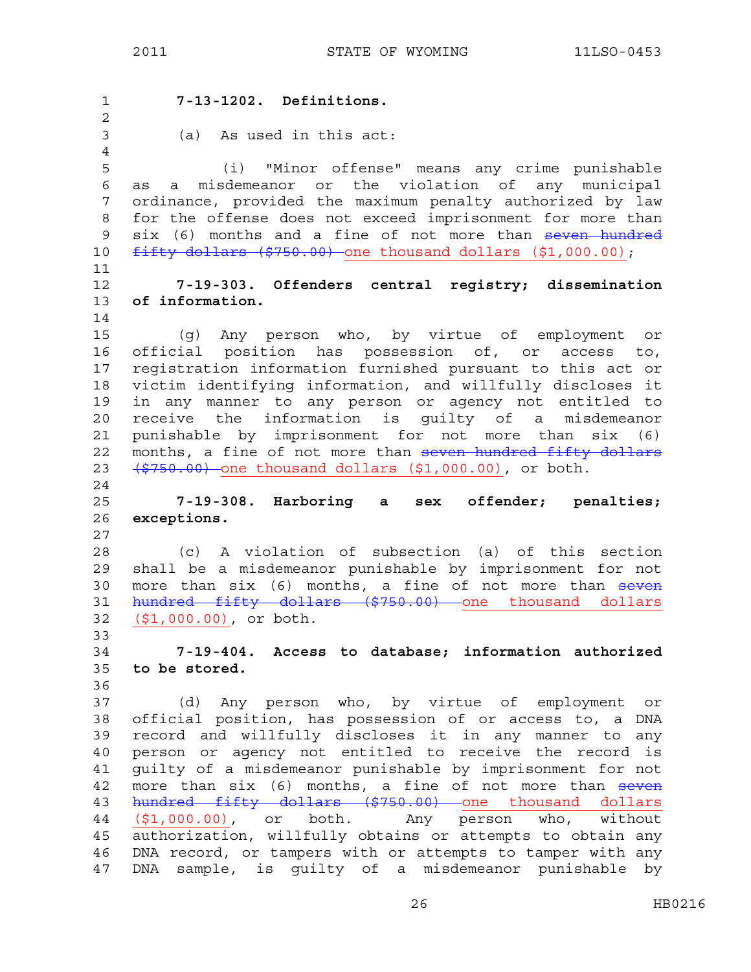1 **7-13-1202. Definitions.**  2 3 (a) As used in this act: 4 5 (i) "Minor offense" means any crime punishable 6 as a misdemeanor or the violation of any municipal 7 ordinance, provided the maximum penalty authorized by law 8 for the offense does not exceed imprisonment for more than 9 six (6) months and a fine of not more than seven hundred 10 fifty dollars (\$750.00) one thousand dollars (\$1,000.00); 11 12 **7-19-303. Offenders central registry; dissemination**  13 **of information.**  14 15 (g) Any person who, by virtue of employment or 16 official position has possession of, or access to, 17 registration information furnished pursuant to this act or 18 victim identifying information, and willfully discloses it 19 in any manner to any person or agency not entitled to 20 receive the information is guilty of a misdemeanor 21 punishable by imprisonment for not more than six (6) 22 months, a fine of not more than seven hundred fifty dollars 23  $(5750.00)$  one thousand dollars  $(51,000.00)$ , or both. 24 25 **7-19-308. Harboring a sex offender; penalties;**  26 **exceptions.**  27 28 (c) A violation of subsection (a) of this section 29 shall be a misdemeanor punishable by imprisonment for not 30 more than six (6) months, a fine of not more than seven 31 hundred fifty dollars (\$750.00) one thousand dollars 32 (\$1,000.00), or both. 33 34 **7-19-404. Access to database; information authorized**  35 **to be stored.**  36 37 (d) Any person who, by virtue of employment or 38 official position, has possession of or access to, a DNA 39 record and willfully discloses it in any manner to any 40 person or agency not entitled to receive the record is 41 guilty of a misdemeanor punishable by imprisonment for not 42 more than six (6) months, a fine of not more than seven 43 hundred fifty dollars (\$750.00) one thousand dollars 44 (\$1,000.00), or both. Any person who, without 45 authorization, willfully obtains or attempts to obtain any 46 DNA record, or tampers with or attempts to tamper with any 47 DNA sample, is guilty of a misdemeanor punishable by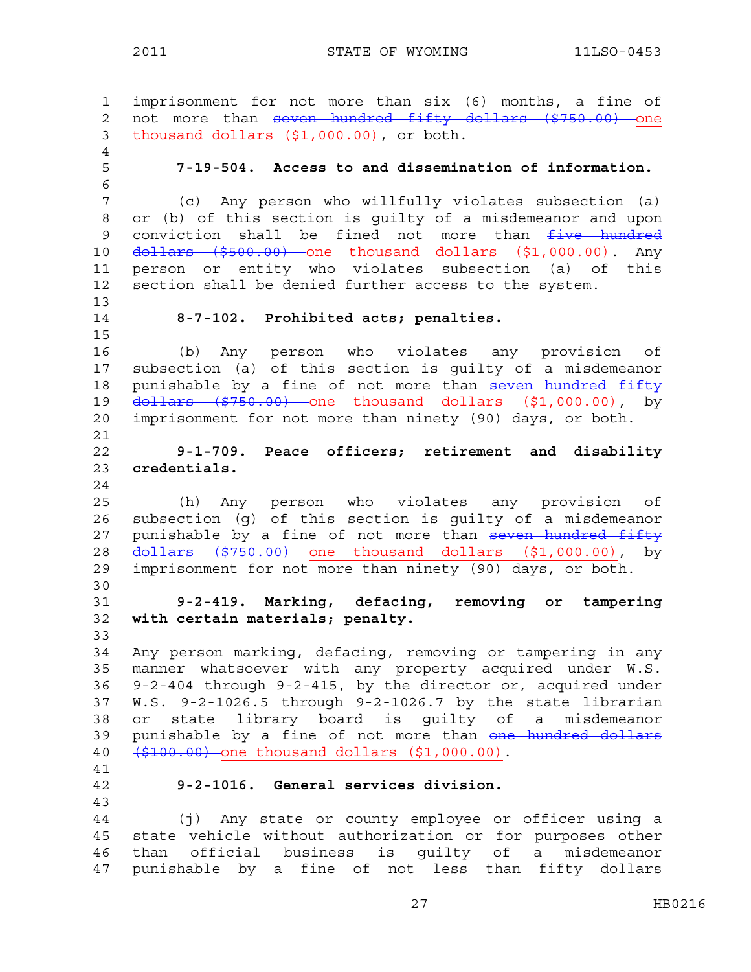1 imprisonment for not more than six (6) months, a fine of 2 not more than seven hundred fifty dollars (\$750.00) one 3 thousand dollars (\$1,000.00), or both. 4 5 **7-19-504. Access to and dissemination of information.**  6 7 (c) Any person who willfully violates subsection (a) 8 or (b) of this section is guilty of a misdemeanor and upon 9 conviction shall be fined not more than  $f$ ive hundred 10 <del>dollars (\$500.00)</del> one thousand dollars (\$1,000.00). Any 11 person or entity who violates subsection (a) of this 12 section shall be denied further access to the system. 13 14 **8-7-102. Prohibited acts; penalties.**  15 16 (b) Any person who violates any provision of 17 subsection (a) of this section is guilty of a misdemeanor 18 punishable by a fine of not more than seven hundred fifty 19  $d$ ollars (\$750.00) one thousand dollars (\$1,000.00), by 20 imprisonment for not more than ninety (90) days, or both. 21 22 **9-1-709. Peace officers; retirement and disability**  23 **credentials.**  24 25 (h) Any person who violates any provision of 26 subsection (g) of this section is guilty of a misdemeanor 27 punishable by a fine of not more than seven hundred fifty 28 <del>dollars (\$750.00)</del> one thousand dollars (\$1,000.00), by 29 imprisonment for not more than ninety (90) days, or both. 30 31 **9-2-419. Marking, defacing, removing or tampering**  32 **with certain materials; penalty.** 33 34 Any person marking, defacing, removing or tampering in any 35 manner whatsoever with any property acquired under W.S. 36 9-2-404 through 9-2-415, by the director or, acquired under 37 W.S. 9-2-1026.5 through 9-2-1026.7 by the state librarian 38 or state library board is guilty of a misdemeanor 39 punishable by a fine of not more than one hundred dollars 40 (\$100.00) one thousand dollars (\$1,000.00). 41 42 **9-2-1016. General services division.**  43 44 (j) Any state or county employee or officer using a 45 state vehicle without authorization or for purposes other 46 than official business is guilty of a misdemeanor 47 punishable by a fine of not less than fifty dollars

27 HB0216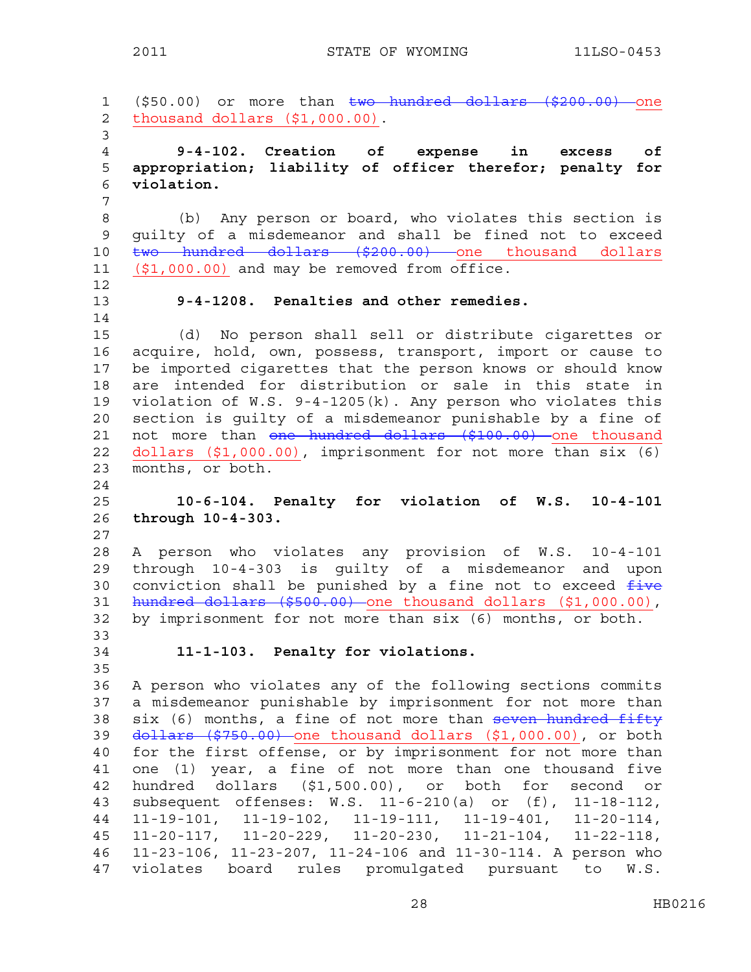1 (\$50.00) or more than two hundred dollars (\$200.00) one 2 thousand dollars (\$1,000.00). 3 4 **9-4-102. Creation of expense in excess of**  5 **appropriation; liability of officer therefor; penalty for**  6 **violation.**  7 8 (b) Any person or board, who violates this section is 9 guilty of a misdemeanor and shall be fined not to exceed 10 two hundred dollars (\$200.00) one thousand dollars 11 (\$1,000.00) and may be removed from office. 12 13 **9-4-1208. Penalties and other remedies.**  14 15 (d) No person shall sell or distribute cigarettes or 16 acquire, hold, own, possess, transport, import or cause to 17 be imported cigarettes that the person knows or should know 18 are intended for distribution or sale in this state in 19 violation of W.S. 9-4-1205(k). Any person who violates this 20 section is guilty of a misdemeanor punishable by a fine of 21 not more than one hundred dollars (\$100.00) one thousand 22 dollars (\$1,000.00), imprisonment for not more than six (6) 23 months, or both. 24 25 **10-6-104. Penalty for violation of W.S. 10-4-101**  26 **through 10-4-303.** 27 28 A person who violates any provision of W.S. 10-4-101 29 through 10-4-303 is guilty of a misdemeanor and upon 30 conviction shall be punished by a fine not to exceed  $f$ ive 31 hundred dollars (\$500.00) one thousand dollars (\$1,000.00), 32 by imprisonment for not more than six (6) months, or both. 33 34 **11-1-103. Penalty for violations.**  35 36 A person who violates any of the following sections commits 37 a misdemeanor punishable by imprisonment for not more than 38 six (6) months, a fine of not more than seven hundred fifty 39 dollars (\$750.00) one thousand dollars (\$1,000.00), or both 40 for the first offense, or by imprisonment for not more than 41 one (1) year, a fine of not more than one thousand five 42 hundred dollars (\$1,500.00), or both for second or 43 subsequent offenses: W.S. 11-6-210(a) or (f), 11-18-112, 44 11-19-101, 11-19-102, 11-19-111, 11-19-401, 11-20-114, 45 11-20-117, 11-20-229, 11-20-230, 11-21-104, 11-22-118, 46 11-23-106, 11-23-207, 11-24-106 and 11-30-114. A person who 47 violates board rules promulgated pursuant to W.S.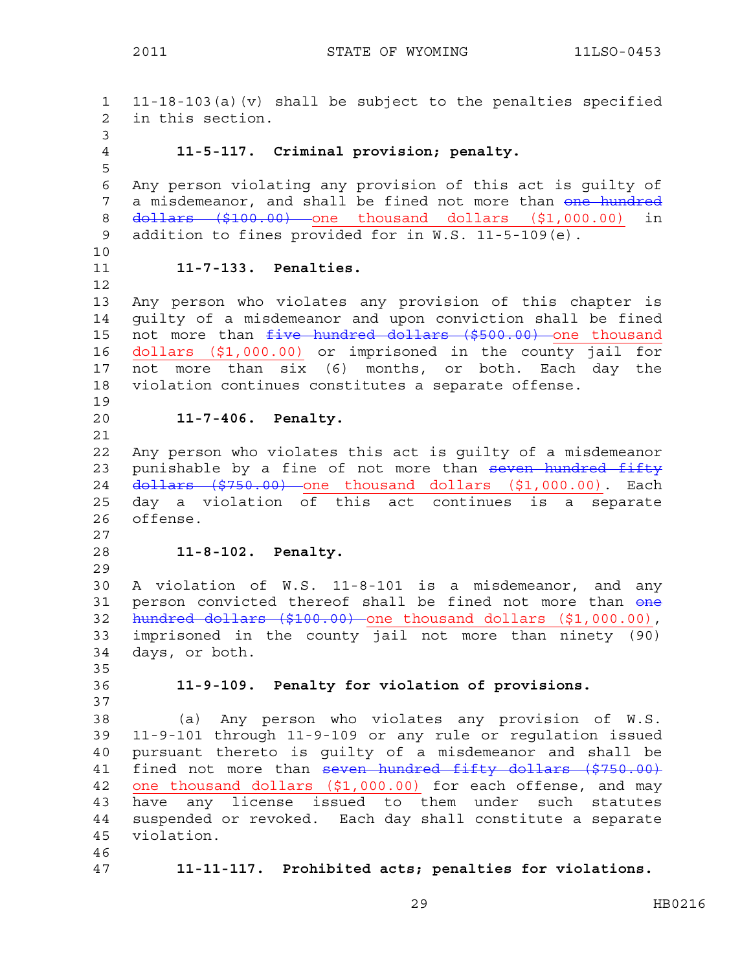1 11-18-103(a)(v) shall be subject to the penalties specified 2 in this section. 3 4 **11-5-117. Criminal provision; penalty.**  5 6 Any person violating any provision of this act is guilty of 7 a misdemeanor, and shall be fined not more than one hundred 8 dollars (\$100.00) one thousand dollars (\$1,000.00) in 9 addition to fines provided for in W.S. 11-5-109(e). 10 11 **11-7-133. Penalties.**  12 13 Any person who violates any provision of this chapter is 14 guilty of a misdemeanor and upon conviction shall be fined 15 not more than five hundred dollars (\$500.00) one thousand 16 dollars (\$1,000.00) or imprisoned in the county jail for 17 not more than six (6) months, or both. Each day the 18 violation continues constitutes a separate offense. 19 20 **11-7-406. Penalty.**  21 22 Any person who violates this act is guilty of a misdemeanor 23 punishable by a fine of not more than seven hundred fifty 24 <del>dollars (\$750.00)</del> one thousand dollars (\$1,000.00). Each 25 day a violation of this act continues is a separate 26 offense. 27 28 **11-8-102. Penalty.**  29 30 A violation of W.S. 11-8-101 is a misdemeanor, and any 31 person convicted thereof shall be fined not more than one 32 hundred dollars (\$100.00) one thousand dollars (\$1,000.00), 33 imprisoned in the county jail not more than ninety (90) 34 days, or both. 35 36 **11-9-109. Penalty for violation of provisions.**  37 38 (a) Any person who violates any provision of W.S. 39 11-9-101 through 11-9-109 or any rule or regulation issued 40 pursuant thereto is guilty of a misdemeanor and shall be 41 fined not more than seven hundred fifty dollars (\$750.00) 42 one thousand dollars (\$1,000.00) for each offense, and may 43 have any license issued to them under such statutes 44 suspended or revoked. Each day shall constitute a separate 45 violation. 46 47 **11-11-117. Prohibited acts; penalties for violations.**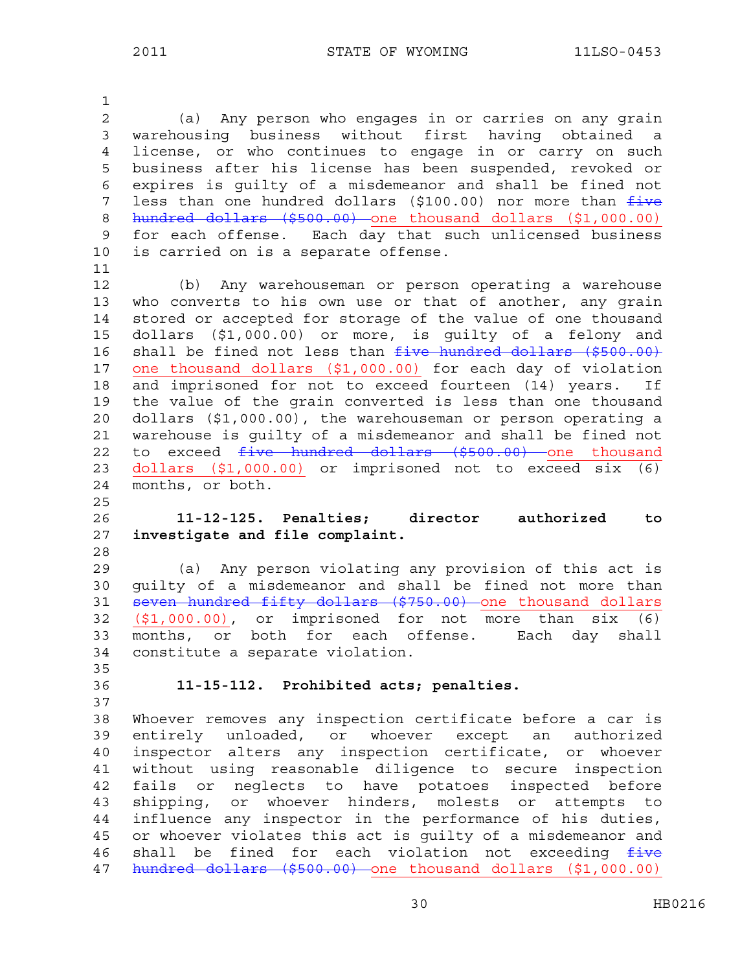1 2 (a) Any person who engages in or carries on any grain 3 warehousing business without first having obtained a 4 license, or who continues to engage in or carry on such 5 business after his license has been suspended, revoked or 6 expires is guilty of a misdemeanor and shall be fined not 7 less than one hundred dollars (\$100.00) nor more than  $f$ ive 8 hundred dollars (\$500.00) one thousand dollars (\$1,000.00) 9 for each offense. Each day that such unlicensed business 10 is carried on is a separate offense. 11 12 (b) Any warehouseman or person operating a warehouse 13 who converts to his own use or that of another, any grain 14 stored or accepted for storage of the value of one thousand 15 dollars (\$1,000.00) or more, is guilty of a felony and 16 shall be fined not less than five hundred dollars (\$500.00) 17 one thousand dollars (\$1,000.00) for each day of violation 18 and imprisoned for not to exceed fourteen (14) years. If 19 the value of the grain converted is less than one thousand 20 dollars (\$1,000.00), the warehouseman or person operating a 21 warehouse is guilty of a misdemeanor and shall be fined not 22 to exceed five hundred dollars (\$500.00) one thousand 23 dollars (\$1,000.00) or imprisoned not to exceed six (6) 24 months, or both. 25 26 **11-12-125. Penalties; director authorized to**  27 **investigate and file complaint.**  28 29 (a) Any person violating any provision of this act is 30 guilty of a misdemeanor and shall be fined not more than 31 seven hundred fifty dollars (\$750.00) one thousand dollars 32 (\$1,000.00), or imprisoned for not more than six (6) 33 months, or both for each offense. Each day shall 34 constitute a separate violation. 35 36 **11-15-112. Prohibited acts; penalties.**  37 38 Whoever removes any inspection certificate before a car is 39 entirely unloaded, or whoever except an authorized 40 inspector alters any inspection certificate, or whoever 41 without using reasonable diligence to secure inspection 42 fails or neglects to have potatoes inspected before 43 shipping, or whoever hinders, molests or attempts to 44 influence any inspector in the performance of his duties, 45 or whoever violates this act is guilty of a misdemeanor and 46 shall be fined for each violation not exceeding  $f$ ive 47 hundred dollars (\$500.00) one thousand dollars (\$1,000.00)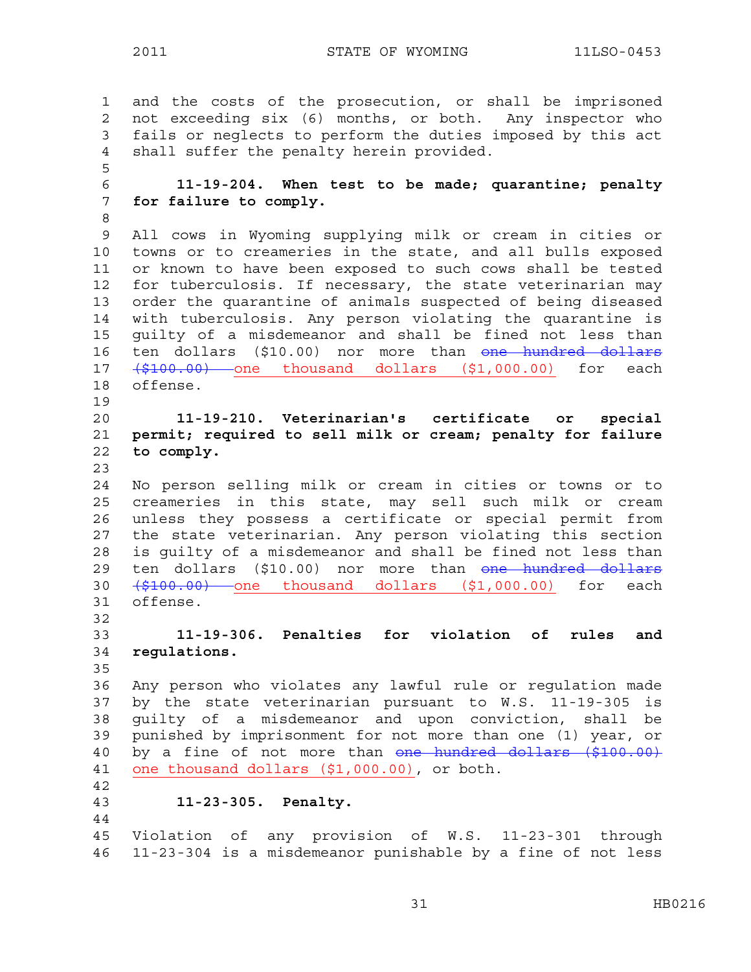1 and the costs of the prosecution, or shall be imprisoned 2 not exceeding six (6) months, or both. Any inspector who 3 fails or neglects to perform the duties imposed by this act 4 shall suffer the penalty herein provided. 5 6 **11-19-204. When test to be made; quarantine; penalty**  7 **for failure to comply.**  8 9 All cows in Wyoming supplying milk or cream in cities or 10 towns or to creameries in the state, and all bulls exposed 11 or known to have been exposed to such cows shall be tested 12 for tuberculosis. If necessary, the state veterinarian may 13 order the quarantine of animals suspected of being diseased 14 with tuberculosis. Any person violating the quarantine is 15 guilty of a misdemeanor and shall be fined not less than 16 ten dollars (\$10.00) nor more than one hundred dollars 17 (\$100.00) one thousand dollars (\$1,000.00) for each 18 offense. 19 20 **11-19-210. Veterinarian's certificate or special**  21 **permit; required to sell milk or cream; penalty for failure**  22 **to comply.**  23 24 No person selling milk or cream in cities or towns or to 25 creameries in this state, may sell such milk or cream 26 unless they possess a certificate or special permit from 27 the state veterinarian. Any person violating this section 28 is guilty of a misdemeanor and shall be fined not less than 29 ten dollars (\$10.00) nor more than one hundred dollars 30  $\left(\frac{2100.00}{7}\right)$  one thousand dollars  $(51,000.00)$  for each 31 offense. 32 33 **11-19-306. Penalties for violation of rules and**  34 **regulations.**  35 36 Any person who violates any lawful rule or regulation made 37 by the state veterinarian pursuant to W.S. 11-19-305 is 38 guilty of a misdemeanor and upon conviction, shall be 39 punished by imprisonment for not more than one (1) year, or 40 by a fine of not more than one hundred dollars (\$100.00) 41 one thousand dollars (\$1,000.00), or both. 42 43 **11-23-305. Penalty.**  44 45 Violation of any provision of W.S. 11-23-301 through 46 11-23-304 is a misdemeanor punishable by a fine of not less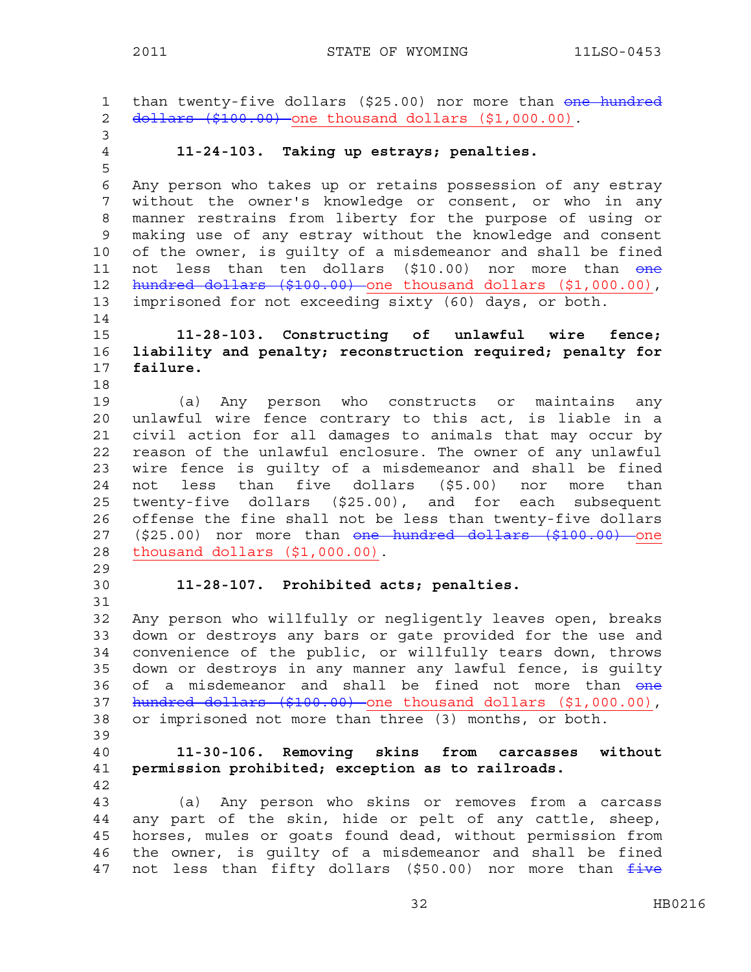1 than twenty-five dollars (\$25.00) nor more than one hundred 2 dollars (\$100.00) one thousand dollars (\$1,000.00). 3 4 **11-24-103. Taking up estrays; penalties.**  5 6 Any person who takes up or retains possession of any estray 7 without the owner's knowledge or consent, or who in any 8 manner restrains from liberty for the purpose of using or 9 making use of any estray without the knowledge and consent 10 of the owner, is guilty of a misdemeanor and shall be fined 11 not less than ten dollars (\$10.00) nor more than <del>one</del> 12 hundred dollars (\$100.00) one thousand dollars (\$1,000.00), 13 imprisoned for not exceeding sixty (60) days, or both. 14 15 **11-28-103. Constructing of unlawful wire fence;**  16 **liability and penalty; reconstruction required; penalty for**  17 **failure.**  18 19 (a) Any person who constructs or maintains any 20 unlawful wire fence contrary to this act, is liable in a 21 civil action for all damages to animals that may occur by 22 reason of the unlawful enclosure. The owner of any unlawful 23 wire fence is guilty of a misdemeanor and shall be fined 24 not less than five dollars (\$5.00) nor more than 25 twenty-five dollars (\$25.00), and for each subsequent 26 offense the fine shall not be less than twenty-five dollars 27 (\$25.00) nor more than one hundred dollars (\$100.00) one 28 thousand dollars (\$1,000.00). 29 30 **11-28-107. Prohibited acts; penalties.**  31 32 Any person who willfully or negligently leaves open, breaks 33 down or destroys any bars or gate provided for the use and 34 convenience of the public, or willfully tears down, throws 35 down or destroys in any manner any lawful fence, is guilty 36 of a misdemeanor and shall be fined not more than one 37 hundred dollars (\$100.00) one thousand dollars (\$1,000.00), 38 or imprisoned not more than three (3) months, or both. 39 40 **11-30-106. Removing skins from carcasses without**  41 **permission prohibited; exception as to railroads.**  42 43 (a) Any person who skins or removes from a carcass 44 any part of the skin, hide or pelt of any cattle, sheep, 45 horses, mules or goats found dead, without permission from 46 the owner, is guilty of a misdemeanor and shall be fined 47 not less than fifty dollars (\$50.00) nor more than five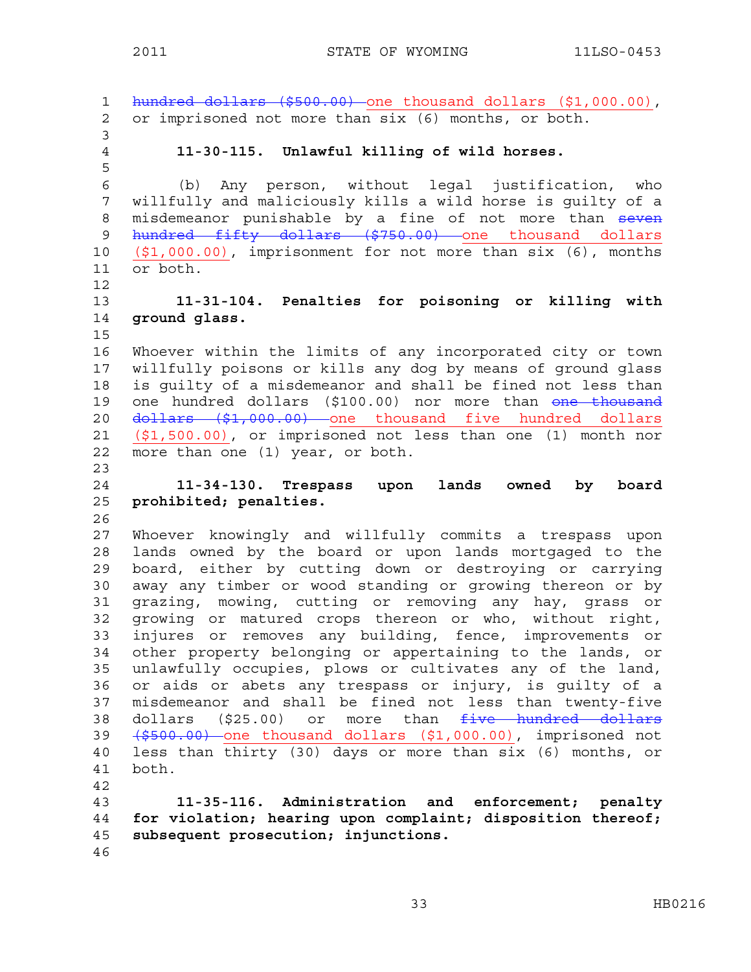1 hundred dollars (\$500.00) one thousand dollars (\$1,000.00), 2 or imprisoned not more than six (6) months, or both. 3 4 **11-30-115. Unlawful killing of wild horses.**  5 6 (b) Any person, without legal justification, who 7 willfully and maliciously kills a wild horse is guilty of a 8 misdemeanor punishable by a fine of not more than seven 9 hundred fifty dollars (\$750.00) one thousand dollars 10 (\$1,000.00), imprisonment for not more than six (6), months 11 or both. 12 13 **11-31-104. Penalties for poisoning or killing with**  14 **ground glass.**  15 16 Whoever within the limits of any incorporated city or town 17 willfully poisons or kills any dog by means of ground glass 18 is guilty of a misdemeanor and shall be fined not less than 19 one hundred dollars (\$100.00) nor more than one thousand 20 <del>dollars (\$1,000.00)</del> one thousand five hundred dollars 21 (\$1,500.00), or imprisoned not less than one (1) month nor 22 more than one (1) year, or both. 23 24 **11-34-130. Trespass upon lands owned by board**  25 **prohibited; penalties.**  26 27 Whoever knowingly and willfully commits a trespass upon 28 lands owned by the board or upon lands mortgaged to the 29 board, either by cutting down or destroying or carrying 30 away any timber or wood standing or growing thereon or by 31 grazing, mowing, cutting or removing any hay, grass or 32 growing or matured crops thereon or who, without right, 33 injures or removes any building, fence, improvements or 34 other property belonging or appertaining to the lands, or 35 unlawfully occupies, plows or cultivates any of the land, 36 or aids or abets any trespass or injury, is guilty of a 37 misdemeanor and shall be fined not less than twenty-five 38 dollars (\$25.00) or more than five hundred dollars 39 (\$500.00) one thousand dollars (\$1,000.00), imprisoned not 40 less than thirty (30) days or more than six (6) months, or 41 both. 42 43 **11-35-116. Administration and enforcement; penalty**  44 **for violation; hearing upon complaint; disposition thereof;**  45 **subsequent prosecution; injunctions.**  46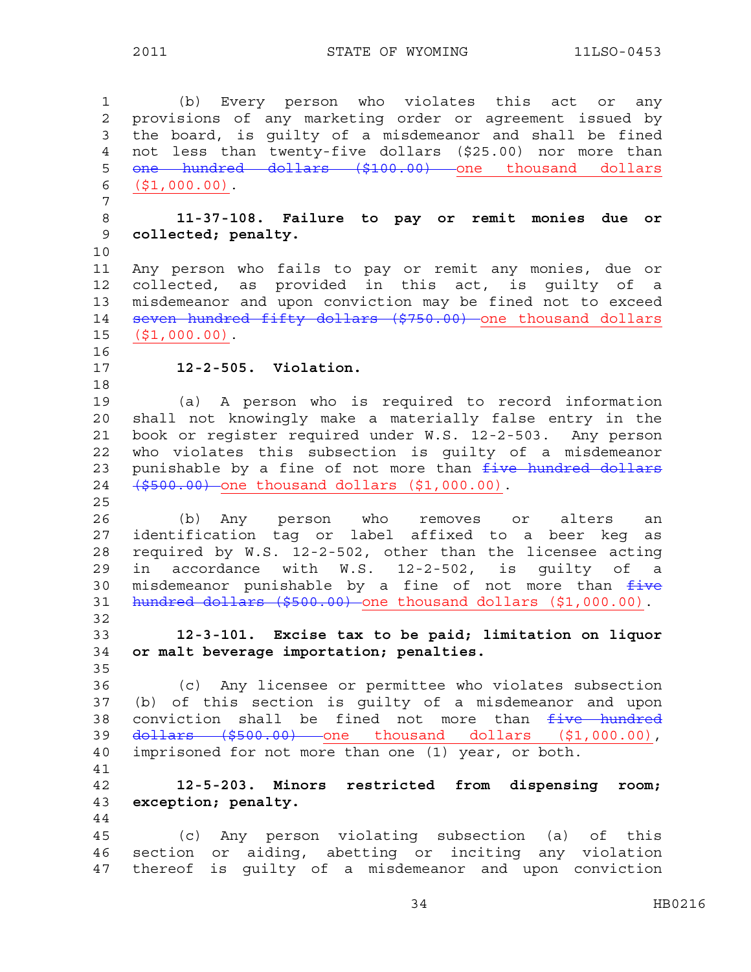1 (b) Every person who violates this act or any 2 provisions of any marketing order or agreement issued by 3 the board, is guilty of a misdemeanor and shall be fined 4 not less than twenty-five dollars (\$25.00) nor more than 5 one hundred dollars (\$100.00) one thousand dollars 6 (\$1,000.00). 7 8 **11-37-108. Failure to pay or remit monies due or**  9 **collected; penalty.**  10 11 Any person who fails to pay or remit any monies, due or 12 collected, as provided in this act, is guilty of a 13 misdemeanor and upon conviction may be fined not to exceed 14 seven hundred fifty dollars (\$750.00) one thousand dollars 15 (\$1,000.00). 16 17 **12-2-505. Violation.**  18 19 (a) A person who is required to record information 20 shall not knowingly make a materially false entry in the 21 book or register required under W.S. 12-2-503. Any person 22 who violates this subsection is guilty of a misdemeanor 23 punishable by a fine of not more than  $f$ ive hundred dollars 24 (\$500.00) one thousand dollars (\$1,000.00). 25 26 (b) Any person who removes or alters an 27 identification tag or label affixed to a beer keg as 28 required by W.S. 12-2-502, other than the licensee acting 29 in accordance with W.S. 12-2-502, is guilty of a 30 misdemeanor punishable by a fine of not more than  $f$ ive 31 hundred dollars (\$500.00) one thousand dollars (\$1,000.00). 32 33 **12-3-101. Excise tax to be paid; limitation on liquor**  34 **or malt beverage importation; penalties.**  35 36 (c) Any licensee or permittee who violates subsection 37 (b) of this section is guilty of a misdemeanor and upon 38 conviction shall be fined not more than five hundred 39 dollars (\$500.00) one thousand dollars (\$1,000.00), 40 imprisoned for not more than one (1) year, or both. 41 42 **12-5-203. Minors restricted from dispensing room;**  43 **exception; penalty.**  44 45 (c) Any person violating subsection (a) of this 46 section or aiding, abetting or inciting any violation 47 thereof is guilty of a misdemeanor and upon conviction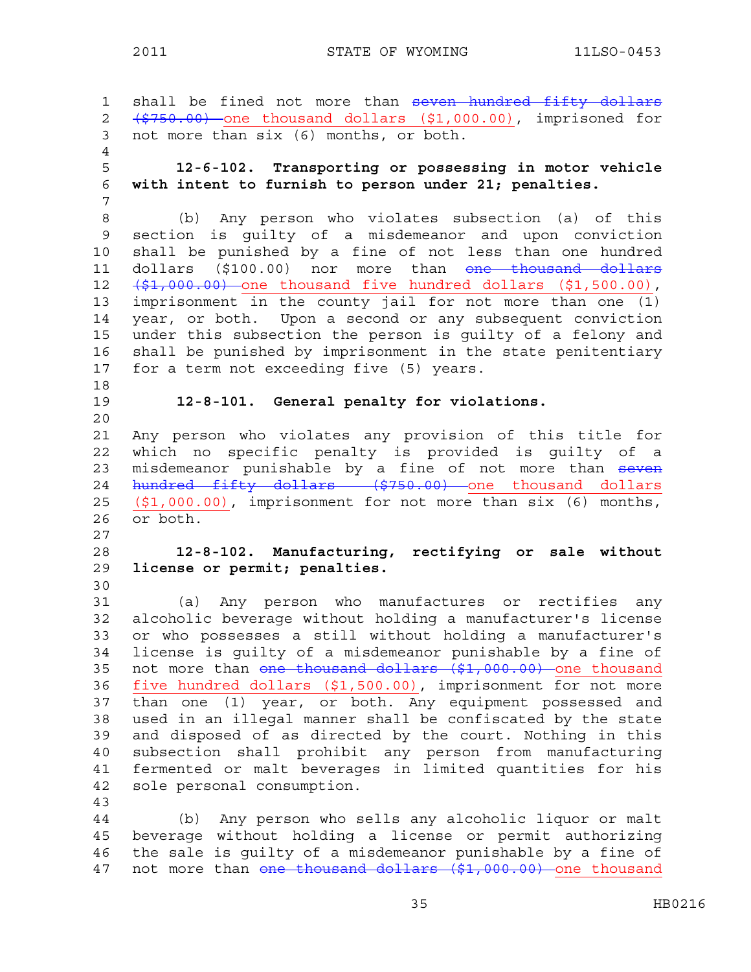1 shall be fined not more than seven hundred fifty dollars 2 (\$750.00) one thousand dollars (\$1,000.00), imprisoned for 3 not more than six (6) months, or both. 4 5 **12-6-102. Transporting or possessing in motor vehicle**  6 **with intent to furnish to person under 21; penalties.**  7 8 (b) Any person who violates subsection (a) of this 9 section is guilty of a misdemeanor and upon conviction 10 shall be punished by a fine of not less than one hundred 11 dollars (\$100.00) nor more than <del>one thousand dollars</del> 12  $(\frac{1}{2}, 000.00)$  one thousand five hundred dollars  $(1, 500.00)$ , 13 imprisonment in the county jail for not more than one (1) 14 year, or both. Upon a second or any subsequent conviction 15 under this subsection the person is guilty of a felony and 16 shall be punished by imprisonment in the state penitentiary 17 for a term not exceeding five (5) years. 18 19 **12-8-101. General penalty for violations.** 20 21 Any person who violates any provision of this title for 22 which no specific penalty is provided is guilty of a 23 misdemeanor punishable by a fine of not more than seven 24 hundred fifty dollars (\$750.00) one thousand dollars 25 (\$1,000.00), imprisonment for not more than six (6) months, 26 or both. 27 28 **12-8-102. Manufacturing, rectifying or sale without**  29 **license or permit; penalties.**  30 31 (a) Any person who manufactures or rectifies any 32 alcoholic beverage without holding a manufacturer's license 33 or who possesses a still without holding a manufacturer's 34 license is guilty of a misdemeanor punishable by a fine of 35 not more than one thousand dollars (\$1,000.00) one thousand 36 five hundred dollars (\$1,500.00), imprisonment for not more 37 than one (1) year, or both. Any equipment possessed and 38 used in an illegal manner shall be confiscated by the state 39 and disposed of as directed by the court. Nothing in this 40 subsection shall prohibit any person from manufacturing 41 fermented or malt beverages in limited quantities for his 42 sole personal consumption. 43 44 (b) Any person who sells any alcoholic liquor or malt 45 beverage without holding a license or permit authorizing 46 the sale is guilty of a misdemeanor punishable by a fine of 47 not more than one thousand dollars (\$1,000.00) one thousand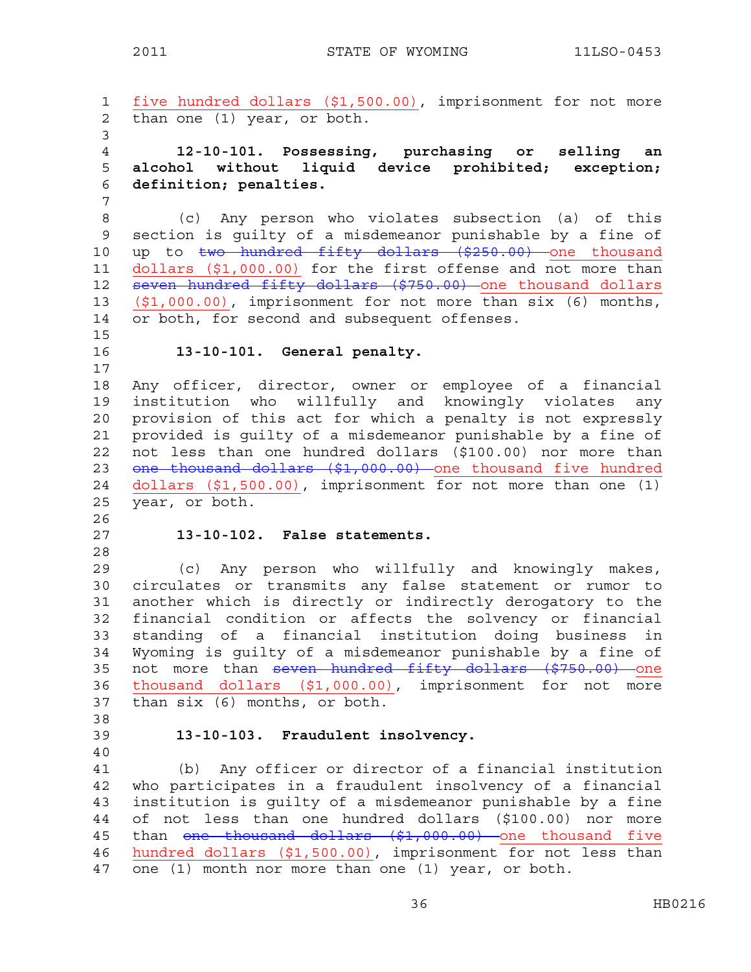```
1 five hundred dollars ($1,500.00), imprisonment for not more 
2 than one (1) year, or both. 
3 
4 12-10-101. Possessing, purchasing or selling an 
5 alcohol without liquid device prohibited; exception; 
6 definition; penalties. 
7 
8 (c) Any person who violates subsection (a) of this 
9 section is guilty of a misdemeanor punishable by a fine of 
10 up to two hundred fifty dollars ($250.00) one thousand
11 dollars ($1,000.00) for the first offense and not more than 
12 seven hundred fifty dollars ($750.00) one thousand dollars
13 ($1,000.00), imprisonment for not more than six (6) months, 
14 or both, for second and subsequent offenses. 
15 
16 13-10-101. General penalty. 
17 
18 Any officer, director, owner or employee of a financial 
19 institution who willfully and knowingly violates any 
20 provision of this act for which a penalty is not expressly 
21 provided is guilty of a misdemeanor punishable by a fine of 
22 not less than one hundred dollars ($100.00) nor more than 
23 <del>one thousand dollars ($1,000.00)</del> one thousand five hundred
24 dollars ($1,500.00), imprisonment for not more than one (1) 
25 year, or both. 
26 
27 13-10-102. False statements. 
28 
29 (c) Any person who willfully and knowingly makes, 
30 circulates or transmits any false statement or rumor to 
31 another which is directly or indirectly derogatory to the 
32 financial condition or affects the solvency or financial 
33 standing of a financial institution doing business in 
34 Wyoming is guilty of a misdemeanor punishable by a fine of 
35 not more than seven hundred fifty dollars ($750.00) one
36 thousand dollars ($1,000.00), imprisonment for not more 
37 than six (6) months, or both. 
38 
39 13-10-103. Fraudulent insolvency. 
40 
41 (b) Any officer or director of a financial institution 
42 who participates in a fraudulent insolvency of a financial 
43 institution is guilty of a misdemeanor punishable by a fine 
44 of not less than one hundred dollars ($100.00) nor more 
45 than one thousand dollars ($1,000.00) one thousand five
46 hundred dollars ($1,500.00), imprisonment for not less than 
47 one (1) month nor more than one (1) year, or both.
```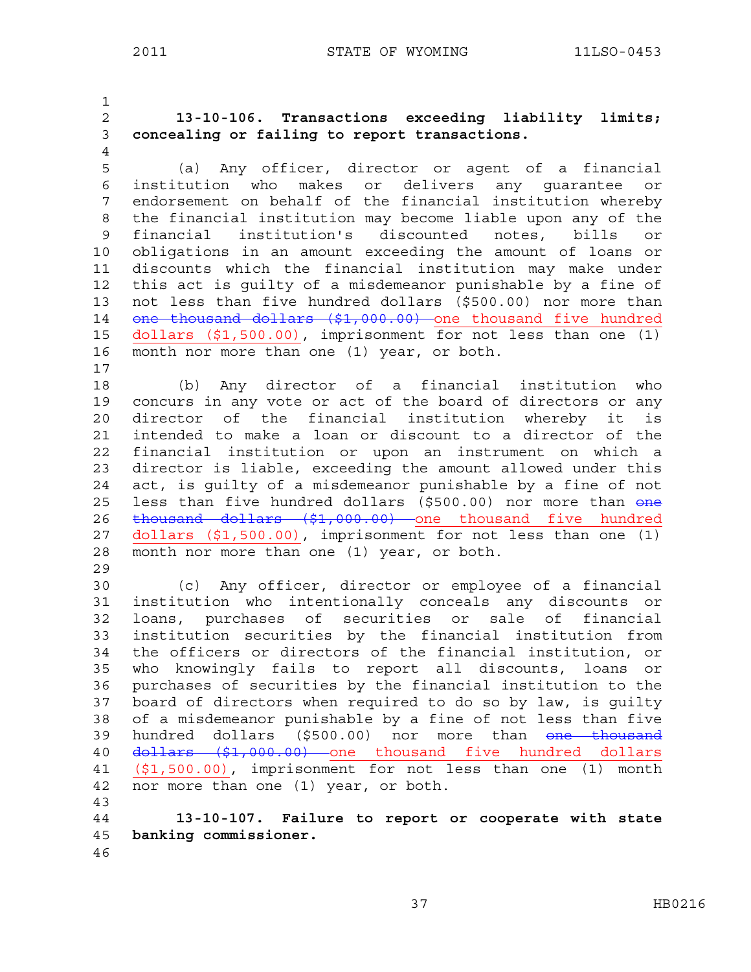1 2 **13-10-106. Transactions exceeding liability limits;**  3 **concealing or failing to report transactions.**  4 5 (a) Any officer, director or agent of a financial 6 institution who makes or delivers any guarantee or 7 endorsement on behalf of the financial institution whereby 8 the financial institution may become liable upon any of the 9 financial institution's discounted notes, bills or 10 obligations in an amount exceeding the amount of loans or 11 discounts which the financial institution may make under 12 this act is guilty of a misdemeanor punishable by a fine of 13 not less than five hundred dollars (\$500.00) nor more than 14 <del>one thousand dollars (\$1,000.00)</del> one thousand five hundred 15 dollars (\$1,500.00), imprisonment for not less than one (1) 16 month nor more than one (1) year, or both. 17 18 (b) Any director of a financial institution who 19 concurs in any vote or act of the board of directors or any 20 director of the financial institution whereby it is 21 intended to make a loan or discount to a director of the 22 financial institution or upon an instrument on which a 23 director is liable, exceeding the amount allowed under this 24 act, is guilty of a misdemeanor punishable by a fine of not 25 less than five hundred dollars (\$500.00) nor more than one 26 thousand dollars (\$1,000.00) one thousand five hundred 27 dollars (\$1,500.00), imprisonment for not less than one (1) 28 month nor more than one (1) year, or both. 29 30 (c) Any officer, director or employee of a financial 31 institution who intentionally conceals any discounts or 32 loans, purchases of securities or sale of financial 33 institution securities by the financial institution from 34 the officers or directors of the financial institution, or 35 who knowingly fails to report all discounts, loans or 36 purchases of securities by the financial institution to the 37 board of directors when required to do so by law, is guilty 38 of a misdemeanor punishable by a fine of not less than five 39 hundred dollars (\$500.00) nor more than one thousand 40 <del>dollars (\$1,000.00)</del> one thousand five hundred dollars 41 (\$1,500.00), imprisonment for not less than one (1) month 42 nor more than one (1) year, or both. 43 44 **13-10-107. Failure to report or cooperate with state**  45 **banking commissioner.**  46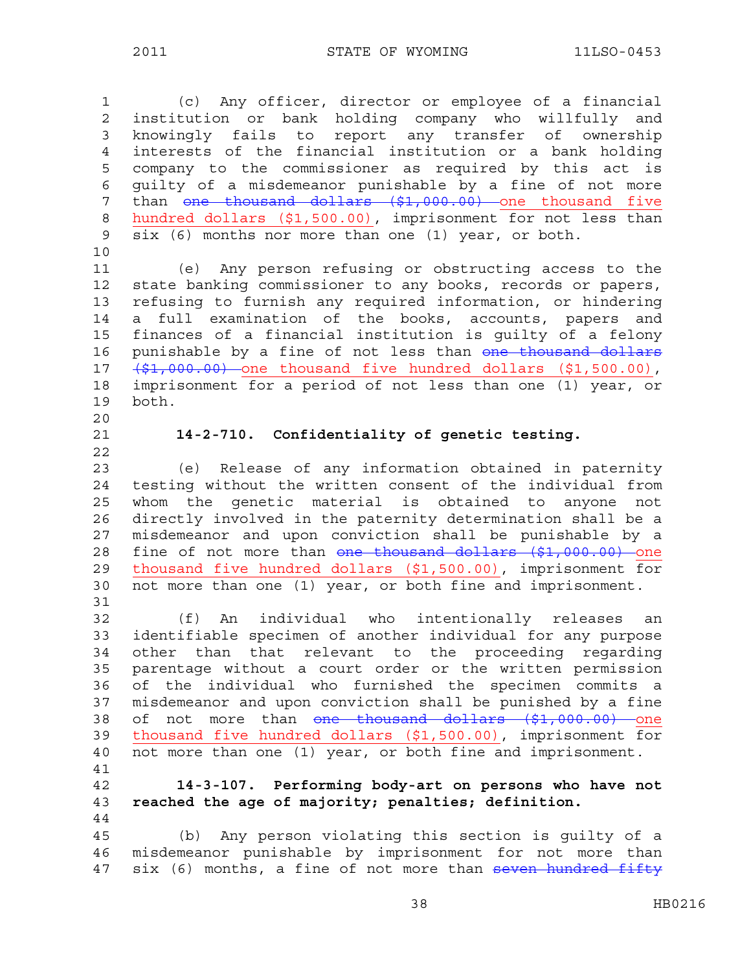| $\overline{\phantom{a}}$ | C<br>۱ |  |  |
|--------------------------|--------|--|--|
|                          |        |  |  |

1 (c) Any officer, director or employee of a financial 2 institution or bank holding company who willfully and 3 knowingly fails to report any transfer of ownership 4 interests of the financial institution or a bank holding 5 company to the commissioner as required by this act is 6 guilty of a misdemeanor punishable by a fine of not more 7 than one thousand dollars (\$1,000.00) one thousand five 8 hundred dollars (\$1,500.00), imprisonment for not less than 9 six (6) months nor more than one (1) year, or both. 10 11 (e) Any person refusing or obstructing access to the 12 state banking commissioner to any books, records or papers, 13 refusing to furnish any required information, or hindering 14 a full examination of the books, accounts, papers and 15 finances of a financial institution is guilty of a felony 16 punishable by a fine of not less than one thousand dollars 17  $(\frac{1}{2}, 000.00)$  one thousand five hundred dollars  $(1, 500.00)$ , 18 imprisonment for a period of not less than one (1) year, or 19 both. 20 21 **14-2-710. Confidentiality of genetic testing.**  22 23 (e) Release of any information obtained in paternity 24 testing without the written consent of the individual from 25 whom the genetic material is obtained to anyone not 26 directly involved in the paternity determination shall be a 27 misdemeanor and upon conviction shall be punishable by a 28 fine of not more than one thousand dollars (\$1,000.00) one 29 thousand five hundred dollars (\$1,500.00), imprisonment for 30 not more than one (1) year, or both fine and imprisonment. 31 32 (f) An individual who intentionally releases an 33 identifiable specimen of another individual for any purpose 34 other than that relevant to the proceeding regarding 35 parentage without a court order or the written permission 36 of the individual who furnished the specimen commits a 37 misdemeanor and upon conviction shall be punished by a fine 38 of not more than one thousand dollars (\$1,000.00) one 39 thousand five hundred dollars (\$1,500.00), imprisonment for 40 not more than one (1) year, or both fine and imprisonment. 41 42 **14-3-107. Performing body-art on persons who have not**  43 **reached the age of majority; penalties; definition.**  44 45 (b) Any person violating this section is guilty of a 46 misdemeanor punishable by imprisonment for not more than 47 six (6) months, a fine of not more than seven hundred fifty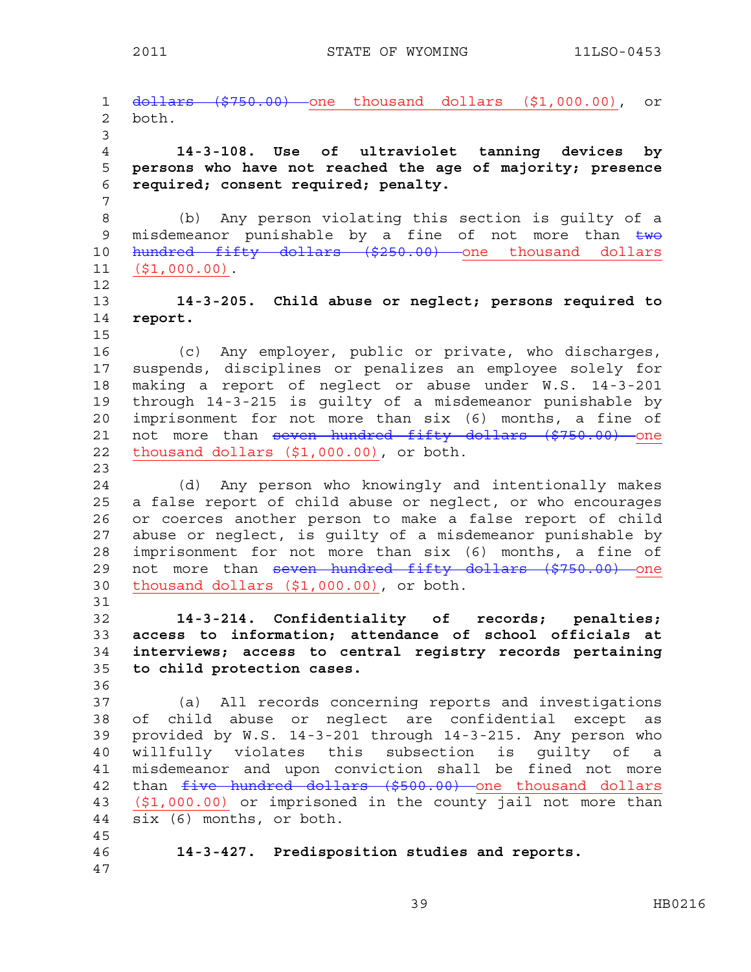2011 STATE OF WYOMING 11LSO-0453

1 dollars (\$750.00) one thousand dollars (\$1,000.00), or 2 both. 3 4 **14-3-108. Use of ultraviolet tanning devices by**  5 **persons who have not reached the age of majority; presence**  6 **required; consent required; penalty.**  7 8 (b) Any person violating this section is guilty of a 9 misdemeanor punishable by a fine of not more than  $\frac{1}{2}$ 10 hundred fifty dollars (\$250.00) one thousand dollars 11 (\$1,000.00). 12 13 **14-3-205. Child abuse or neglect; persons required to**  14 **report.**  15 16 (c) Any employer, public or private, who discharges, 17 suspends, disciplines or penalizes an employee solely for 18 making a report of neglect or abuse under W.S. 14-3-201 19 through 14-3-215 is guilty of a misdemeanor punishable by 20 imprisonment for not more than six (6) months, a fine of 21 not more than seven hundred fifty dollars (\$750.00) one 22 thousand dollars (\$1,000.00), or both. 23 24 (d) Any person who knowingly and intentionally makes 25 a false report of child abuse or neglect, or who encourages 26 or coerces another person to make a false report of child 27 abuse or neglect, is guilty of a misdemeanor punishable by 28 imprisonment for not more than six (6) months, a fine of 29 not more than seven hundred fifty dollars (\$750.00) one 30 thousand dollars (\$1,000.00), or both. 31 32 **14-3-214. Confidentiality of records; penalties;**  33 **access to information; attendance of school officials at**  34 **interviews; access to central registry records pertaining**  35 **to child protection cases.**  36 37 (a) All records concerning reports and investigations 38 of child abuse or neglect are confidential except as 39 provided by W.S. 14-3-201 through 14-3-215. Any person who 40 willfully violates this subsection is guilty of a 41 misdemeanor and upon conviction shall be fined not more 42 than *five hundred dollars (\$500.00)* one thousand dollars 43 (\$1,000.00) or imprisoned in the county jail not more than 44 six (6) months, or both. 45 46 **14-3-427. Predisposition studies and reports.**  47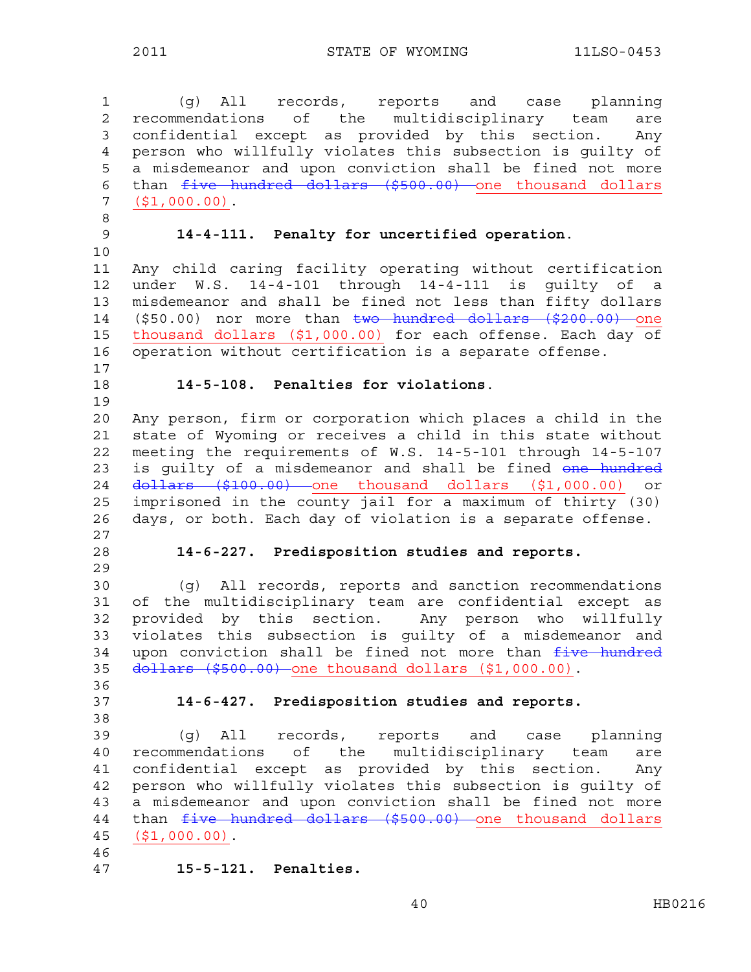1 (g) All records, reports and case planning 2 recommendations of the multidisciplinary team are 3 confidential except as provided by this section. Any 4 person who willfully violates this subsection is guilty of 5 a misdemeanor and upon conviction shall be fined not more 6 than five hundred dollars (\$500.00) one thousand dollars 7 (\$1,000.00). 8 9 **14-4-111. Penalty for uncertified operation**. 10 11 Any child caring facility operating without certification 12 under W.S. 14-4-101 through 14-4-111 is guilty of a 13 misdemeanor and shall be fined not less than fifty dollars 14 (\$50.00) nor more than two hundred dollars (\$200.00) one 15 thousand dollars (\$1,000.00) for each offense. Each day of 16 operation without certification is a separate offense. 17 18 **14-5-108. Penalties for violations**. 19 20 Any person, firm or corporation which places a child in the 21 state of Wyoming or receives a child in this state without 22 meeting the requirements of W.S. 14-5-101 through 14-5-107 23 is quilty of a misdemeanor and shall be fined one hundred 24 <del>dollars (\$100.00)</del> one thousand dollars (\$1,000.00) or 25 imprisoned in the county jail for a maximum of thirty (30) 26 days, or both. Each day of violation is a separate offense. 27 28 **14-6-227. Predisposition studies and reports.**  29 30 (g) All records, reports and sanction recommendations 31 of the multidisciplinary team are confidential except as 32 provided by this section. Any person who willfully 33 violates this subsection is guilty of a misdemeanor and 34 upon conviction shall be fined not more than  $f$ ive hundred 35 dollars (\$500.00) one thousand dollars (\$1,000.00). 36 37 **14-6-427. Predisposition studies and reports.**  38 39 (g) All records, reports and case planning 40 recommendations of the multidisciplinary team are 41 confidential except as provided by this section. Any 42 person who willfully violates this subsection is guilty of 43 a misdemeanor and upon conviction shall be fined not more 44 than  $five$  hundred dollars (\$500.00) one thousand dollars 45 (\$1,000.00). 46 47 **15-5-121. Penalties.**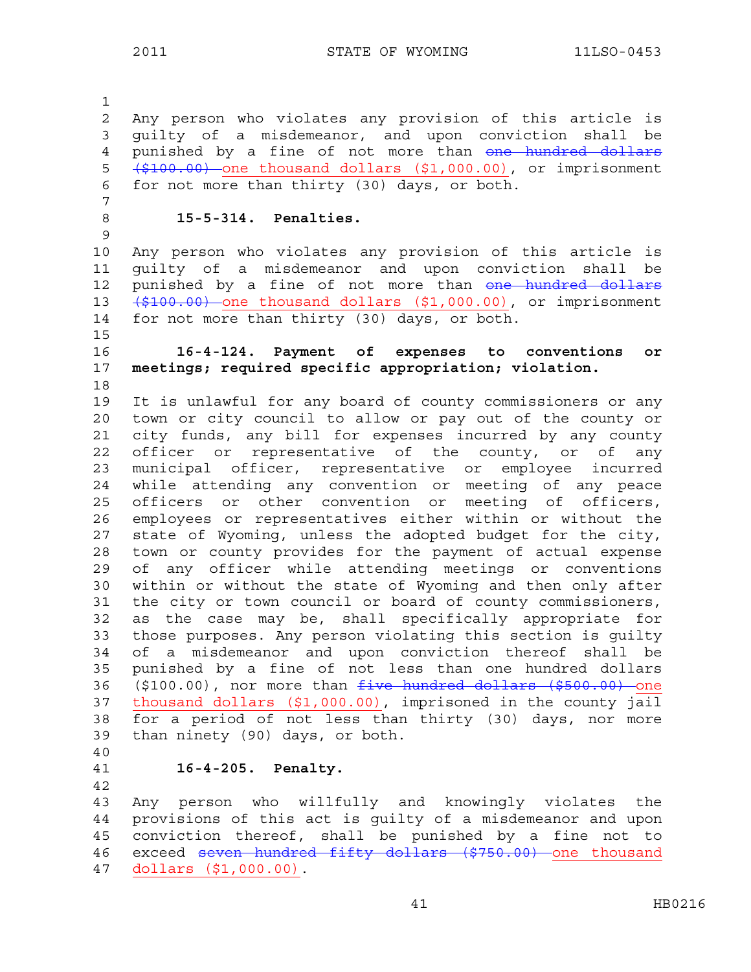1 2 Any person who violates any provision of this article is 3 guilty of a misdemeanor, and upon conviction shall be 4 punished by a fine of not more than one hundred dollars 5 (\$100.00) one thousand dollars (\$1,000.00), or imprisonment 6 for not more than thirty (30) days, or both. 7 8 **15-5-314. Penalties.**  9 10 Any person who violates any provision of this article is 11 guilty of a misdemeanor and upon conviction shall be 12 punished by a fine of not more than one hundred dollars 13 (\$100.00) one thousand dollars (\$1,000.00), or imprisonment 14 for not more than thirty (30) days, or both. 15 16 **16-4-124. Payment of expenses to conventions or**  17 **meetings; required specific appropriation; violation.**  18 19 It is unlawful for any board of county commissioners or any 20 town or city council to allow or pay out of the county or 21 city funds, any bill for expenses incurred by any county 22 officer or representative of the county, or of any 23 municipal officer, representative or employee incurred 24 while attending any convention or meeting of any peace 25 officers or other convention or meeting of officers, 26 employees or representatives either within or without the 27 state of Wyoming, unless the adopted budget for the city, 28 town or county provides for the payment of actual expense 29 of any officer while attending meetings or conventions 30 within or without the state of Wyoming and then only after 31 the city or town council or board of county commissioners, 32 as the case may be, shall specifically appropriate for 33 those purposes. Any person violating this section is guilty 34 of a misdemeanor and upon conviction thereof shall be 35 punished by a fine of not less than one hundred dollars 36 (\$100.00), nor more than five hundred dollars (\$500.00) one 37 thousand dollars (\$1,000.00), imprisoned in the county jail 38 for a period of not less than thirty (30) days, nor more 39 than ninety (90) days, or both. 40

42

41 **16-4-205. Penalty.** 

43 Any person who willfully and knowingly violates the 44 provisions of this act is guilty of a misdemeanor and upon 45 conviction thereof, shall be punished by a fine not to 46 exceed seven hundred fifty dollars (\$750.00) one thousand 47 dollars (\$1,000.00).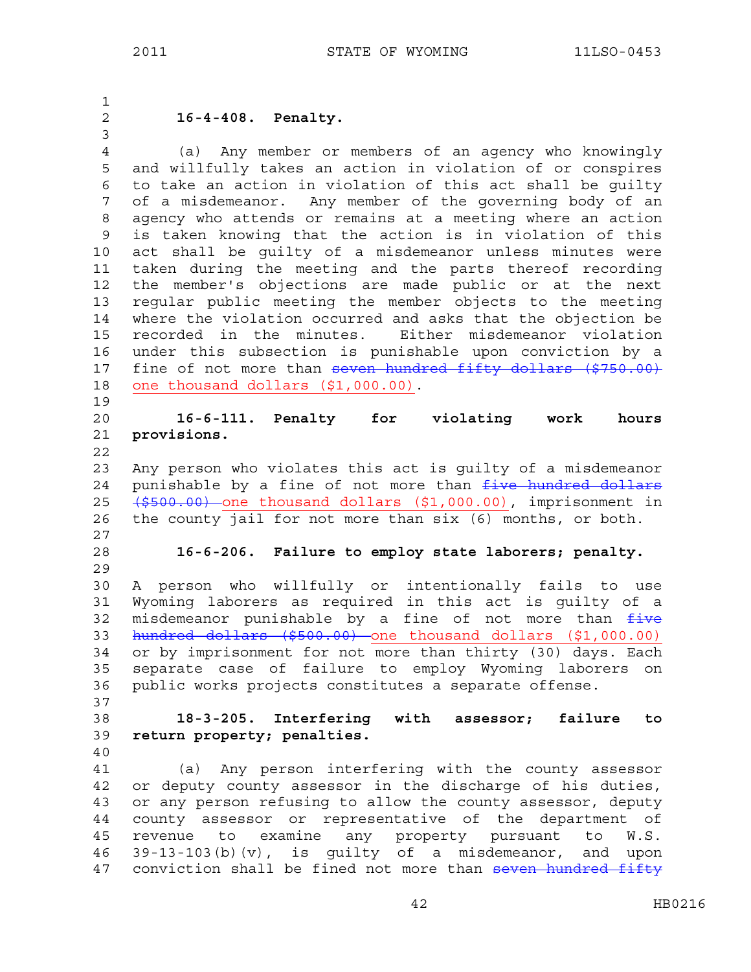1 2 **16-4-408. Penalty.**  3 4 (a) Any member or members of an agency who knowingly 5 and willfully takes an action in violation of or conspires 6 to take an action in violation of this act shall be guilty 7 of a misdemeanor. Any member of the governing body of an 8 agency who attends or remains at a meeting where an action 9 is taken knowing that the action is in violation of this 10 act shall be guilty of a misdemeanor unless minutes were 11 taken during the meeting and the parts thereof recording 12 the member's objections are made public or at the next 13 regular public meeting the member objects to the meeting 14 where the violation occurred and asks that the objection be 15 recorded in the minutes. Either misdemeanor violation 16 under this subsection is punishable upon conviction by a 17 fine of not more than seven hundred fifty dollars (\$750.00) 18 one thousand dollars (\$1,000.00). 19 20 **16-6-111. Penalty for violating work hours**  21 **provisions.**  22 23 Any person who violates this act is guilty of a misdemeanor 24 punishable by a fine of not more than *five hundred dollars* 25 (\$500.00) one thousand dollars (\$1,000.00), imprisonment in 26 the county jail for not more than six (6) months, or both. 27 28 **16-6-206. Failure to employ state laborers; penalty.**  29 30 A person who willfully or intentionally fails to use 31 Wyoming laborers as required in this act is guilty of a 32 misdemeanor punishable by a fine of not more than five 33 hundred dollars (\$500.00) one thousand dollars (\$1,000.00) 34 or by imprisonment for not more than thirty (30) days. Each 35 separate case of failure to employ Wyoming laborers on 36 public works projects constitutes a separate offense. 37 38 **18-3-205. Interfering with assessor; failure to**  39 **return property; penalties.**  40 41 (a) Any person interfering with the county assessor 42 or deputy county assessor in the discharge of his duties, 43 or any person refusing to allow the county assessor, deputy 44 county assessor or representative of the department of 45 revenue to examine any property pursuant to W.S. 46 39-13-103(b)(v), is guilty of a misdemeanor, and upon 47 conviction shall be fined not more than seven hundred fifty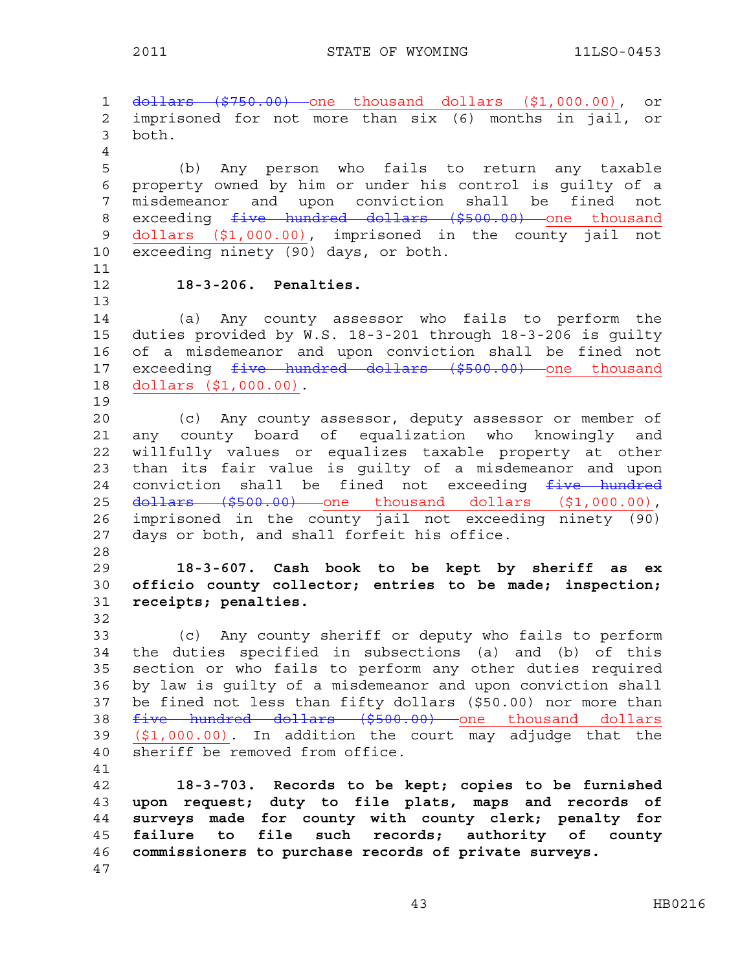1 <del>dollars (\$750.00)</del> one thousand dollars (\$1,000.00), or 2 imprisoned for not more than six (6) months in jail, or 3 both. 4 5 (b) Any person who fails to return any taxable 6 property owned by him or under his control is guilty of a 7 misdemeanor and upon conviction shall be fined not 8 exceeding five hundred dollars (\$500.00) one thousand 9 dollars (\$1,000.00), imprisoned in the county jail not 10 exceeding ninety (90) days, or both. 11 12 **18-3-206. Penalties.**  13 14 (a) Any county assessor who fails to perform the 15 duties provided by W.S. 18-3-201 through 18-3-206 is guilty 16 of a misdemeanor and upon conviction shall be fined not 17 exceeding five hundred dollars (\$500.00) one thousand 18 dollars (\$1,000.00). 19 20 (c) Any county assessor, deputy assessor or member of 21 any county board of equalization who knowingly and 22 willfully values or equalizes taxable property at other 23 than its fair value is guilty of a misdemeanor and upon 24 conviction shall be fined not exceeding  $f$ ive hundred 25 <del>dollars (\$500.00)</del> one thousand dollars (\$1,000.00), 26 imprisoned in the county jail not exceeding ninety (90) 27 days or both, and shall forfeit his office. 28 29 **18-3-607. Cash book to be kept by sheriff as ex**  30 **officio county collector; entries to be made; inspection;**  31 **receipts; penalties.**  32 33 (c) Any county sheriff or deputy who fails to perform 34 the duties specified in subsections (a) and (b) of this 35 section or who fails to perform any other duties required 36 by law is guilty of a misdemeanor and upon conviction shall 37 be fined not less than fifty dollars (\$50.00) nor more than 38 five hundred dollars (\$500.00) one thousand dollars 39 (\$1,000.00). In addition the court may adjudge that the 40 sheriff be removed from office. 41 42 **18-3-703. Records to be kept; copies to be furnished**  43 **upon request; duty to file plats, maps and records of**  44 **surveys made for county with county clerk; penalty for**  45 **failure to file such records; authority of county**  46 **commissioners to purchase records of private surveys.** 

47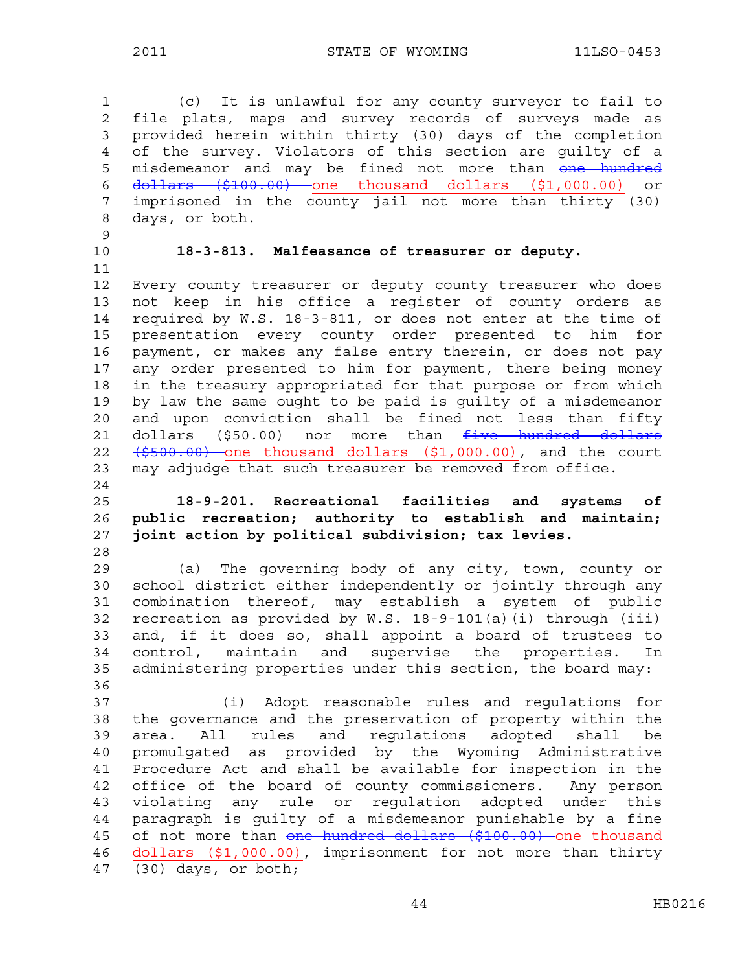2011 STATE OF WYOMING 11LSO-0453

1 (c) It is unlawful for any county surveyor to fail to 2 file plats, maps and survey records of surveys made as 3 provided herein within thirty (30) days of the completion 4 of the survey. Violators of this section are guilty of a 5 misdemeanor and may be fined not more than one hundred 6 dollars (\$100.00) one thousand dollars (\$1,000.00) or 7 imprisoned in the county jail not more than thirty (30) 8 days, or both. 9 10 **18-3-813. Malfeasance of treasurer or deputy.**  11 12 Every county treasurer or deputy county treasurer who does 13 not keep in his office a register of county orders as 14 required by W.S. 18-3-811, or does not enter at the time of 15 presentation every county order presented to him for 16 payment, or makes any false entry therein, or does not pay 17 any order presented to him for payment, there being money 18 in the treasury appropriated for that purpose or from which 19 by law the same ought to be paid is guilty of a misdemeanor 20 and upon conviction shall be fined not less than fifty 21 dollars (\$50.00) nor more than five hundred dollars 22  $(\frac{2500.00}{\pi})$  one thousand dollars  $(\frac{21}{\pi}, 000.00)$ , and the court 23 may adjudge that such treasurer be removed from office. 24 25 **18-9-201. Recreational facilities and systems of**  26 **public recreation; authority to establish and maintain;**  27 **joint action by political subdivision; tax levies.**  28 29 (a) The governing body of any city, town, county or 30 school district either independently or jointly through any 31 combination thereof, may establish a system of public 32 recreation as provided by W.S. 18-9-101(a)(i) through (iii) 33 and, if it does so, shall appoint a board of trustees to 34 control, maintain and supervise the properties. In 35 administering properties under this section, the board may: 36 37 (i) Adopt reasonable rules and regulations for 38 the governance and the preservation of property within the 39 area. All rules and regulations adopted shall be 40 promulgated as provided by the Wyoming Administrative 41 Procedure Act and shall be available for inspection in the 42 office of the board of county commissioners. Any person 43 violating any rule or regulation adopted under this 44 paragraph is guilty of a misdemeanor punishable by a fine 45 of not more than one hundred dollars (\$100.00) one thousand 46 dollars (\$1,000.00), imprisonment for not more than thirty 47 (30) days, or both;

44 HB0216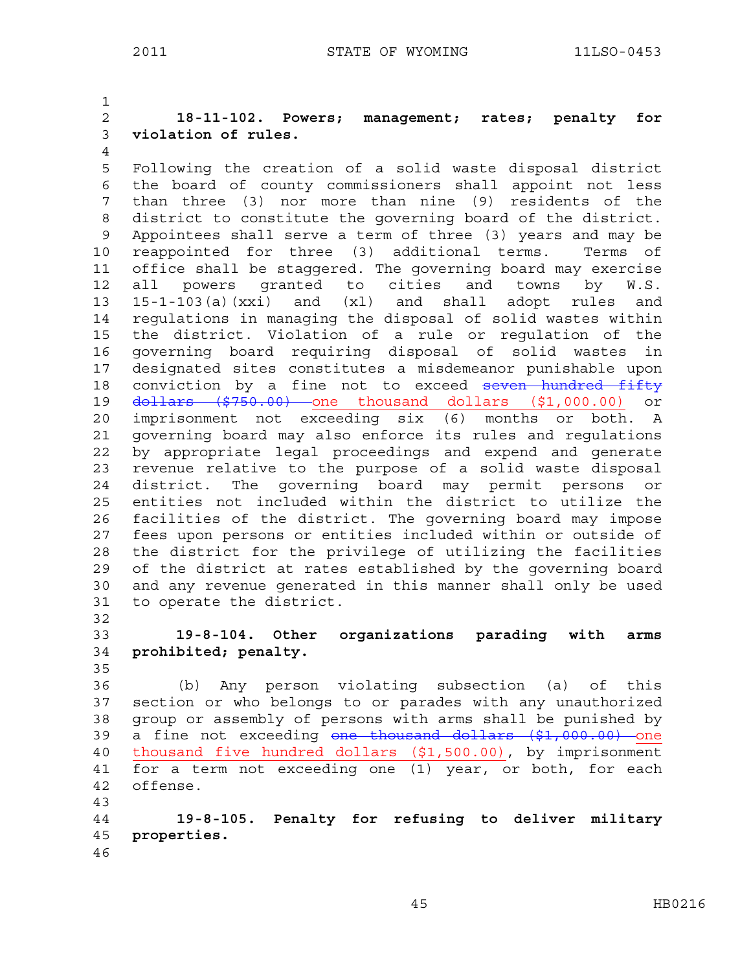1 2 **18-11-102. Powers; management; rates; penalty for**  3 **violation of rules.**  4 5 Following the creation of a solid waste disposal district 6 the board of county commissioners shall appoint not less 7 than three (3) nor more than nine (9) residents of the 8 district to constitute the governing board of the district. 9 Appointees shall serve a term of three (3) years and may be 10 reappointed for three (3) additional terms. Terms of 11 office shall be staggered. The governing board may exercise 12 all powers granted to cities and towns by W.S. 13 15-1-103(a)(xxi) and (xl) and shall adopt rules and 14 regulations in managing the disposal of solid wastes within 15 the district. Violation of a rule or regulation of the 16 governing board requiring disposal of solid wastes in 17 designated sites constitutes a misdemeanor punishable upon 18 conviction by a fine not to exceed seven hundred fifty 19 <del>dollars (\$750.00)</del> one thousand dollars (\$1,000.00) or 20 imprisonment not exceeding six (6) months or both. A 21 governing board may also enforce its rules and regulations 22 by appropriate legal proceedings and expend and generate 23 revenue relative to the purpose of a solid waste disposal 24 district. The governing board may permit persons or 25 entities not included within the district to utilize the 26 facilities of the district. The governing board may impose 27 fees upon persons or entities included within or outside of 28 the district for the privilege of utilizing the facilities 29 of the district at rates established by the governing board 30 and any revenue generated in this manner shall only be used 31 to operate the district. 32 33 **19-8-104. Other organizations parading with arms** 

34 **prohibited; penalty.**  35

36 (b) Any person violating subsection (a) of this 37 section or who belongs to or parades with any unauthorized 38 group or assembly of persons with arms shall be punished by 39 a fine not exceeding one thousand dollars (\$1,000.00) one 40 thousand five hundred dollars (\$1,500.00), by imprisonment 41 for a term not exceeding one (1) year, or both, for each 42 offense. 43

44 **19-8-105. Penalty for refusing to deliver military**  45 **properties.**  46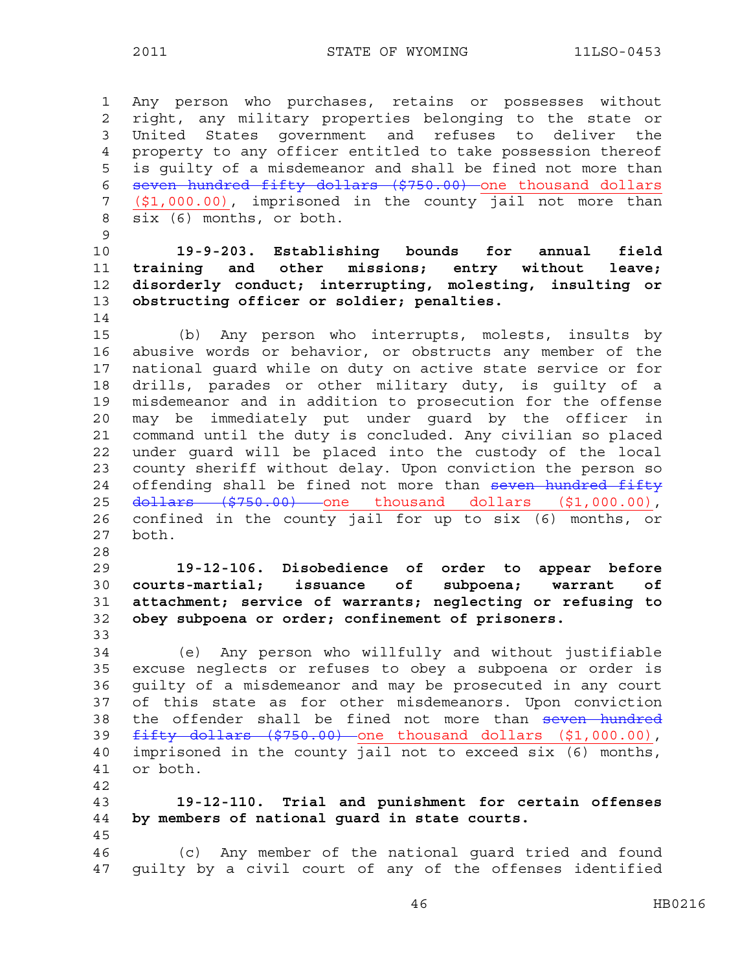1 Any person who purchases, retains or possesses without 2 right, any military properties belonging to the state or 3 United States government and refuses to deliver the 4 property to any officer entitled to take possession thereof 5 is guilty of a misdemeanor and shall be fined not more than 6 seven hundred fifty dollars (\$750.00) one thousand dollars 7 (\$1,000.00), imprisoned in the county jail not more than 8 six (6) months, or both. 9

**19-9-203. Establishing bounds for annual field training and other missions; entry without leave; disorderly conduct; interrupting, molesting, insulting or obstructing officer or soldier; penalties.** 

15 (b) Any person who interrupts, molests, insults by 16 abusive words or behavior, or obstructs any member of the 17 national guard while on duty on active state service or for 18 drills, parades or other military duty, is guilty of a 19 misdemeanor and in addition to prosecution for the offense 20 may be immediately put under guard by the officer in 21 command until the duty is concluded. Any civilian so placed 22 under guard will be placed into the custody of the local 23 county sheriff without delay. Upon conviction the person so 24 offending shall be fined not more than seven hundred fifty 25 dollars (\$750.00) one thousand dollars (\$1,000.00), 26 confined in the county jail for up to six (6) months, or 27 both.

**19-12-106. Disobedience of order to appear before courts-martial; issuance of subpoena; warrant of attachment; service of warrants; neglecting or refusing to obey subpoena or order; confinement of prisoners.** 

34 (e) Any person who willfully and without justifiable 35 excuse neglects or refuses to obey a subpoena or order is 36 guilty of a misdemeanor and may be prosecuted in any court 37 of this state as for other misdemeanors. Upon conviction 38 the offender shall be fined not more than seven hundred 39 fifty dollars (\$750.00) one thousand dollars (\$1,000.00), 40 imprisoned in the county jail not to exceed six (6) months, 41 or both.

42 43 **19-12-110. Trial and punishment for certain offenses**  44 **by members of national guard in state courts.**  45 46 (c) Any member of the national guard tried and found 47 guilty by a civil court of any of the offenses identified

14

28

33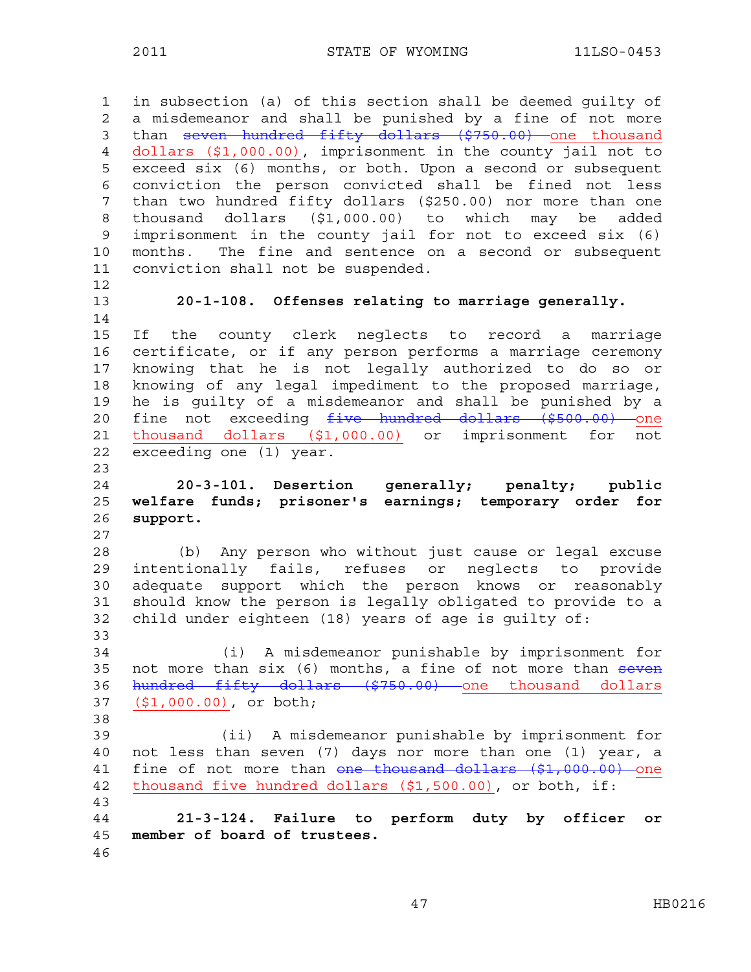1 in subsection (a) of this section shall be deemed guilty of 2 a misdemeanor and shall be punished by a fine of not more 3 than seven hundred fifty dollars (\$750.00) one thousand 4 dollars (\$1,000.00), imprisonment in the county jail not to 5 exceed six (6) months, or both. Upon a second or subsequent 6 conviction the person convicted shall be fined not less 7 than two hundred fifty dollars (\$250.00) nor more than one 8 thousand dollars (\$1,000.00) to which may be added 9 imprisonment in the county jail for not to exceed six (6) 10 months. The fine and sentence on a second or subsequent 11 conviction shall not be suspended. 12 13 **20-1-108. Offenses relating to marriage generally.**  14 15 If the county clerk neglects to record a marriage 16 certificate, or if any person performs a marriage ceremony 17 knowing that he is not legally authorized to do so or 18 knowing of any legal impediment to the proposed marriage, 19 he is guilty of a misdemeanor and shall be punished by a 20 fine not exceeding five hundred dollars (\$500.00) one 21 thousand dollars (\$1,000.00) or imprisonment for not 22 exceeding one (1) year. 23 24 **20-3-101. Desertion generally; penalty; public**  25 **welfare funds; prisoner's earnings; temporary order for**  26 **support.**  27 28 (b) Any person who without just cause or legal excuse 29 intentionally fails, refuses or neglects to provide 30 adequate support which the person knows or reasonably 31 should know the person is legally obligated to provide to a 32 child under eighteen (18) years of age is guilty of: 33 34 (i) A misdemeanor punishable by imprisonment for 35 not more than six (6) months, a fine of not more than seven 36 hundred fifty dollars (\$750.00) one thousand dollars 37 (\$1,000.00), or both; 38 39 (ii) A misdemeanor punishable by imprisonment for 40 not less than seven (7) days nor more than one (1) year, a 41 fine of not more than one thousand dollars (\$1,000.00) one 42 thousand five hundred dollars (\$1,500.00), or both, if: 43 44 **21-3-124. Failure to perform duty by officer or**  45 **member of board of trustees.**  46

47 HB0216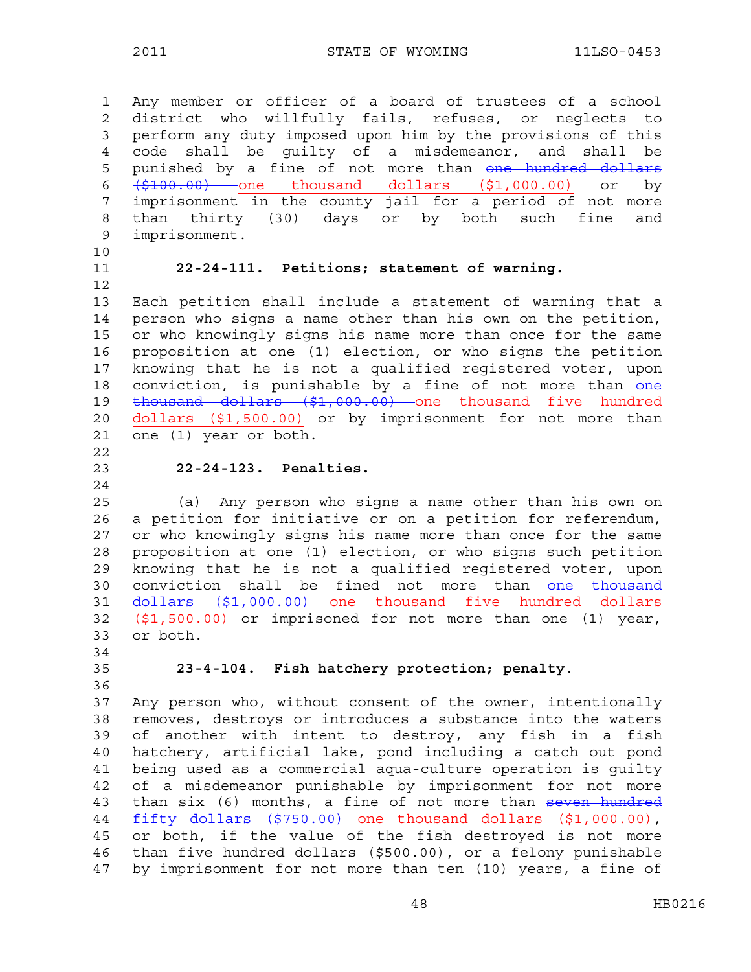1 Any member or officer of a board of trustees of a school 2 district who willfully fails, refuses, or neglects to 3 perform any duty imposed upon him by the provisions of this 4 code shall be guilty of a misdemeanor, and shall be 5 punished by a fine of not more than one hundred dollars 6 (\$100.00) one thousand dollars (\$1,000.00) or by 7 imprisonment in the county jail for a period of not more 8 than thirty (30) days or by both such fine and 9 imprisonment.

- 10
- 12

#### 11 **22-24-111. Petitions; statement of warning.**

13 Each petition shall include a statement of warning that a 14 person who signs a name other than his own on the petition, 15 or who knowingly signs his name more than once for the same 16 proposition at one (1) election, or who signs the petition 17 knowing that he is not a qualified registered voter, upon 18 conviction, is punishable by a fine of not more than one 19 thousand dollars (\$1,000.00) one thousand five hundred 20 dollars (\$1,500.00) or by imprisonment for not more than 21 one (1) year or both.

22

#### 23 **22-24-123. Penalties.**

24

25 (a) Any person who signs a name other than his own on 26 a petition for initiative or on a petition for referendum, 27 or who knowingly signs his name more than once for the same 28 proposition at one (1) election, or who signs such petition 29 knowing that he is not a qualified registered voter, upon 30 conviction shall be fined not more than one thousand 31 <del>dollars (\$1,000.00)</del> one thousand five hundred dollars 32 (\$1,500.00) or imprisoned for not more than one (1) year, 33 or both.

34

36

### 35 **23-4-104. Fish hatchery protection; penalty**.

37 Any person who, without consent of the owner, intentionally 38 removes, destroys or introduces a substance into the waters 39 of another with intent to destroy, any fish in a fish 40 hatchery, artificial lake, pond including a catch out pond 41 being used as a commercial aqua-culture operation is guilty 42 of a misdemeanor punishable by imprisonment for not more 43 than six (6) months, a fine of not more than seven hundred 44 fifty dollars (\$750.00) one thousand dollars (\$1,000.00), 45 or both, if the value of the fish destroyed is not more 46 than five hundred dollars (\$500.00), or a felony punishable 47 by imprisonment for not more than ten (10) years, a fine of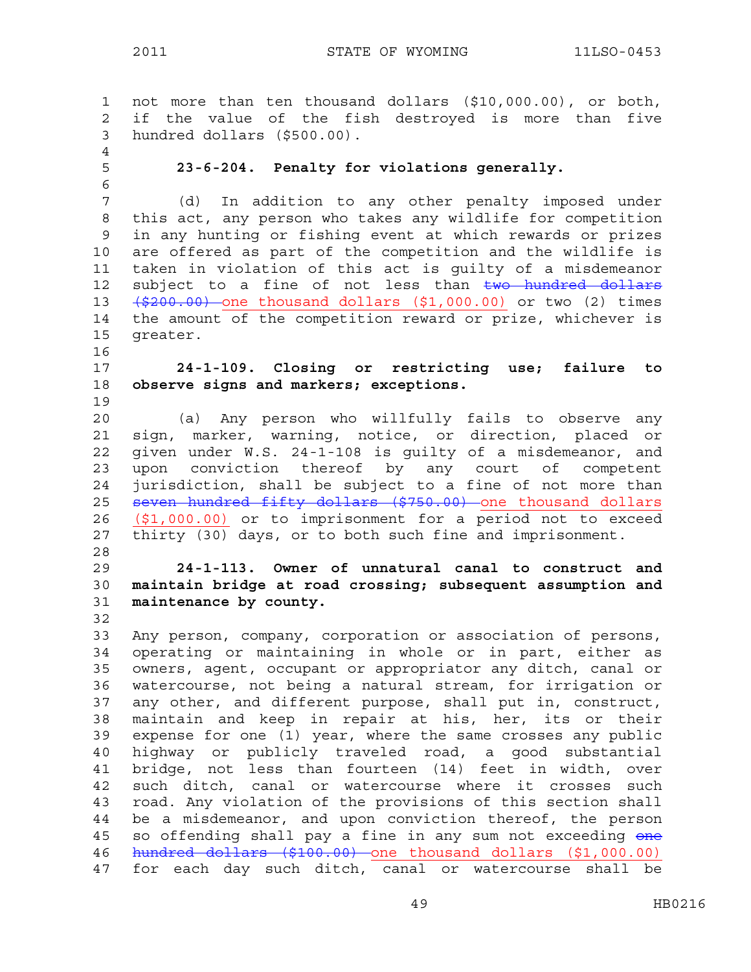1 not more than ten thousand dollars (\$10,000.00), or both, 2 if the value of the fish destroyed is more than five 3 hundred dollars (\$500.00). 4 5 **23-6-204. Penalty for violations generally.**  6 7 (d) In addition to any other penalty imposed under 8 this act, any person who takes any wildlife for competition 9 in any hunting or fishing event at which rewards or prizes 10 are offered as part of the competition and the wildlife is 11 taken in violation of this act is guilty of a misdemeanor 12 subject to a fine of not less than two hundred dollars 13  $(\frac{200.00}{\sqrt{200.00}})$  one thousand dollars  $(\frac{21}{\sqrt{00.00}})$  or two  $(2)$  times 14 the amount of the competition reward or prize, whichever is 15 greater. 16 17 **24-1-109. Closing or restricting use; failure to**  18 **observe signs and markers; exceptions.**  19 20 (a) Any person who willfully fails to observe any 21 sign, marker, warning, notice, or direction, placed or 22 given under W.S. 24-1-108 is guilty of a misdemeanor, and 23 upon conviction thereof by any court of competent 24 jurisdiction, shall be subject to a fine of not more than 25 seven hundred fifty dollars (\$750.00) one thousand dollars 26 (\$1,000.00) or to imprisonment for a period not to exceed 27 thirty (30) days, or to both such fine and imprisonment. 28 29 **24-1-113. Owner of unnatural canal to construct and**  30 **maintain bridge at road crossing; subsequent assumption and**  31 **maintenance by county.**  32 33 Any person, company, corporation or association of persons, 34 operating or maintaining in whole or in part, either as 35 owners, agent, occupant or appropriator any ditch, canal or 36 watercourse, not being a natural stream, for irrigation or 37 any other, and different purpose, shall put in, construct, 38 maintain and keep in repair at his, her, its or their 39 expense for one (1) year, where the same crosses any public 40 highway or publicly traveled road, a good substantial 41 bridge, not less than fourteen (14) feet in width, over 42 such ditch, canal or watercourse where it crosses such 43 road. Any violation of the provisions of this section shall 44 be a misdemeanor, and upon conviction thereof, the person 45 so offending shall pay a fine in any sum not exceeding one 46 hundred dollars (\$100.00) one thousand dollars (\$1,000.00) 47 for each day such ditch, canal or watercourse shall be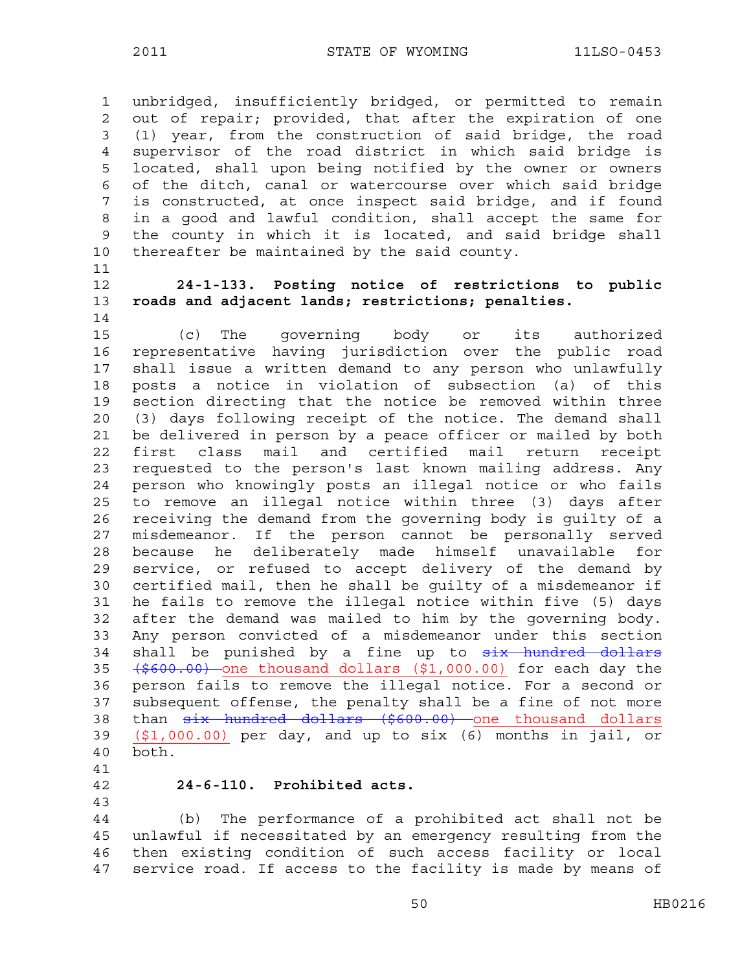1 unbridged, insufficiently bridged, or permitted to remain 2 out of repair; provided, that after the expiration of one 3 (1) year, from the construction of said bridge, the road 4 supervisor of the road district in which said bridge is 5 located, shall upon being notified by the owner or owners 6 of the ditch, canal or watercourse over which said bridge 7 is constructed, at once inspect said bridge, and if found 8 in a good and lawful condition, shall accept the same for 9 the county in which it is located, and said bridge shall 10 thereafter be maintained by the said county.

11

14

# 12 **24-1-133. Posting notice of restrictions to public**  13 **roads and adjacent lands; restrictions; penalties.**

15 (c) The governing body or its authorized 16 representative having jurisdiction over the public road 17 shall issue a written demand to any person who unlawfully 18 posts a notice in violation of subsection (a) of this 19 section directing that the notice be removed within three 20 (3) days following receipt of the notice. The demand shall 21 be delivered in person by a peace officer or mailed by both 22 first class mail and certified mail return receipt 23 requested to the person's last known mailing address. Any 24 person who knowingly posts an illegal notice or who fails 25 to remove an illegal notice within three (3) days after 26 receiving the demand from the governing body is guilty of a 27 misdemeanor. If the person cannot be personally served 28 because he deliberately made himself unavailable for 29 service, or refused to accept delivery of the demand by 30 certified mail, then he shall be guilty of a misdemeanor if 31 he fails to remove the illegal notice within five (5) days 32 after the demand was mailed to him by the governing body. 33 Any person convicted of a misdemeanor under this section 34 shall be punished by a fine up to six hundred dollars 35 (\$600.00) one thousand dollars (\$1,000.00) for each day the 36 person fails to remove the illegal notice. For a second or 37 subsequent offense, the penalty shall be a fine of not more 38 than six hundred dollars (\$600.00) one thousand dollars 39 (\$1,000.00) per day, and up to six (6) months in jail, or 40 both.

- 41
- 

#### 42 **24-6-110. Prohibited acts.**

43

44 (b) The performance of a prohibited act shall not be 45 unlawful if necessitated by an emergency resulting from the 46 then existing condition of such access facility or local 47 service road. If access to the facility is made by means of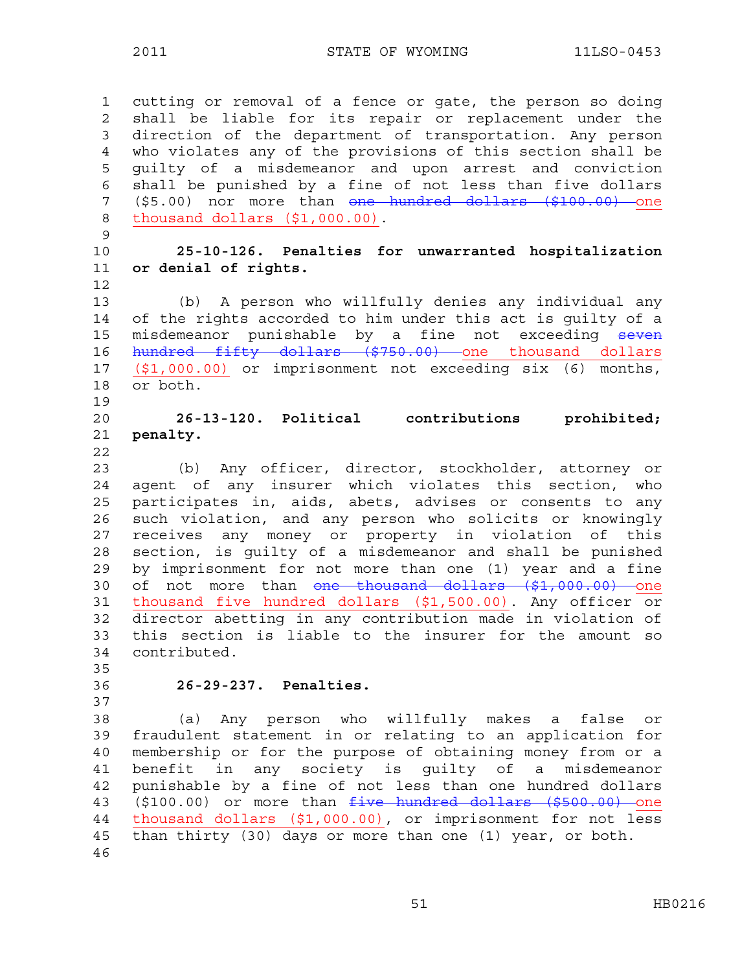1 cutting or removal of a fence or gate, the person so doing 2 shall be liable for its repair or replacement under the 3 direction of the department of transportation. Any person 4 who violates any of the provisions of this section shall be 5 guilty of a misdemeanor and upon arrest and conviction 6 shall be punished by a fine of not less than five dollars 7 (\$5.00) nor more than one hundred dollars (\$100.00) one 8 thousand dollars (\$1,000.00). 9 10 **25-10-126. Penalties for unwarranted hospitalization**  11 **or denial of rights.**  12 13 (b) A person who willfully denies any individual any 14 of the rights accorded to him under this act is guilty of a 15 misdemeanor punishable by a fine not exceeding seven 16 hundred fifty dollars (\$750.00) one thousand dollars 17 (\$1,000.00) or imprisonment not exceeding six (6) months, 18 or both. 19 20 **26-13-120. Political contributions prohibited;**  21 **penalty.**  22 23 (b) Any officer, director, stockholder, attorney or 24 agent of any insurer which violates this section, who 25 participates in, aids, abets, advises or consents to any 26 such violation, and any person who solicits or knowingly 27 receives any money or property in violation of this 28 section, is guilty of a misdemeanor and shall be punished 29 by imprisonment for not more than one (1) year and a fine 30 of not more than one thousand dollars (\$1,000.00) one 31 thousand five hundred dollars (\$1,500.00). Any officer or 32 director abetting in any contribution made in violation of 33 this section is liable to the insurer for the amount so 34 contributed. 35 36 **26-29-237. Penalties.**  37 38 (a) Any person who willfully makes a false or 39 fraudulent statement in or relating to an application for 40 membership or for the purpose of obtaining money from or a 41 benefit in any society is guilty of a misdemeanor 42 punishable by a fine of not less than one hundred dollars 43 (\$100.00) or more than five hundred dollars (\$500.00) one 44 thousand dollars (\$1,000.00), or imprisonment for not less 45 than thirty (30) days or more than one (1) year, or both. 46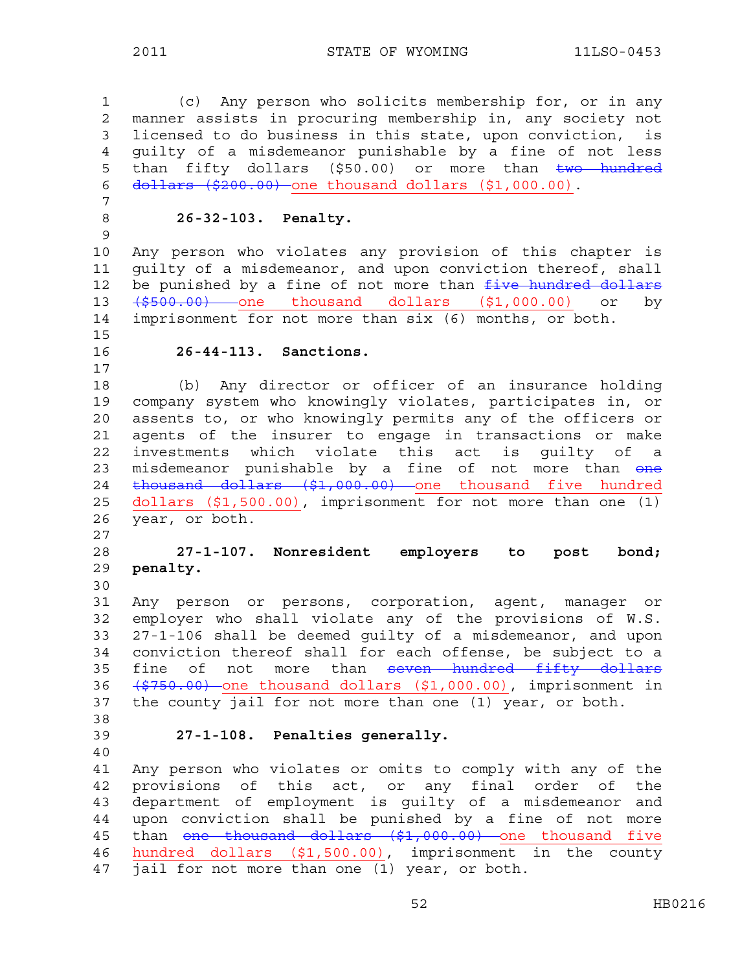1 (c) Any person who solicits membership for, or in any 2 manner assists in procuring membership in, any society not 3 licensed to do business in this state, upon conviction, is 4 guilty of a misdemeanor punishable by a fine of not less 5 than fifty dollars (\$50.00) or more than two hundred 6 dollars (\$200.00) one thousand dollars (\$1,000.00). 7 8 **26-32-103. Penalty.**  9 10 Any person who violates any provision of this chapter is 11 guilty of a misdemeanor, and upon conviction thereof, shall 12 be punished by a fine of not more than  $f$ ive hundred dollars 13  $\left(\frac{2500.00}{7}\right)$  one thousand dollars (\$1,000.00) or by 14 imprisonment for not more than six (6) months, or both. 15 16 **26-44-113. Sanctions.**  17 18 (b) Any director or officer of an insurance holding 19 company system who knowingly violates, participates in, or 20 assents to, or who knowingly permits any of the officers or 21 agents of the insurer to engage in transactions or make 22 investments which violate this act is guilty of a 23 misdemeanor punishable by a fine of not more than one 24 thousand dollars (\$1,000.00) one thousand five hundred 25 dollars (\$1,500.00), imprisonment for not more than one (1) 26 year, or both. 27 28 **27-1-107. Nonresident employers to post bond;**  29 **penalty.** 30 31 Any person or persons, corporation, agent, manager or 32 employer who shall violate any of the provisions of W.S. 33 27-1-106 shall be deemed guilty of a misdemeanor, and upon 34 conviction thereof shall for each offense, be subject to a 35 fine of not more than seven hundred fifty dollars 36 (\$750.00) one thousand dollars (\$1,000.00), imprisonment in 37 the county jail for not more than one (1) year, or both. 38 39 **27-1-108. Penalties generally.**  40 41 Any person who violates or omits to comply with any of the 42 provisions of this act, or any final order of the 43 department of employment is guilty of a misdemeanor and 44 upon conviction shall be punished by a fine of not more 45 than one thousand dollars (\$1,000.00) one thousand five 46 hundred dollars (\$1,500.00), imprisonment in the county 47 jail for not more than one  $(1)$  year, or both.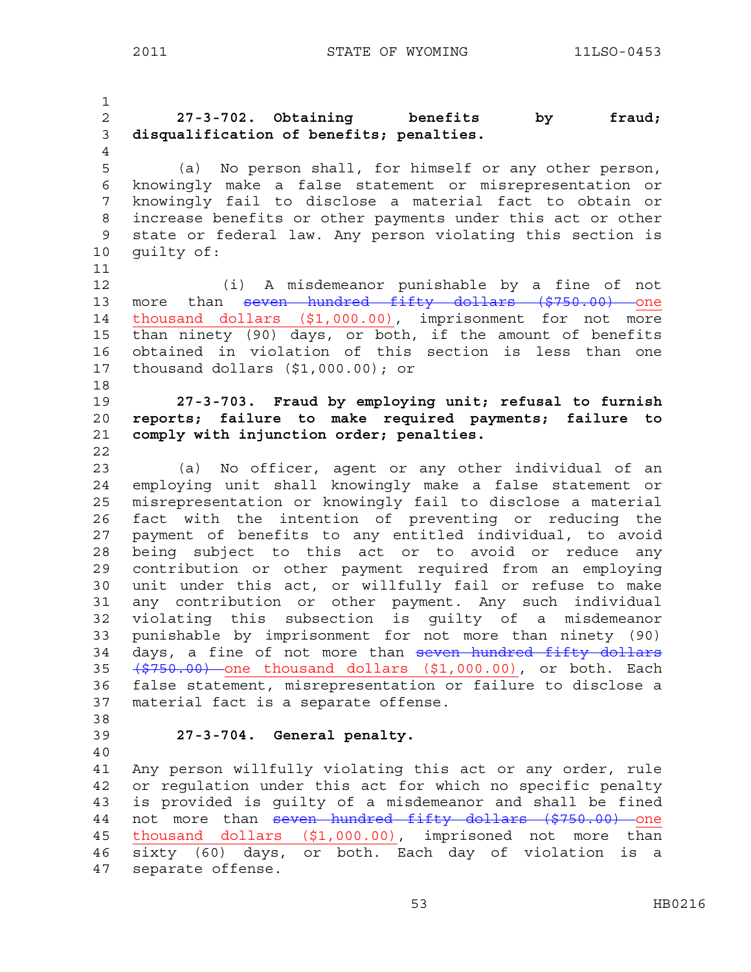1 2 **27-3-702. Obtaining benefits by fraud;**  3 **disqualification of benefits; penalties.**  4 5 (a) No person shall, for himself or any other person, 6 knowingly make a false statement or misrepresentation or 7 knowingly fail to disclose a material fact to obtain or 8 increase benefits or other payments under this act or other 9 state or federal law. Any person violating this section is 10 guilty of: 11 12 (i) A misdemeanor punishable by a fine of not 13 more than seven hundred fifty dollars (\$750.00) one 14 thousand dollars (\$1,000.00), imprisonment for not more 15 than ninety (90) days, or both, if the amount of benefits 16 obtained in violation of this section is less than one 17 thousand dollars (\$1,000.00); or 18 19 **27-3-703. Fraud by employing unit; refusal to furnish**  20 **reports; failure to make required payments; failure to**  21 **comply with injunction order; penalties.**  22 23 (a) No officer, agent or any other individual of an 24 employing unit shall knowingly make a false statement or 25 misrepresentation or knowingly fail to disclose a material 26 fact with the intention of preventing or reducing the 27 payment of benefits to any entitled individual, to avoid 28 being subject to this act or to avoid or reduce any 29 contribution or other payment required from an employing 30 unit under this act, or willfully fail or refuse to make 31 any contribution or other payment. Any such individual 32 violating this subsection is guilty of a misdemeanor 33 punishable by imprisonment for not more than ninety (90) 34 days, a fine of not more than seven hundred fifty dollars 35 (\$750.00) one thousand dollars (\$1,000.00), or both. Each 36 false statement, misrepresentation or failure to disclose a 37 material fact is a separate offense. 38 39 **27-3-704. General penalty.** 40 41 Any person willfully violating this act or any order, rule 42 or regulation under this act for which no specific penalty 43 is provided is guilty of a misdemeanor and shall be fined 44 not more than seven hundred fifty dollars (\$750.00) one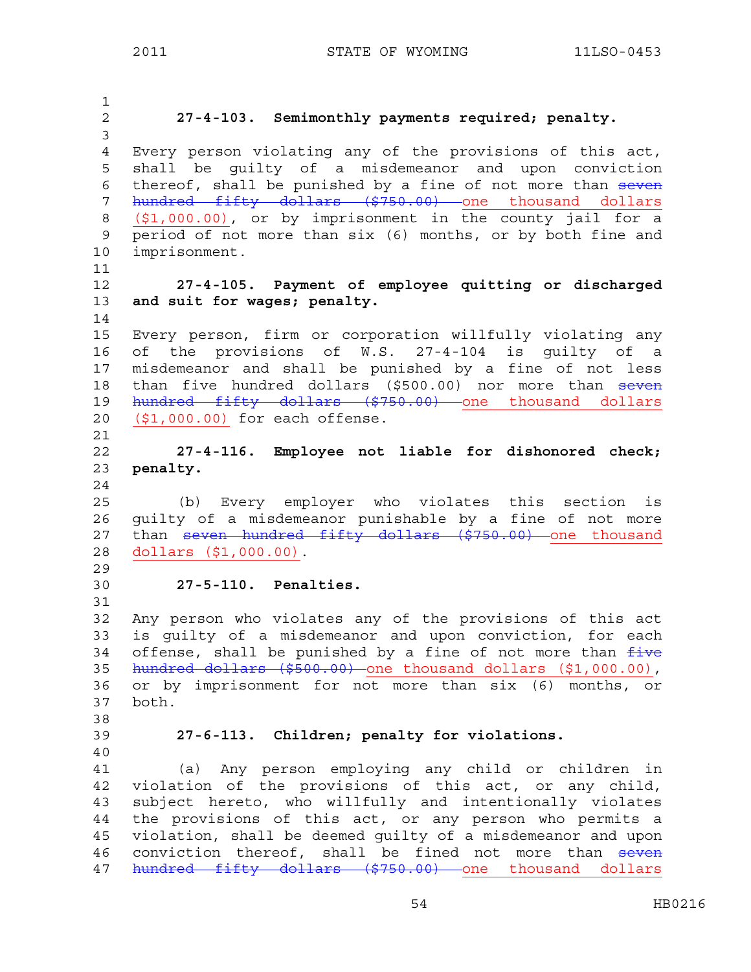1 2 **27-4-103. Semimonthly payments required; penalty.**  3 4 Every person violating any of the provisions of this act, 5 shall be guilty of a misdemeanor and upon conviction 6 thereof, shall be punished by a fine of not more than seven 7 hundred fifty dollars (\$750.00) one thousand dollars 8 (\$1,000.00), or by imprisonment in the county jail for a 9 period of not more than six (6) months, or by both fine and 10 imprisonment. 11 12 **27-4-105. Payment of employee quitting or discharged**  13 **and suit for wages; penalty.** 14 15 Every person, firm or corporation willfully violating any 16 of the provisions of W.S. 27-4-104 is guilty of a 17 misdemeanor and shall be punished by a fine of not less 18 than five hundred dollars (\$500.00) nor more than seven 19 hundred fifty dollars (\$750.00) one thousand dollars 20 (\$1,000.00) for each offense. 21 22 **27-4-116. Employee not liable for dishonored check;**  23 **penalty.**  24 25 (b) Every employer who violates this section is 26 guilty of a misdemeanor punishable by a fine of not more 27 than seven hundred fifty dollars (\$750.00) one thousand 28 dollars (\$1,000.00). 29 30 **27-5-110. Penalties.** 31 32 Any person who violates any of the provisions of this act 33 is guilty of a misdemeanor and upon conviction, for each 34 offense, shall be punished by a fine of not more than  $f$ ive 35 hundred dollars (\$500.00) one thousand dollars (\$1,000.00), 36 or by imprisonment for not more than six (6) months, or 37 both. 38 39 **27-6-113. Children; penalty for violations.** 40 41 (a) Any person employing any child or children in 42 violation of the provisions of this act, or any child, 43 subject hereto, who willfully and intentionally violates 44 the provisions of this act, or any person who permits a 45 violation, shall be deemed guilty of a misdemeanor and upon 46 conviction thereof, shall be fined not more than seven 47 hundred fifty dollars (\$750.00) one thousand dollars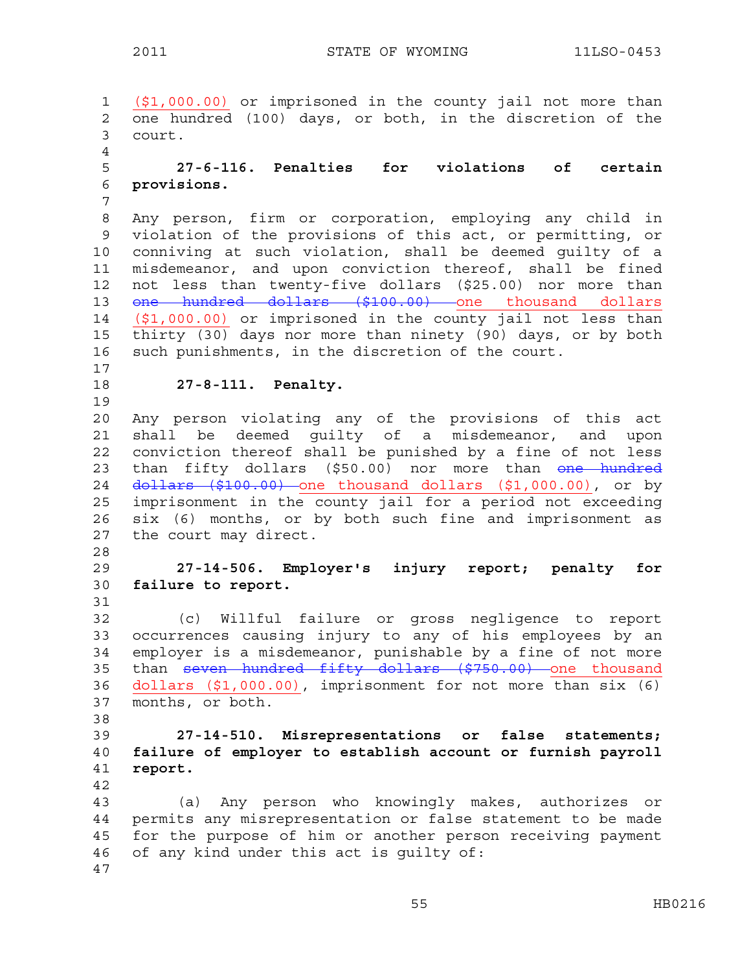1 (\$1,000.00) or imprisoned in the county jail not more than 2 one hundred (100) days, or both, in the discretion of the 3 court. 4 5 **27-6-116. Penalties for violations of certain**  6 **provisions.** 7 8 Any person, firm or corporation, employing any child in 9 violation of the provisions of this act, or permitting, or 10 conniving at such violation, shall be deemed guilty of a 11 misdemeanor, and upon conviction thereof, shall be fined 12 not less than twenty-five dollars (\$25.00) nor more than 13 <del>one hundred dollars (\$100.00)</del> one thousand dollars 14 (\$1,000.00) or imprisoned in the county jail not less than 15 thirty (30) days nor more than ninety (90) days, or by both 16 such punishments, in the discretion of the court. 17 18 **27-8-111. Penalty.** 19 20 Any person violating any of the provisions of this act 21 shall be deemed guilty of a misdemeanor, and upon 22 conviction thereof shall be punished by a fine of not less 23 than fifty dollars (\$50.00) nor more than one hundred 24 dollars (\$100.00) one thousand dollars (\$1,000.00), or by 25 imprisonment in the county jail for a period not exceeding 26 six (6) months, or by both such fine and imprisonment as 27 the court may direct. 28 29 **27-14-506. Employer's injury report; penalty for**  30 **failure to report.**  31 32 (c) Willful failure or gross negligence to report 33 occurrences causing injury to any of his employees by an 34 employer is a misdemeanor, punishable by a fine of not more 35 than seven hundred fifty dollars (\$750.00) one thousand 36 dollars (\$1,000.00), imprisonment for not more than six (6) 37 months, or both. 38 39 **27-14-510. Misrepresentations or false statements;**  40 **failure of employer to establish account or furnish payroll**  41 **report.**  42 43 (a) Any person who knowingly makes, authorizes or 44 permits any misrepresentation or false statement to be made 45 for the purpose of him or another person receiving payment 46 of any kind under this act is guilty of: 47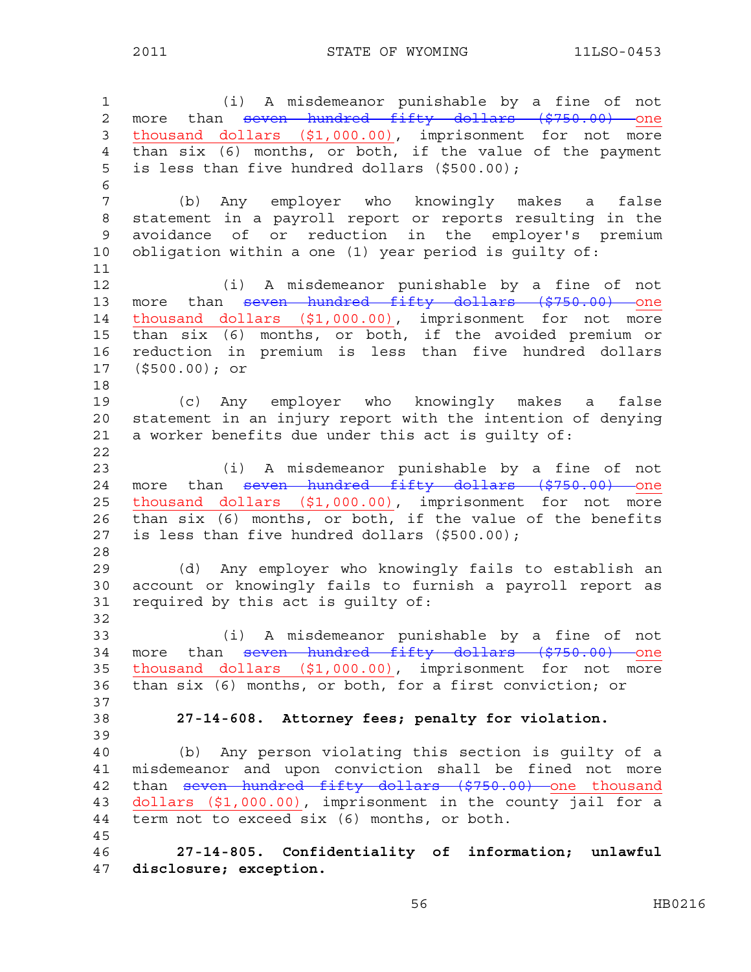2011 STATE OF WYOMING 11LSO-0453

1 (i) A misdemeanor punishable by a fine of not 2 more than seven hundred fifty dollars (\$750.00) one 3 thousand dollars (\$1,000.00), imprisonment for not more 4 than six (6) months, or both, if the value of the payment 5 is less than five hundred dollars (\$500.00); 6 7 (b) Any employer who knowingly makes a false 8 statement in a payroll report or reports resulting in the 9 avoidance of or reduction in the employer's premium 10 obligation within a one (1) year period is guilty of: 11 12 (i) A misdemeanor punishable by a fine of not 13 more than <del>seven hundred fifty dollars (\$750.00) one</del> 14 thousand dollars (\$1,000.00), imprisonment for not more 15 than six (6) months, or both, if the avoided premium or 16 reduction in premium is less than five hundred dollars 17 (\$500.00); or 18 19 (c) Any employer who knowingly makes a false 20 statement in an injury report with the intention of denying 21 a worker benefits due under this act is guilty of: 22 23 (i) A misdemeanor punishable by a fine of not 24 more than seven hundred fifty dollars (\$750.00) one 25 thousand dollars (\$1,000.00), imprisonment for not more 26 than six (6) months, or both, if the value of the benefits 27 is less than five hundred dollars (\$500.00); 28 29 (d) Any employer who knowingly fails to establish an 30 account or knowingly fails to furnish a payroll report as 31 required by this act is guilty of: 32 33 (i) A misdemeanor punishable by a fine of not 34 more than seven hundred fifty dollars (\$750.00) one 35 thousand dollars (\$1,000.00), imprisonment for not more 36 than six (6) months, or both, for a first conviction; or 37 38 **27-14-608. Attorney fees; penalty for violation.**  39 40 (b) Any person violating this section is guilty of a 41 misdemeanor and upon conviction shall be fined not more 42 than seven hundred fifty dollars (\$750.00) one thousand 43 dollars (\$1,000.00), imprisonment in the county jail for a 44 term not to exceed six (6) months, or both. 45 46 **27-14-805. Confidentiality of information; unlawful**  47 **disclosure; exception.**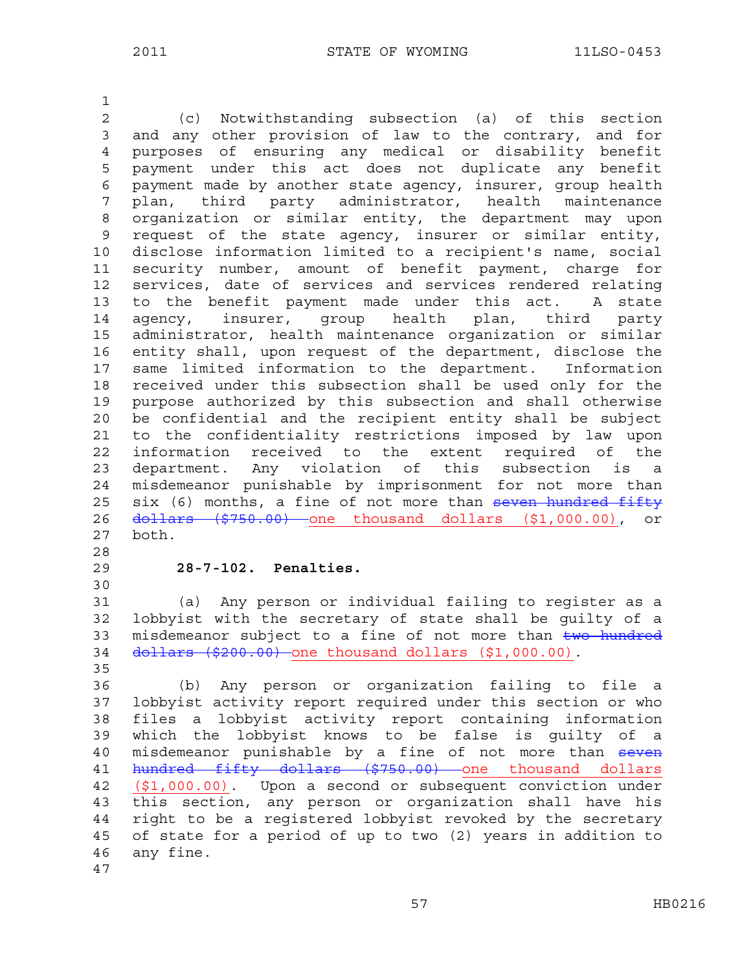1 2 (c) Notwithstanding subsection (a) of this section 3 and any other provision of law to the contrary, and for 4 purposes of ensuring any medical or disability benefit 5 payment under this act does not duplicate any benefit 6 payment made by another state agency, insurer, group health 7 plan, third party administrator, health maintenance 8 organization or similar entity, the department may upon 9 request of the state agency, insurer or similar entity, 10 disclose information limited to a recipient's name, social 11 security number, amount of benefit payment, charge for 12 services, date of services and services rendered relating 13 to the benefit payment made under this act. A state 14 agency, insurer, group health plan, third party 15 administrator, health maintenance organization or similar 16 entity shall, upon request of the department, disclose the 17 same limited information to the department. Information 18 received under this subsection shall be used only for the 19 purpose authorized by this subsection and shall otherwise 20 be confidential and the recipient entity shall be subject 21 to the confidentiality restrictions imposed by law upon 22 information received to the extent required of the 23 department. Any violation of this subsection is a 24 misdemeanor punishable by imprisonment for not more than 25 six (6) months, a fine of not more than seven hundred fifty 26 dollars (\$750.00) one thousand dollars (\$1,000.00), or 27 both. 28 29 **28-7-102. Penalties.**  30 31 (a) Any person or individual failing to register as a 32 lobbyist with the secretary of state shall be guilty of a 33 misdemeanor subject to a fine of not more than two hundred 34 dollars (\$200.00) one thousand dollars (\$1,000.00). 35 36 (b) Any person or organization failing to file a 37 lobbyist activity report required under this section or who 38 files a lobbyist activity report containing information 39 which the lobbyist knows to be false is guilty of a

40 misdemeanor punishable by a fine of not more than seven 41 hundred fifty dollars (\$750.00) one thousand dollars 42 (\$1,000.00). Upon a second or subsequent conviction under 43 this section, any person or organization shall have his 44 right to be a registered lobbyist revoked by the secretary 45 of state for a period of up to two (2) years in addition to 46 any fine.

47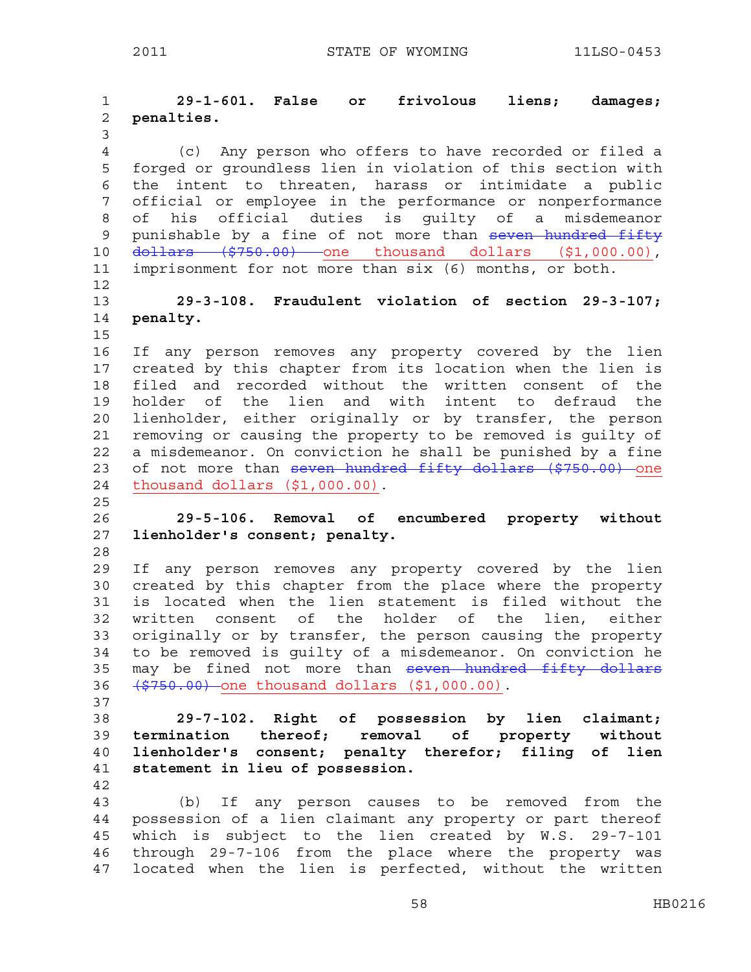1 **29-1-601. False or frivolous liens; damages;**  2 **penalties.**  3 4 (c) Any person who offers to have recorded or filed a 5 forged or groundless lien in violation of this section with 6 the intent to threaten, harass or intimidate a public 7 official or employee in the performance or nonperformance 8 of his official duties is guilty of a misdemeanor 9 punishable by a fine of not more than seven hundred fifty 10 <del>dollars (\$750.00)</del> one thousand dollars (\$1,000.00), 11 imprisonment for not more than six (6) months, or both. 12 13 **29-3-108. Fraudulent violation of section 29-3-107;**  14 **penalty.**  15 16 If any person removes any property covered by the lien 17 created by this chapter from its location when the lien is 18 filed and recorded without the written consent of the 19 holder of the lien and with intent to defraud the 20 lienholder, either originally or by transfer, the person 21 removing or causing the property to be removed is guilty of 22 a misdemeanor. On conviction he shall be punished by a fine 23 of not more than seven hundred fifty dollars (\$750.00) one 24 thousand dollars (\$1,000.00). 25 26 **29-5-106. Removal of encumbered property without**  27 **lienholder's consent; penalty.**  28 29 If any person removes any property covered by the lien 30 created by this chapter from the place where the property 31 is located when the lien statement is filed without the 32 written consent of the holder of the lien, either 33 originally or by transfer, the person causing the property 34 to be removed is guilty of a misdemeanor. On conviction he 35 may be fined not more than seven hundred fifty dollars 36 (\$750.00) one thousand dollars (\$1,000.00). 37 38 **29-7-102. Right of possession by lien claimant;**  39 **termination thereof; removal of property without**  40 **lienholder's consent; penalty therefor; filing of lien**  41 **statement in lieu of possession.**  42 43 (b) If any person causes to be removed from the 44 possession of a lien claimant any property or part thereof 45 which is subject to the lien created by W.S. 29-7-101 46 through 29-7-106 from the place where the property was 47 located when the lien is perfected, without the written

58 HB0216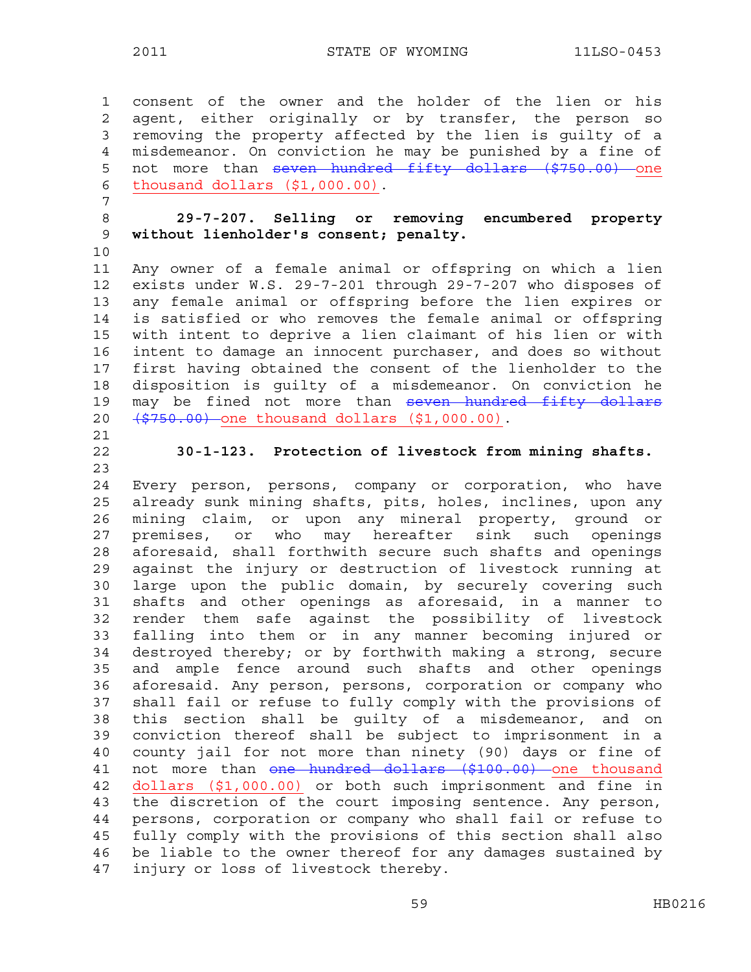1 consent of the owner and the holder of the lien or his 2 agent, either originally or by transfer, the person so 3 removing the property affected by the lien is guilty of a 4 misdemeanor. On conviction he may be punished by a fine of 5 not more than seven hundred fifty dollars (\$750.00) one 6 thousand dollars (\$1,000.00). 7 8 **29-7-207. Selling or removing encumbered property**  9 **without lienholder's consent; penalty.**  10 11 Any owner of a female animal or offspring on which a lien 12 exists under W.S. 29-7-201 through 29-7-207 who disposes of 13 any female animal or offspring before the lien expires or 14 is satisfied or who removes the female animal or offspring 15 with intent to deprive a lien claimant of his lien or with 16 intent to damage an innocent purchaser, and does so without 17 first having obtained the consent of the lienholder to the 18 disposition is guilty of a misdemeanor. On conviction he 19 may be fined not more than seven hundred fifty dollars 20 (\$750.00) one thousand dollars (\$1,000.00). 21 22 **30-1-123. Protection of livestock from mining shafts.**  23 24 Every person, persons, company or corporation, who have 25 already sunk mining shafts, pits, holes, inclines, upon any 26 mining claim, or upon any mineral property, ground or 27 premises, or who may hereafter sink such openings 28 aforesaid, shall forthwith secure such shafts and openings 29 against the injury or destruction of livestock running at 30 large upon the public domain, by securely covering such 31 shafts and other openings as aforesaid, in a manner to 32 render them safe against the possibility of livestock 33 falling into them or in any manner becoming injured or 34 destroyed thereby; or by forthwith making a strong, secure 35 and ample fence around such shafts and other openings 36 aforesaid. Any person, persons, corporation or company who 37 shall fail or refuse to fully comply with the provisions of 38 this section shall be guilty of a misdemeanor, and on 39 conviction thereof shall be subject to imprisonment in a 40 county jail for not more than ninety (90) days or fine of 41 not more than one hundred dollars (\$100.00) one thousand 42 dollars (\$1,000.00) or both such imprisonment and fine in 43 the discretion of the court imposing sentence. Any person, 44 persons, corporation or company who shall fail or refuse to 45 fully comply with the provisions of this section shall also 46 be liable to the owner thereof for any damages sustained by 47 injury or loss of livestock thereby.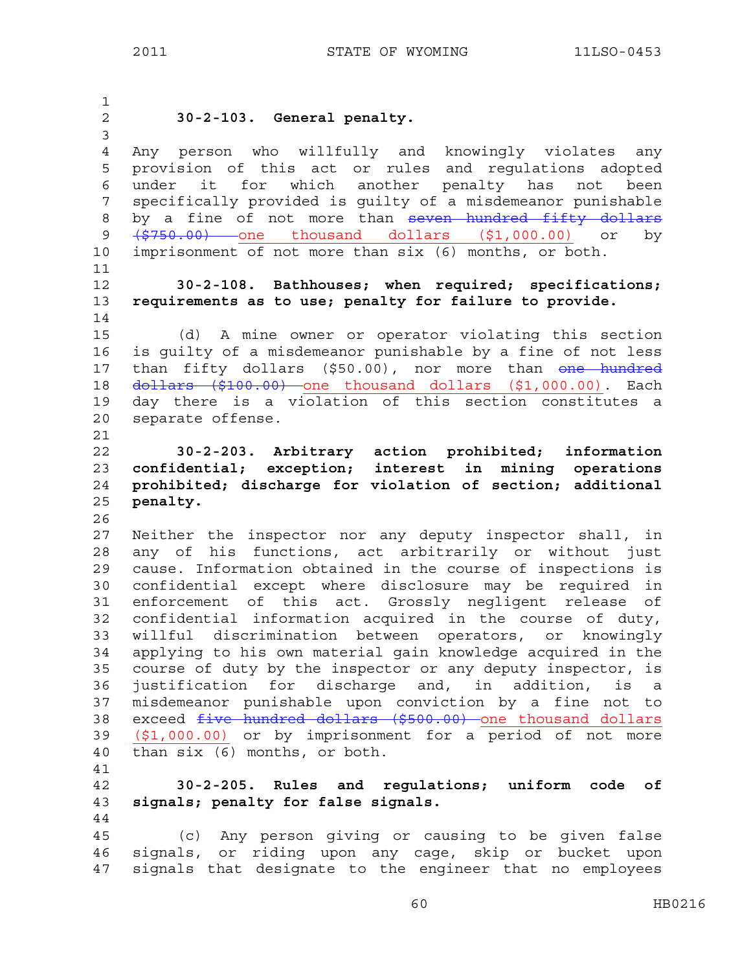|                                     | 2011                                | STATE OF WYOMING                                                                                                   | 11LSO-0453 |
|-------------------------------------|-------------------------------------|--------------------------------------------------------------------------------------------------------------------|------------|
|                                     |                                     |                                                                                                                    |            |
| $\mathbf{1}$<br>$\overline{2}$<br>3 | 30-2-103. General penalty.          |                                                                                                                    |            |
| $\overline{4}$<br>5                 |                                     | Any person who willfully and knowingly violates any<br>provision of this act or rules and regulations adopted      |            |
| 6<br>7                              | it for<br>under                     | which another penalty has not<br>specifically provided is guilty of a misdemeanor punishable                       | been       |
| 8                                   |                                     | by a fine of not more than seven hundred fifty dollars                                                             |            |
| 9                                   |                                     | <del>(\$750.00)</del> one thousand dollars (\$1,000.00) or                                                         | by         |
| 10                                  |                                     | imprisonment of not more than six (6) months, or both.                                                             |            |
| 11                                  |                                     |                                                                                                                    |            |
| 12                                  |                                     | 30-2-108. Bathhouses; when required; specifications;                                                               |            |
| 13                                  |                                     | requirements as to use; penalty for failure to provide.                                                            |            |
| 14<br>15                            |                                     | (d) A mine owner or operator violating this section                                                                |            |
| 16                                  |                                     | is guilty of a misdemeanor punishable by a fine of not less                                                        |            |
| 17                                  |                                     | than fifty dollars (\$50.00), nor more than one hundred                                                            |            |
| 18                                  |                                     | dollars (\$100.00) one thousand dollars (\$1,000.00). Each                                                         |            |
| 19                                  |                                     | day there is a violation of this section constitutes a                                                             |            |
| 20                                  | separate offense.                   |                                                                                                                    |            |
|                                     |                                     |                                                                                                                    |            |
| 21                                  |                                     |                                                                                                                    |            |
| 22                                  |                                     | 30-2-203. Arbitrary action prohibited; information                                                                 |            |
| 23                                  |                                     | confidential; exception; interest in mining operations                                                             |            |
| 24                                  |                                     | prohibited; discharge for violation of section; additional                                                         |            |
| 25                                  | penalty.                            |                                                                                                                    |            |
| 26                                  |                                     |                                                                                                                    |            |
| 27                                  |                                     | Neither the inspector nor any deputy inspector shall, in                                                           |            |
| 28                                  |                                     | any of his functions, act arbitrarily or without just                                                              |            |
| 29                                  |                                     | cause. Information obtained in the course of inspections is                                                        |            |
| 30                                  |                                     | confidential except where disclosure may be required in                                                            |            |
| 31<br>32                            |                                     | enforcement of this act. Grossly negligent release of                                                              |            |
| 33                                  |                                     | confidential information acquired in the course of duty,<br>willful discrimination between operators, or knowingly |            |
| 34                                  |                                     | applying to his own material gain knowledge acquired in the                                                        |            |
| 35                                  |                                     | course of duty by the inspector or any deputy inspector, is                                                        |            |
| 36                                  |                                     | justification for discharge and, in addition, is a                                                                 |            |
| 37                                  |                                     | misdemeanor punishable upon conviction by a fine not to                                                            |            |
| 38                                  |                                     | exceed five hundred dollars (\$500.00) one thousand dollars                                                        |            |
| 39                                  |                                     | (\$1,000.00) or by imprisonment for a period of not more                                                           |            |
| 40                                  | than six (6) months, or both.       |                                                                                                                    |            |
| 41                                  |                                     |                                                                                                                    |            |
| 42                                  |                                     | 30-2-205. Rules and regulations; uniform code of                                                                   |            |
| 43<br>44                            | signals; penalty for false signals. |                                                                                                                    |            |

45 (c) Any person giving or causing to be given false 46 signals, or riding upon any cage, skip or bucket upon 47 signals that designate to the engineer that no employees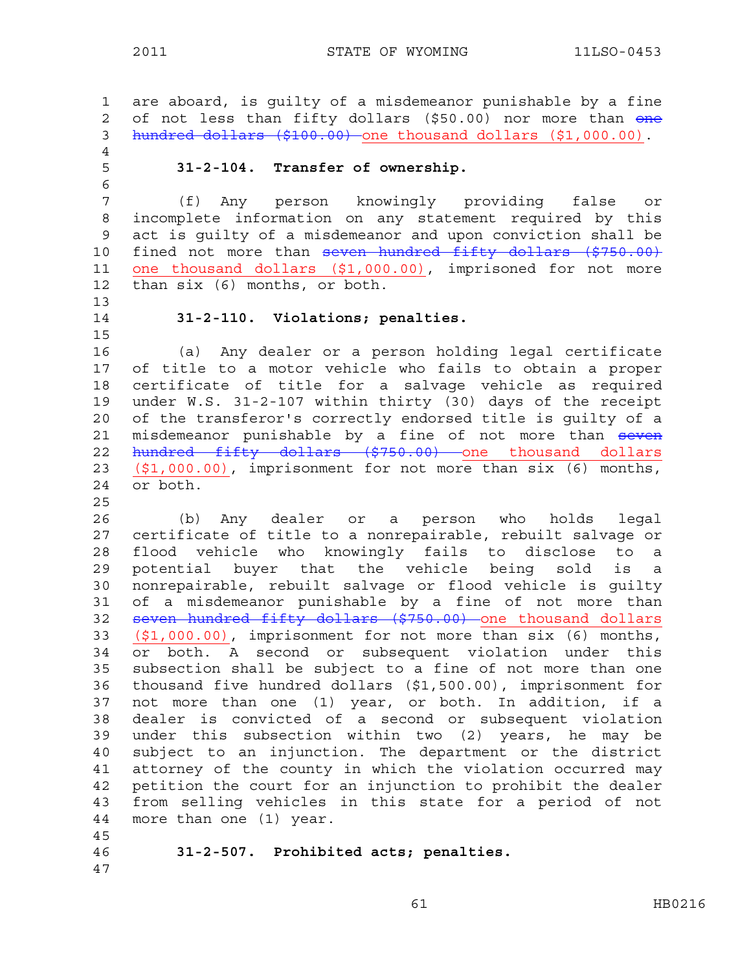1 are aboard, is guilty of a misdemeanor punishable by a fine 2 of not less than fifty dollars (\$50.00) nor more than one 3 hundred dollars (\$100.00) one thousand dollars (\$1,000.00). 4 5 **31-2-104. Transfer of ownership.**  6 7 (f) Any person knowingly providing false or 8 incomplete information on any statement required by this 9 act is guilty of a misdemeanor and upon conviction shall be 10 fined not more than seven hundred fifty dollars (\$750.00) 11 one thousand dollars (\$1,000.00), imprisoned for not more 12 than six (6) months, or both. 13 14 **31-2-110. Violations; penalties.**  15 16 (a) Any dealer or a person holding legal certificate 17 of title to a motor vehicle who fails to obtain a proper 18 certificate of title for a salvage vehicle as required 19 under W.S. 31-2-107 within thirty (30) days of the receipt 20 of the transferor's correctly endorsed title is guilty of a 21 misdemeanor punishable by a fine of not more than seven 22 hundred fifty dollars (\$750.00) one thousand dollars 23 (\$1,000.00), imprisonment for not more than six (6) months, 24 or both. 25 26 (b) Any dealer or a person who holds legal 27 certificate of title to a nonrepairable, rebuilt salvage or 28 flood vehicle who knowingly fails to disclose to a 29 potential buyer that the vehicle being sold is a 30 nonrepairable, rebuilt salvage or flood vehicle is guilty 31 of a misdemeanor punishable by a fine of not more than 32 seven hundred fifty dollars (\$750.00) one thousand dollars 33 (\$1,000.00), imprisonment for not more than six (6) months, 34 or both. A second or subsequent violation under this 35 subsection shall be subject to a fine of not more than one 36 thousand five hundred dollars (\$1,500.00), imprisonment for 37 not more than one (1) year, or both. In addition, if a 38 dealer is convicted of a second or subsequent violation 39 under this subsection within two (2) years, he may be 40 subject to an injunction. The department or the district 41 attorney of the county in which the violation occurred may 42 petition the court for an injunction to prohibit the dealer 43 from selling vehicles in this state for a period of not 44 more than one (1) year. 45 46 **31-2-507. Prohibited acts; penalties.**  47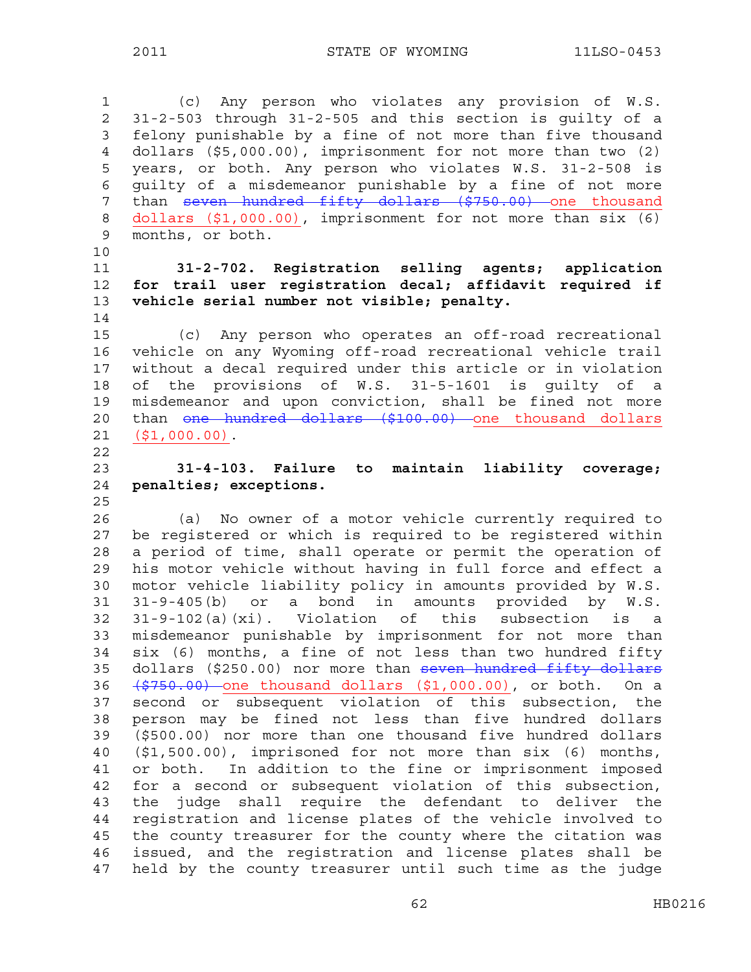1 (c) Any person who violates any provision of W.S. 2 31-2-503 through 31-2-505 and this section is guilty of a 3 felony punishable by a fine of not more than five thousand 4 dollars (\$5,000.00), imprisonment for not more than two (2) 5 years, or both. Any person who violates W.S. 31-2-508 is 6 guilty of a misdemeanor punishable by a fine of not more 7 than seven hundred fifty dollars (\$750.00) one thousand 8 dollars (\$1,000.00), imprisonment for not more than six (6) 9 months, or both.

10

14

## 11 **31-2-702. Registration selling agents; application**  12 **for trail user registration decal; affidavit required if**  13 **vehicle serial number not visible; penalty.**

15 (c) Any person who operates an off-road recreational 16 vehicle on any Wyoming off-road recreational vehicle trail 17 without a decal required under this article or in violation 18 of the provisions of W.S. 31-5-1601 is guilty of a 19 misdemeanor and upon conviction, shall be fined not more 20 than one hundred dollars (\$100.00) one thousand dollars 21 (\$1,000.00).

- 22
- 

# 23 **31-4-103. Failure to maintain liability coverage;**  24 **penalties; exceptions.**

25

26 (a) No owner of a motor vehicle currently required to 27 be registered or which is required to be registered within 28 a period of time, shall operate or permit the operation of 29 his motor vehicle without having in full force and effect a 30 motor vehicle liability policy in amounts provided by W.S. 31 31-9-405(b) or a bond in amounts provided by W.S. 32 31-9-102(a)(xi). Violation of this subsection is a 33 misdemeanor punishable by imprisonment for not more than 34 six (6) months, a fine of not less than two hundred fifty 35 dollars (\$250.00) nor more than seven hundred fifty dollars 36 (\$750.00) one thousand dollars (\$1,000.00), or both. On a 37 second or subsequent violation of this subsection, the 38 person may be fined not less than five hundred dollars 39 (\$500.00) nor more than one thousand five hundred dollars 40 (\$1,500.00), imprisoned for not more than six (6) months, 41 or both. In addition to the fine or imprisonment imposed 42 for a second or subsequent violation of this subsection, 43 the judge shall require the defendant to deliver the 44 registration and license plates of the vehicle involved to 45 the county treasurer for the county where the citation was 46 issued, and the registration and license plates shall be 47 held by the county treasurer until such time as the judge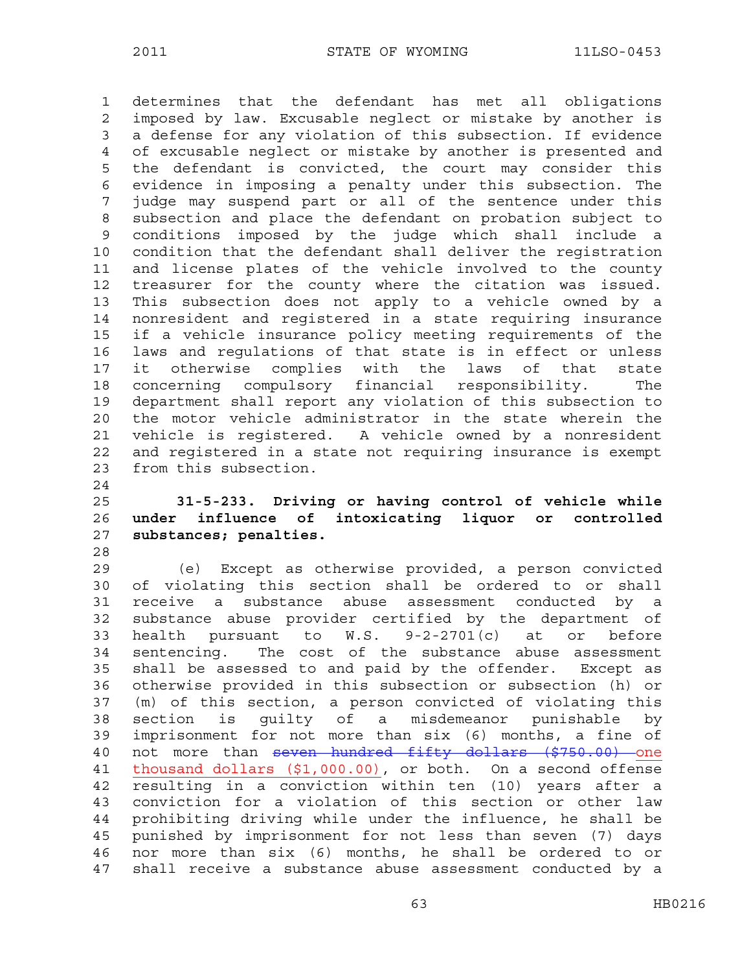1 determines that the defendant has met all obligations 2 imposed by law. Excusable neglect or mistake by another is 3 a defense for any violation of this subsection. If evidence 4 of excusable neglect or mistake by another is presented and 5 the defendant is convicted, the court may consider this 6 evidence in imposing a penalty under this subsection. The 7 judge may suspend part or all of the sentence under this 8 subsection and place the defendant on probation subject to 9 conditions imposed by the judge which shall include a 10 condition that the defendant shall deliver the registration 11 and license plates of the vehicle involved to the county 12 treasurer for the county where the citation was issued. 13 This subsection does not apply to a vehicle owned by a 14 nonresident and registered in a state requiring insurance 15 if a vehicle insurance policy meeting requirements of the 16 laws and regulations of that state is in effect or unless 17 it otherwise complies with the laws of that state 18 concerning compulsory financial responsibility. The 19 department shall report any violation of this subsection to 20 the motor vehicle administrator in the state wherein the 21 vehicle is registered. A vehicle owned by a nonresident 22 and registered in a state not requiring insurance is exempt 23 from this subsection. 24

- 25 **31-5-233. Driving or having control of vehicle while**  26 **under influence of intoxicating liquor or controlled**  27 **substances; penalties.**
- 28

29 (e) Except as otherwise provided, a person convicted 30 of violating this section shall be ordered to or shall 31 receive a substance abuse assessment conducted by a 32 substance abuse provider certified by the department of 33 health pursuant to W.S. 9-2-2701(c) at or before 34 sentencing. The cost of the substance abuse assessment 35 shall be assessed to and paid by the offender. Except as 36 otherwise provided in this subsection or subsection (h) or 37 (m) of this section, a person convicted of violating this 38 section is guilty of a misdemeanor punishable by 39 imprisonment for not more than six (6) months, a fine of 40 not more than seven hundred fifty dollars (\$750.00) one 41 thousand dollars (\$1,000.00), or both. On a second offense 42 resulting in a conviction within ten (10) years after a 43 conviction for a violation of this section or other law 44 prohibiting driving while under the influence, he shall be 45 punished by imprisonment for not less than seven (7) days 46 nor more than six (6) months, he shall be ordered to or 47 shall receive a substance abuse assessment conducted by a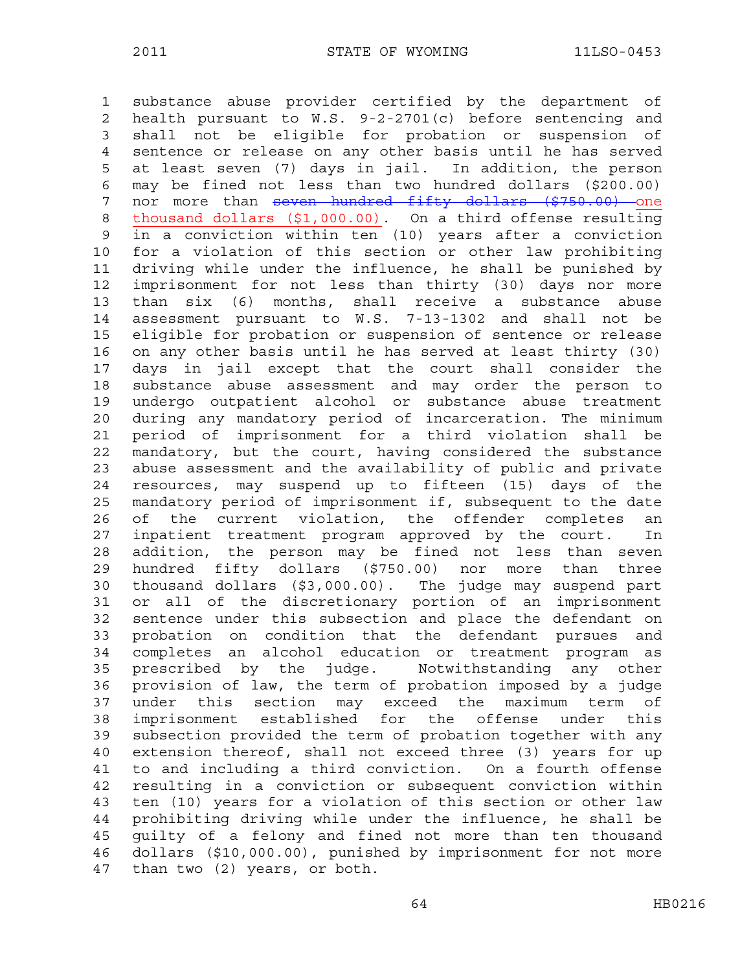1 substance abuse provider certified by the department of 2 health pursuant to W.S. 9-2-2701(c) before sentencing and 3 shall not be eligible for probation or suspension of 4 sentence or release on any other basis until he has served 5 at least seven (7) days in jail. In addition, the person 6 may be fined not less than two hundred dollars (\$200.00) 7 nor more than seven hundred fifty dollars (\$750.00) one 8 thousand dollars (\$1,000.00). On a third offense resulting 9 in a conviction within ten (10) years after a conviction 10 for a violation of this section or other law prohibiting 11 driving while under the influence, he shall be punished by 12 imprisonment for not less than thirty (30) days nor more 13 than six (6) months, shall receive a substance abuse 14 assessment pursuant to W.S. 7-13-1302 and shall not be 15 eligible for probation or suspension of sentence or release 16 on any other basis until he has served at least thirty (30) 17 days in jail except that the court shall consider the 18 substance abuse assessment and may order the person to 19 undergo outpatient alcohol or substance abuse treatment 20 during any mandatory period of incarceration. The minimum 21 period of imprisonment for a third violation shall be 22 mandatory, but the court, having considered the substance 23 abuse assessment and the availability of public and private 24 resources, may suspend up to fifteen (15) days of the 25 mandatory period of imprisonment if, subsequent to the date 26 of the current violation, the offender completes an 27 inpatient treatment program approved by the court. In 28 addition, the person may be fined not less than seven 29 hundred fifty dollars (\$750.00) nor more than three 30 thousand dollars (\$3,000.00). The judge may suspend part 31 or all of the discretionary portion of an imprisonment 32 sentence under this subsection and place the defendant on 33 probation on condition that the defendant pursues and 34 completes an alcohol education or treatment program as 35 prescribed by the judge. Notwithstanding any other 36 provision of law, the term of probation imposed by a judge 37 under this section may exceed the maximum term of 38 imprisonment established for the offense under this 39 subsection provided the term of probation together with any 40 extension thereof, shall not exceed three (3) years for up 41 to and including a third conviction. On a fourth offense 42 resulting in a conviction or subsequent conviction within 43 ten (10) years for a violation of this section or other law 44 prohibiting driving while under the influence, he shall be 45 guilty of a felony and fined not more than ten thousand 46 dollars (\$10,000.00), punished by imprisonment for not more 47 than two (2) years, or both.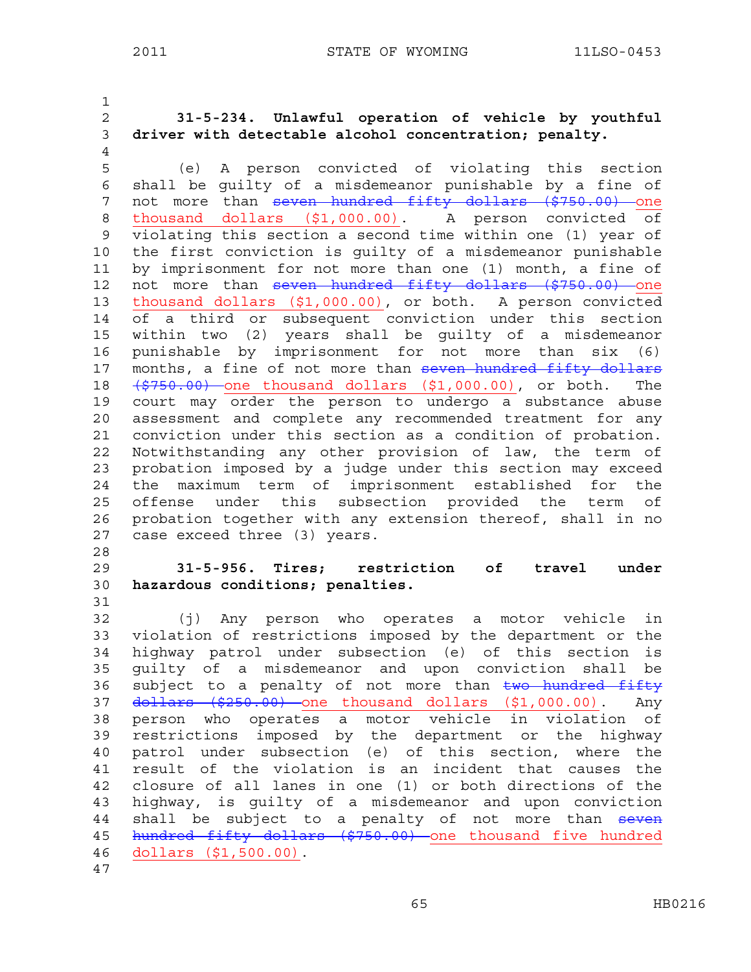1

- 
- 4
- 2 **31-5-234. Unlawful operation of vehicle by youthful**  3 **driver with detectable alcohol concentration; penalty.**
- 5 (e) A person convicted of violating this section 6 shall be guilty of a misdemeanor punishable by a fine of 7 not more than seven hundred fifty dollars (\$750.00) one 8 thousand dollars (\$1,000.00). A person convicted of 9 violating this section a second time within one (1) year of 10 the first conviction is guilty of a misdemeanor punishable 11 by imprisonment for not more than one (1) month, a fine of 12 not more than seven hundred fifty dollars (\$750.00) one 13 thousand dollars (\$1,000.00), or both. A person convicted 14 of a third or subsequent conviction under this section 15 within two (2) years shall be guilty of a misdemeanor 16 punishable by imprisonment for not more than six (6) 17 months, a fine of not more than seven hundred fifty dollars 18  $(\frac{2750.00}{\pi})$  one thousand dollars  $(\frac{21}{\pi}, 000.00)$ , or both. The 19 court may order the person to undergo a substance abuse 20 assessment and complete any recommended treatment for any 21 conviction under this section as a condition of probation. 22 Notwithstanding any other provision of law, the term of 23 probation imposed by a judge under this section may exceed 24 the maximum term of imprisonment established for the 25 offense under this subsection provided the term of 26 probation together with any extension thereof, shall in no 27 case exceed three (3) years.
- 28
- 29 **31-5-956. Tires; restriction of travel under**  30 **hazardous conditions; penalties.**  31
- 32 (j) Any person who operates a motor vehicle in 33 violation of restrictions imposed by the department or the 34 highway patrol under subsection (e) of this section is 35 guilty of a misdemeanor and upon conviction shall be 36 subject to a penalty of not more than two hundred fifty 37 dollars (\$250.00) one thousand dollars (\$1,000.00). Any 38 person who operates a motor vehicle in violation of 39 restrictions imposed by the department or the highway 40 patrol under subsection (e) of this section, where the 41 result of the violation is an incident that causes the 42 closure of all lanes in one (1) or both directions of the 43 highway, is guilty of a misdemeanor and upon conviction 44 shall be subject to a penalty of not more than seven 45 hundred fifty dollars (\$750.00) one thousand five hundred 46 dollars (\$1,500.00). 47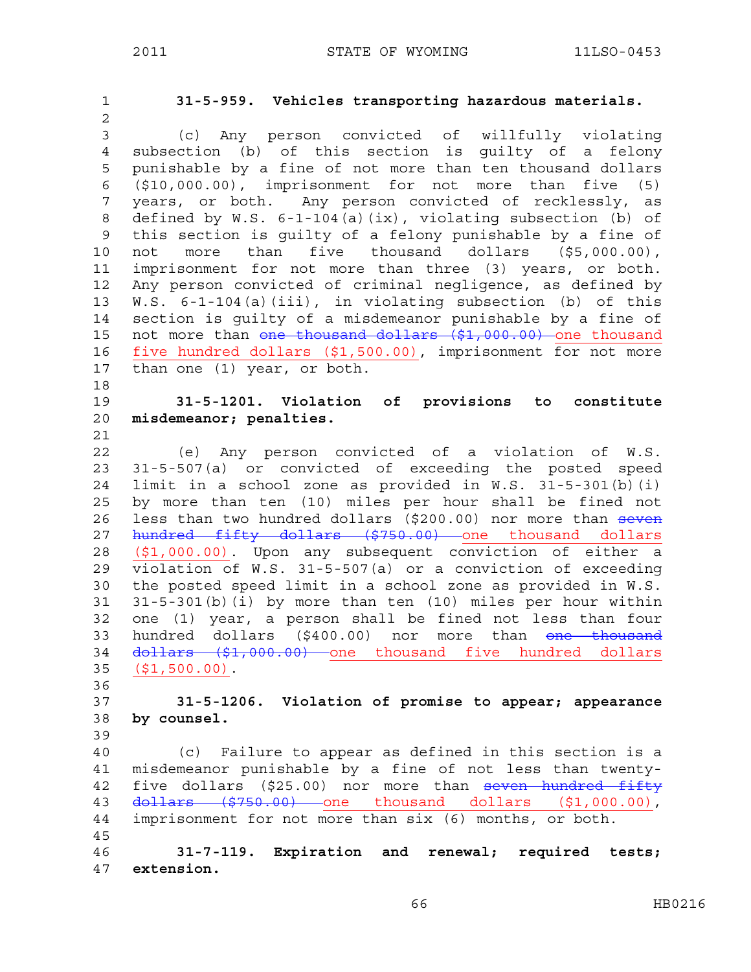| 1              | 31-5-959. Vehicles transporting hazardous materials.              |
|----------------|-------------------------------------------------------------------|
| $\overline{c}$ |                                                                   |
| 3              | (c) Any person convicted of willfully violating                   |
| $\overline{4}$ | subsection (b) of this section is guilty of a felony              |
| 5              | punishable by a fine of not more than ten thousand dollars        |
| 6              | $(\text{$}10,000.00)$ , imprisonment for not more than five $(5)$ |
| 7              | years, or both. Any person convicted of recklessly, as            |
| 8              | defined by W.S. 6-1-104(a)(ix), violating subsection (b) of       |
| 9              | this section is quilty of a felony punishable by a fine of        |
| 10             | not more than five thousand dollars (\$5,000.00),                 |
| 11             | imprisonment for not more than three (3) years, or both.          |
| 12             | Any person convicted of criminal negligence, as defined by        |
| 13             | W.S. 6-1-104(a)(iii), in violating subsection (b) of this         |
| 14             | section is guilty of a misdemeanor punishable by a fine of        |
| 15             | not more than one thousand dollars (\$1,000.00) one thousand      |
| 16             | five hundred dollars (\$1,500.00), imprisonment for not more      |
| 17             | than one (1) year, or both.                                       |
| 18             |                                                                   |
| 19             | 31-5-1201. Violation of provisions to constitute                  |
| 20             | misdemeanor; penalties.                                           |
| 21             |                                                                   |
| 22             | (e) Any person convicted of a violation of W.S.                   |
| 23             | 31-5-507(a) or convicted of exceeding the posted speed            |
| 24             | limit in a school zone as provided in W.S. 31-5-301(b)(i)         |
| 25             | by more than ten (10) miles per hour shall be fined not           |
| 26             | less than two hundred dollars (\$200.00) nor more than seven      |
| 27             | hundred fifty dollars (\$750.00) one thousand dollars             |
| 28             | (\$1,000.00). Upon any subsequent conviction of either a          |
| 29             | violation of W.S. 31-5-507(a) or a conviction of exceeding        |
| 30             | the posted speed limit in a school zone as provided in W.S.       |
| 31             | 31-5-301(b)(i) by more than ten (10) miles per hour within        |
| 32             | one (1) year, a person shall be fined not less than four          |
| 33             | hundred dollars (\$400.00) nor more than <del>one thousand</del>  |
| 34             | dollars (\$1,000.00) one thousand five hundred dollars            |
| 35             | $( $1, 500.00)$ .                                                 |
| 36             |                                                                   |
| 37             | 31-5-1206. Violation of promise to appear; appearance             |
| 38             | by counsel.                                                       |
| 39             |                                                                   |
| 40             | (c) Failure to appear as defined in this section is a             |
| 41             | misdemeanor punishable by a fine of not less than twenty-         |
| 42             | five dollars (\$25.00) nor more than seven hundred fifty          |
| 43             | $d$ ollars $(5750.00)$ one thousand dollars $(51,000.00)$ ,       |
| 44             | imprisonment for not more than six (6) months, or both.           |
| 45             |                                                                   |
| 46<br>47       | 31-7-119. Expiration and renewal; required tests;<br>extension.   |
|                |                                                                   |

66 HB0216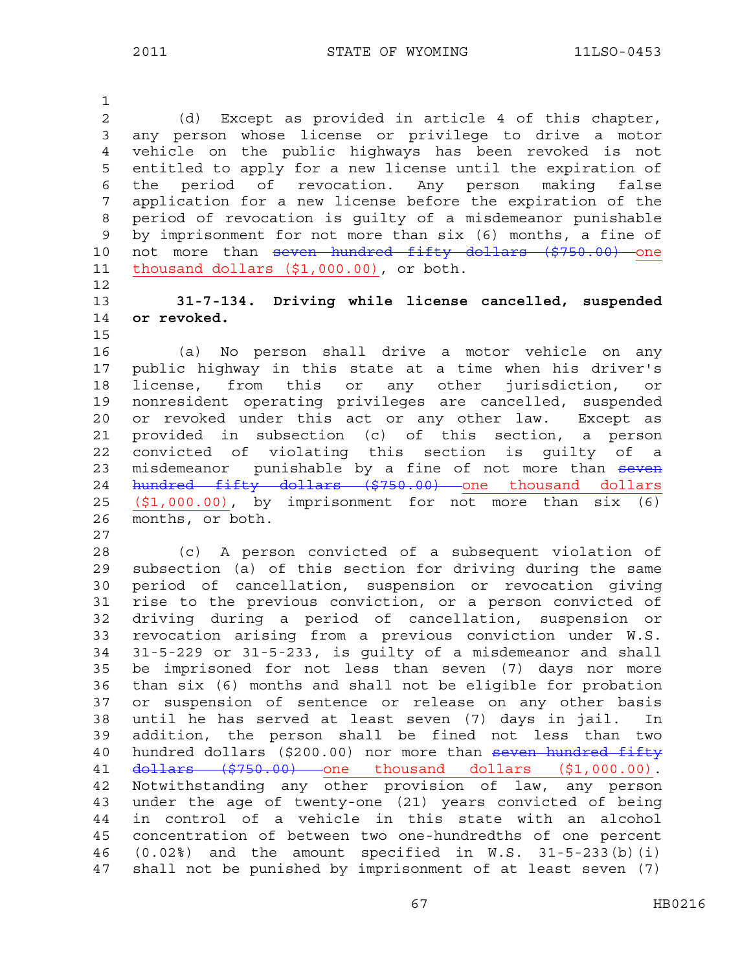2 (d) Except as provided in article 4 of this chapter, 3 any person whose license or privilege to drive a motor 4 vehicle on the public highways has been revoked is not 5 entitled to apply for a new license until the expiration of 6 the period of revocation. Any person making false 7 application for a new license before the expiration of the 8 period of revocation is guilty of a misdemeanor punishable 9 by imprisonment for not more than six (6) months, a fine of 10 not more than seven hundred fifty dollars (\$750.00) one 11 thousand dollars (\$1,000.00), or both. 12

13 **31-7-134. Driving while license cancelled, suspended**  14 **or revoked.** 

15

1

16 (a) No person shall drive a motor vehicle on any 17 public highway in this state at a time when his driver's 18 license, from this or any other jurisdiction, or 19 nonresident operating privileges are cancelled, suspended 20 or revoked under this act or any other law. Except as 21 provided in subsection (c) of this section, a person 22 convicted of violating this section is guilty of a 23 misdemeanor punishable by a fine of not more than seven 24 hundred fifty dollars (\$750.00) one thousand dollars 25 (\$1,000.00), by imprisonment for not more than six (6) 26 months, or both.

27

28 (c) A person convicted of a subsequent violation of 29 subsection (a) of this section for driving during the same 30 period of cancellation, suspension or revocation giving 31 rise to the previous conviction, or a person convicted of 32 driving during a period of cancellation, suspension or 33 revocation arising from a previous conviction under W.S. 34 31-5-229 or 31-5-233, is guilty of a misdemeanor and shall 35 be imprisoned for not less than seven (7) days nor more 36 than six (6) months and shall not be eligible for probation 37 or suspension of sentence or release on any other basis 38 until he has served at least seven (7) days in jail. In 39 addition, the person shall be fined not less than two 40 hundred dollars (\$200.00) nor more than seven hundred fifty 41 <del>dollars (\$750.00)</del> one thousand dollars (\$1,000.00). 42 Notwithstanding any other provision of law, any person 43 under the age of twenty-one (21) years convicted of being 44 in control of a vehicle in this state with an alcohol 45 concentration of between two one-hundredths of one percent 46 (0.02%) and the amount specified in W.S. 31-5-233(b)(i) 47 shall not be punished by imprisonment of at least seven (7)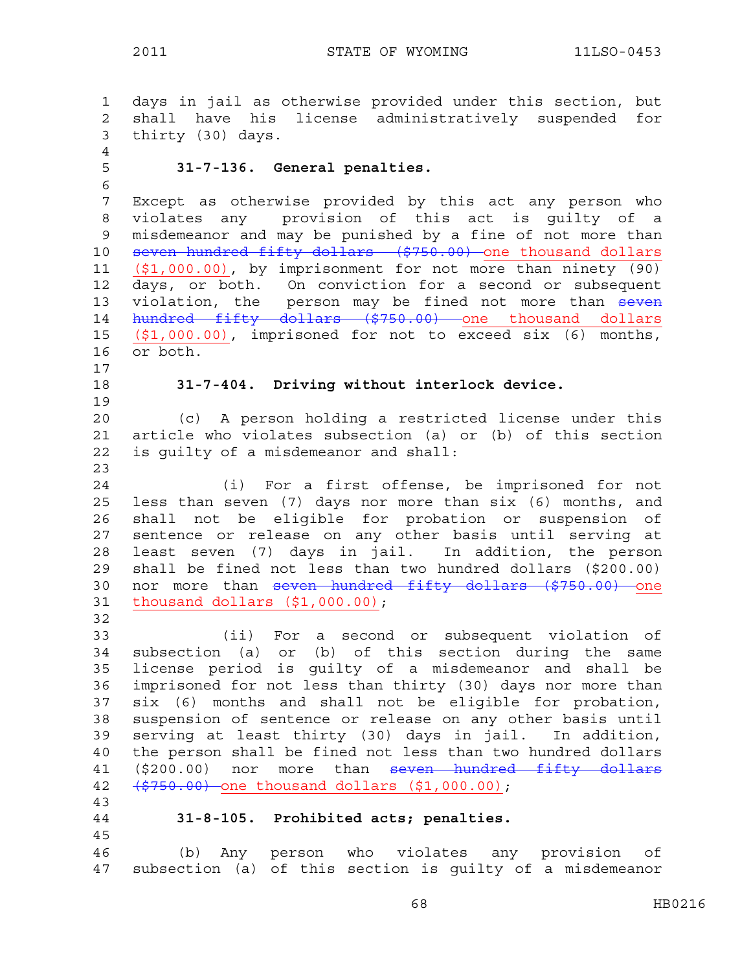```
1 days in jail as otherwise provided under this section, but 
2 shall have his license administratively suspended for 
3 thirty (30) days. 
4 
5 31-7-136. General penalties. 
6 
7 Except as otherwise provided by this act any person who 
8 violates any provision of this act is guilty of a 
9 misdemeanor and may be punished by a fine of not more than 
10 seven hundred fifty dollars ($750.00) one thousand dollars
11 ($1,000.00), by imprisonment for not more than ninety (90) 
12 days, or both. On conviction for a second or subsequent 
13 violation, the person may be fined not more than seven
14 hundred fifty dollars ($750.00) one thousand dollars 
15 ($1,000.00), imprisoned for not to exceed six (6) months, 
16 or both. 
17 
18 31-7-404. Driving without interlock device. 
19 
20 (c) A person holding a restricted license under this 
21 article who violates subsection (a) or (b) of this section 
22 is guilty of a misdemeanor and shall: 
23 
24 (i) For a first offense, be imprisoned for not 
25 less than seven (7) days nor more than six (6) months, and 
26 shall not be eligible for probation or suspension of 
27 sentence or release on any other basis until serving at 
28 least seven (7) days in jail. In addition, the person 
29 shall be fined not less than two hundred dollars ($200.00) 
30 nor more than seven hundred fifty dollars ($750.00) one
31 thousand dollars ($1,000.00); 
32 
33 (ii) For a second or subsequent violation of 
34 subsection (a) or (b) of this section during the same 
35 license period is guilty of a misdemeanor and shall be 
36 imprisoned for not less than thirty (30) days nor more than 
37 six (6) months and shall not be eligible for probation, 
38 suspension of sentence or release on any other basis until 
39 serving at least thirty (30) days in jail. In addition, 
40 the person shall be fined not less than two hundred dollars 
41 ($200.00) nor more than seven hundred fifty dollars
42 ($750.00) one thousand dollars ($1,000.00); 
43 
44 31-8-105. Prohibited acts; penalties. 
45 
46 (b) Any person who violates any provision of 
47 subsection (a) of this section is guilty of a misdemeanor
```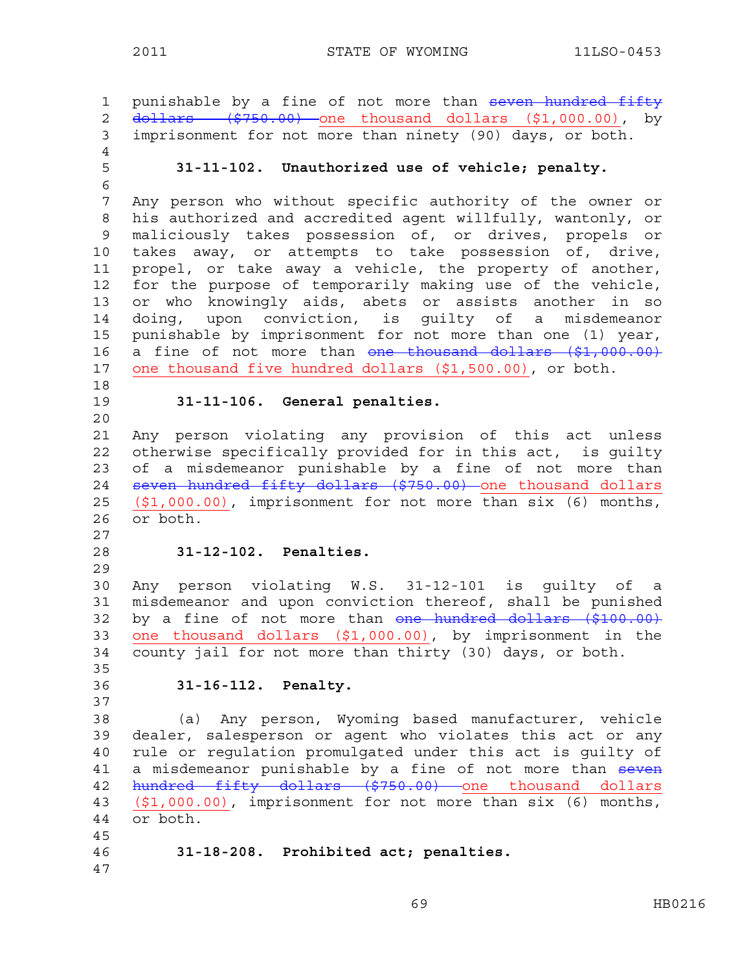```
1 punishable by a fine of not more than seven hundred fifty
2 <del>dollars ($750.00)</del> one thousand dollars ($1,000.00), by
3 imprisonment for not more than ninety (90) days, or both. 
4 
5 31-11-102. Unauthorized use of vehicle; penalty. 
6 
7 Any person who without specific authority of the owner or 
8 his authorized and accredited agent willfully, wantonly, or 
9 maliciously takes possession of, or drives, propels or 
10 takes away, or attempts to take possession of, drive, 
11 propel, or take away a vehicle, the property of another, 
12 for the purpose of temporarily making use of the vehicle, 
13 or who knowingly aids, abets or assists another in so 
14 doing, upon conviction, is guilty of a misdemeanor 
15 punishable by imprisonment for not more than one (1) year, 
16 a fine of not more than one thousand dollars ($1,000.00)
17 one thousand five hundred dollars ($1,500.00), or both. 
18 
19 31-11-106. General penalties. 
20 
21 Any person violating any provision of this act unless 
22 otherwise specifically provided for in this act, is guilty 
23 of a misdemeanor punishable by a fine of not more than 
24 seven hundred fifty dollars ($750.00) one thousand dollars
25 ($1,000.00), imprisonment for not more than six (6) months, 
26 or both. 
27 
28 31-12-102. Penalties. 
29 
30 Any person violating W.S. 31-12-101 is guilty of a 
31 misdemeanor and upon conviction thereof, shall be punished 
32 by a fine of not more than one hundred dollars ($100.00)
33 one thousand dollars ($1,000.00), by imprisonment in the 
34 county jail for not more than thirty (30) days, or both. 
35 
36 31-16-112. Penalty. 
37 
38 (a) Any person, Wyoming based manufacturer, vehicle 
39 dealer, salesperson or agent who violates this act or any 
40 rule or regulation promulgated under this act is guilty of 
41 a misdemeanor punishable by a fine of not more than seven
42 hundred fifty dollars ($750.00) one thousand dollars
43 ($1,000.00), imprisonment for not more than six (6) months, 
44 or both. 
45 
46 31-18-208. Prohibited act; penalties. 
47
```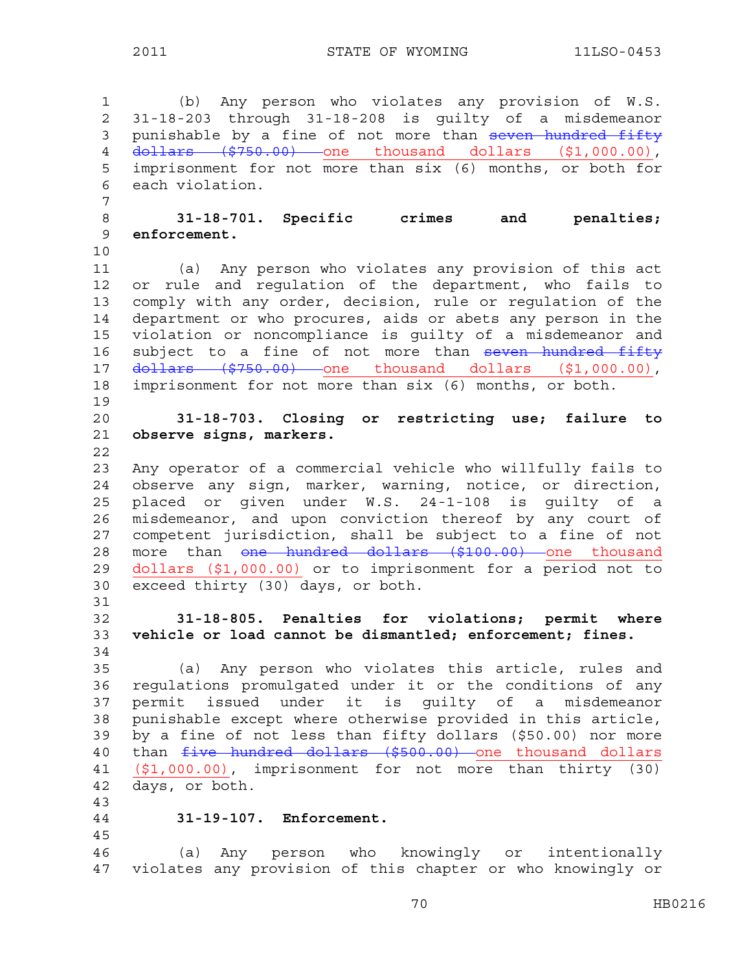1 (b) Any person who violates any provision of W.S. 2 31-18-203 through 31-18-208 is guilty of a misdemeanor 3 punishable by a fine of not more than seven hundred fifty 4 dollars (\$750.00) one thousand dollars (\$1,000.00), 5 imprisonment for not more than six (6) months, or both for 6 each violation. 7 8 **31-18-701. Specific crimes and penalties;**  9 **enforcement.**  10 11 (a) Any person who violates any provision of this act 12 or rule and regulation of the department, who fails to 13 comply with any order, decision, rule or regulation of the 14 department or who procures, aids or abets any person in the 15 violation or noncompliance is guilty of a misdemeanor and 16 subject to a fine of not more than seven hundred fifty 17 dollars (\$750.00) one thousand dollars (\$1,000.00), 18 imprisonment for not more than six (6) months, or both. 19 20 **31-18-703. Closing or restricting use; failure to**  21 **observe signs, markers.**  22 23 Any operator of a commercial vehicle who willfully fails to 24 observe any sign, marker, warning, notice, or direction, 25 placed or given under W.S. 24-1-108 is guilty of a 26 misdemeanor, and upon conviction thereof by any court of 27 competent jurisdiction, shall be subject to a fine of not 28 more than one hundred dollars (\$100.00) one thousand 29 dollars (\$1,000.00) or to imprisonment for a period not to 30 exceed thirty (30) days, or both. 31 32 **31-18-805. Penalties for violations; permit where**  33 **vehicle or load cannot be dismantled; enforcement; fines.**  34 35 (a) Any person who violates this article, rules and 36 regulations promulgated under it or the conditions of any 37 permit issued under it is guilty of a misdemeanor 38 punishable except where otherwise provided in this article, 39 by a fine of not less than fifty dollars (\$50.00) nor more <sup>1</sup> than <del>five hundred dollars (\$500.00)</del> one thousand dollars 41 (\$1,000.00), imprisonment for not more than thirty (30) 42 days, or both. 43 44 **31-19-107. Enforcement.**  45 46 (a) Any person who knowingly or intentionally 47 violates any provision of this chapter or who knowingly or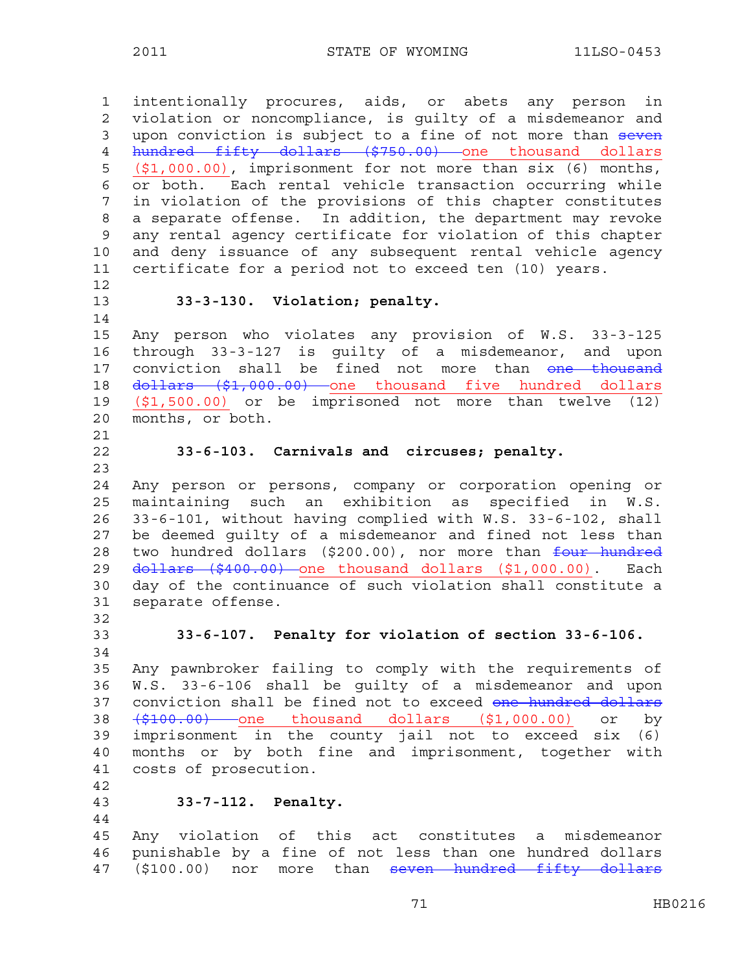1 intentionally procures, aids, or abets any person in 2 violation or noncompliance, is guilty of a misdemeanor and 3 upon conviction is subject to a fine of not more than seven 4 hundred fifty dollars (\$750.00) one thousand dollars 5 (\$1,000.00), imprisonment for not more than six (6) months, 6 or both. Each rental vehicle transaction occurring while 7 in violation of the provisions of this chapter constitutes 8 a separate offense. In addition, the department may revoke 9 any rental agency certificate for violation of this chapter 10 and deny issuance of any subsequent rental vehicle agency 11 certificate for a period not to exceed ten (10) years. 12 13 **33-3-130. Violation; penalty.**  14 15 Any person who violates any provision of W.S. 33-3-125 16 through 33-3-127 is guilty of a misdemeanor, and upon 17 conviction shall be fined not more than one thousand 18 <del>dollars (\$1,000.00)</del> one thousand five hundred dollars 19 (\$1,500.00) or be imprisoned not more than twelve (12) 20 months, or both. 21 22 **33-6-103. Carnivals and circuses; penalty.**  23 24 Any person or persons, company or corporation opening or 25 maintaining such an exhibition as specified in W.S. 26 33-6-101, without having complied with W.S. 33-6-102, shall 27 be deemed guilty of a misdemeanor and fined not less than 28 two hundred dollars (\$200.00), nor more than four hundred 29 <del>dollars (\$400.00)</del> one thousand dollars (\$1,000.00). Each 30 day of the continuance of such violation shall constitute a 31 separate offense. 32 33 **33-6-107. Penalty for violation of section 33-6-106.**  34 35 Any pawnbroker failing to comply with the requirements of 36 W.S. 33-6-106 shall be guilty of a misdemeanor and upon 37 conviction shall be fined not to exceed one hundred dollars 38 (\$100.00) one thousand dollars (\$1,000.00) or by 39 imprisonment in the county jail not to exceed six (6) 40 months or by both fine and imprisonment, together with 41 costs of prosecution. 42 43 **33-7-112. Penalty.**  44 45 Any violation of this act constitutes a misdemeanor 46 punishable by a fine of not less than one hundred dollars 47 (\$100.00) nor more than seven hundred fifty dollars

71 HB0216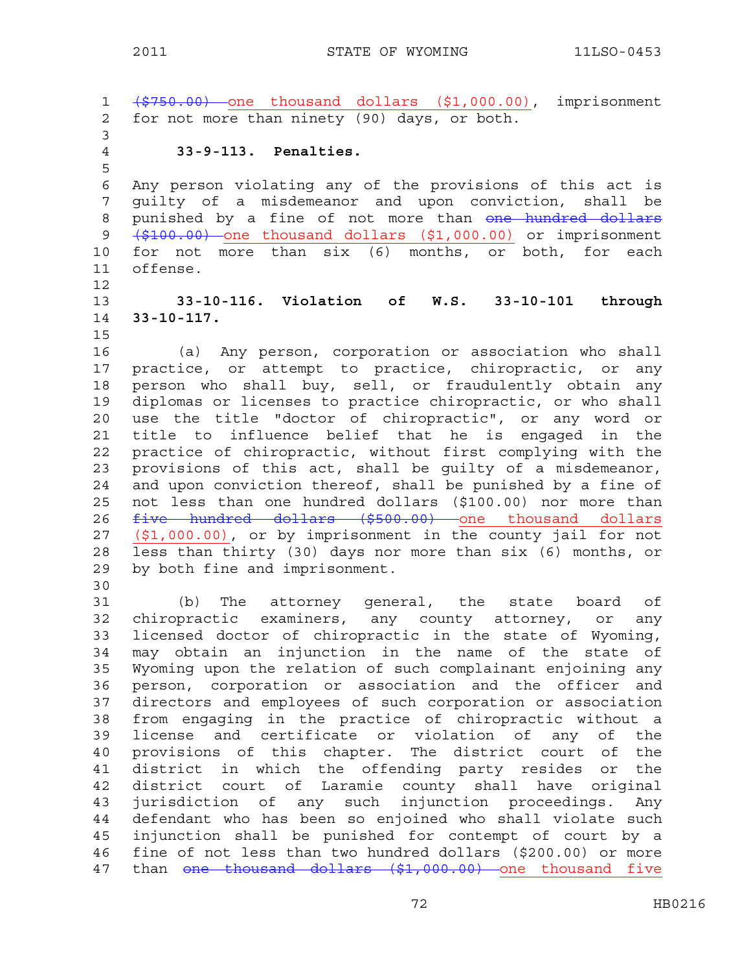1 (\$750.00) one thousand dollars (\$1,000.00), imprisonment 2 for not more than ninety (90) days, or both. 3 4 **33-9-113. Penalties.**  5 6 Any person violating any of the provisions of this act is 7 guilty of a misdemeanor and upon conviction, shall be 8 punished by a fine of not more than one hundred dollars 9 (\$100.00) one thousand dollars (\$1,000.00) or imprisonment 10 for not more than six (6) months, or both, for each 11 offense. 12 13 **33-10-116. Violation of W.S. 33-10-101 through**  14 **33-10-117.**  15 16 (a) Any person, corporation or association who shall 17 practice, or attempt to practice, chiropractic, or any 18 person who shall buy, sell, or fraudulently obtain any 19 diplomas or licenses to practice chiropractic, or who shall 20 use the title "doctor of chiropractic", or any word or 21 title to influence belief that he is engaged in the 22 practice of chiropractic, without first complying with the 23 provisions of this act, shall be guilty of a misdemeanor, 24 and upon conviction thereof, shall be punished by a fine of 25 not less than one hundred dollars (\$100.00) nor more than 26 five hundred dollars (\$500.00) one thousand dollars 27 (\$1,000.00), or by imprisonment in the county jail for not 28 less than thirty (30) days nor more than six (6) months, or 29 by both fine and imprisonment. 30 31 (b) The attorney general, the state board of 32 chiropractic examiners, any county attorney, or any 33 licensed doctor of chiropractic in the state of Wyoming, 34 may obtain an injunction in the name of the state of 35 Wyoming upon the relation of such complainant enjoining any 36 person, corporation or association and the officer and 37 directors and employees of such corporation or association 38 from engaging in the practice of chiropractic without a 39 license and certificate or violation of any of the 40 provisions of this chapter. The district court of the 41 district in which the offending party resides or the 42 district court of Laramie county shall have original 43 jurisdiction of any such injunction proceedings. Any 44 defendant who has been so enjoined who shall violate such

45 injunction shall be punished for contempt of court by a 46 fine of not less than two hundred dollars (\$200.00) or more 47 than one thousand dollars (\$1,000.00) one thousand five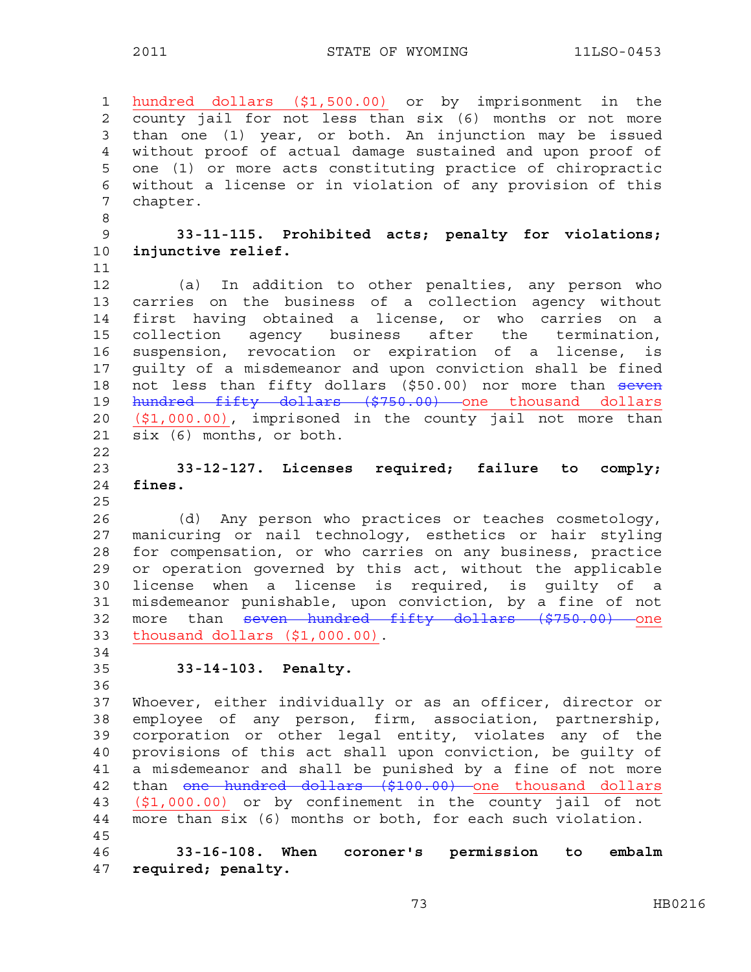1 hundred dollars (\$1,500.00) or by imprisonment in the 2 county jail for not less than six (6) months or not more 3 than one (1) year, or both. An injunction may be issued 4 without proof of actual damage sustained and upon proof of 5 one (1) or more acts constituting practice of chiropractic 6 without a license or in violation of any provision of this 7 chapter. 8 9 **33-11-115. Prohibited acts; penalty for violations;**  10 **injunctive relief.**  11 12 (a) In addition to other penalties, any person who 13 carries on the business of a collection agency without 14 first having obtained a license, or who carries on a 15 collection agency business after the termination, 16 suspension, revocation or expiration of a license, is 17 guilty of a misdemeanor and upon conviction shall be fined 18 not less than fifty dollars (\$50.00) nor more than seven 19 hundred fifty dollars (\$750.00) one thousand dollars 20 (\$1,000.00), imprisoned in the county jail not more than 21 six (6) months, or both. 22 23 **33-12-127. Licenses required; failure to comply;**  24 **fines.**  25 26 (d) Any person who practices or teaches cosmetology, 27 manicuring or nail technology, esthetics or hair styling 28 for compensation, or who carries on any business, practice 29 or operation governed by this act, without the applicable 30 license when a license is required, is guilty of a 31 misdemeanor punishable, upon conviction, by a fine of not 32 more than seven hundred fifty dollars (\$750.00) one 33 thousand dollars (\$1,000.00). 34 35 **33-14-103. Penalty.**  36 37 Whoever, either individually or as an officer, director or 38 employee of any person, firm, association, partnership, 39 corporation or other legal entity, violates any of the 40 provisions of this act shall upon conviction, be guilty of 41 a misdemeanor and shall be punished by a fine of not more 42 than one hundred dollars (\$100.00) one thousand dollars 43 (\$1,000.00) or by confinement in the county jail of not 44 more than six (6) months or both, for each such violation. 45 46 **33-16-108. When coroner's permission to embalm**  47 **required; penalty.**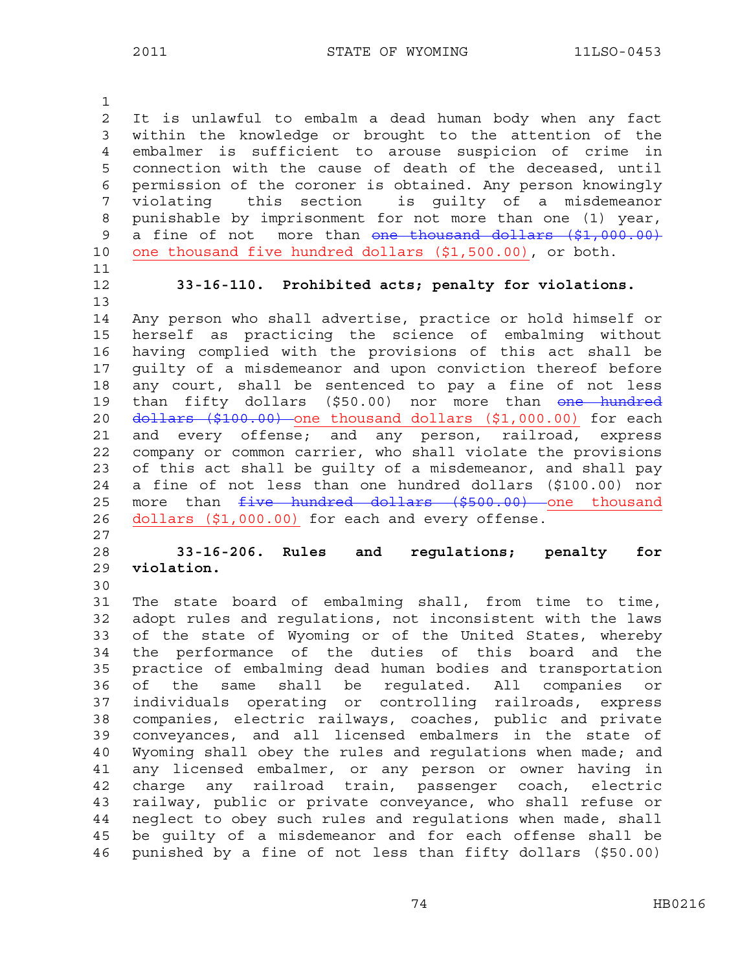1 2 It is unlawful to embalm a dead human body when any fact 3 within the knowledge or brought to the attention of the 4 embalmer is sufficient to arouse suspicion of crime in 5 connection with the cause of death of the deceased, until 6 permission of the coroner is obtained. Any person knowingly 7 violating this section is guilty of a misdemeanor 8 punishable by imprisonment for not more than one (1) year, 9 a fine of not more than one thousand dollars (\$1,000.00) 10 one thousand five hundred dollars (\$1,500.00), or both. 11

13

12 **33-16-110. Prohibited acts; penalty for violations.** 

14 Any person who shall advertise, practice or hold himself or 15 herself as practicing the science of embalming without 16 having complied with the provisions of this act shall be 17 guilty of a misdemeanor and upon conviction thereof before 18 any court, shall be sentenced to pay a fine of not less 19 than fifty dollars (\$50.00) nor more than one hundred 20 dollars (\$100.00) one thousand dollars (\$1,000.00) for each 21 and every offense; and any person, railroad, express 22 company or common carrier, who shall violate the provisions 23 of this act shall be guilty of a misdemeanor, and shall pay 24 a fine of not less than one hundred dollars (\$100.00) nor 25 more than  $five$  hundred dollars (\$500.00) one thousand 26 dollars (\$1,000.00) for each and every offense.

27

28 **33-16-206. Rules and regulations; penalty for**  29 **violation.** 

30

31 The state board of embalming shall, from time to time, 32 adopt rules and regulations, not inconsistent with the laws 33 of the state of Wyoming or of the United States, whereby 34 the performance of the duties of this board and the 35 practice of embalming dead human bodies and transportation 36 of the same shall be regulated. All companies or 37 individuals operating or controlling railroads, express 38 companies, electric railways, coaches, public and private 39 conveyances, and all licensed embalmers in the state of 40 Wyoming shall obey the rules and regulations when made; and 41 any licensed embalmer, or any person or owner having in 42 charge any railroad train, passenger coach, electric 43 railway, public or private conveyance, who shall refuse or 44 neglect to obey such rules and regulations when made, shall 45 be guilty of a misdemeanor and for each offense shall be 46 punished by a fine of not less than fifty dollars (\$50.00)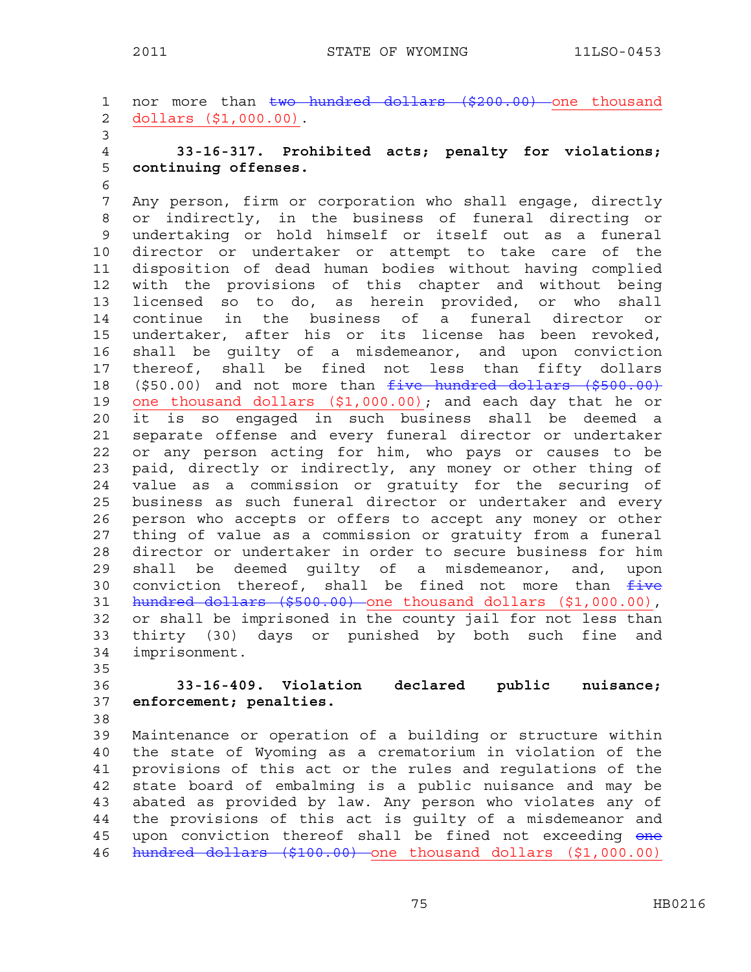1 nor more than two hundred dollars (\$200.00) one thousand 2 dollars (\$1,000.00). 3 4 **33-16-317. Prohibited acts; penalty for violations;**  5 **continuing offenses.**  6 7 Any person, firm or corporation who shall engage, directly 8 or indirectly, in the business of funeral directing or 9 undertaking or hold himself or itself out as a funeral 10 director or undertaker or attempt to take care of the 11 disposition of dead human bodies without having complied 12 with the provisions of this chapter and without being 13 licensed so to do, as herein provided, or who shall 14 continue in the business of a funeral director or 15 undertaker, after his or its license has been revoked, 16 shall be guilty of a misdemeanor, and upon conviction 17 thereof, shall be fined not less than fifty dollars 18 (\$50.00) and not more than five hundred dollars (\$500.00) 19 one thousand dollars (\$1,000.00); and each day that he or 20 it is so engaged in such business shall be deemed a 21 separate offense and every funeral director or undertaker 22 or any person acting for him, who pays or causes to be 23 paid, directly or indirectly, any money or other thing of 24 value as a commission or gratuity for the securing of 25 business as such funeral director or undertaker and every 26 person who accepts or offers to accept any money or other 27 thing of value as a commission or gratuity from a funeral 28 director or undertaker in order to secure business for him 29 shall be deemed guilty of a misdemeanor, and, upon 30 conviction thereof, shall be fined not more than  $f$ ive 31 hundred dollars (\$500.00) one thousand dollars (\$1,000.00), 32 or shall be imprisoned in the county jail for not less than 33 thirty (30) days or punished by both such fine and 34 imprisonment. 35 36 **33-16-409. Violation declared public nuisance;**  37 **enforcement; penalties.**  38

39 Maintenance or operation of a building or structure within 40 the state of Wyoming as a crematorium in violation of the 41 provisions of this act or the rules and regulations of the 42 state board of embalming is a public nuisance and may be 43 abated as provided by law. Any person who violates any of 44 the provisions of this act is guilty of a misdemeanor and 45 upon conviction thereof shall be fined not exceeding one 46 hundred dollars (\$100.00) one thousand dollars (\$1,000.00)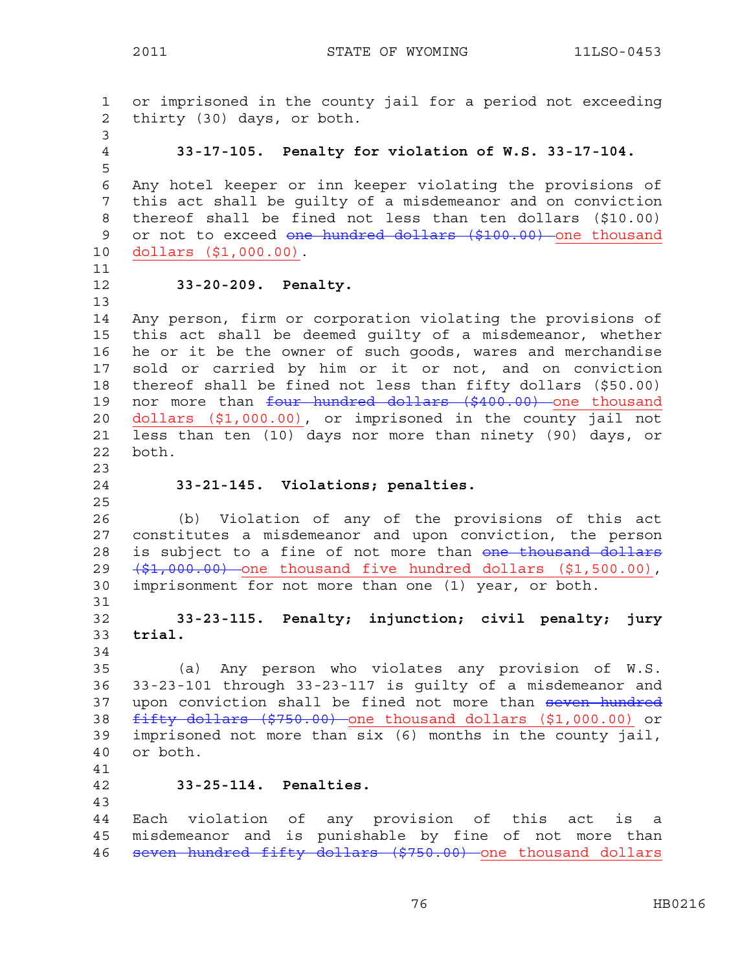1 or imprisoned in the county jail for a period not exceeding 2 thirty (30) days, or both. 3 4 **33-17-105. Penalty for violation of W.S. 33-17-104.**  5 6 Any hotel keeper or inn keeper violating the provisions of 7 this act shall be guilty of a misdemeanor and on conviction 8 thereof shall be fined not less than ten dollars (\$10.00) 9 or not to exceed one hundred dollars (\$100.00) one thousand 10 dollars (\$1,000.00). 11 12 **33-20-209. Penalty.**  13 14 Any person, firm or corporation violating the provisions of 15 this act shall be deemed guilty of a misdemeanor, whether 16 he or it be the owner of such goods, wares and merchandise 17 sold or carried by him or it or not, and on conviction 18 thereof shall be fined not less than fifty dollars (\$50.00) 19 nor more than four hundred dollars (\$400.00) one thousand 20 dollars (\$1,000.00), or imprisoned in the county jail not 21 less than ten (10) days nor more than ninety (90) days, or 22 both. 23 24 **33-21-145. Violations; penalties.**  25 26 (b) Violation of any of the provisions of this act 27 constitutes a misdemeanor and upon conviction, the person 28 is subject to a fine of not more than one thousand dollars 29  $(\frac{1}{2}, 000.00)$  one thousand five hundred dollars (\$1,500.00), 30 imprisonment for not more than one (1) year, or both. 31 32 **33-23-115. Penalty; injunction; civil penalty; jury**  33 **trial.**  34 35 (a) Any person who violates any provision of W.S. 36 33-23-101 through 33-23-117 is guilty of a misdemeanor and 37 upon conviction shall be fined not more than seven hundred 38 fifty dollars (\$750.00) one thousand dollars (\$1,000.00) or 39 imprisoned not more than six (6) months in the county jail, 40 or both. 41 42 **33-25-114. Penalties.**  43 44 Each violation of any provision of this act is a 45 misdemeanor and is punishable by fine of not more than 46 seven hundred fifty dollars (\$750.00) one thousand dollars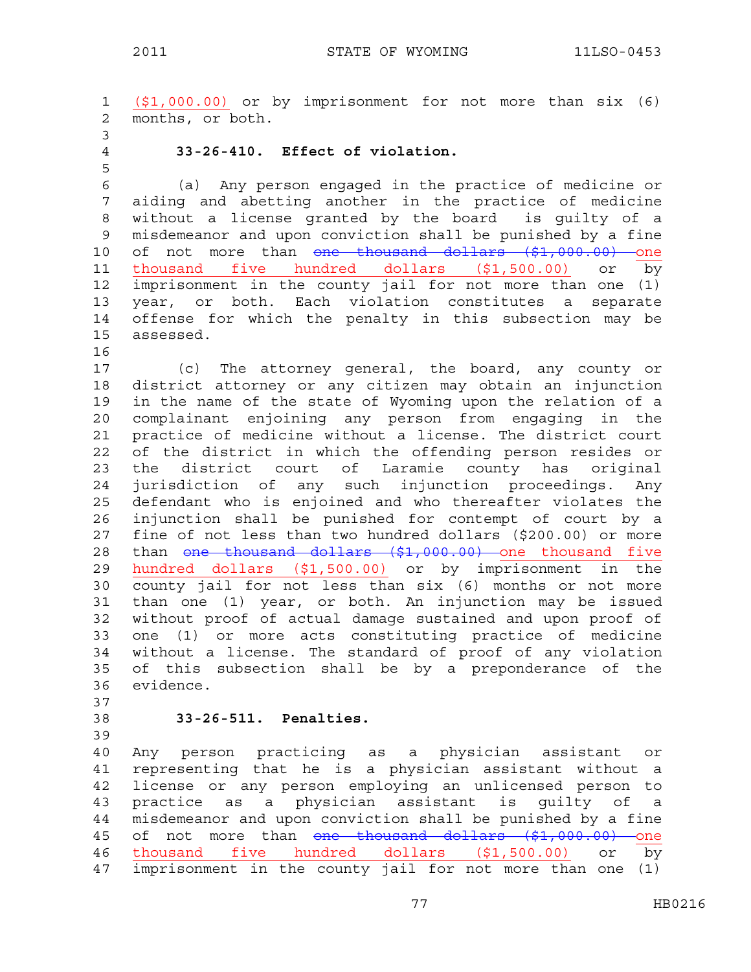1 (\$1,000.00) or by imprisonment for not more than six (6) 2 months, or both. 3 4 **33-26-410. Effect of violation.**  5 6 (a) Any person engaged in the practice of medicine or 7 aiding and abetting another in the practice of medicine 8 without a license granted by the board is guilty of a 9 misdemeanor and upon conviction shall be punished by a fine 10 of not more than one thousand dollars (\$1,000.00) one 11 thousand five hundred dollars  $($1,500.00)$  or by 12 imprisonment in the county jail for not more than one (1) 13 year, or both. Each violation constitutes a separate 14 offense for which the penalty in this subsection may be 15 assessed. 16 17 (c) The attorney general, the board, any county or 18 district attorney or any citizen may obtain an injunction 19 in the name of the state of Wyoming upon the relation of a 20 complainant enjoining any person from engaging in the 21 practice of medicine without a license. The district court 22 of the district in which the offending person resides or 23 the district court of Laramie county has original 24 jurisdiction of any such injunction proceedings. Any 25 defendant who is enjoined and who thereafter violates the 26 injunction shall be punished for contempt of court by a 27 fine of not less than two hundred dollars (\$200.00) or more 28 than <del>one thousand dollars (\$1,000.00)</del> one thousand five 29 hundred dollars (\$1,500.00) or by imprisonment in the 30 county jail for not less than six (6) months or not more 31 than one (1) year, or both. An injunction may be issued 32 without proof of actual damage sustained and upon proof of 33 one (1) or more acts constituting practice of medicine 34 without a license. The standard of proof of any violation 35 of this subsection shall be by a preponderance of the 36 evidence. 37 38 **33-26-511. Penalties.**  39 40 Any person practicing as a physician assistant or 41 representing that he is a physician assistant without a 42 license or any person employing an unlicensed person to 43 practice as a physician assistant is guilty of a 44 misdemeanor and upon conviction shall be punished by a fine 45 of not more than one thousand dollars (\$1,000.00) one 46 thousand five hundred dollars (\$1,500.00) or by

47 imprisonment in the county jail for not more than one (1)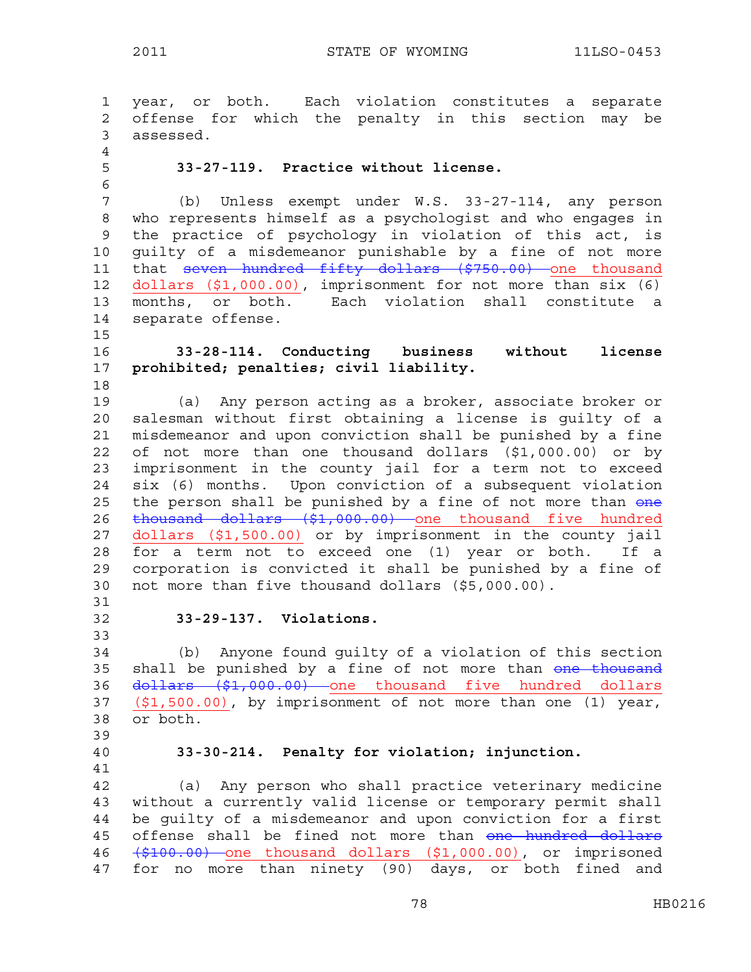1 year, or both. Each violation constitutes a separate 2 offense for which the penalty in this section may be 3 assessed. 4 5 **33-27-119. Practice without license.**  6 7 (b) Unless exempt under W.S. 33-27-114, any person 8 who represents himself as a psychologist and who engages in 9 the practice of psychology in violation of this act, is 10 guilty of a misdemeanor punishable by a fine of not more 11 that seven hundred fifty dollars (\$750.00) one thousand 12 dollars (\$1,000.00), imprisonment for not more than six (6) 13 months, or both. Each violation shall constitute a 14 separate offense. 15 16 **33-28-114. Conducting business without license**  17 **prohibited; penalties; civil liability.**  18 19 (a) Any person acting as a broker, associate broker or 20 salesman without first obtaining a license is guilty of a 21 misdemeanor and upon conviction shall be punished by a fine 22 of not more than one thousand dollars (\$1,000.00) or by 23 imprisonment in the county jail for a term not to exceed 24 six (6) months. Upon conviction of a subsequent violation 25 the person shall be punished by a fine of not more than one 26 thousand dollars (\$1,000.00) one thousand five hundred 27 dollars (\$1,500.00) or by imprisonment in the county jail 28 for a term not to exceed one (1) year or both. If a 29 corporation is convicted it shall be punished by a fine of 30 not more than five thousand dollars (\$5,000.00). 31 32 **33-29-137. Violations.**  33 34 (b) Anyone found guilty of a violation of this section 35 shall be punished by a fine of not more than one thousand 36 <del>dollars (\$1,000.00)</del> one thousand five hundred dollars 37 (\$1,500.00), by imprisonment of not more than one (1) year, 38 or both. 39 40 **33-30-214. Penalty for violation; injunction.**  41 42 (a) Any person who shall practice veterinary medicine 43 without a currently valid license or temporary permit shall 44 be guilty of a misdemeanor and upon conviction for a first 45 offense shall be fined not more than one hundred dollars 46 (\$100.00) one thousand dollars (\$1,000.00), or imprisoned 47 for no more than ninety (90) days, or both fined and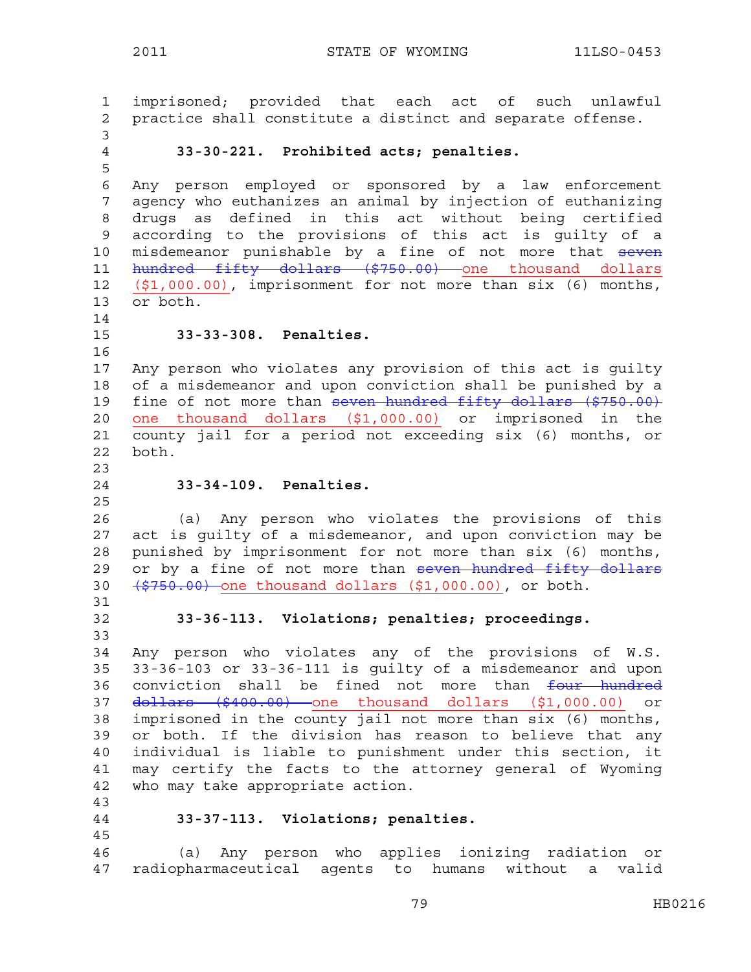2011 STATE OF WYOMING 11LSO-0453

1 imprisoned; provided that each act of such unlawful 2 practice shall constitute a distinct and separate offense. 3 4 **33-30-221. Prohibited acts; penalties.**  5 6 Any person employed or sponsored by a law enforcement 7 agency who euthanizes an animal by injection of euthanizing 8 drugs as defined in this act without being certified 9 according to the provisions of this act is guilty of a 10 misdemeanor punishable by a fine of not more that seven 11 hundred fifty dollars (\$750.00) one thousand dollars 12 (\$1,000.00), imprisonment for not more than six (6) months, 13 or both. 14 15 **33-33-308. Penalties.**  16 17 Any person who violates any provision of this act is guilty 18 of a misdemeanor and upon conviction shall be punished by a 19 fine of not more than seven hundred fifty dollars (\$750.00) 20 one thousand dollars (\$1,000.00) or imprisoned in the 21 county jail for a period not exceeding six (6) months, or 22 both. 23 24 **33-34-109. Penalties.**  25 26 (a) Any person who violates the provisions of this 27 act is guilty of a misdemeanor, and upon conviction may be 28 punished by imprisonment for not more than six (6) months, 29 or by a fine of not more than seven hundred fifty dollars 30  $(\frac{2750.00}{\sqrt{2750.00}})$  one thousand dollars (\$1,000.00), or both. 31 32 **33-36-113. Violations; penalties; proceedings.**  33 34 Any person who violates any of the provisions of W.S. 35 33-36-103 or 33-36-111 is guilty of a misdemeanor and upon 36 conviction shall be fined not more than four hundred 37 dollars (\$400.00) one thousand dollars (\$1,000.00) or 38 imprisoned in the county jail not more than six (6) months, 39 or both. If the division has reason to believe that any 40 individual is liable to punishment under this section, it 41 may certify the facts to the attorney general of Wyoming 42 who may take appropriate action. 43 44 **33-37-113. Violations; penalties.**  45 46 (a) Any person who applies ionizing radiation or 47 radiopharmaceutical agents to humans without a valid

79 HB0216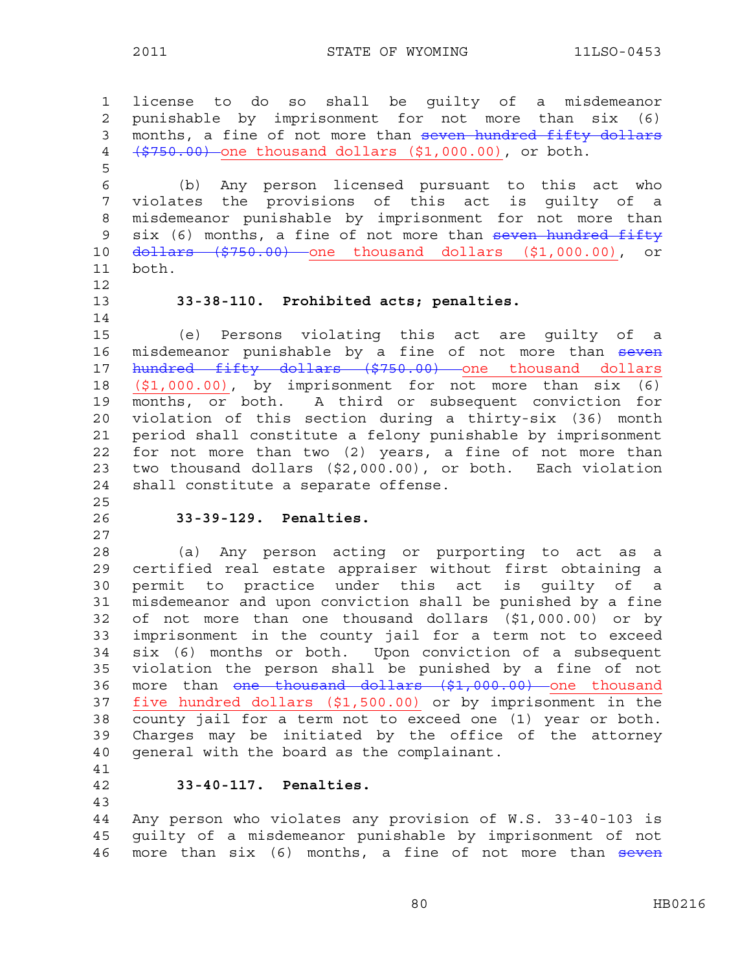1 license to do so shall be guilty of a misdemeanor 2 punishable by imprisonment for not more than six (6) 3 months, a fine of not more than seven hundred fifty dollars 4 (\$750.00) one thousand dollars (\$1,000.00), or both. 5 6 (b) Any person licensed pursuant to this act who 7 violates the provisions of this act is guilty of a 8 misdemeanor punishable by imprisonment for not more than 9 six (6) months, a fine of not more than seven hundred fifty 10 dollars (\$750.00) one thousand dollars (\$1,000.00), or 11 both. 12 13 **33-38-110. Prohibited acts; penalties.**  14 15 (e) Persons violating this act are guilty of a 16 misdemeanor punishable by a fine of not more than seven 17 hundred fifty dollars (\$750.00) one thousand dollars 18 (\$1,000.00), by imprisonment for not more than six (6) 19 months, or both. A third or subsequent conviction for 20 violation of this section during a thirty-six (36) month 21 period shall constitute a felony punishable by imprisonment 22 for not more than two (2) years, a fine of not more than 23 two thousand dollars (\$2,000.00), or both. Each violation 24 shall constitute a separate offense. 25 26 **33-39-129. Penalties.**  27 28 (a) Any person acting or purporting to act as a 29 certified real estate appraiser without first obtaining a 30 permit to practice under this act is guilty of a 31 misdemeanor and upon conviction shall be punished by a fine 32 of not more than one thousand dollars (\$1,000.00) or by 33 imprisonment in the county jail for a term not to exceed 34 six (6) months or both. Upon conviction of a subsequent 35 violation the person shall be punished by a fine of not 36 more than <del>one thousand dollars (\$1,000.00)</del> one thousand 37 five hundred dollars (\$1,500.00) or by imprisonment in the 38 county jail for a term not to exceed one (1) year or both. 39 Charges may be initiated by the office of the attorney 40 general with the board as the complainant. 41 42 **33-40-117. Penalties.**  43

44 Any person who violates any provision of W.S. 33-40-103 is 45 guilty of a misdemeanor punishable by imprisonment of not 46 more than six (6) months, a fine of not more than seven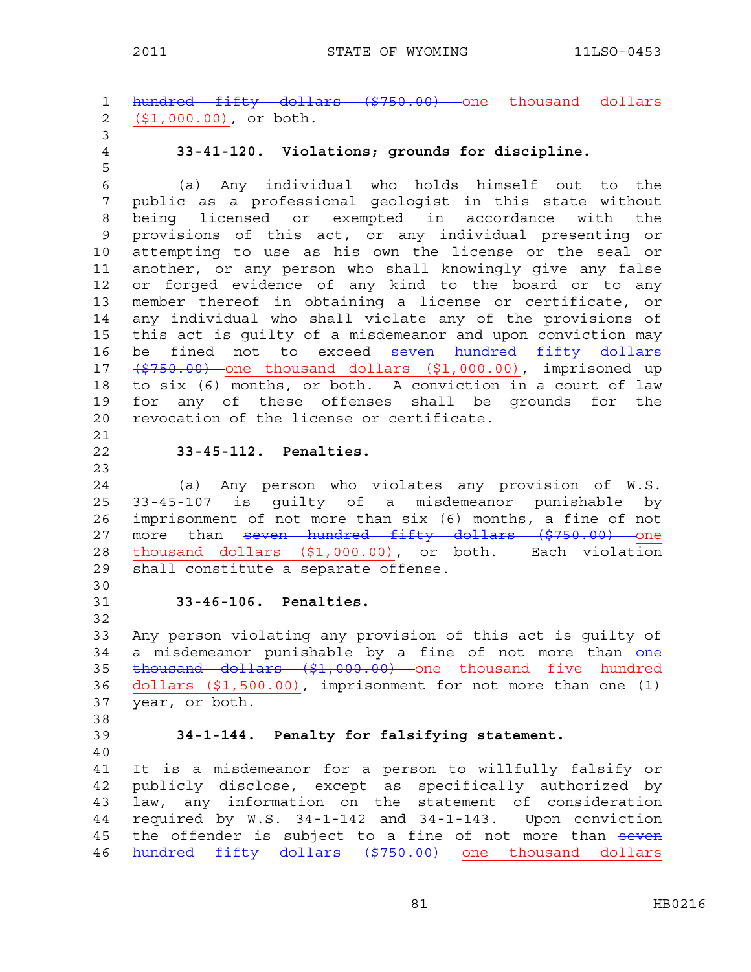1 hundred fifty dollars (\$750.00) one thousand dollars 2 (\$1,000.00), or both. 3 4 **33-41-120. Violations; grounds for discipline.**  5 6 (a) Any individual who holds himself out to the 7 public as a professional geologist in this state without 8 being licensed or exempted in accordance with the 9 provisions of this act, or any individual presenting or 10 attempting to use as his own the license or the seal or 11 another, or any person who shall knowingly give any false 12 or forged evidence of any kind to the board or to any 13 member thereof in obtaining a license or certificate, or 14 any individual who shall violate any of the provisions of 15 this act is guilty of a misdemeanor and upon conviction may 16 be fined not to exceed seven hundred fifty dollars 17 (\$750.00) one thousand dollars (\$1,000.00), imprisoned up 18 to six (6) months, or both. A conviction in a court of law 19 for any of these offenses shall be grounds for the 20 revocation of the license or certificate. 21 22 **33-45-112. Penalties.**  23 24 (a) Any person who violates any provision of W.S. 25 33-45-107 is guilty of a misdemeanor punishable by 26 imprisonment of not more than six (6) months, a fine of not 27 more than <del>seven hundred fifty dollars (\$750.00) </del>one 28 thousand dollars (\$1,000.00), or both. Each violation 29 shall constitute a separate offense. 30 31 **33-46-106. Penalties.**  32 33 Any person violating any provision of this act is guilty of 34 a misdemeanor punishable by a fine of not more than one 35 thousand dollars (\$1,000.00) one thousand five hundred 36 dollars (\$1,500.00), imprisonment for not more than one (1) 37 year, or both. 38 39 **34-1-144. Penalty for falsifying statement.**  40 41 It is a misdemeanor for a person to willfully falsify or 42 publicly disclose, except as specifically authorized by 43 law, any information on the statement of consideration 44 required by W.S. 34-1-142 and 34-1-143. Upon conviction 45 the offender is subject to a fine of not more than seven 46 hundred fifty dollars (\$750.00) one thousand dollars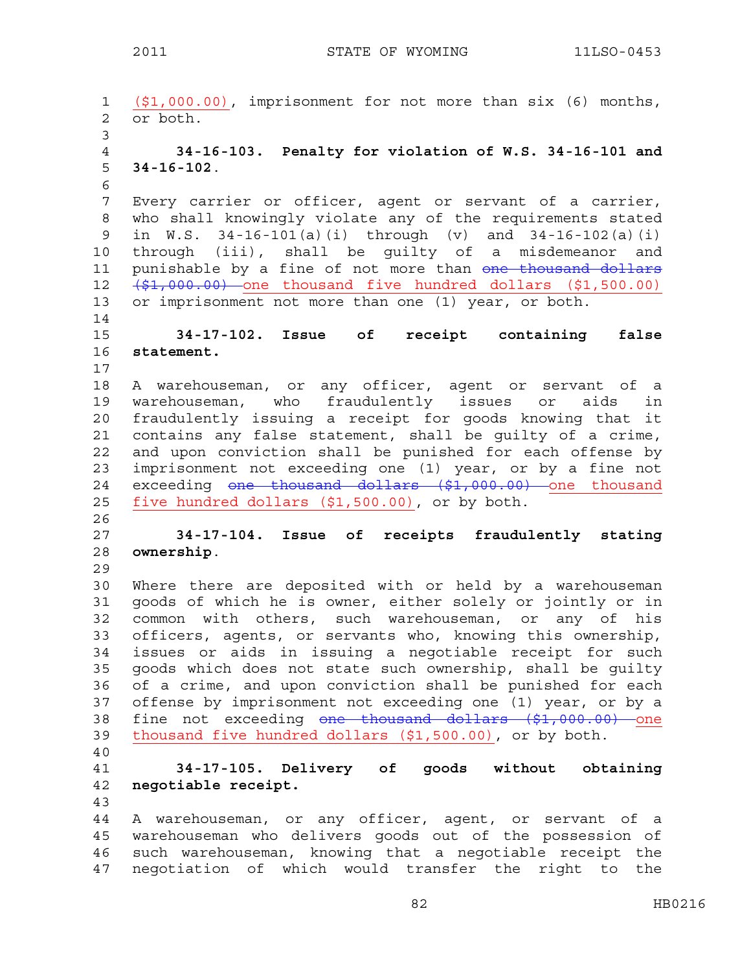```
1 ($1,000.00), imprisonment for not more than six (6) months, 
2 or both. 
3 
4 34-16-103. Penalty for violation of W.S. 34-16-101 and 
5 34-16-102. 
6 
7 Every carrier or officer, agent or servant of a carrier, 
8 who shall knowingly violate any of the requirements stated 
9 in W.S. 34-16-101(a)(i) through (v) and 34-16-102(a)(i) 
10 through (iii), shall be guilty of a misdemeanor and 
11 punishable by a fine of not more than one thousand dollars
12 (\frac{1}{2}, 000.00) one thousand five hundred dollars (1, 500.00)13 or imprisonment not more than one (1) year, or both. 
14 
15 34-17-102. Issue of receipt containing false 
16 statement. 
17 
18 A warehouseman, or any officer, agent or servant of a 
19 warehouseman, who fraudulently issues or aids in 
20 fraudulently issuing a receipt for goods knowing that it 
21 contains any false statement, shall be guilty of a crime, 
22 and upon conviction shall be punished for each offense by 
23 imprisonment not exceeding one (1) year, or by a fine not 
24 exceeding one thousand dollars ($1,000.00) one thousand
25 five hundred dollars ($1,500.00), or by both. 
26 
27 34-17-104. Issue of receipts fraudulently stating 
28 ownership. 
29 
30 Where there are deposited with or held by a warehouseman 
31 goods of which he is owner, either solely or jointly or in 
32 common with others, such warehouseman, or any of his 
33 officers, agents, or servants who, knowing this ownership, 
34 issues or aids in issuing a negotiable receipt for such 
35 goods which does not state such ownership, shall be guilty 
36 of a crime, and upon conviction shall be punished for each 
37 offense by imprisonment not exceeding one (1) year, or by a 
38 fine not exceeding one thousand dollars ($1,000.00) one
39 thousand five hundred dollars ($1,500.00), or by both. 
40 
41 34-17-105. Delivery of goods without obtaining 
42 negotiable receipt. 
43 
44 A warehouseman, or any officer, agent, or servant of a 
45 warehouseman who delivers goods out of the possession of 
46 such warehouseman, knowing that a negotiable receipt the 
47 negotiation of which would transfer the right to the
```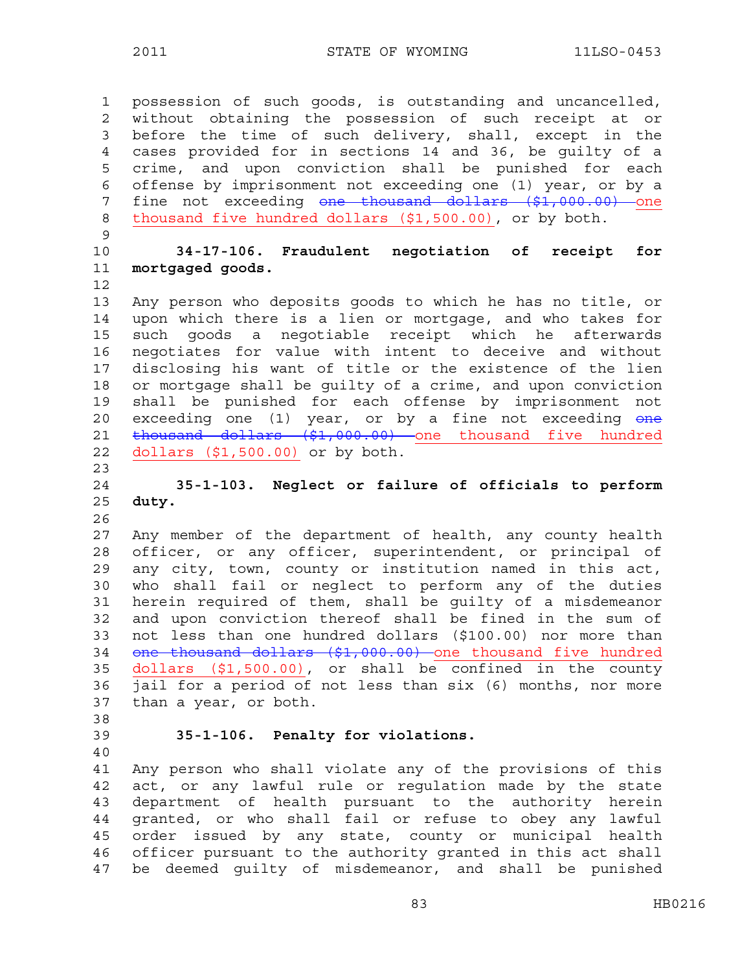1 possession of such goods, is outstanding and uncancelled, 2 without obtaining the possession of such receipt at or 3 before the time of such delivery, shall, except in the 4 cases provided for in sections 14 and 36, be guilty of a 5 crime, and upon conviction shall be punished for each 6 offense by imprisonment not exceeding one (1) year, or by a 7 fine not exceeding one thousand dollars (\$1,000.00) one 8 thousand five hundred dollars (\$1,500.00), or by both. 9 10 **34-17-106. Fraudulent negotiation of receipt for**  11 **mortgaged goods.**  12 13 Any person who deposits goods to which he has no title, or 14 upon which there is a lien or mortgage, and who takes for 15 such goods a negotiable receipt which he afterwards 16 negotiates for value with intent to deceive and without 17 disclosing his want of title or the existence of the lien 18 or mortgage shall be guilty of a crime, and upon conviction 19 shall be punished for each offense by imprisonment not 20 exceeding one (1) year, or by a fine not exceeding one 21 thousand dollars (\$1,000.00) one thousand five hundred 22 dollars (\$1,500.00) or by both. 23 24 **35-1-103. Neglect or failure of officials to perform**  25 **duty.**  26 27 Any member of the department of health, any county health 28 officer, or any officer, superintendent, or principal of 29 any city, town, county or institution named in this act, 30 who shall fail or neglect to perform any of the duties 31 herein required of them, shall be guilty of a misdemeanor 32 and upon conviction thereof shall be fined in the sum of 33 not less than one hundred dollars (\$100.00) nor more than 34 one thousand dollars (\$1,000.00) one thousand five hundred 35 dollars (\$1,500.00), or shall be confined in the county 36 jail for a period of not less than six (6) months, nor more 37 than a year, or both. 38 39 **35-1-106. Penalty for violations.**  40 41 Any person who shall violate any of the provisions of this 42 act, or any lawful rule or regulation made by the state 43 department of health pursuant to the authority herein 44 granted, or who shall fail or refuse to obey any lawful

45 order issued by any state, county or municipal health 46 officer pursuant to the authority granted in this act shall 47 be deemed guilty of misdemeanor, and shall be punished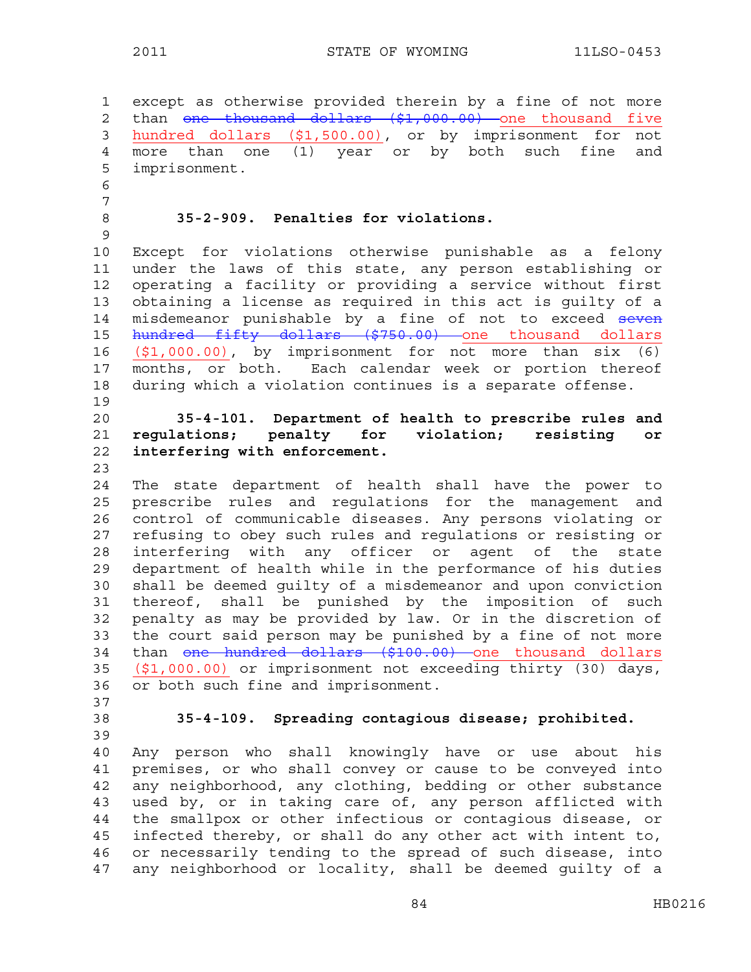1 except as otherwise provided therein by a fine of not more 2 than one thousand dollars (\$1,000.00) one thousand five 3 hundred dollars (\$1,500.00), or by imprisonment for not 4 more than one (1) year or by both such fine and 5 imprisonment. 6 7 8 **35-2-909. Penalties for violations.**  9 10 Except for violations otherwise punishable as a felony 11 under the laws of this state, any person establishing or 12 operating a facility or providing a service without first 13 obtaining a license as required in this act is guilty of a 14 misdemeanor punishable by a fine of not to exceed seven 15 hundred fifty dollars (\$750.00) one thousand dollars 16 (\$1,000.00), by imprisonment for not more than six (6) 17 months, or both. Each calendar week or portion thereof 18 during which a violation continues is a separate offense. 19 20 **35-4-101. Department of health to prescribe rules and**  21 **regulations; penalty for violation; resisting or**  22 **interfering with enforcement.**  23 24 The state department of health shall have the power to 25 prescribe rules and regulations for the management and 26 control of communicable diseases. Any persons violating or 27 refusing to obey such rules and regulations or resisting or 28 interfering with any officer or agent of the state 29 department of health while in the performance of his duties 30 shall be deemed guilty of a misdemeanor and upon conviction 31 thereof, shall be punished by the imposition of such 32 penalty as may be provided by law. Or in the discretion of 33 the court said person may be punished by a fine of not more 34 than <del>one hundred dollars (\$100.00)</del> one thousand dollars 35 (\$1,000.00) or imprisonment not exceeding thirty (30) days, 36 or both such fine and imprisonment. 37 38 **35-4-109. Spreading contagious disease; prohibited.**  39 40 Any person who shall knowingly have or use about his 41 premises, or who shall convey or cause to be conveyed into 42 any neighborhood, any clothing, bedding or other substance 43 used by, or in taking care of, any person afflicted with 44 the smallpox or other infectious or contagious disease, or 45 infected thereby, or shall do any other act with intent to, 46 or necessarily tending to the spread of such disease, into 47 any neighborhood or locality, shall be deemed guilty of a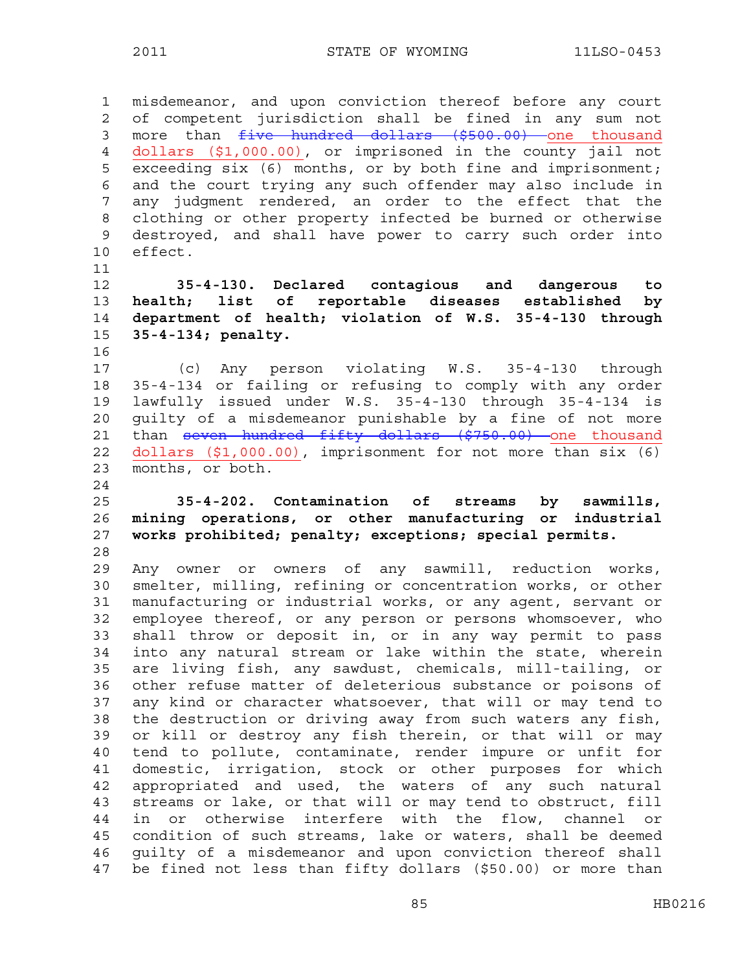1 misdemeanor, and upon conviction thereof before any court 2 of competent jurisdiction shall be fined in any sum not 3 more than  $f$ ive hundred dollars (\$500.00) one thousand 4 dollars (\$1,000.00), or imprisoned in the county jail not 5 exceeding six (6) months, or by both fine and imprisonment; 6 and the court trying any such offender may also include in 7 any judgment rendered, an order to the effect that the 8 clothing or other property infected be burned or otherwise 9 destroyed, and shall have power to carry such order into 10 effect.

**35-4-130. Declared contagious and dangerous to health; list of reportable diseases established by department of health; violation of W.S. 35-4-130 through 35-4-134; penalty.** 

16

11

17 (c) Any person violating W.S. 35-4-130 through 18 35-4-134 or failing or refusing to comply with any order 19 lawfully issued under W.S. 35-4-130 through 35-4-134 is 20 guilty of a misdemeanor punishable by a fine of not more 21 than seven hundred fifty dollars (\$750.00) one thousand 22 dollars (\$1,000.00), imprisonment for not more than six (6) 23 months, or both. 24

# 25 **35-4-202. Contamination of streams by sawmills,**  26 **mining operations, or other manufacturing or industrial**  27 **works prohibited; penalty; exceptions; special permits.**  28

29 Any owner or owners of any sawmill, reduction works, 30 smelter, milling, refining or concentration works, or other 31 manufacturing or industrial works, or any agent, servant or 32 employee thereof, or any person or persons whomsoever, who 33 shall throw or deposit in, or in any way permit to pass 34 into any natural stream or lake within the state, wherein 35 are living fish, any sawdust, chemicals, mill-tailing, or 36 other refuse matter of deleterious substance or poisons of 37 any kind or character whatsoever, that will or may tend to 38 the destruction or driving away from such waters any fish, 39 or kill or destroy any fish therein, or that will or may 40 tend to pollute, contaminate, render impure or unfit for 41 domestic, irrigation, stock or other purposes for which 42 appropriated and used, the waters of any such natural 43 streams or lake, or that will or may tend to obstruct, fill 44 in or otherwise interfere with the flow, channel or 45 condition of such streams, lake or waters, shall be deemed 46 guilty of a misdemeanor and upon conviction thereof shall 47 be fined not less than fifty dollars (\$50.00) or more than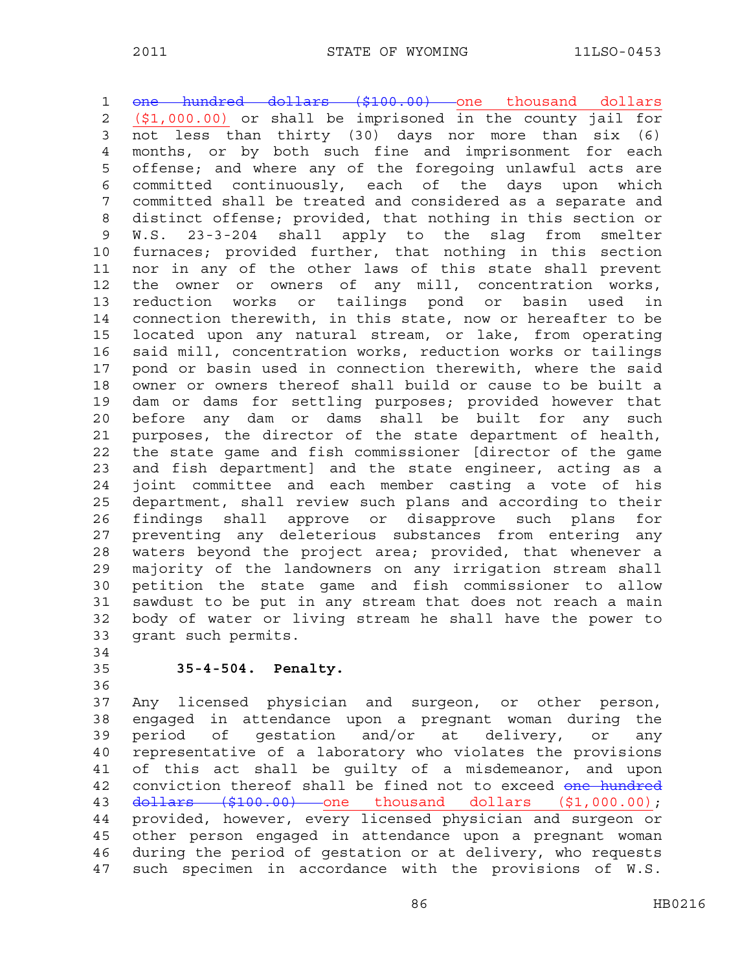1 one hundred dollars (\$100.00) one thousand dollars 2 (\$1,000.00) or shall be imprisoned in the county jail for 3 not less than thirty (30) days nor more than six (6) 4 months, or by both such fine and imprisonment for each 5 offense; and where any of the foregoing unlawful acts are 6 committed continuously, each of the days upon which 7 committed shall be treated and considered as a separate and 8 distinct offense; provided, that nothing in this section or 9 W.S. 23-3-204 shall apply to the slag from smelter 10 furnaces; provided further, that nothing in this section 11 nor in any of the other laws of this state shall prevent 12 the owner or owners of any mill, concentration works, 13 reduction works or tailings pond or basin used in 14 connection therewith, in this state, now or hereafter to be 15 located upon any natural stream, or lake, from operating 16 said mill, concentration works, reduction works or tailings 17 pond or basin used in connection therewith, where the said 18 owner or owners thereof shall build or cause to be built a 19 dam or dams for settling purposes; provided however that 20 before any dam or dams shall be built for any such 21 purposes, the director of the state department of health, 22 the state game and fish commissioner [director of the game 23 and fish department] and the state engineer, acting as a 24 joint committee and each member casting a vote of his 25 department, shall review such plans and according to their 26 findings shall approve or disapprove such plans for 27 preventing any deleterious substances from entering any 28 waters beyond the project area; provided, that whenever a 29 majority of the landowners on any irrigation stream shall 30 petition the state game and fish commissioner to allow 31 sawdust to be put in any stream that does not reach a main 32 body of water or living stream he shall have the power to 33 grant such permits.

- 34
- 36

# 35 **35-4-504. Penalty.**

37 Any licensed physician and surgeon, or other person, 38 engaged in attendance upon a pregnant woman during the 39 period of gestation and/or at delivery, or any 40 representative of a laboratory who violates the provisions 41 of this act shall be guilty of a misdemeanor, and upon 42 conviction thereof shall be fined not to exceed one hundred 43 dollars (\$100.00) one thousand dollars (\$1,000.00); 44 provided, however, every licensed physician and surgeon or 45 other person engaged in attendance upon a pregnant woman 46 during the period of gestation or at delivery, who requests 47 such specimen in accordance with the provisions of W.S.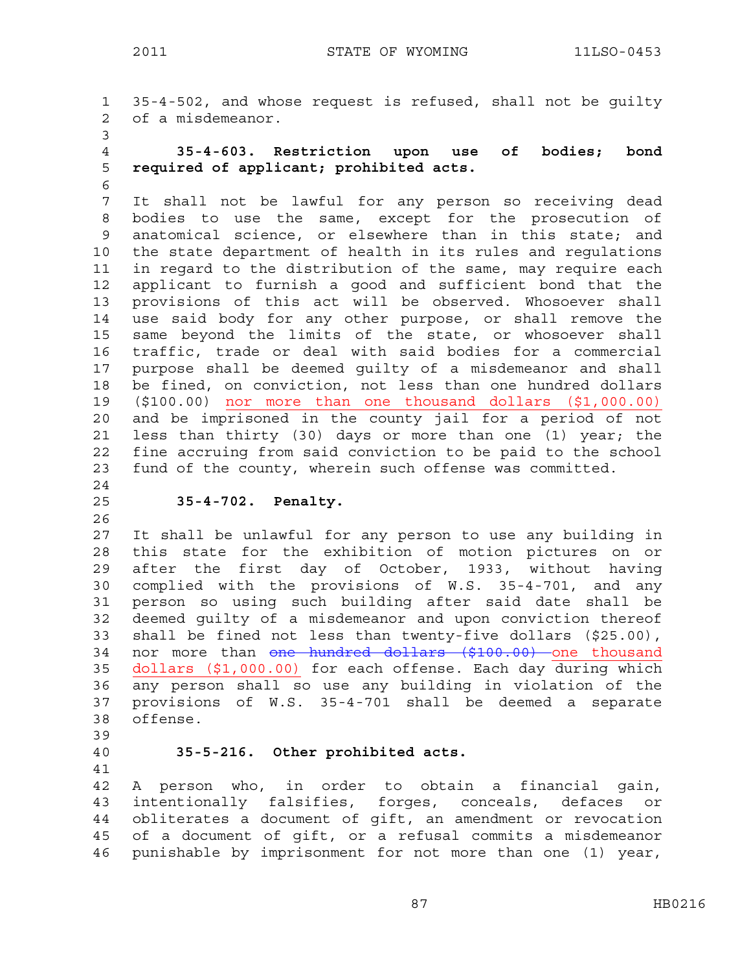1 35-4-502, and whose request is refused, shall not be guilty 2 of a misdemeanor. 3

- 4 **35-4-603. Restriction upon use of bodies; bond**  5 **required of applicant; prohibited acts.**
- 6

7 It shall not be lawful for any person so receiving dead 8 bodies to use the same, except for the prosecution of 9 anatomical science, or elsewhere than in this state; and 10 the state department of health in its rules and regulations 11 in regard to the distribution of the same, may require each 12 applicant to furnish a good and sufficient bond that the 13 provisions of this act will be observed. Whosoever shall 14 use said body for any other purpose, or shall remove the 15 same beyond the limits of the state, or whosoever shall 16 traffic, trade or deal with said bodies for a commercial 17 purpose shall be deemed guilty of a misdemeanor and shall 18 be fined, on conviction, not less than one hundred dollars 19 (\$100.00) nor more than one thousand dollars (\$1,000.00) 20 and be imprisoned in the county jail for a period of not 21 less than thirty (30) days or more than one (1) year; the 22 fine accruing from said conviction to be paid to the school 23 fund of the county, wherein such offense was committed. 24

#### 25 **35-4-702. Penalty.**

26

27 It shall be unlawful for any person to use any building in 28 this state for the exhibition of motion pictures on or 29 after the first day of October, 1933, without having 30 complied with the provisions of W.S. 35-4-701, and any 31 person so using such building after said date shall be 32 deemed guilty of a misdemeanor and upon conviction thereof 33 shall be fined not less than twenty-five dollars (\$25.00), 34 nor more than one hundred dollars (\$100.00) one thousand 35 dollars (\$1,000.00) for each offense. Each day during which 36 any person shall so use any building in violation of the 37 provisions of W.S. 35-4-701 shall be deemed a separate 38 offense.

# 39

41

#### 40 **35-5-216. Other prohibited acts.**

42 A person who, in order to obtain a financial gain, 43 intentionally falsifies, forges, conceals, defaces or 44 obliterates a document of gift, an amendment or revocation 45 of a document of gift, or a refusal commits a misdemeanor 46 punishable by imprisonment for not more than one (1) year,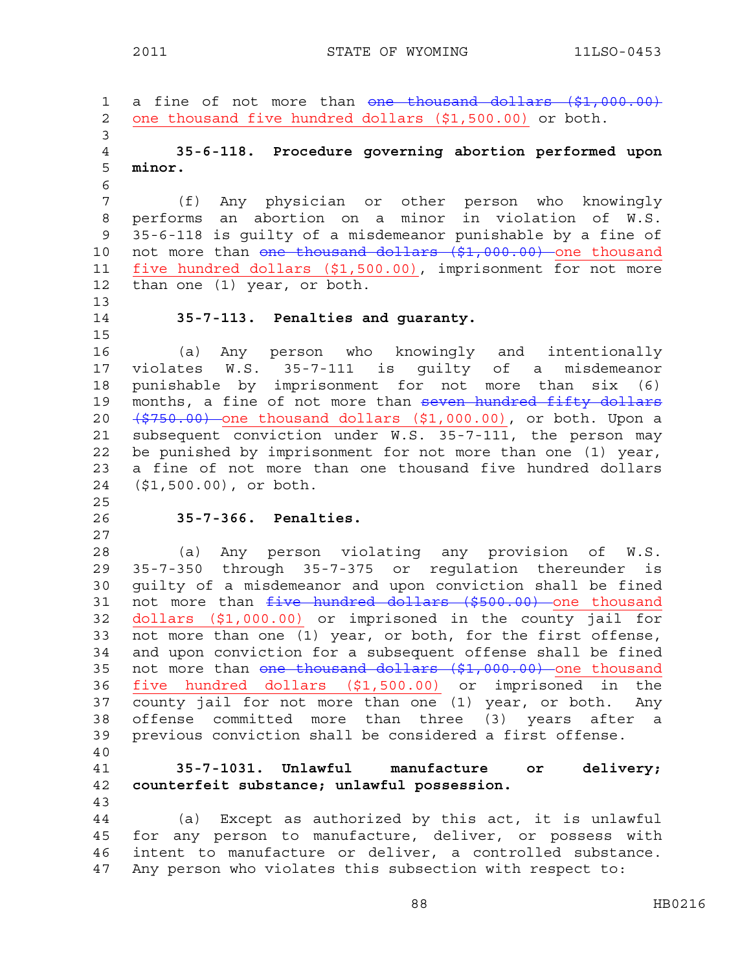1 a fine of not more than one thousand dollars (\$1,000.00) 2 one thousand five hundred dollars (\$1,500.00) or both. 3 4 **35-6-118. Procedure governing abortion performed upon**  5 **minor.**  6 7 (f) Any physician or other person who knowingly 8 performs an abortion on a minor in violation of W.S. 9 35-6-118 is guilty of a misdemeanor punishable by a fine of 10 not more than one thousand dollars (\$1,000.00) one thousand 11 five hundred dollars (\$1,500.00), imprisonment for not more 12 than one (1) year, or both. 13 14 **35-7-113. Penalties and guaranty.**  15 16 (a) Any person who knowingly and intentionally 17 violates W.S. 35-7-111 is guilty of a misdemeanor 18 punishable by imprisonment for not more than six (6) 19 months, a fine of not more than seven hundred fifty dollars 20  $(5750.00)$  one thousand dollars  $(51,000.00)$ , or both. Upon a 21 subsequent conviction under W.S. 35-7-111, the person may 22 be punished by imprisonment for not more than one (1) year, 23 a fine of not more than one thousand five hundred dollars 24 (\$1,500.00), or both. 25 26 **35-7-366. Penalties.**  27 28 (a) Any person violating any provision of W.S. 29 35-7-350 through 35-7-375 or regulation thereunder is 30 guilty of a misdemeanor and upon conviction shall be fined 31 not more than five hundred dollars (\$500.00) one thousand 32 dollars (\$1,000.00) or imprisoned in the county jail for 33 not more than one (1) year, or both, for the first offense, 34 and upon conviction for a subsequent offense shall be fined 35 not more than one thousand dollars (\$1,000.00) one thousand 36 five hundred dollars (\$1,500.00) or imprisoned in the 37 county jail for not more than one (1) year, or both. Any 38 offense committed more than three (3) years after a 39 previous conviction shall be considered a first offense. 40 41 **35-7-1031. Unlawful manufacture or delivery;**  42 **counterfeit substance; unlawful possession.**  43 44 (a) Except as authorized by this act, it is unlawful 45 for any person to manufacture, deliver, or possess with 46 intent to manufacture or deliver, a controlled substance. 47 Any person who violates this subsection with respect to: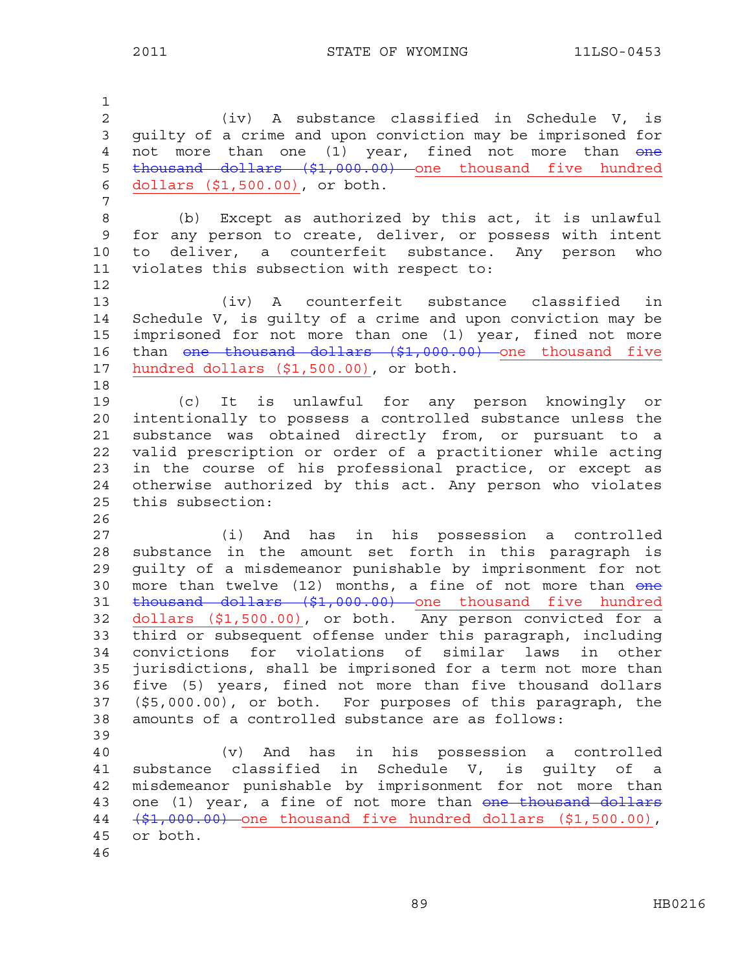1 2 (iv) A substance classified in Schedule V, is 3 guilty of a crime and upon conviction may be imprisoned for 4 not more than one (1) year, fined not more than one 5 thousand dollars (\$1,000.00) one thousand five hundred 6 dollars (\$1,500.00), or both. 7 8 (b) Except as authorized by this act, it is unlawful 9 for any person to create, deliver, or possess with intent 10 to deliver, a counterfeit substance. Any person who 11 violates this subsection with respect to: 12 13 (iv) A counterfeit substance classified in 14 Schedule V, is guilty of a crime and upon conviction may be 15 imprisoned for not more than one (1) year, fined not more 16 than one thousand dollars (\$1,000.00) one thousand five 17 hundred dollars (\$1,500.00), or both. 18 19 (c) It is unlawful for any person knowingly or 20 intentionally to possess a controlled substance unless the 21 substance was obtained directly from, or pursuant to a 22 valid prescription or order of a practitioner while acting 23 in the course of his professional practice, or except as 24 otherwise authorized by this act. Any person who violates 25 this subsection: 26 27 (i) And has in his possession a controlled 28 substance in the amount set forth in this paragraph is 29 guilty of a misdemeanor punishable by imprisonment for not 30 more than twelve  $(12)$  months, a fine of not more than  $\theta$  and 31 thousand dollars (\$1,000.00) one thousand five hundred 32 dollars (\$1,500.00), or both. Any person convicted for a 33 third or subsequent offense under this paragraph, including 34 convictions for violations of similar laws in other 35 jurisdictions, shall be imprisoned for a term not more than 36 five (5) years, fined not more than five thousand dollars 37 (\$5,000.00), or both. For purposes of this paragraph, the 38 amounts of a controlled substance are as follows: 39 40 (v) And has in his possession a controlled 41 substance classified in Schedule V, is guilty of a 42 misdemeanor punishable by imprisonment for not more than 43 one (1) year, a fine of not more than one thousand dollars 44 (\$1,000.00) one thousand five hundred dollars (\$1,500.00), 45 or both. 46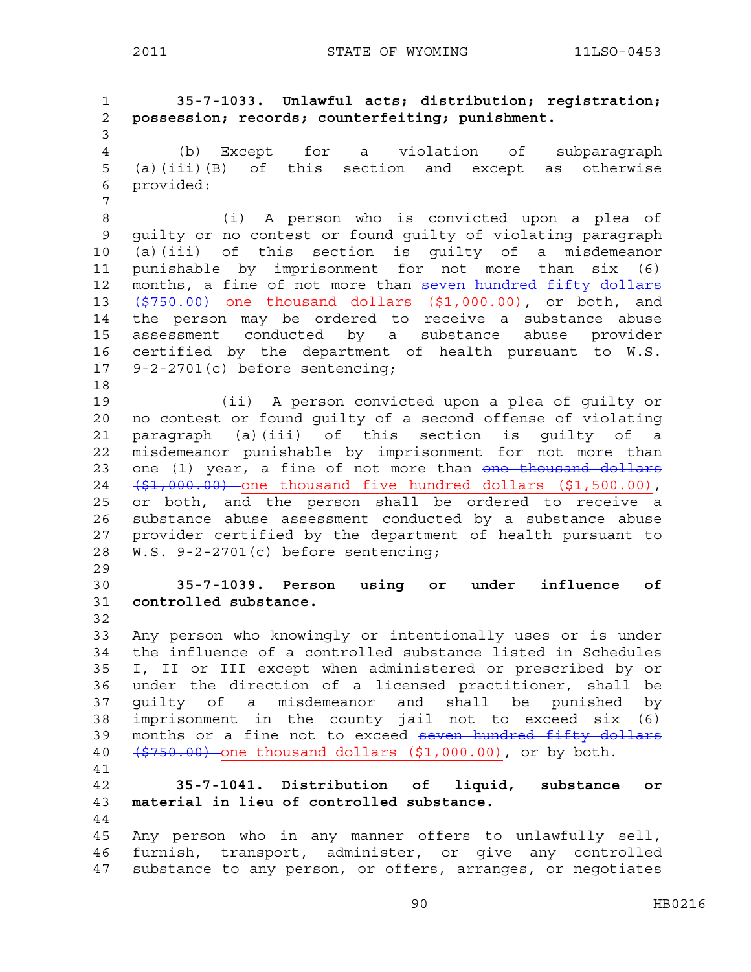2011 STATE OF WYOMING 11LSO-0453

1 **35-7-1033. Unlawful acts; distribution; registration;**  2 **possession; records; counterfeiting; punishment.**  3 4 (b) Except for a violation of subparagraph 5 (a)(iii)(B) of this section and except as otherwise 6 provided: 7 8 (i) A person who is convicted upon a plea of 9 guilty or no contest or found guilty of violating paragraph 10 (a)(iii) of this section is guilty of a misdemeanor 11 punishable by imprisonment for not more than six (6) 12 months, a fine of not more than seven hundred fifty dollars 13  $(\frac{2750.00}{\pi})$  one thousand dollars  $(\frac{21}{\pi})$  000.00), or both, and 14 the person may be ordered to receive a substance abuse 15 assessment conducted by a substance abuse provider 16 certified by the department of health pursuant to W.S. 17 9-2-2701(c) before sentencing; 18 19 (ii) A person convicted upon a plea of guilty or 20 no contest or found guilty of a second offense of violating 21 paragraph (a)(iii) of this section is guilty of a 22 misdemeanor punishable by imprisonment for not more than 23 one (1) year, a fine of not more than one thousand dollars 24  $(\frac{1}{2},000.00)$  one thousand five hundred dollars (\$1,500.00), 25 or both, and the person shall be ordered to receive a 26 substance abuse assessment conducted by a substance abuse 27 provider certified by the department of health pursuant to 28 W.S. 9-2-2701(c) before sentencing; 29 30 **35-7-1039. Person using or under influence of**  31 **controlled substance.**  32 33 Any person who knowingly or intentionally uses or is under 34 the influence of a controlled substance listed in Schedules 35 I, II or III except when administered or prescribed by or 36 under the direction of a licensed practitioner, shall be 37 guilty of a misdemeanor and shall be punished by 38 imprisonment in the county jail not to exceed six (6) 39 months or a fine not to exceed seven hundred fifty dollars 40  $(\frac{2750.00}{\sqrt{750.00}})$  one thousand dollars  $(\frac{21}{\sqrt{750.00}})$ , or by both. 41 42 **35-7-1041. Distribution of liquid, substance or**  43 **material in lieu of controlled substance.**  44 45 Any person who in any manner offers to unlawfully sell, 46 furnish, transport, administer, or give any controlled 47 substance to any person, or offers, arranges, or negotiates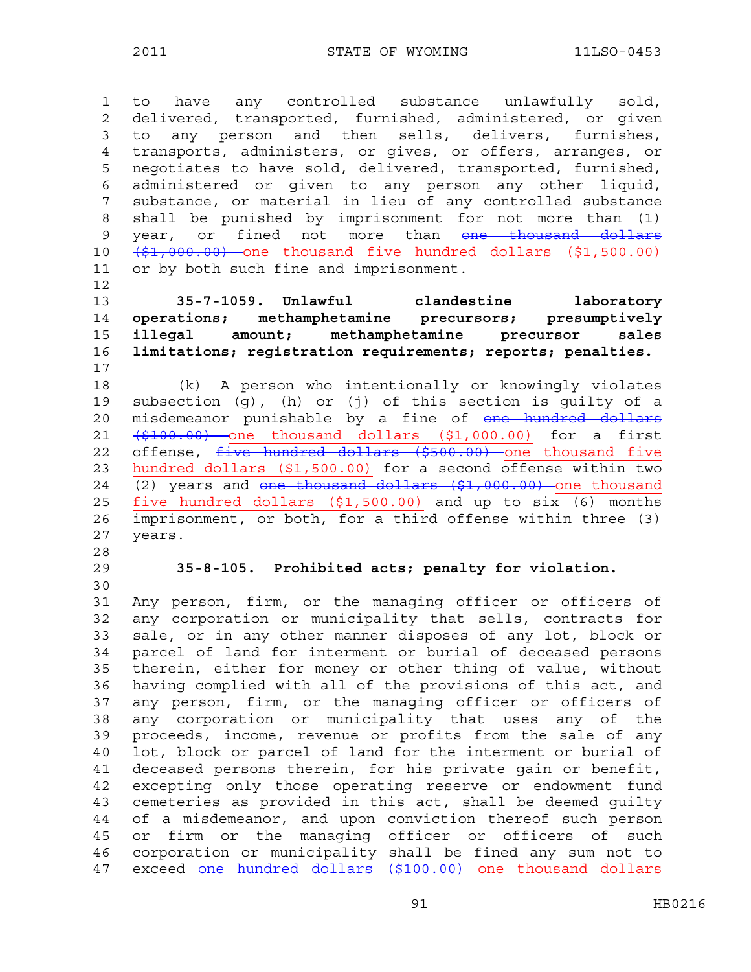1 to have any controlled substance unlawfully sold, 2 delivered, transported, furnished, administered, or given 3 to any person and then sells, delivers, furnishes, 4 transports, administers, or gives, or offers, arranges, or 5 negotiates to have sold, delivered, transported, furnished, 6 administered or given to any person any other liquid, 7 substance, or material in lieu of any controlled substance 8 shall be punished by imprisonment for not more than (1) 9 year, or fined not more than <del>one thousand dollars</del> 10 (\$1,000.00) one thousand five hundred dollars (\$1,500.00) 11 or by both such fine and imprisonment.

12

**35-7-1059. Unlawful clandestine laboratory operations; methamphetamine precursors; presumptively illegal amount; methamphetamine precursor sales limitations; registration requirements; reports; penalties.**  17

18 (k) A person who intentionally or knowingly violates 19 subsection (g), (h) or (j) of this section is guilty of a 20 misdemeanor punishable by a fine of one hundred dollars 21  $(\frac{1}{2100.00})$  one thousand dollars  $(\frac{1}{21000.00})$  for a first 22 offense, five hundred dollars (\$500.00) one thousand five 23 hundred dollars (\$1,500.00) for a second offense within two 24  $(2)$  years and one thousand dollars  $(\frac{2}{7}, 000.00)$  one thousand 25 five hundred dollars (\$1,500.00) and up to six (6) months 26 imprisonment, or both, for a third offense within three (3) 27 years.

- 28
- 30

#### 29 **35-8-105. Prohibited acts; penalty for violation.**

31 Any person, firm, or the managing officer or officers of 32 any corporation or municipality that sells, contracts for 33 sale, or in any other manner disposes of any lot, block or 34 parcel of land for interment or burial of deceased persons 35 therein, either for money or other thing of value, without 36 having complied with all of the provisions of this act, and 37 any person, firm, or the managing officer or officers of 38 any corporation or municipality that uses any of the 39 proceeds, income, revenue or profits from the sale of any 40 lot, block or parcel of land for the interment or burial of 41 deceased persons therein, for his private gain or benefit, 42 excepting only those operating reserve or endowment fund 43 cemeteries as provided in this act, shall be deemed guilty 44 of a misdemeanor, and upon conviction thereof such person 45 or firm or the managing officer or officers of such 46 corporation or municipality shall be fined any sum not to 47 exceed one hundred dollars (\$100.00) one thousand dollars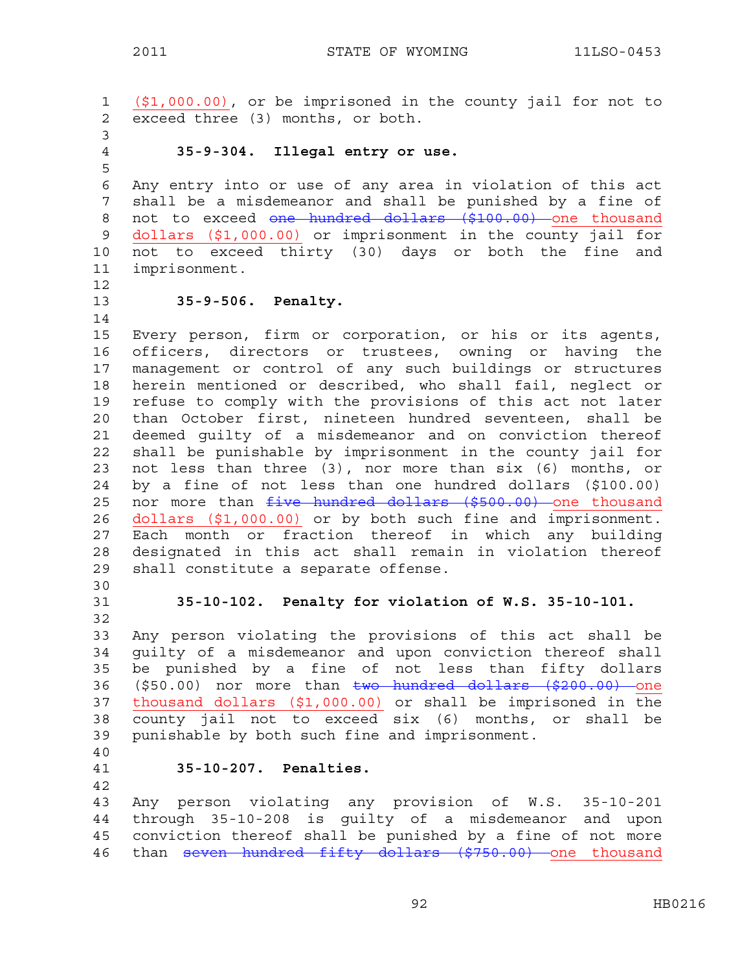1 (\$1,000.00), or be imprisoned in the county jail for not to 2 exceed three (3) months, or both. 3 4 **35-9-304. Illegal entry or use.**  5 6 Any entry into or use of any area in violation of this act 7 shall be a misdemeanor and shall be punished by a fine of 8 not to exceed one hundred dollars (\$100.00) one thousand 9 dollars (\$1,000.00) or imprisonment in the county jail for 10 not to exceed thirty (30) days or both the fine and 11 imprisonment. 12 13 **35-9-506. Penalty.**  14 15 Every person, firm or corporation, or his or its agents, 16 officers, directors or trustees, owning or having the 17 management or control of any such buildings or structures 18 herein mentioned or described, who shall fail, neglect or 19 refuse to comply with the provisions of this act not later 20 than October first, nineteen hundred seventeen, shall be 21 deemed guilty of a misdemeanor and on conviction thereof 22 shall be punishable by imprisonment in the county jail for 23 not less than three (3), nor more than six (6) months, or 24 by a fine of not less than one hundred dollars (\$100.00) 25 nor more than *five* hundred dollars (\$500.00) one thousand 26 dollars (\$1,000.00) or by both such fine and imprisonment. 27 Each month or fraction thereof in which any building 28 designated in this act shall remain in violation thereof 29 shall constitute a separate offense. 30 31 **35-10-102. Penalty for violation of W.S. 35-10-101.**  32 33 Any person violating the provisions of this act shall be 34 guilty of a misdemeanor and upon conviction thereof shall 35 be punished by a fine of not less than fifty dollars 36 (\$50.00) nor more than two hundred dollars (\$200.00) one 37 thousand dollars (\$1,000.00) or shall be imprisoned in the 38 county jail not to exceed six (6) months, or shall be 39 punishable by both such fine and imprisonment. 40 41 **35-10-207. Penalties.**  42 43 Any person violating any provision of W.S. 35-10-201 44 through 35-10-208 is guilty of a misdemeanor and upon 45 conviction thereof shall be punished by a fine of not more 46 than seven hundred fifty dollars (\$750.00) one thousand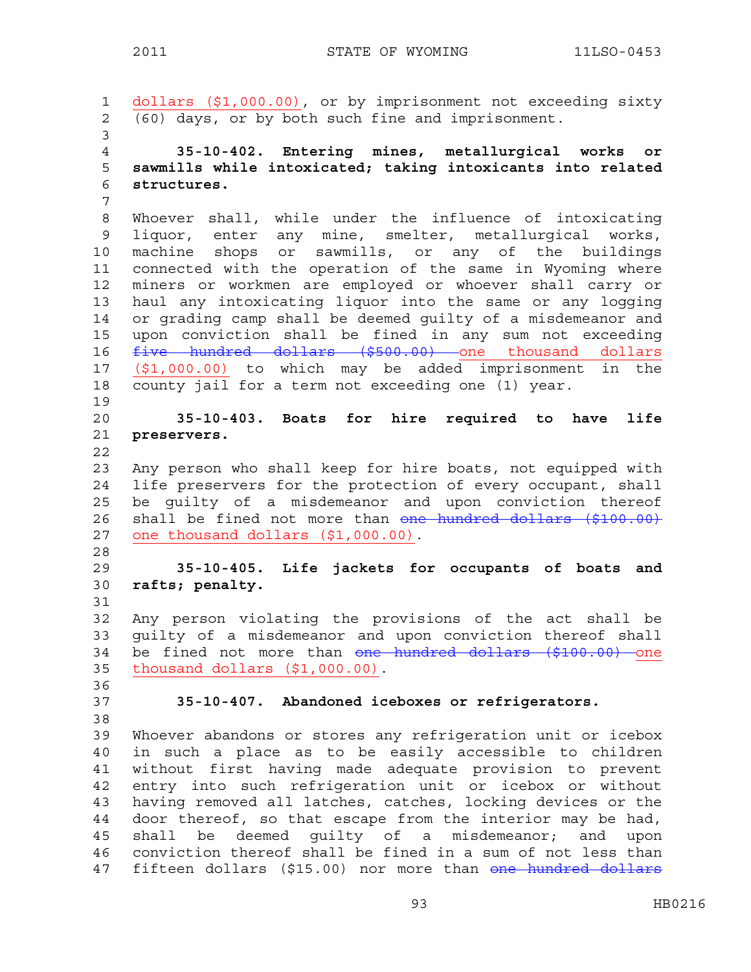1 dollars (\$1,000.00), or by imprisonment not exceeding sixty 2 (60) days, or by both such fine and imprisonment. 3 4 **35-10-402. Entering mines, metallurgical works or**  5 **sawmills while intoxicated; taking intoxicants into related**  6 **structures.**  7 8 Whoever shall, while under the influence of intoxicating 9 liquor, enter any mine, smelter, metallurgical works, 10 machine shops or sawmills, or any of the buildings 11 connected with the operation of the same in Wyoming where 12 miners or workmen are employed or whoever shall carry or 13 haul any intoxicating liquor into the same or any logging 14 or grading camp shall be deemed guilty of a misdemeanor and 15 upon conviction shall be fined in any sum not exceeding 16 five hundred dollars (\$500.00) one thousand dollars 17 (\$1,000.00) to which may be added imprisonment in the 18 county jail for a term not exceeding one (1) year. 19 20 **35-10-403. Boats for hire required to have life**  21 **preservers.**  22 23 Any person who shall keep for hire boats, not equipped with 24 life preservers for the protection of every occupant, shall 25 be guilty of a misdemeanor and upon conviction thereof 26 shall be fined not more than one hundred dollars (\$100.00) 27 one thousand dollars (\$1,000.00). 28 29 **35-10-405. Life jackets for occupants of boats and**  30 **rafts; penalty.**  31 32 Any person violating the provisions of the act shall be 33 guilty of a misdemeanor and upon conviction thereof shall 34 be fined not more than one hundred dollars (\$100.00) one 35 thousand dollars (\$1,000.00). 36 37 **35-10-407. Abandoned iceboxes or refrigerators.**  38 39 Whoever abandons or stores any refrigeration unit or icebox 40 in such a place as to be easily accessible to children 41 without first having made adequate provision to prevent 42 entry into such refrigeration unit or icebox or without 43 having removed all latches, catches, locking devices or the 44 door thereof, so that escape from the interior may be had, 45 shall be deemed guilty of a misdemeanor; and upon 46 conviction thereof shall be fined in a sum of not less than 47 fifteen dollars (\$15.00) nor more than <del>one hundred dollars</del>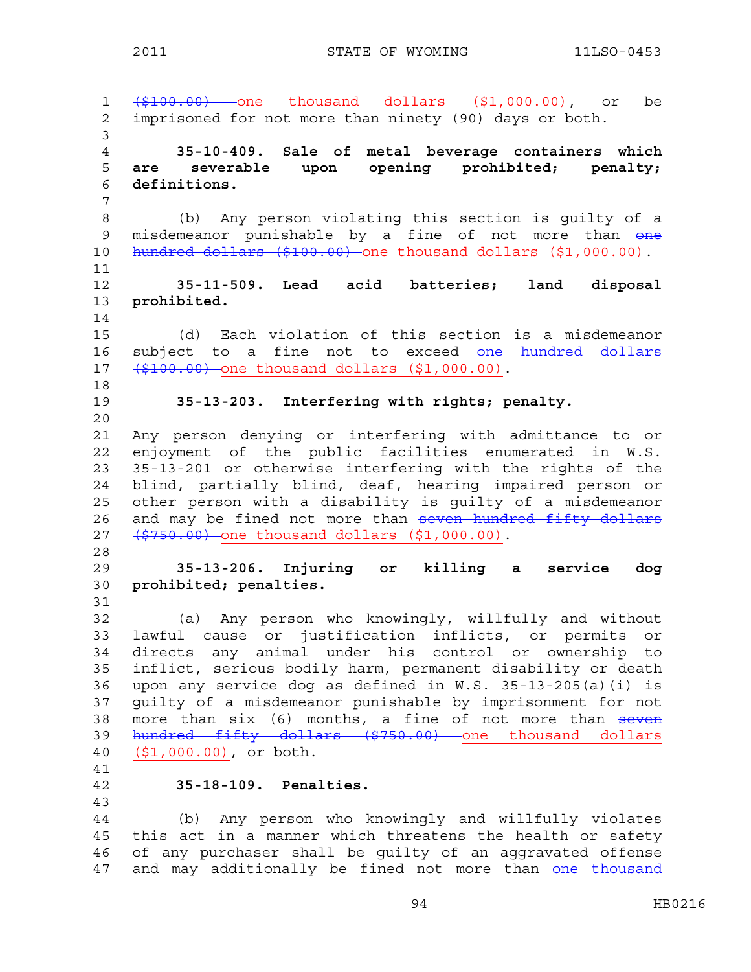1 (\$100.00) one thousand dollars (\$1,000.00), or be 2 imprisoned for not more than ninety (90) days or both. 3 4 **35-10-409. Sale of metal beverage containers which**  5 **are severable upon opening prohibited; penalty;**  6 **definitions.**  7 8 (b) Any person violating this section is guilty of a 9 misdemeanor punishable by a fine of not more than one 10 hundred dollars (\$100.00) one thousand dollars (\$1,000.00). 11 12 **35-11-509. Lead acid batteries; land disposal**  13 **prohibited.**  14 15 (d) Each violation of this section is a misdemeanor 16 subject to a fine not to exceed one hundred dollars 17 (\$100.00) one thousand dollars (\$1,000.00). 18 19 **35-13-203. Interfering with rights; penalty.**  20 21 Any person denying or interfering with admittance to or 22 enjoyment of the public facilities enumerated in W.S. 23 35-13-201 or otherwise interfering with the rights of the 24 blind, partially blind, deaf, hearing impaired person or 25 other person with a disability is guilty of a misdemeanor 26 and may be fined not more than seven hundred fifty dollars 27 (\$750.00) one thousand dollars (\$1,000.00). 28 29 **35-13-206. Injuring or killing a service dog**  30 **prohibited; penalties.**  31 32 (a) Any person who knowingly, willfully and without 33 lawful cause or justification inflicts, or permits or 34 directs any animal under his control or ownership to 35 inflict, serious bodily harm, permanent disability or death 36 upon any service dog as defined in W.S. 35-13-205(a)(i) is 37 guilty of a misdemeanor punishable by imprisonment for not 38 more than six (6) months, a fine of not more than seven 39 hundred fifty dollars (\$750.00) one thousand dollars 40 (\$1,000.00), or both. 41 42 **35-18-109. Penalties.**  43 44 (b) Any person who knowingly and willfully violates 45 this act in a manner which threatens the health or safety 46 of any purchaser shall be guilty of an aggravated offense 47 and may additionally be fined not more than one thousand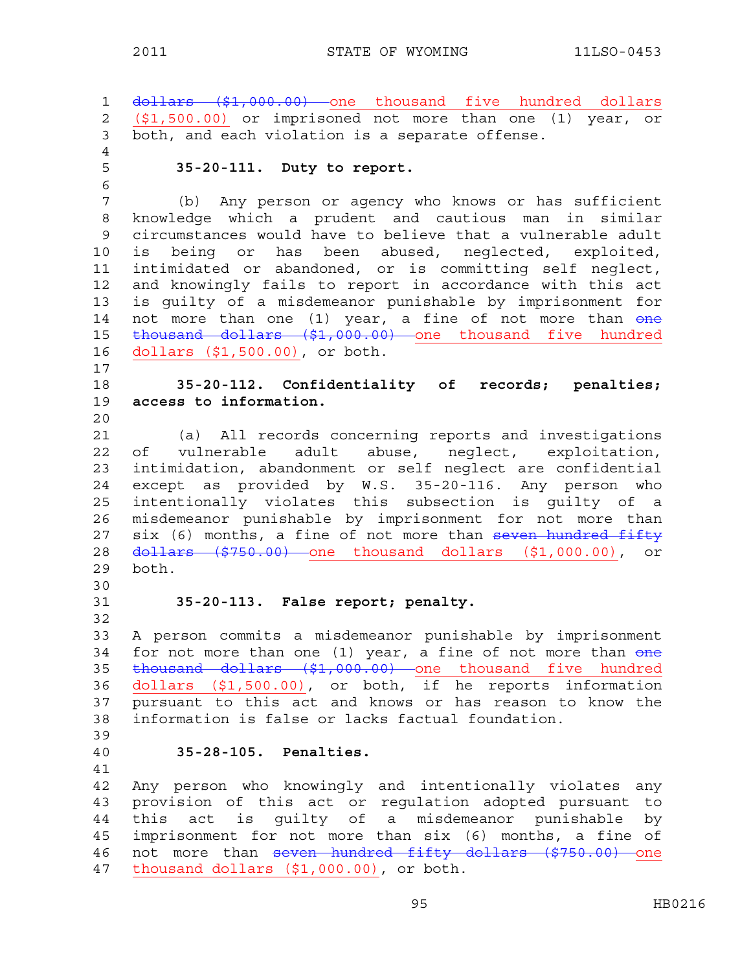1 dollars (\$1,000.00) one thousand five hundred dollars 2 (\$1,500.00) or imprisoned not more than one (1) year, or 3 both, and each violation is a separate offense. 4 5 **35-20-111. Duty to report.**  6 7 (b) Any person or agency who knows or has sufficient 8 knowledge which a prudent and cautious man in similar 9 circumstances would have to believe that a vulnerable adult 10 is being or has been abused, neglected, exploited, 11 intimidated or abandoned, or is committing self neglect, 12 and knowingly fails to report in accordance with this act 13 is guilty of a misdemeanor punishable by imprisonment for 14 not more than one (1) year, a fine of not more than one 15 thousand dollars (\$1,000.00) one thousand five hundred 16 dollars (\$1,500.00), or both. 17 18 **35-20-112. Confidentiality of records; penalties;**  19 **access to information.**  20 21 (a) All records concerning reports and investigations 22 of vulnerable adult abuse, neglect, exploitation, 23 intimidation, abandonment or self neglect are confidential 24 except as provided by W.S. 35-20-116. Any person who 25 intentionally violates this subsection is guilty of a 26 misdemeanor punishable by imprisonment for not more than 27 six (6) months, a fine of not more than seven hundred fifty 28 <del>dollars (\$750.00)</del> one thousand dollars (\$1,000.00), or 29 both. 30 31 **35-20-113. False report; penalty.**  32 33 A person commits a misdemeanor punishable by imprisonment 34 for not more than one (1) year, a fine of not more than one 35 <del>thousand dollars (\$1,000.00)</del> one thousand five hundred 36 dollars (\$1,500.00), or both, if he reports information 37 pursuant to this act and knows or has reason to know the 38 information is false or lacks factual foundation. 39 40 **35-28-105. Penalties.**  41 42 Any person who knowingly and intentionally violates any 43 provision of this act or regulation adopted pursuant to 44 this act is guilty of a misdemeanor punishable by 45 imprisonment for not more than six (6) months, a fine of 46 not more than seven hundred fifty dollars (\$750.00) one 47 thousand dollars (\$1,000.00), or both.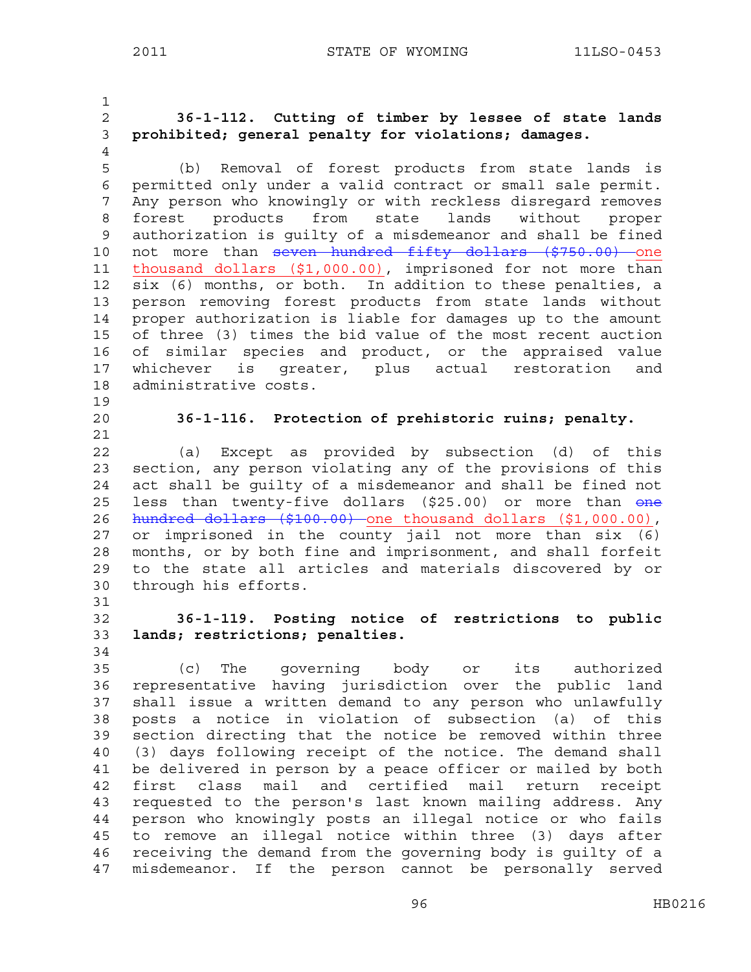1 2 **36-1-112. Cutting of timber by lessee of state lands**  3 **prohibited; general penalty for violations; damages.**  4 5 (b) Removal of forest products from state lands is 6 permitted only under a valid contract or small sale permit. 7 Any person who knowingly or with reckless disregard removes 8 forest products from state lands without proper 9 authorization is guilty of a misdemeanor and shall be fined 10 not more than seven hundred fifty dollars (\$750.00) one 11 thousand dollars (\$1,000.00), imprisoned for not more than 12 six (6) months, or both. In addition to these penalties, a 13 person removing forest products from state lands without 14 proper authorization is liable for damages up to the amount 15 of three (3) times the bid value of the most recent auction 16 of similar species and product, or the appraised value 17 whichever is greater, plus actual restoration and 18 administrative costs. 19 20 **36-1-116. Protection of prehistoric ruins; penalty.**  21 22 (a) Except as provided by subsection (d) of this 23 section, any person violating any of the provisions of this 24 act shall be guilty of a misdemeanor and shall be fined not 25 less than twenty-five dollars (\$25.00) or more than one 26 hundred dollars (\$100.00) one thousand dollars (\$1,000.00), 27 or imprisoned in the county jail not more than  $six$  (6) 28 months, or by both fine and imprisonment, and shall forfeit 29 to the state all articles and materials discovered by or 30 through his efforts. 31 32 **36-1-119. Posting notice of restrictions to public**  33 **lands; restrictions; penalties.**  34 35 (c) The governing body or its authorized 36 representative having jurisdiction over the public land 37 shall issue a written demand to any person who unlawfully 38 posts a notice in violation of subsection (a) of this 39 section directing that the notice be removed within three 40 (3) days following receipt of the notice. The demand shall 41 be delivered in person by a peace officer or mailed by both 42 first class mail and certified mail return receipt 43 requested to the person's last known mailing address. Any 44 person who knowingly posts an illegal notice or who fails 45 to remove an illegal notice within three (3) days after 46 receiving the demand from the governing body is guilty of a 47 misdemeanor. If the person cannot be personally served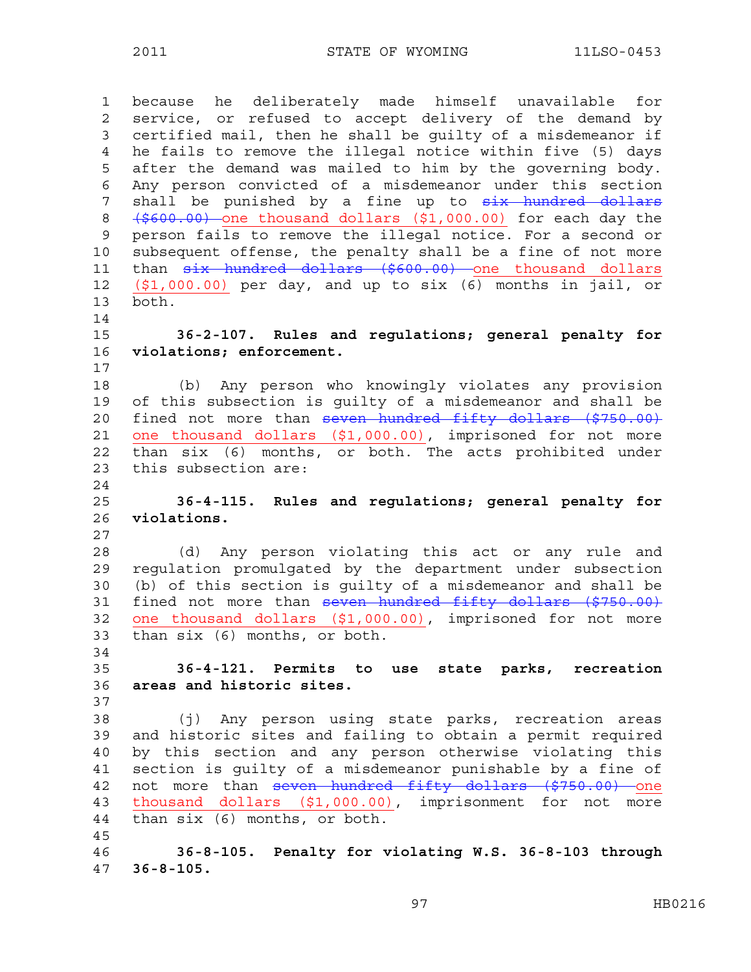1 because he deliberately made himself unavailable for 2 service, or refused to accept delivery of the demand by 3 certified mail, then he shall be guilty of a misdemeanor if 4 he fails to remove the illegal notice within five (5) days 5 after the demand was mailed to him by the governing body. 6 Any person convicted of a misdemeanor under this section 7 shall be punished by a fine up to six hundred dollars 8  $(\frac{2600.00}{\pi})$  one thousand dollars  $(\frac{21}{\pi})$ 000.00) for each day the 9 person fails to remove the illegal notice. For a second or 10 subsequent offense, the penalty shall be a fine of not more 11 than  $six$  hundred dollars (\$600.00) one thousand dollars 12 (\$1,000.00) per day, and up to six (6) months in jail, or 13 both. 14 15 **36-2-107. Rules and regulations; general penalty for**  16 **violations; enforcement.**  17 18 (b) Any person who knowingly violates any provision 19 of this subsection is guilty of a misdemeanor and shall be 20 fined not more than seven hundred fifty dollars (\$750.00) 21 one thousand dollars (\$1,000.00), imprisoned for not more 22 than six (6) months, or both. The acts prohibited under 23 this subsection are: 24 25 **36-4-115. Rules and regulations; general penalty for**  26 **violations.**  27 28 (d) Any person violating this act or any rule and 29 regulation promulgated by the department under subsection 30 (b) of this section is guilty of a misdemeanor and shall be 31 fined not more than seven hundred fifty dollars (\$750.00) 32 one thousand dollars (\$1,000.00), imprisoned for not more 33 than six (6) months, or both. 34 35 **36-4-121. Permits to use state parks, recreation**  36 **areas and historic sites.**  37 38 (j) Any person using state parks, recreation areas 39 and historic sites and failing to obtain a permit required 40 by this section and any person otherwise violating this 41 section is guilty of a misdemeanor punishable by a fine of 42 not more than seven hundred fifty dollars (\$750.00) one 43 thousand dollars (\$1,000.00), imprisonment for not more 44 than six (6) months, or both. 45 46 **36-8-105. Penalty for violating W.S. 36-8-103 through**  47 **36-8-105.**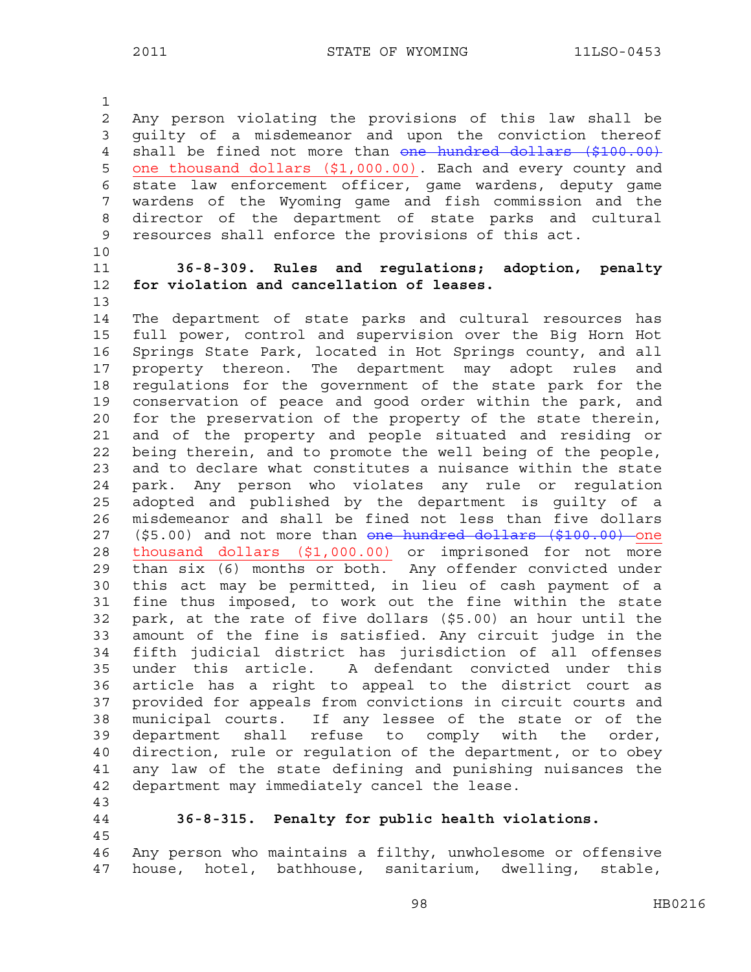1

2 Any person violating the provisions of this law shall be 3 guilty of a misdemeanor and upon the conviction thereof 4 shall be fined not more than one hundred dollars (\$100.00) 5 one thousand dollars (\$1,000.00). Each and every county and 6 state law enforcement officer, game wardens, deputy game 7 wardens of the Wyoming game and fish commission and the 8 director of the department of state parks and cultural 9 resources shall enforce the provisions of this act.

- 10
- 

13

### 11 **36-8-309. Rules and regulations; adoption, penalty**  12 **for violation and cancellation of leases.**

14 The department of state parks and cultural resources has 15 full power, control and supervision over the Big Horn Hot 16 Springs State Park, located in Hot Springs county, and all 17 property thereon. The department may adopt rules and 18 regulations for the government of the state park for the 19 conservation of peace and good order within the park, and 20 for the preservation of the property of the state therein, 21 and of the property and people situated and residing or 22 being therein, and to promote the well being of the people, 23 and to declare what constitutes a nuisance within the state 24 park. Any person who violates any rule or regulation 25 adopted and published by the department is guilty of a 26 misdemeanor and shall be fined not less than five dollars 27 (\$5.00) and not more than one hundred dollars (\$100.00) one 28 thousand dollars (\$1,000.00) or imprisoned for not more 29 than six (6) months or both. Any offender convicted under 30 this act may be permitted, in lieu of cash payment of a 31 fine thus imposed, to work out the fine within the state 32 park, at the rate of five dollars (\$5.00) an hour until the 33 amount of the fine is satisfied. Any circuit judge in the 34 fifth judicial district has jurisdiction of all offenses 35 under this article. A defendant convicted under this 36 article has a right to appeal to the district court as 37 provided for appeals from convictions in circuit courts and 38 municipal courts. If any lessee of the state or of the 39 department shall refuse to comply with the order, 40 direction, rule or regulation of the department, or to obey 41 any law of the state defining and punishing nuisances the 42 department may immediately cancel the lease. 43

44 **36-8-315. Penalty for public health violations.**  45

46 Any person who maintains a filthy, unwholesome or offensive 47 house, hotel, bathhouse, sanitarium, dwelling, stable,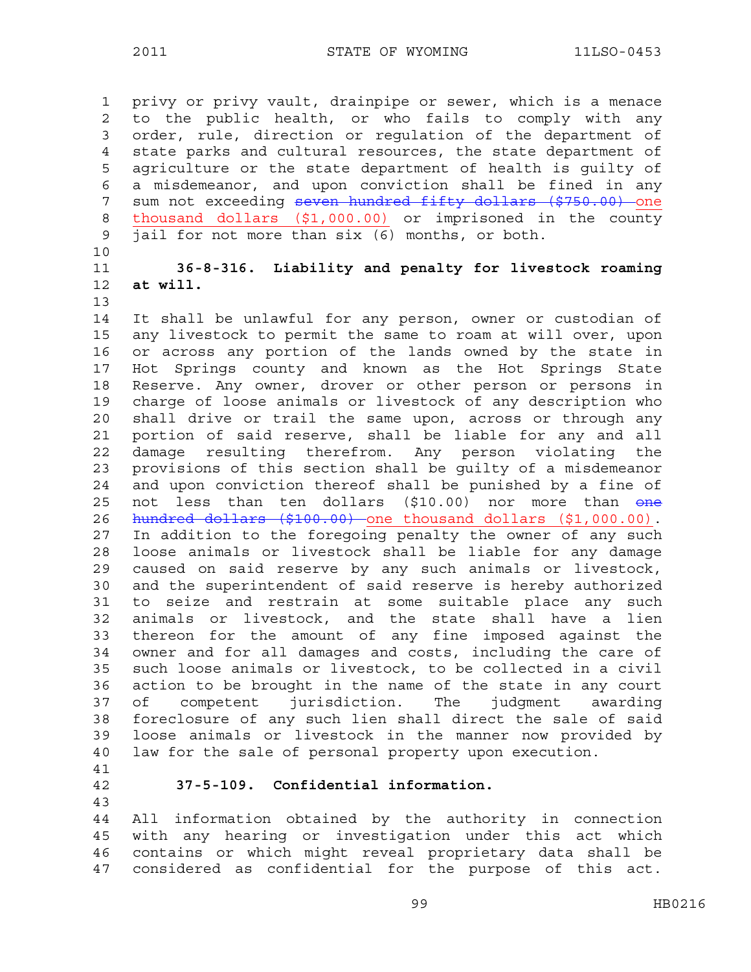1 privy or privy vault, drainpipe or sewer, which is a menace 2 to the public health, or who fails to comply with any 3 order, rule, direction or regulation of the department of 4 state parks and cultural resources, the state department of 5 agriculture or the state department of health is guilty of 6 a misdemeanor, and upon conviction shall be fined in any 7 sum not exceeding seven hundred fifty dollars (\$750.00) one 8 thousand dollars (\$1,000.00) or imprisoned in the county 9 jail for not more than six (6) months, or both.

10

# 11 **36-8-316. Liability and penalty for livestock roaming**  12 **at will.**

13

14 It shall be unlawful for any person, owner or custodian of 15 any livestock to permit the same to roam at will over, upon 16 or across any portion of the lands owned by the state in 17 Hot Springs county and known as the Hot Springs State 18 Reserve. Any owner, drover or other person or persons in 19 charge of loose animals or livestock of any description who 20 shall drive or trail the same upon, across or through any 21 portion of said reserve, shall be liable for any and all 22 damage resulting therefrom. Any person violating the 23 provisions of this section shall be guilty of a misdemeanor 24 and upon conviction thereof shall be punished by a fine of 25 not less than ten dollars (\$10.00) nor more than one 26 hundred dollars (\$100.00) one thousand dollars (\$1,000.00). 27 In addition to the foregoing penalty the owner of any such 28 loose animals or livestock shall be liable for any damage 29 caused on said reserve by any such animals or livestock, 30 and the superintendent of said reserve is hereby authorized 31 to seize and restrain at some suitable place any such 32 animals or livestock, and the state shall have a lien 33 thereon for the amount of any fine imposed against the 34 owner and for all damages and costs, including the care of 35 such loose animals or livestock, to be collected in a civil 36 action to be brought in the name of the state in any court 37 of competent jurisdiction. The judgment awarding 38 foreclosure of any such lien shall direct the sale of said 39 loose animals or livestock in the manner now provided by 40 law for the sale of personal property upon execution. 41

#### 42 **37-5-109. Confidential information.**

43

44 All information obtained by the authority in connection 45 with any hearing or investigation under this act which 46 contains or which might reveal proprietary data shall be 47 considered as confidential for the purpose of this act.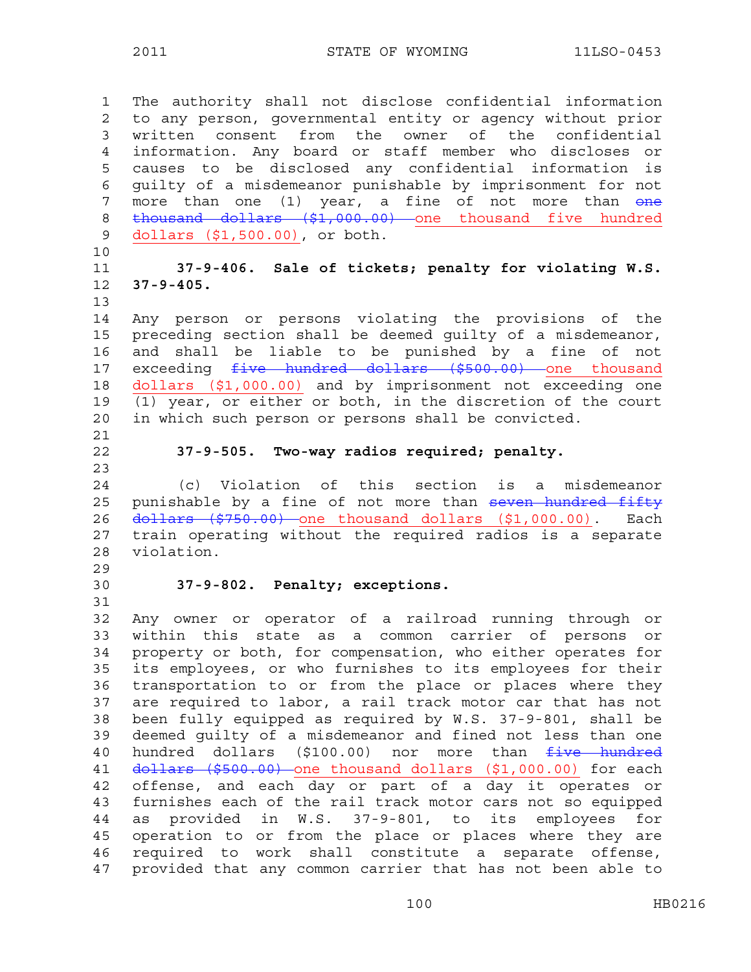1 The authority shall not disclose confidential information 2 to any person, governmental entity or agency without prior 3 written consent from the owner of the confidential 4 information. Any board or staff member who discloses or 5 causes to be disclosed any confidential information is 6 guilty of a misdemeanor punishable by imprisonment for not 7 more than one (1) year, a fine of not more than one 8 thousand dollars (\$1,000.00) one thousand five hundred 9 dollars (\$1,500.00), or both. 10 11 **37-9-406. Sale of tickets; penalty for violating W.S.**  12 **37-9-405.**  13 14 Any person or persons violating the provisions of the 15 preceding section shall be deemed guilty of a misdemeanor, 16 and shall be liable to be punished by a fine of not 17 exceeding five hundred dollars (\$500.00) one thousand 18 dollars (\$1,000.00) and by imprisonment not exceeding one 19 (1) year, or either or both, in the discretion of the court 20 in which such person or persons shall be convicted. 21 22 **37-9-505. Two-way radios required; penalty.**  23 24 (c) Violation of this section is a misdemeanor 25 punishable by a fine of not more than seven hundred fifty 26 dollars (\$750.00) one thousand dollars (\$1,000.00). Each 27 train operating without the required radios is a separate 28 violation. 29 30 **37-9-802. Penalty; exceptions.**  31 32 Any owner or operator of a railroad running through or 33 within this state as a common carrier of persons or 34 property or both, for compensation, who either operates for 35 its employees, or who furnishes to its employees for their 36 transportation to or from the place or places where they 37 are required to labor, a rail track motor car that has not 38 been fully equipped as required by W.S. 37-9-801, shall be 39 deemed guilty of a misdemeanor and fined not less than one 40 hundred dollars (\$100.00) nor more than five hundred 41 dollars (\$500.00) one thousand dollars (\$1,000.00) for each 42 offense, and each day or part of a day it operates or 43 furnishes each of the rail track motor cars not so equipped 44 as provided in W.S. 37-9-801, to its employees for 45 operation to or from the place or places where they are 46 required to work shall constitute a separate offense, 47 provided that any common carrier that has not been able to

100 HB0216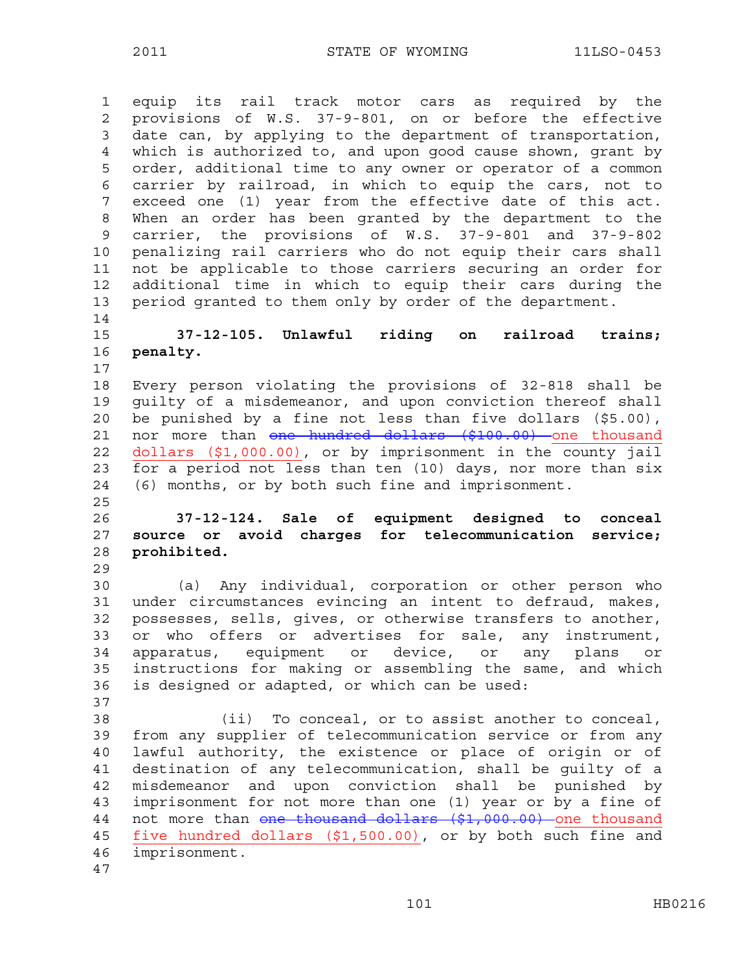1 equip its rail track motor cars as required by the 2 provisions of W.S. 37-9-801, on or before the effective 3 date can, by applying to the department of transportation, 4 which is authorized to, and upon good cause shown, grant by 5 order, additional time to any owner or operator of a common 6 carrier by railroad, in which to equip the cars, not to 7 exceed one (1) year from the effective date of this act. 8 When an order has been granted by the department to the 9 carrier, the provisions of W.S. 37-9-801 and 37-9-802 10 penalizing rail carriers who do not equip their cars shall 11 not be applicable to those carriers securing an order for 12 additional time in which to equip their cars during the 13 period granted to them only by order of the department. 14

#### 15 **37-12-105. Unlawful riding on railroad trains;**  16 **penalty.**  17

18 Every person violating the provisions of 32-818 shall be 19 guilty of a misdemeanor, and upon conviction thereof shall 20 be punished by a fine not less than five dollars (\$5.00), 21 nor more than one hundred dollars (\$100.00) one thousand 22 dollars (\$1,000.00), or by imprisonment in the county jail 23 for a period not less than ten (10) days, nor more than six 24 (6) months, or by both such fine and imprisonment.

# 26 **37-12-124. Sale of equipment designed to conceal**  27 **source or avoid charges for telecommunication service;**  28 **prohibited.**

29

37

25

30 (a) Any individual, corporation or other person who 31 under circumstances evincing an intent to defraud, makes, 32 possesses, sells, gives, or otherwise transfers to another, 33 or who offers or advertises for sale, any instrument, 34 apparatus, equipment or device, or any plans or 35 instructions for making or assembling the same, and which 36 is designed or adapted, or which can be used:

38 (ii) To conceal, or to assist another to conceal, 39 from any supplier of telecommunication service or from any 40 lawful authority, the existence or place of origin or of 41 destination of any telecommunication, shall be guilty of a 42 misdemeanor and upon conviction shall be punished by 43 imprisonment for not more than one (1) year or by a fine of 44 not more than one thousand dollars (\$1,000.00) one thousand 45 five hundred dollars (\$1,500.00), or by both such fine and 46 imprisonment. 47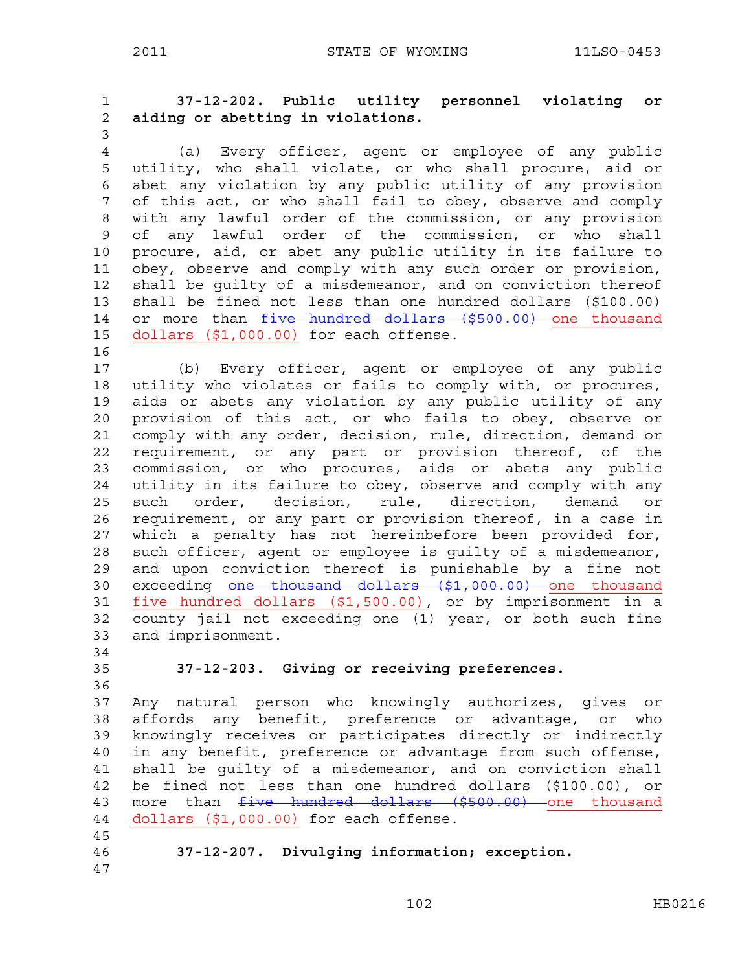1 **37-12-202. Public utility personnel violating or**  2 **aiding or abetting in violations.** 

3

4 (a) Every officer, agent or employee of any public 5 utility, who shall violate, or who shall procure, aid or 6 abet any violation by any public utility of any provision 7 of this act, or who shall fail to obey, observe and comply 8 with any lawful order of the commission, or any provision 9 of any lawful order of the commission, or who shall 10 procure, aid, or abet any public utility in its failure to 11 obey, observe and comply with any such order or provision, 12 shall be guilty of a misdemeanor, and on conviction thereof 13 shall be fined not less than one hundred dollars (\$100.00) 14 or more than five hundred dollars (\$500.00) one thousand 15 dollars (\$1,000.00) for each offense.

16

17 (b) Every officer, agent or employee of any public 18 utility who violates or fails to comply with, or procures, 19 aids or abets any violation by any public utility of any 20 provision of this act, or who fails to obey, observe or 21 comply with any order, decision, rule, direction, demand or 22 requirement, or any part or provision thereof, of the 23 commission, or who procures, aids or abets any public 24 utility in its failure to obey, observe and comply with any 25 such order, decision, rule, direction, demand or 26 requirement, or any part or provision thereof, in a case in 27 which a penalty has not hereinbefore been provided for, 28 such officer, agent or employee is guilty of a misdemeanor, 29 and upon conviction thereof is punishable by a fine not 30 exceeding one thousand dollars (\$1,000.00) one thousand 31 five hundred dollars (\$1,500.00), or by imprisonment in a 32 county jail not exceeding one (1) year, or both such fine 33 and imprisonment.

34

36

# 35 **37-12-203. Giving or receiving preferences.**

37 Any natural person who knowingly authorizes, gives or 38 affords any benefit, preference or advantage, or who 39 knowingly receives or participates directly or indirectly 40 in any benefit, preference or advantage from such offense, 41 shall be guilty of a misdemeanor, and on conviction shall 42 be fined not less than one hundred dollars (\$100.00), or 43 more than  $five$  hundred dollars (\$500.00) one thousand 44 dollars (\$1,000.00) for each offense.

46 **37-12-207. Divulging information; exception.** 

47

45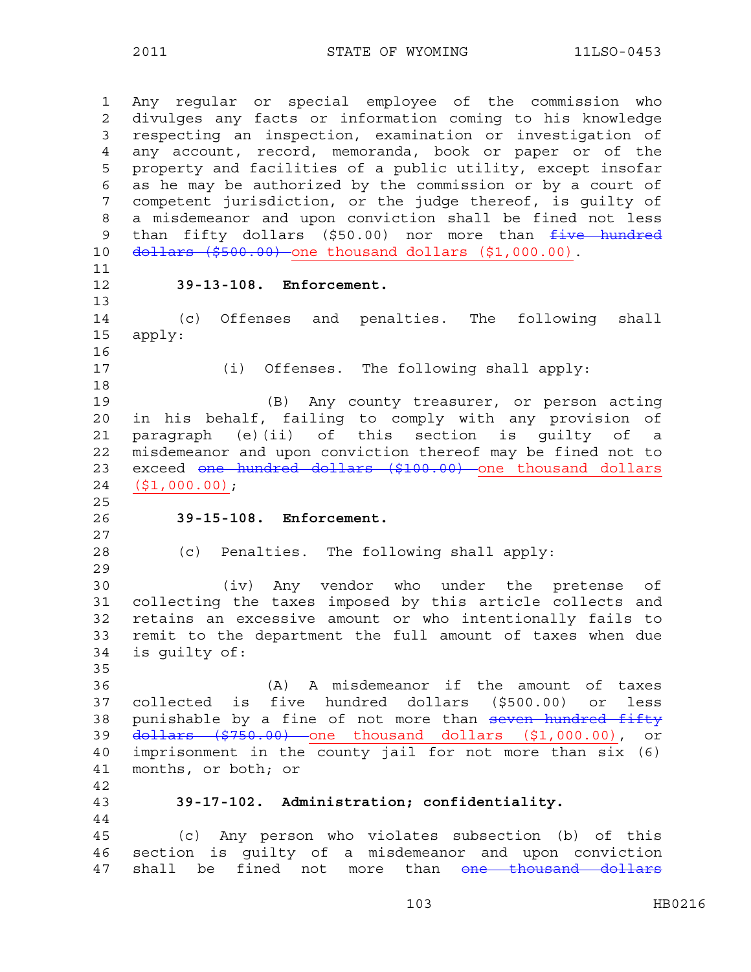2011 STATE OF WYOMING 11LSO-0453

1 Any regular or special employee of the commission who 2 divulges any facts or information coming to his knowledge 3 respecting an inspection, examination or investigation of 4 any account, record, memoranda, book or paper or of the 5 property and facilities of a public utility, except insofar 6 as he may be authorized by the commission or by a court of 7 competent jurisdiction, or the judge thereof, is guilty of 8 a misdemeanor and upon conviction shall be fined not less 9 than fifty dollars (\$50.00) nor more than five hundred 10 dollars (\$500.00) one thousand dollars (\$1,000.00). 11 12 **39-13-108. Enforcement.**  13 14 (c) Offenses and penalties. The following shall 15 apply: 16 17 (i) Offenses. The following shall apply: 18 19 (B) Any county treasurer, or person acting 20 in his behalf, failing to comply with any provision of 21 paragraph (e)(ii) of this section is guilty of a 22 misdemeanor and upon conviction thereof may be fined not to 23 exceed one hundred dollars (\$100.00) one thousand dollars 24 (\$1,000.00); 25 26 **39-15-108. Enforcement.**  27 28 (c) Penalties. The following shall apply: 29 30 (iv) Any vendor who under the pretense of 31 collecting the taxes imposed by this article collects and 32 retains an excessive amount or who intentionally fails to 33 remit to the department the full amount of taxes when due 34 is guilty of: 35 36 (A) A misdemeanor if the amount of taxes 37 collected is five hundred dollars (\$500.00) or less 38 punishable by a fine of not more than seven hundred fifty 39 dollars (\$750.00) one thousand dollars (\$1,000.00), or 40 imprisonment in the county jail for not more than six (6) 41 months, or both; or 42 43 **39-17-102. Administration; confidentiality.**  44 45 (c) Any person who violates subsection (b) of this 46 section is guilty of a misdemeanor and upon conviction 47 shall be fined not more than one thousand dollars

103 HB0216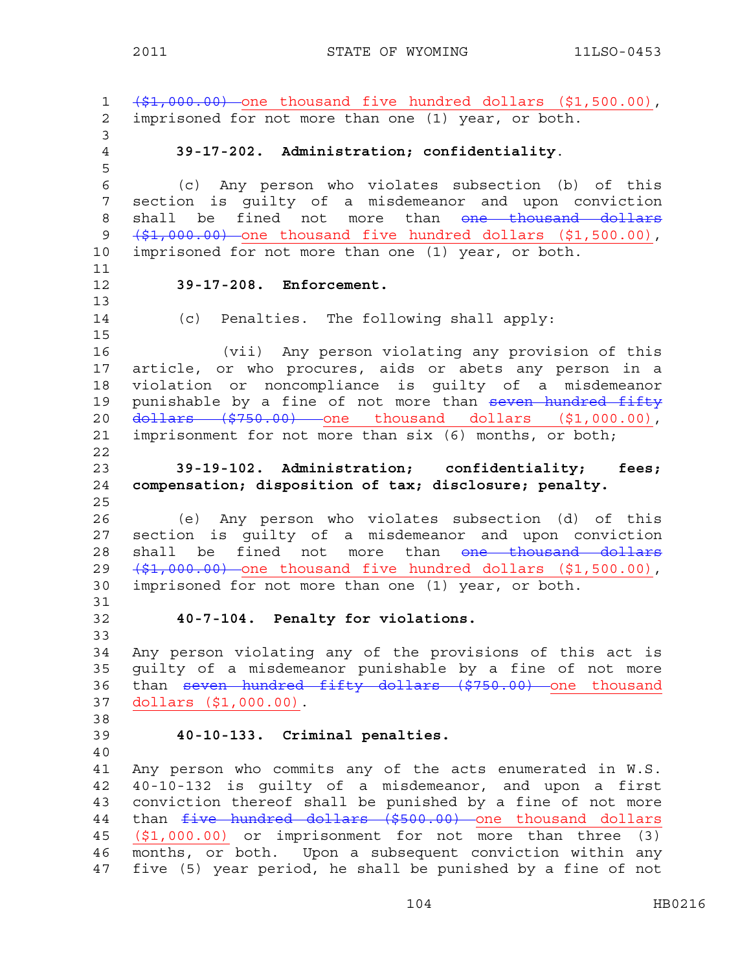1 (\$1,000.00) one thousand five hundred dollars (\$1,500.00), 2 imprisoned for not more than one (1) year, or both. 3 4 **39-17-202. Administration; confidentiality**. 5 6 (c) Any person who violates subsection (b) of this 7 section is guilty of a misdemeanor and upon conviction 8 shall be fined not more than <del>one thousand dollars</del> 9  $(\frac{1}{2}, 000.00)$  one thousand five hundred dollars (\$1,500.00), 10 imprisoned for not more than one (1) year, or both. 11 12 **39-17-208. Enforcement.**  13 14 (c) Penalties. The following shall apply: 15 16 (vii) Any person violating any provision of this 17 article, or who procures, aids or abets any person in a 18 violation or noncompliance is guilty of a misdemeanor 19 punishable by a fine of not more than seven hundred fifty 20 dollars (\$750.00) one thousand dollars (\$1,000.00), 21 imprisonment for not more than six (6) months, or both; 22 23 **39-19-102. Administration; confidentiality; fees;**  24 **compensation; disposition of tax; disclosure; penalty.**  25 26 (e) Any person who violates subsection (d) of this 27 section is guilty of a misdemeanor and upon conviction 28 shall be fined not more than <del>one thousand dollars</del> 29  $(1,000.00)$  one thousand five hundred dollars  $(1,500.00)$ , 30 imprisoned for not more than one (1) year, or both. 31 32 **40-7-104. Penalty for violations.**  33 34 Any person violating any of the provisions of this act is 35 guilty of a misdemeanor punishable by a fine of not more 36 than seven hundred fifty dollars (\$750.00) one thousand 37 dollars (\$1,000.00). 38 39 **40-10-133. Criminal penalties.**  40 41 Any person who commits any of the acts enumerated in W.S. 42 40-10-132 is guilty of a misdemeanor, and upon a first 43 conviction thereof shall be punished by a fine of not more 44 than  $five$  hundred dollars (\$500.00) one thousand dollars 45 (\$1,000.00) or imprisonment for not more than three (3) 46 months, or both. Upon a subsequent conviction within any 47 five (5) year period, he shall be punished by a fine of not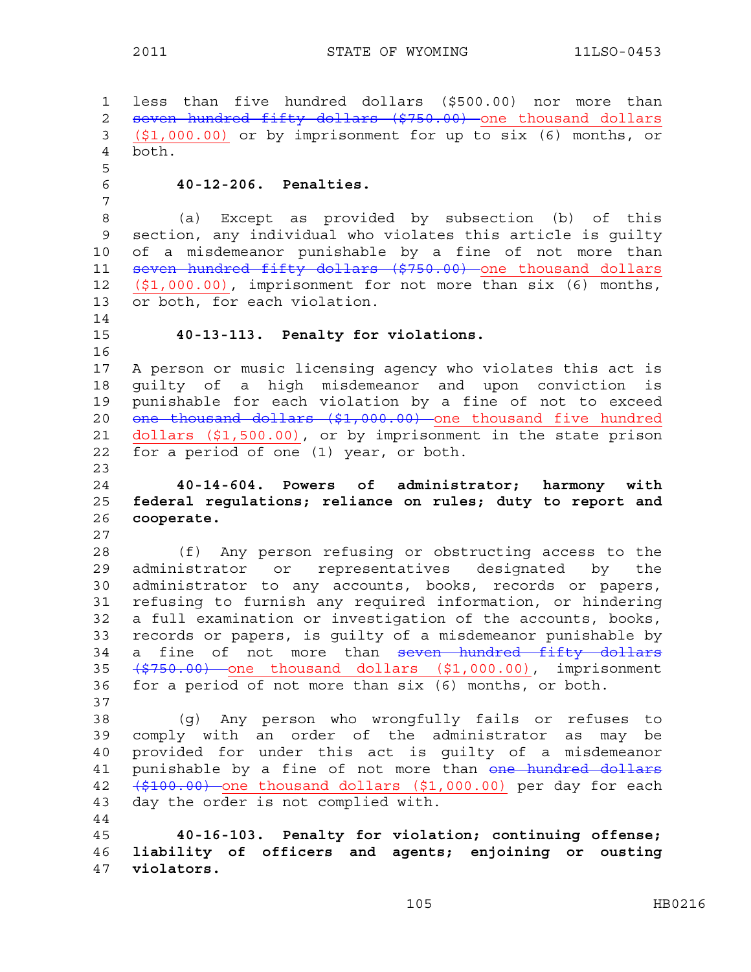1 less than five hundred dollars (\$500.00) nor more than 2 seven hundred fifty dollars (\$750.00) one thousand dollars 3 (\$1,000.00) or by imprisonment for up to six (6) months, or 4 both. 5 6 **40-12-206. Penalties.**  7 8 (a) Except as provided by subsection (b) of this 9 section, any individual who violates this article is guilty 10 of a misdemeanor punishable by a fine of not more than 11 seven hundred fifty dollars (\$750.00) one thousand dollars 12 (\$1,000.00), imprisonment for not more than six (6) months, 13 or both, for each violation. 14 15 **40-13-113. Penalty for violations.**  16 17 A person or music licensing agency who violates this act is 18 guilty of a high misdemeanor and upon conviction is 19 punishable for each violation by a fine of not to exceed 20 <del>one thousand dollars (\$1,000.00)</del> one thousand five hundred 21 dollars (\$1,500.00), or by imprisonment in the state prison 22 for a period of one (1) year, or both. 23 24 **40-14-604. Powers of administrator; harmony with**  25 **federal regulations; reliance on rules; duty to report and**  26 **cooperate.**  27 28 (f) Any person refusing or obstructing access to the 29 administrator or representatives designated by the 30 administrator to any accounts, books, records or papers, 31 refusing to furnish any required information, or hindering 32 a full examination or investigation of the accounts, books, 33 records or papers, is guilty of a misdemeanor punishable by 34 a fine of not more than seven hundred fifty dollars 35 (\$750.00) one thousand dollars (\$1,000.00), imprisonment 36 for a period of not more than six (6) months, or both. 37 38 (g) Any person who wrongfully fails or refuses to 39 comply with an order of the administrator as may be 40 provided for under this act is guilty of a misdemeanor 41 punishable by a fine of not more than one hundred dollars 42 (\$100.00) one thousand dollars (\$1,000.00) per day for each 43 day the order is not complied with. 44 45 **40-16-103. Penalty for violation; continuing offense;**  46 **liability of officers and agents; enjoining or ousting**  47 **violators.**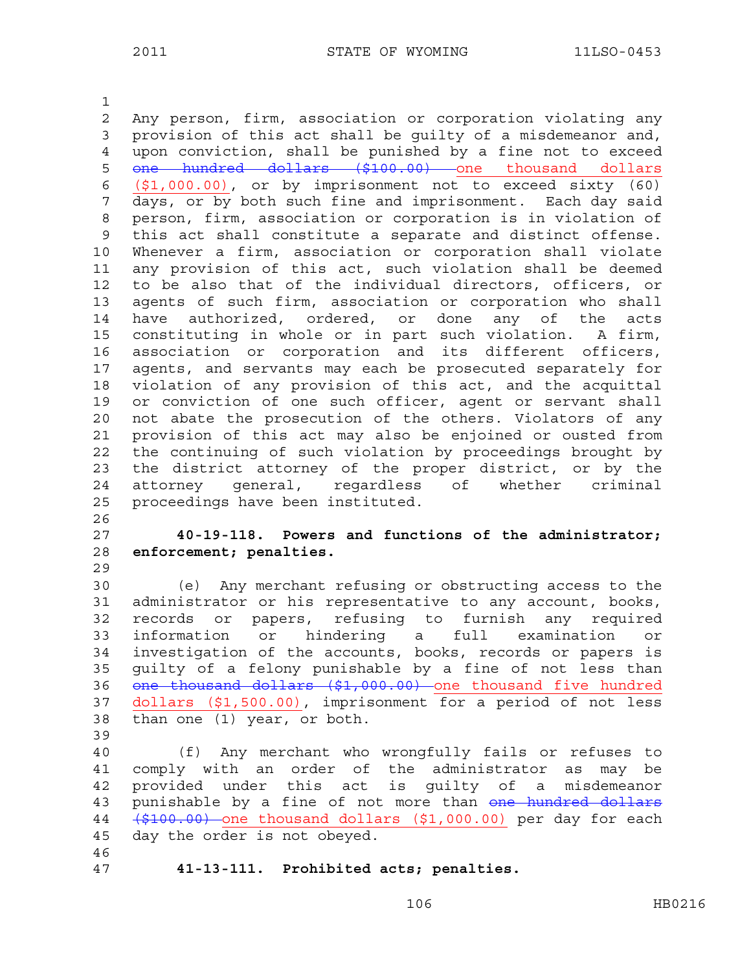1

2 Any person, firm, association or corporation violating any 3 provision of this act shall be guilty of a misdemeanor and, 4 upon conviction, shall be punished by a fine not to exceed 5 one hundred dollars (\$100.00) one thousand dollars 6 (\$1,000.00), or by imprisonment not to exceed sixty (60) 7 days, or by both such fine and imprisonment. Each day said 8 person, firm, association or corporation is in violation of 9 this act shall constitute a separate and distinct offense. 10 Whenever a firm, association or corporation shall violate 11 any provision of this act, such violation shall be deemed 12 to be also that of the individual directors, officers, or 13 agents of such firm, association or corporation who shall 14 have authorized, ordered, or done any of the acts 15 constituting in whole or in part such violation. A firm, 16 association or corporation and its different officers, 17 agents, and servants may each be prosecuted separately for 18 violation of any provision of this act, and the acquittal 19 or conviction of one such officer, agent or servant shall 20 not abate the prosecution of the others. Violators of any 21 provision of this act may also be enjoined or ousted from 22 the continuing of such violation by proceedings brought by 23 the district attorney of the proper district, or by the 24 attorney general, regardless of whether criminal 25 proceedings have been instituted. 26

27 **40-19-118. Powers and functions of the administrator;**  28 **enforcement; penalties.** 

30 (e) Any merchant refusing or obstructing access to the 31 administrator or his representative to any account, books, 32 records or papers, refusing to furnish any required 33 information or hindering a full examination or 34 investigation of the accounts, books, records or papers is 35 guilty of a felony punishable by a fine of not less than 36 one thousand dollars (\$1,000.00) one thousand five hundred 37 dollars (\$1,500.00), imprisonment for a period of not less 38 than one (1) year, or both.

39

29

40 (f) Any merchant who wrongfully fails or refuses to 41 comply with an order of the administrator as may be 42 provided under this act is guilty of a misdemeanor 43 punishable by a fine of not more than one hundred dollars 44 (\$100.00) one thousand dollars (\$1,000.00) per day for each 45 day the order is not obeyed.

46

47 **41-13-111. Prohibited acts; penalties.**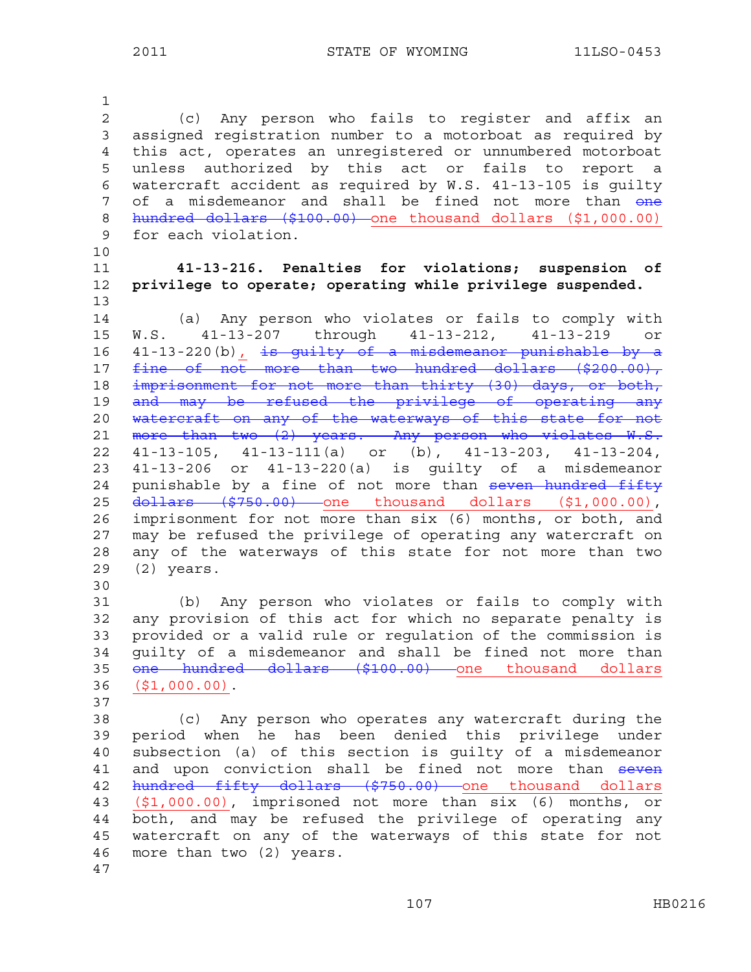1 2 (c) Any person who fails to register and affix an 3 assigned registration number to a motorboat as required by 4 this act, operates an unregistered or unnumbered motorboat 5 unless authorized by this act or fails to report a 6 watercraft accident as required by W.S. 41-13-105 is guilty 7 of a misdemeanor and shall be fined not more than one 8 hundred dollars (\$100.00) one thousand dollars (\$1,000.00) 9 for each violation. 10 11 **41-13-216. Penalties for violations; suspension of**  12 **privilege to operate; operating while privilege suspended.**  13 14 (a) Any person who violates or fails to comply with 15 W.S. 41-13-207 through 41-13-212, 41-13-219 or 16  $41-13-220$  (b)  $\frac{1}{1}$  is guilty of a misdemeanor punishable by a 17 fine of not more than two hundred dollars (\$200.00), 18 imprisonment for not more than thirty (30) days, or both, 19 and may be refused the privilege of operating any 20 watercraft on any of the waterways of this state for not 21 more than two  $(z)$  years. Any person who violates W.S. 22 41-13-105, 41-13-111(a) or (b), 41-13-203, 41-13-204, 23 41-13-206 or 41-13-220(a) is guilty of a misdemeanor 24 punishable by a fine of not more than seven hundred fifty 25 dollars (\$750.00) one thousand dollars (\$1,000.00), 26 imprisonment for not more than six (6) months, or both, and 27 may be refused the privilege of operating any watercraft on 28 any of the waterways of this state for not more than two 29 (2) years. 30 31 (b) Any person who violates or fails to comply with 32 any provision of this act for which no separate penalty is 33 provided or a valid rule or regulation of the commission is 34 guilty of a misdemeanor and shall be fined not more than 35 <del>one hundred dollars (\$100.00)</del> one thousand dollars 36 (\$1,000.00). 37 38 (c) Any person who operates any watercraft during the 39 period when he has been denied this privilege under 40 subsection (a) of this section is guilty of a misdemeanor 41 and upon conviction shall be fined not more than seven 42 hundred fifty dollars (\$750.00) one thousand dollars 43 (\$1,000.00), imprisoned not more than six (6) months, or 44 both, and may be refused the privilege of operating any 45 watercraft on any of the waterways of this state for not

46 more than two (2) years.

47

107 HB0216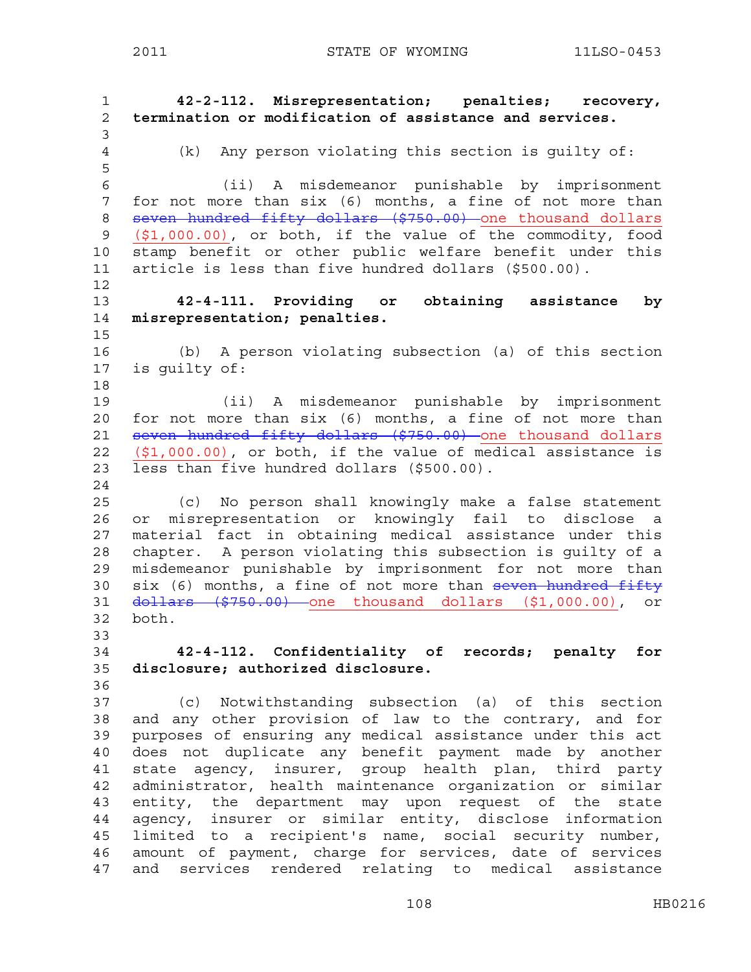2011 STATE OF WYOMING 11LSO-0453

1 **42-2-112. Misrepresentation; penalties; recovery,**  2 **termination or modification of assistance and services.**  3 4 (k) Any person violating this section is guilty of: 5 6 (ii) A misdemeanor punishable by imprisonment 7 for not more than six (6) months, a fine of not more than 8 seven hundred fifty dollars (\$750.00) one thousand dollars 9 (\$1,000.00), or both, if the value of the commodity, food 10 stamp benefit or other public welfare benefit under this 11 article is less than five hundred dollars (\$500.00). 12 13 **42-4-111. Providing or obtaining assistance by**  14 **misrepresentation; penalties.**  15 16 (b) A person violating subsection (a) of this section 17 is guilty of: 18 19 (ii) A misdemeanor punishable by imprisonment 20 for not more than six (6) months, a fine of not more than 21 seven hundred fifty dollars (\$750.00) one thousand dollars 22 (\$1,000.00), or both, if the value of medical assistance is 23 less than five hundred dollars (\$500.00). 24 25 (c) No person shall knowingly make a false statement 26 or misrepresentation or knowingly fail to disclose a 27 material fact in obtaining medical assistance under this 28 chapter. A person violating this subsection is guilty of a 29 misdemeanor punishable by imprisonment for not more than 30  $six$  (6) months, a fine of not more than  $seven$  hundred fifty 31 dollars (\$750.00) one thousand dollars (\$1,000.00), or 32 both. 33 34 **42-4-112. Confidentiality of records; penalty for**  35 **disclosure; authorized disclosure.**  36 37 (c) Notwithstanding subsection (a) of this section 38 and any other provision of law to the contrary, and for 39 purposes of ensuring any medical assistance under this act 40 does not duplicate any benefit payment made by another 41 state agency, insurer, group health plan, third party 42 administrator, health maintenance organization or similar 43 entity, the department may upon request of the state 44 agency, insurer or similar entity, disclose information 45 limited to a recipient's name, social security number, 46 amount of payment, charge for services, date of services 47 and services rendered relating to medical assistance